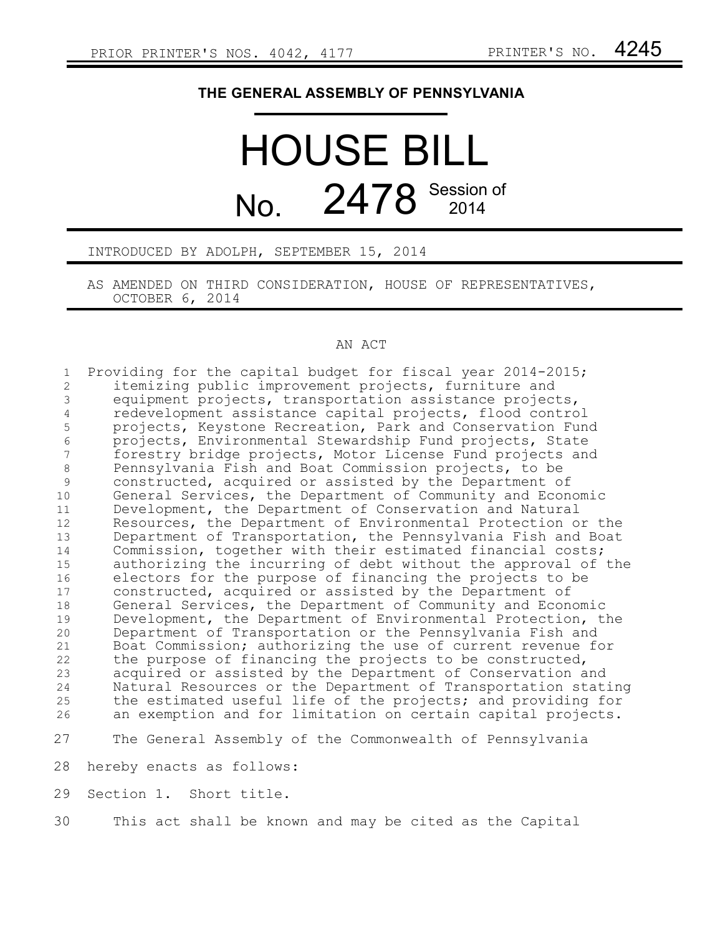## **THE GENERAL ASSEMBLY OF PENNSYLVANIA**

## HOUSE BILL No. 2478 Session of

INTRODUCED BY ADOLPH, SEPTEMBER 15, 2014

AS AMENDED ON THIRD CONSIDERATION, HOUSE OF REPRESENTATIVES, OCTOBER 6, 2014

## AN ACT

Providing for the capital budget for fiscal year 2014-2015; itemizing public improvement projects, furniture and equipment projects, transportation assistance projects, redevelopment assistance capital projects, flood control projects, Keystone Recreation, Park and Conservation Fund projects, Environmental Stewardship Fund projects, State forestry bridge projects, Motor License Fund projects and Pennsylvania Fish and Boat Commission projects, to be constructed, acquired or assisted by the Department of General Services, the Department of Community and Economic Development, the Department of Conservation and Natural Resources, the Department of Environmental Protection or the Department of Transportation, the Pennsylvania Fish and Boat Commission, together with their estimated financial costs; authorizing the incurring of debt without the approval of the electors for the purpose of financing the projects to be constructed, acquired or assisted by the Department of General Services, the Department of Community and Economic Development, the Department of Environmental Protection, the Department of Transportation or the Pennsylvania Fish and Boat Commission; authorizing the use of current revenue for the purpose of financing the projects to be constructed, acquired or assisted by the Department of Conservation and Natural Resources or the Department of Transportation stating the estimated useful life of the projects; and providing for an exemption and for limitation on certain capital projects. The General Assembly of the Commonwealth of Pennsylvania hereby enacts as follows: 1 2 3 4 5 6 7 8 9 10 11 12 13 14 15 16 17 18 19 20 21 22 23 24 25 26 27 28

Section 1. Short title. 29

This act shall be known and may be cited as the Capital 30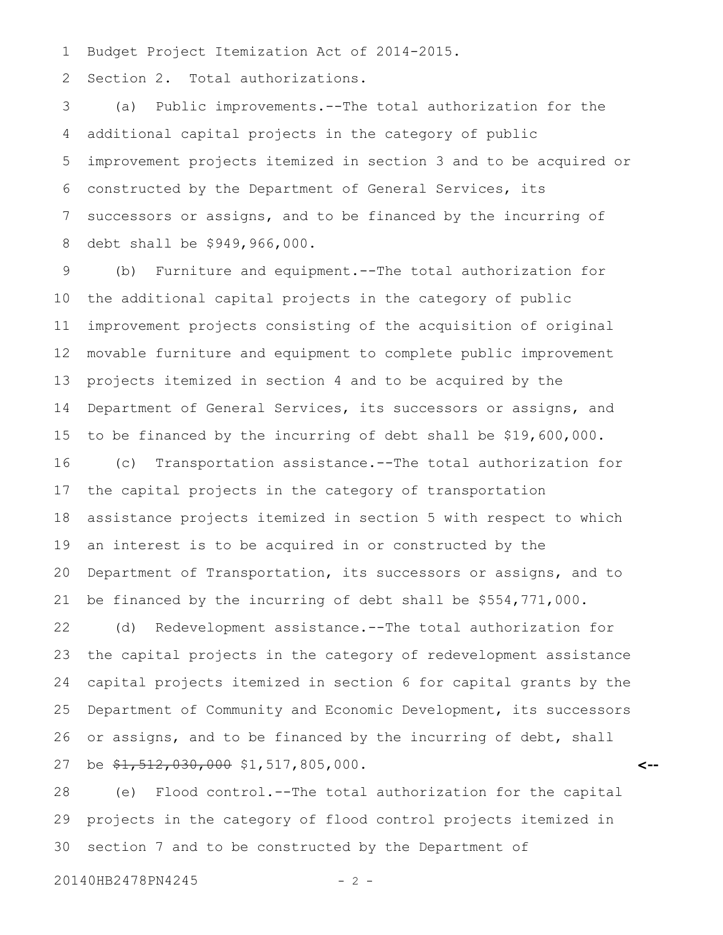Budget Project Itemization Act of 2014-2015. 1

Section 2. Total authorizations. 2

(a) Public improvements.--The total authorization for the additional capital projects in the category of public improvement projects itemized in section 3 and to be acquired or constructed by the Department of General Services, its successors or assigns, and to be financed by the incurring of debt shall be \$949,966,000. 3 4 5 6 7 8

(b) Furniture and equipment.--The total authorization for the additional capital projects in the category of public improvement projects consisting of the acquisition of original movable furniture and equipment to complete public improvement projects itemized in section 4 and to be acquired by the Department of General Services, its successors or assigns, and to be financed by the incurring of debt shall be \$19,600,000. (c) Transportation assistance.--The total authorization for the capital projects in the category of transportation assistance projects itemized in section 5 with respect to which an interest is to be acquired in or constructed by the Department of Transportation, its successors or assigns, and to be financed by the incurring of debt shall be \$554,771,000. 9 10 11 12 13 14 15 16 17 18 19 20 21

(d) Redevelopment assistance.--The total authorization for the capital projects in the category of redevelopment assistance capital projects itemized in section 6 for capital grants by the Department of Community and Economic Development, its successors or assigns, and to be financed by the incurring of debt, shall be \$1,512,030,000 \$1,517,805,000. 22 23 24 25 26 27

(e) Flood control.--The total authorization for the capital projects in the category of flood control projects itemized in section 7 and to be constructed by the Department of 28 29 30

20140HB2478PN4245 - 2 -

**<--**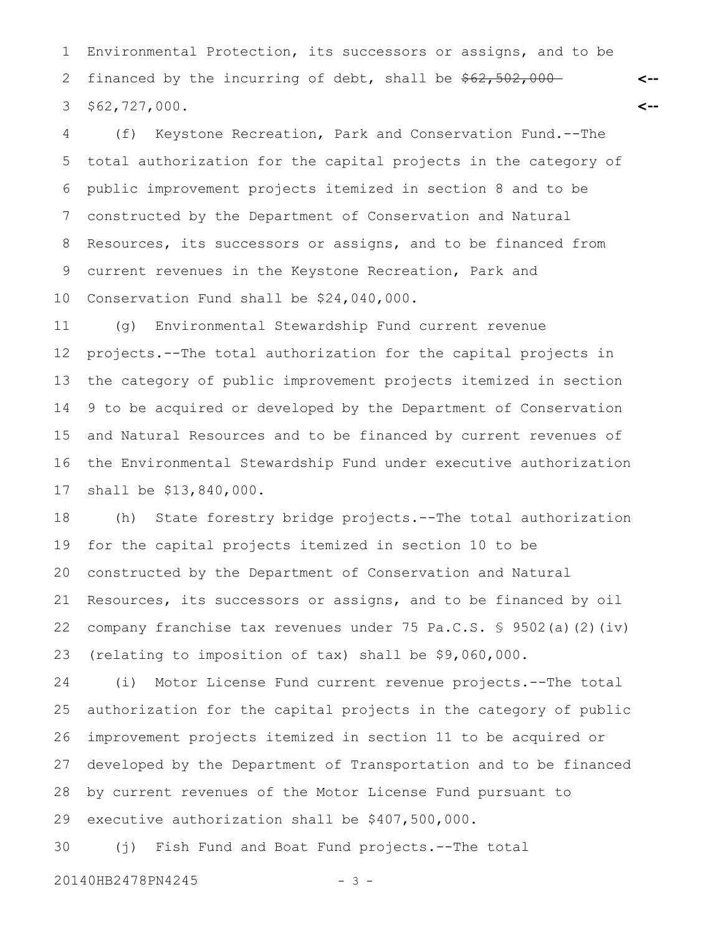Environmental Protection, its successors or assigns, and to be financed by the incurring of debt, shall be  $$62,502,000-$ \$62,727,000. 1 2 3

**<--**

**<--**

(f) Keystone Recreation, Park and Conservation Fund.--The total authorization for the capital projects in the category of public improvement projects itemized in section 8 and to be constructed by the Department of Conservation and Natural Resources, its successors or assigns, and to be financed from current revenues in the Keystone Recreation, Park and Conservation Fund shall be \$24,040,000. 4 5 6 7 8 9 10

(g) Environmental Stewardship Fund current revenue projects.--The total authorization for the capital projects in the category of public improvement projects itemized in section 9 to be acquired or developed by the Department of Conservation and Natural Resources and to be financed by current revenues of the Environmental Stewardship Fund under executive authorization shall be \$13,840,000. 11 12 13 14 15 16 17

(h) State forestry bridge projects.--The total authorization for the capital projects itemized in section 10 to be constructed by the Department of Conservation and Natural Resources, its successors or assigns, and to be financed by oil company franchise tax revenues under 75 Pa.C.S. § 9502(a)(2)(iv) (relating to imposition of tax) shall be \$9,060,000. 18 19 20 21 22 23

(i) Motor License Fund current revenue projects.--The total authorization for the capital projects in the category of public improvement projects itemized in section 11 to be acquired or developed by the Department of Transportation and to be financed by current revenues of the Motor License Fund pursuant to executive authorization shall be \$407,500,000. 24 25 26 27 28 29

(j) Fish Fund and Boat Fund projects.--The total 30

20140HB2478PN4245 - 3 -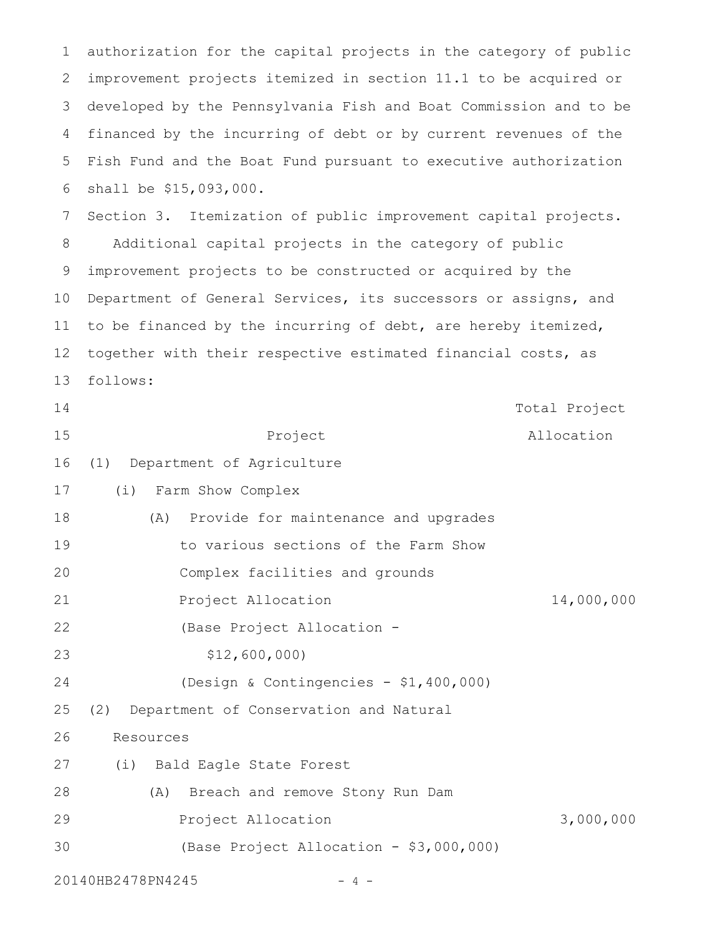improvement projects itemized in section 11.1 to be acquired or developed by the Pennsylvania Fish and Boat Commission and to be financed by the incurring of debt or by current revenues of the Fish Fund and the Boat Fund pursuant to executive authorization shall be \$15,093,000. Section 3. Itemization of public improvement capital projects. Additional capital projects in the category of public improvement projects to be constructed or acquired by the Department of General Services, its successors or assigns, and to be financed by the incurring of debt, are hereby itemized, together with their respective estimated financial costs, as follows: Project Total Project Allocation (1) Department of Agriculture (i) Farm Show Complex (A) Provide for maintenance and upgrades to various sections of the Farm Show Complex facilities and grounds Project Allocation 14,000,000 (Base Project Allocation - \$12,600,000) (Design & Contingencies - \$1,400,000) (2) Department of Conservation and Natural Resources (i) Bald Eagle State Forest (A) Breach and remove Stony Run Dam Project Allocation 3,000,000 (Base Project Allocation - \$3,000,000) 20140HB2478PN4245 - 4 -2 3 4 5 6 7 8 9 10 11 12 13 14 15 16 17 18 19 20 21 22 23 24 25 26 27 28 29 30

authorization for the capital projects in the category of public

1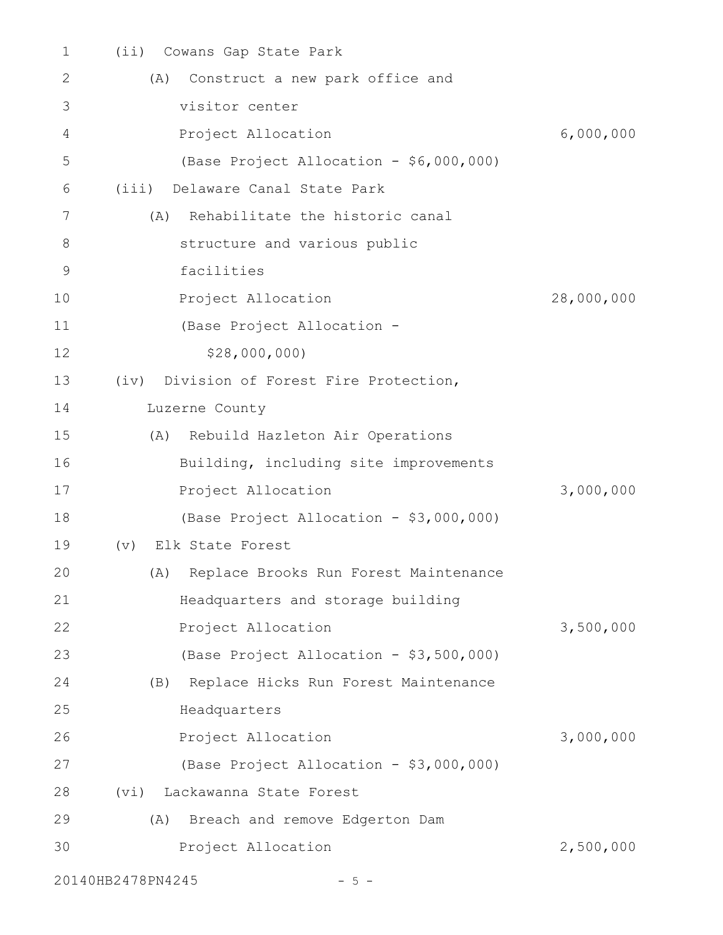| 1  | Cowans Gap State Park<br>(iii)              |            |
|----|---------------------------------------------|------------|
| 2  | Construct a new park office and<br>(A)      |            |
| 3  | visitor center                              |            |
| 4  | Project Allocation                          | 6,000,000  |
| 5  | (Base Project Allocation - \$6,000,000)     |            |
| 6  | Delaware Canal State Park<br>(iii)          |            |
| 7  | Rehabilitate the historic canal<br>(A)      |            |
| 8  | structure and various public                |            |
| 9  | facilities                                  |            |
| 10 | Project Allocation                          | 28,000,000 |
| 11 | (Base Project Allocation -                  |            |
| 12 | \$28,000,000                                |            |
| 13 | (iv) Division of Forest Fire Protection,    |            |
| 14 | Luzerne County                              |            |
| 15 | (A) Rebuild Hazleton Air Operations         |            |
| 16 | Building, including site improvements       |            |
| 17 | Project Allocation                          | 3,000,000  |
| 18 | (Base Project Allocation - \$3,000,000)     |            |
| 19 | Elk State Forest<br>$(\triangledown)$       |            |
| 20 | (A) Replace Brooks Run Forest Maintenance   |            |
| 21 | Headquarters and storage building           |            |
| 22 | Project Allocation                          | 3,500,000  |
| 23 | (Base Project Allocation - \$3,500,000)     |            |
| 24 | Replace Hicks Run Forest Maintenance<br>(B) |            |
| 25 | Headquarters                                |            |
| 26 | Project Allocation                          | 3,000,000  |
| 27 | (Base Project Allocation - \$3,000,000)     |            |
| 28 | Lackawanna State Forest<br>(vi)             |            |
| 29 | Breach and remove Edgerton Dam<br>(A)       |            |
| 30 | Project Allocation                          | 2,500,000  |
|    |                                             |            |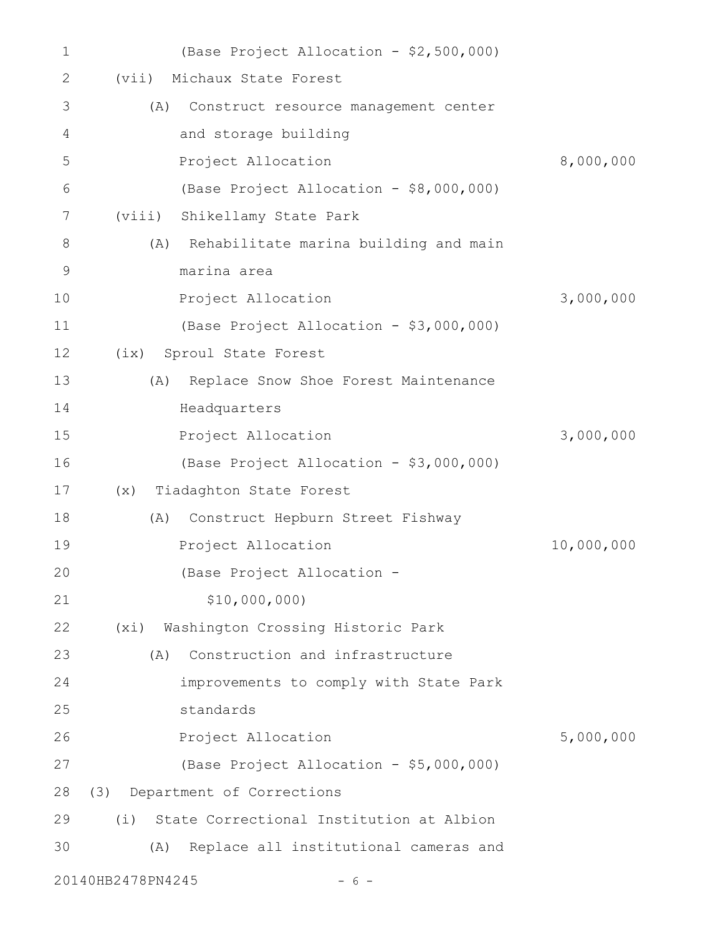| 1              | (Base Project Allocation - \$2,500,000)      |            |
|----------------|----------------------------------------------|------------|
| 2              | Michaux State Forest<br>(vii)                |            |
| 3              | Construct resource management center<br>(A)  |            |
| 4              | and storage building                         |            |
| 5              | Project Allocation                           | 8,000,000  |
| 6              | (Base Project Allocation - \$8,000,000)      |            |
| $\overline{7}$ | (viii) Shikellamy State Park                 |            |
| 8              | (A) Rehabilitate marina building and main    |            |
| 9              | marina area                                  |            |
| 10             | Project Allocation                           | 3,000,000  |
| 11             | (Base Project Allocation - \$3,000,000)      |            |
| 12             | (ix) Sproul State Forest                     |            |
| 13             | Replace Snow Shoe Forest Maintenance<br>(A)  |            |
| 14             | Headquarters                                 |            |
| 15             | Project Allocation                           | 3,000,000  |
| 16             | (Base Project Allocation - \$3,000,000)      |            |
| 17             | Tiadaghton State Forest<br>(x)               |            |
| 18             | Construct Hepburn Street Fishway<br>(A)      |            |
| 19             | Project Allocation                           | 10,000,000 |
| 20             | (Base Project Allocation -                   |            |
| 21             | \$10,000,000                                 |            |
| 22             | (xi)<br>Washington Crossing Historic Park    |            |
| 23             | Construction and infrastructure<br>(A)       |            |
| 24             | improvements to comply with State Park       |            |
| 25             | standards                                    |            |
| 26             | Project Allocation                           | 5,000,000  |
| 27             | (Base Project Allocation - \$5,000,000)      |            |
| 28             | (3)<br>Department of Corrections             |            |
| 29             | (i) State Correctional Institution at Albion |            |
| 30             | Replace all institutional cameras and<br>(A) |            |
|                | 20140HB2478PN4245<br>$-6-$                   |            |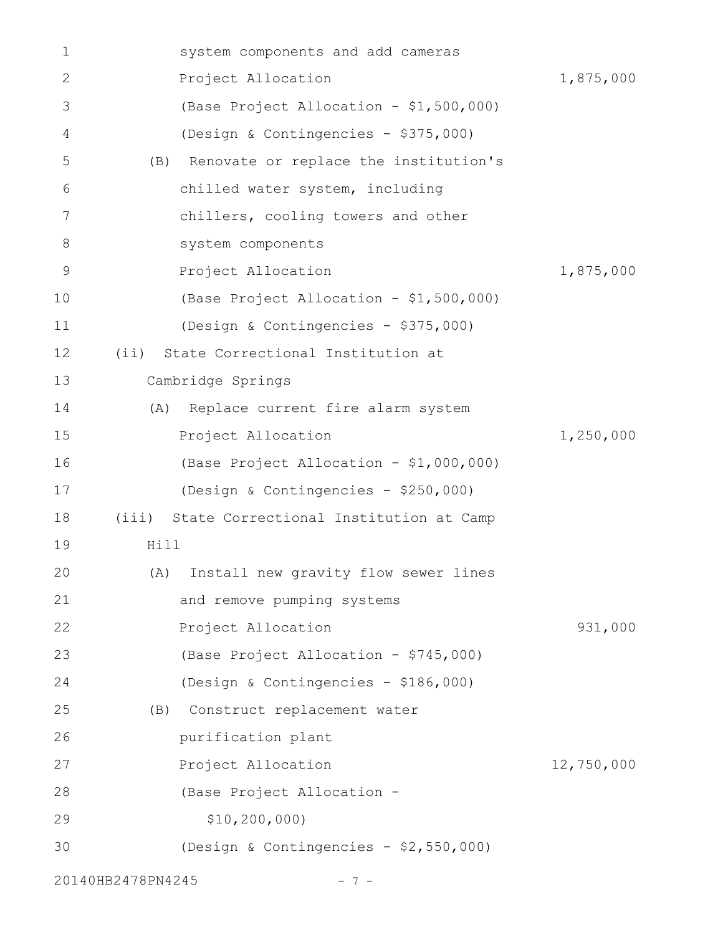| 1              | system components and add cameras            |            |
|----------------|----------------------------------------------|------------|
| $\mathbf{2}$   | Project Allocation                           | 1,875,000  |
| 3              | (Base Project Allocation - \$1,500,000)      |            |
| $\overline{4}$ | (Design & Contingencies - \$375,000)         |            |
| 5              | Renovate or replace the institution's<br>(B) |            |
| 6              | chilled water system, including              |            |
| 7              | chillers, cooling towers and other           |            |
| 8              | system components                            |            |
| $\mathsf 9$    | Project Allocation                           | 1,875,000  |
| 10             | (Base Project Allocation - \$1,500,000)      |            |
| 11             | (Design & Contingencies - \$375,000)         |            |
| 12             | State Correctional Institution at<br>$(i$ i) |            |
| 13             | Cambridge Springs                            |            |
| 14             | (A) Replace current fire alarm system        |            |
| 15             | Project Allocation                           | 1,250,000  |
| 16             | (Base Project Allocation - \$1,000,000)      |            |
| 17             | (Design & Contingencies - \$250,000)         |            |
| 18             | (iii) State Correctional Institution at Camp |            |
| 19             | Hill                                         |            |
| 20             | (A) Install new gravity flow sewer lines     |            |
| 21             | and remove pumping systems                   |            |
| 22             | Project Allocation                           | 931,000    |
| 23             | (Base Project Allocation - \$745,000)        |            |
| 24             | (Design & Contingencies - \$186,000)         |            |
| 25             | Construct replacement water<br>(B)           |            |
| 26             | purification plant                           |            |
| 27             | Project Allocation                           | 12,750,000 |
| 28             | (Base Project Allocation -                   |            |
| 29             | \$10, 200, 000)                              |            |
| 30             | (Design & Contingencies - \$2,550,000)       |            |
|                |                                              |            |

20140HB2478PN4245 - 7 -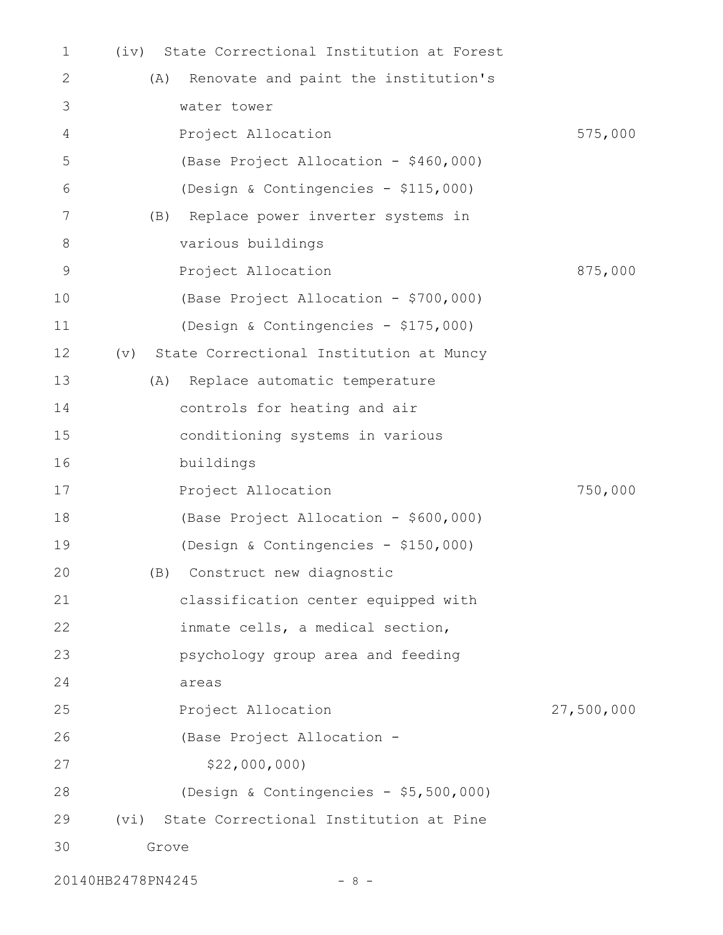| 1           | (iv)              | State Correctional Institution at Forest    |            |
|-------------|-------------------|---------------------------------------------|------------|
| 2           | (A)               | Renovate and paint the institution's        |            |
| 3           |                   | water tower                                 |            |
| 4           |                   | Project Allocation                          | 575,000    |
| 5           |                   | (Base Project Allocation - \$460,000)       |            |
| 6           |                   | (Design & Contingencies - \$115,000)        |            |
| 7           | (B)               | Replace power inverter systems in           |            |
| 8           |                   | various buildings                           |            |
| $\mathsf 9$ |                   | Project Allocation                          | 875,000    |
| 10          |                   | (Base Project Allocation - \$700,000)       |            |
| 11          |                   | (Design & Contingencies - \$175,000)        |            |
| 12          | $(\triangledown)$ | State Correctional Institution at Muncy     |            |
| 13          | (A)               | Replace automatic temperature               |            |
| 14          |                   | controls for heating and air                |            |
| 15          |                   | conditioning systems in various             |            |
| 16          |                   | buildings                                   |            |
| 17          |                   | Project Allocation                          | 750,000    |
| 18          |                   | (Base Project Allocation - \$600,000)       |            |
| 19          |                   | (Design & Contingencies - \$150,000)        |            |
| 20          | (B)               | Construct new diagnostic                    |            |
| 21          |                   | classification center equipped with         |            |
| 22          |                   | inmate cells, a medical section,            |            |
| 23          |                   | psychology group area and feeding           |            |
| 24          |                   | areas                                       |            |
| 25          |                   | Project Allocation                          | 27,500,000 |
| 26          |                   | (Base Project Allocation -                  |            |
| 27          |                   | \$22,000,000                                |            |
| 28          |                   | (Design & Contingencies - \$5,500,000)      |            |
| 29          |                   | (vi) State Correctional Institution at Pine |            |
| 30          | Grove             |                                             |            |

20140HB2478PN4245 - 8 -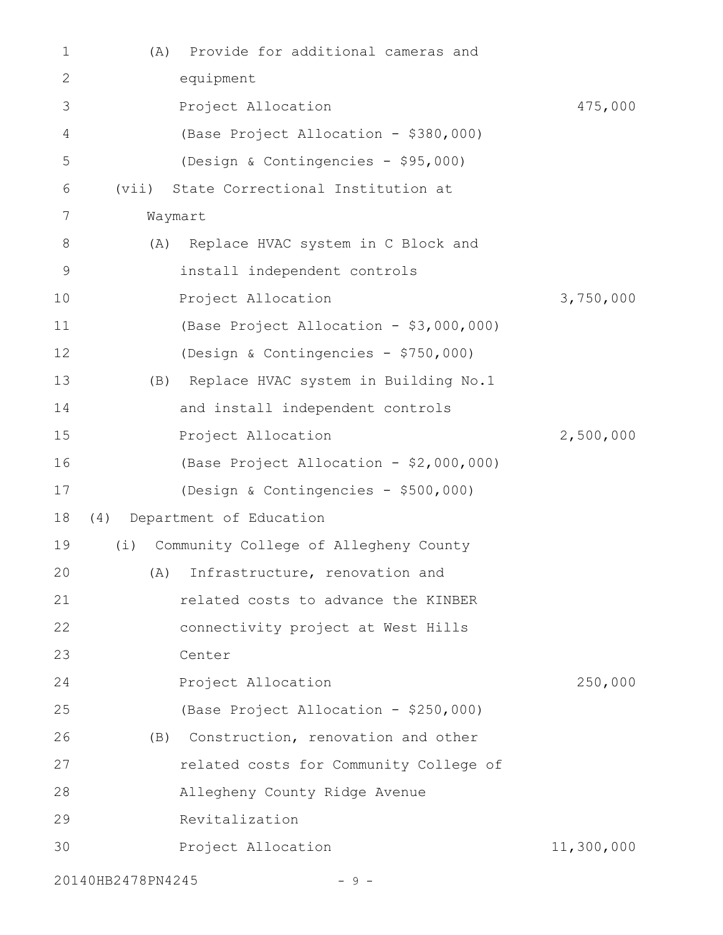| $\mathbf 1$    | Provide for additional cameras and<br>(A)    |            |
|----------------|----------------------------------------------|------------|
| $\mathbf{2}$   | equipment                                    |            |
| 3              | Project Allocation                           | 475,000    |
| $\overline{4}$ | (Base Project Allocation - \$380,000)        |            |
| 5              | (Design & Contingencies - \$95,000)          |            |
| 6              | State Correctional Institution at<br>(vii)   |            |
| 7              | Waymart                                      |            |
| 8              | Replace HVAC system in C Block and<br>(A)    |            |
| 9              | install independent controls                 |            |
| 10             | Project Allocation                           | 3,750,000  |
| 11             | (Base Project Allocation - \$3,000,000)      |            |
| 12             | (Design & Contingencies - \$750,000)         |            |
| 13             | Replace HVAC system in Building No.1<br>(B)  |            |
| 14             | and install independent controls             |            |
| 15             | Project Allocation                           | 2,500,000  |
| 16             | (Base Project Allocation - \$2,000,000)      |            |
| 17             | (Design & Contingencies - \$500,000)         |            |
| 18             | Department of Education<br>(4)               |            |
| 19             | Community College of Allegheny County<br>(i) |            |
| 20             | (A) Infrastructure, renovation and           |            |
| 21             | related costs to advance the KINBER          |            |
| 22             | connectivity project at West Hills           |            |
| 23             | Center                                       |            |
| 24             | Project Allocation                           | 250,000    |
| 25             | (Base Project Allocation - \$250,000)        |            |
| 26             | Construction, renovation and other<br>(B)    |            |
| 27             | related costs for Community College of       |            |
| 28             | Allegheny County Ridge Avenue                |            |
| 29             | Revitalization                               |            |
| 30             | Project Allocation                           | 11,300,000 |
|                |                                              |            |

20140HB2478PN4245 - 9 -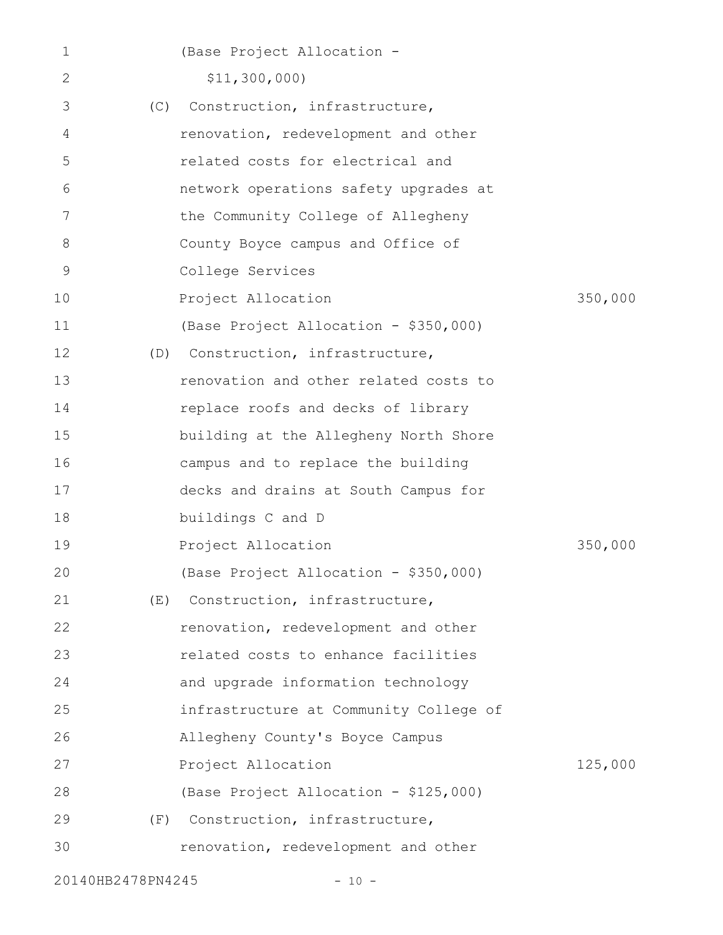| $\mathbf 1$ |     | (Base Project Allocation -             |         |
|-------------|-----|----------------------------------------|---------|
| 2           |     | \$11,300,000                           |         |
| 3           | (C) | Construction, infrastructure,          |         |
| 4           |     | renovation, redevelopment and other    |         |
| 5           |     | related costs for electrical and       |         |
| 6           |     | network operations safety upgrades at  |         |
| 7           |     | the Community College of Allegheny     |         |
| 8           |     | County Boyce campus and Office of      |         |
| 9           |     | College Services                       |         |
| 10          |     | Project Allocation                     | 350,000 |
| 11          |     | (Base Project Allocation - \$350,000)  |         |
| 12          | (D) | Construction, infrastructure,          |         |
| 13          |     | renovation and other related costs to  |         |
| 14          |     | replace roofs and decks of library     |         |
| 15          |     | building at the Allegheny North Shore  |         |
| 16          |     | campus and to replace the building     |         |
| 17          |     | decks and drains at South Campus for   |         |
| 18          |     | buildings C and D                      |         |
| 19          |     | Project Allocation                     | 350,000 |
| 20          |     | (Base Project Allocation - \$350,000)  |         |
| 21          | (E) | Construction, infrastructure,          |         |
| 22          |     | renovation, redevelopment and other    |         |
| 23          |     | related costs to enhance facilities    |         |
| 24          |     | and upgrade information technology     |         |
| 25          |     | infrastructure at Community College of |         |
| 26          |     | Allegheny County's Boyce Campus        |         |
| 27          |     | Project Allocation                     | 125,000 |
| 28          |     | (Base Project Allocation - \$125,000)  |         |
| 29          | (F) | Construction, infrastructure,          |         |
| 30          |     | renovation, redevelopment and other    |         |
|             |     |                                        |         |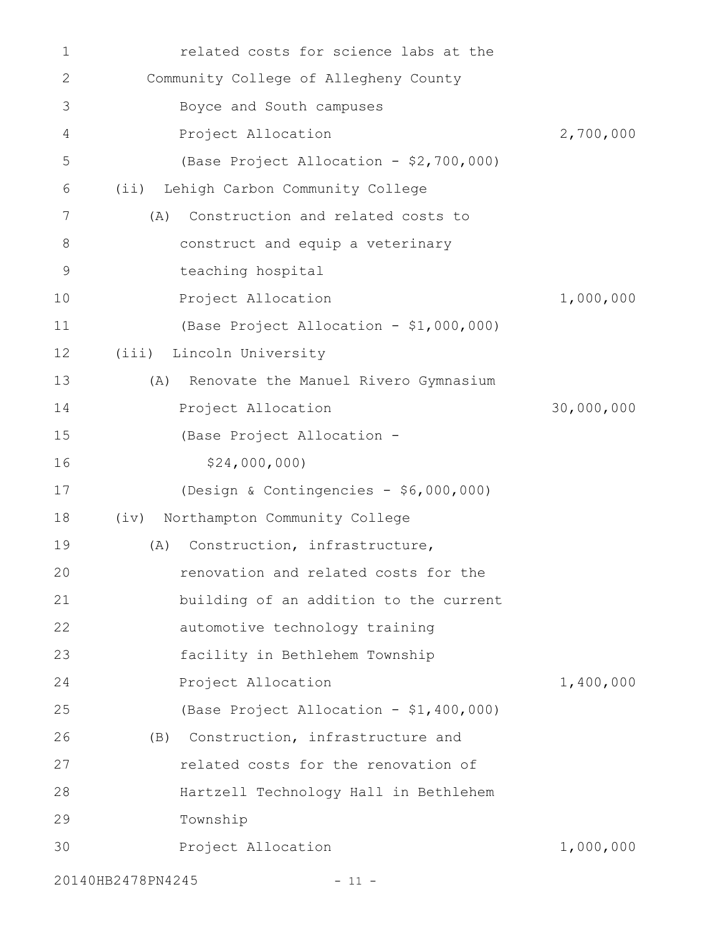| 1            | related costs for science labs at the       |            |
|--------------|---------------------------------------------|------------|
| $\mathbf{2}$ | Community College of Allegheny County       |            |
| 3            | Boyce and South campuses                    |            |
| 4            | Project Allocation                          | 2,700,000  |
| 5            | (Base Project Allocation - \$2,700,000)     |            |
| 6            | Lehigh Carbon Community College<br>$(i$ i)  |            |
| 7            | Construction and related costs to<br>(A)    |            |
| 8            | construct and equip a veterinary            |            |
| 9            | teaching hospital                           |            |
| 10           | Project Allocation                          | 1,000,000  |
| 11           | (Base Project Allocation - \$1,000,000)     |            |
| 12           | (iii) Lincoln University                    |            |
| 13           | Renovate the Manuel Rivero Gymnasium<br>(A) |            |
| 14           | Project Allocation                          | 30,000,000 |
| 15           | (Base Project Allocation -                  |            |
| 16           | \$24,000,000                                |            |
| 17           | (Design & Contingencies - \$6,000,000)      |            |
| 18           | Northampton Community College<br>(iv)       |            |
| 19           | Construction, infrastructure,<br>(A)        |            |
| 20           | renovation and related costs for the        |            |
| 21           | building of an addition to the current      |            |
| 22           | automotive technology training              |            |
| 23           | facility in Bethlehem Township              |            |
| 24           | Project Allocation                          | 1,400,000  |
| 25           | (Base Project Allocation - \$1,400,000)     |            |
| 26           | (B) Construction, infrastructure and        |            |
| 27           | related costs for the renovation of         |            |
| 28           | Hartzell Technology Hall in Bethlehem       |            |
| 29           | Township                                    |            |
| 30           | Project Allocation                          | 1,000,000  |
|              | 20140HB2478PN4245<br>$-11 -$                |            |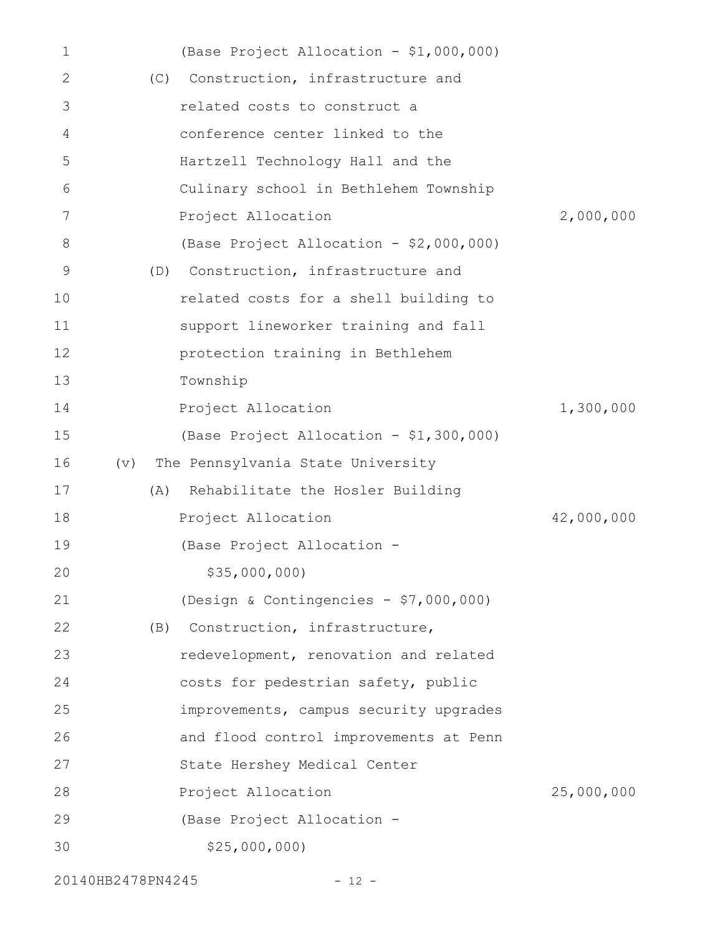| 1  |                   | (Base Project Allocation - \$1,000,000) |            |
|----|-------------------|-----------------------------------------|------------|
| 2  | (C)               | Construction, infrastructure and        |            |
| 3  |                   | related costs to construct a            |            |
| 4  |                   | conference center linked to the         |            |
| 5  |                   | Hartzell Technology Hall and the        |            |
| 6  |                   | Culinary school in Bethlehem Township   |            |
| 7  |                   | Project Allocation                      | 2,000,000  |
| 8  |                   | (Base Project Allocation - \$2,000,000) |            |
| 9  | (D)               | Construction, infrastructure and        |            |
| 10 |                   | related costs for a shell building to   |            |
| 11 |                   | support lineworker training and fall    |            |
| 12 |                   | protection training in Bethlehem        |            |
| 13 |                   | Township                                |            |
| 14 |                   | Project Allocation                      | 1,300,000  |
| 15 |                   | (Base Project Allocation - \$1,300,000) |            |
| 16 | $(\triangledown)$ | The Pennsylvania State University       |            |
| 17 | (A)               | Rehabilitate the Hosler Building        |            |
| 18 |                   | Project Allocation                      | 42,000,000 |
| 19 |                   | (Base Project Allocation -              |            |
| 20 |                   | \$35,000,000                            |            |
| 21 |                   | (Design & Contingencies - \$7,000,000)  |            |
| 22 | (B)               | Construction, infrastructure,           |            |
| 23 |                   | redevelopment, renovation and related   |            |
| 24 |                   | costs for pedestrian safety, public     |            |
| 25 |                   | improvements, campus security upgrades  |            |
| 26 |                   | and flood control improvements at Penn  |            |
| 27 |                   | State Hershey Medical Center            |            |
| 28 |                   | Project Allocation                      | 25,000,000 |
| 29 |                   | (Base Project Allocation -              |            |
| 30 |                   | \$25,000,000                            |            |
|    |                   |                                         |            |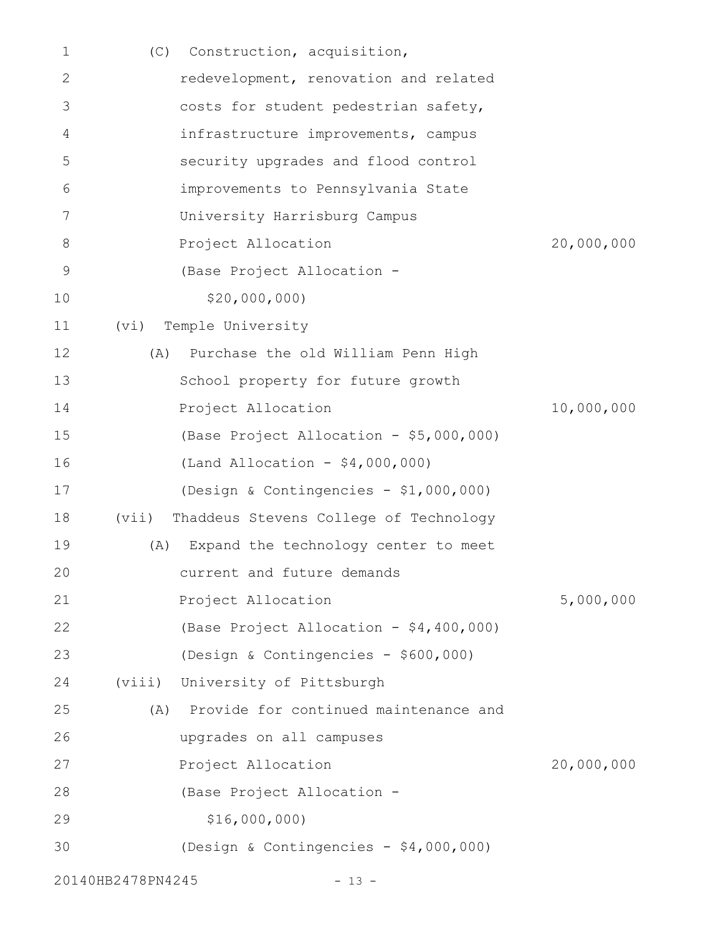| $\mathbf 1$ | Construction, acquisition,<br>(C)               |            |
|-------------|-------------------------------------------------|------------|
| 2           | redevelopment, renovation and related           |            |
| 3           | costs for student pedestrian safety,            |            |
| 4           | infrastructure improvements, campus             |            |
| 5           | security upgrades and flood control             |            |
| 6           | improvements to Pennsylvania State              |            |
| 7           | University Harrisburg Campus                    |            |
| 8           | Project Allocation                              | 20,000,000 |
| 9           | (Base Project Allocation -                      |            |
| 10          | \$20,000,000                                    |            |
| 11          | Temple University<br>(vi)                       |            |
| 12          | Purchase the old William Penn High<br>(A)       |            |
| 13          | School property for future growth               |            |
| 14          | Project Allocation                              | 10,000,000 |
| 15          | (Base Project Allocation - \$5,000,000)         |            |
| 16          | (Land Allocation - \$4,000,000)                 |            |
| 17          | (Design & Contingencies - \$1,000,000)          |            |
| 18          | Thaddeus Stevens College of Technology<br>(vii) |            |
| 19          | Expand the technology center to meet<br>(A)     |            |
| 20          | current and future demands                      |            |
| 21          | Project Allocation                              | 5,000,000  |
| 22          | (Base Project Allocation - \$4,400,000)         |            |
| 23          | (Design & Contingencies - \$600,000)            |            |
| 24          | (viii) University of Pittsburgh                 |            |
| 25          | (A) Provide for continued maintenance and       |            |
| 26          | upgrades on all campuses                        |            |
| 27          | Project Allocation                              | 20,000,000 |
| 28          | (Base Project Allocation -                      |            |
| 29          | \$16,000,000)                                   |            |
| 30          | (Design & Contingencies - $$4,000,000$ )        |            |
|             | 20140HB2478PN4245<br>$-13 -$                    |            |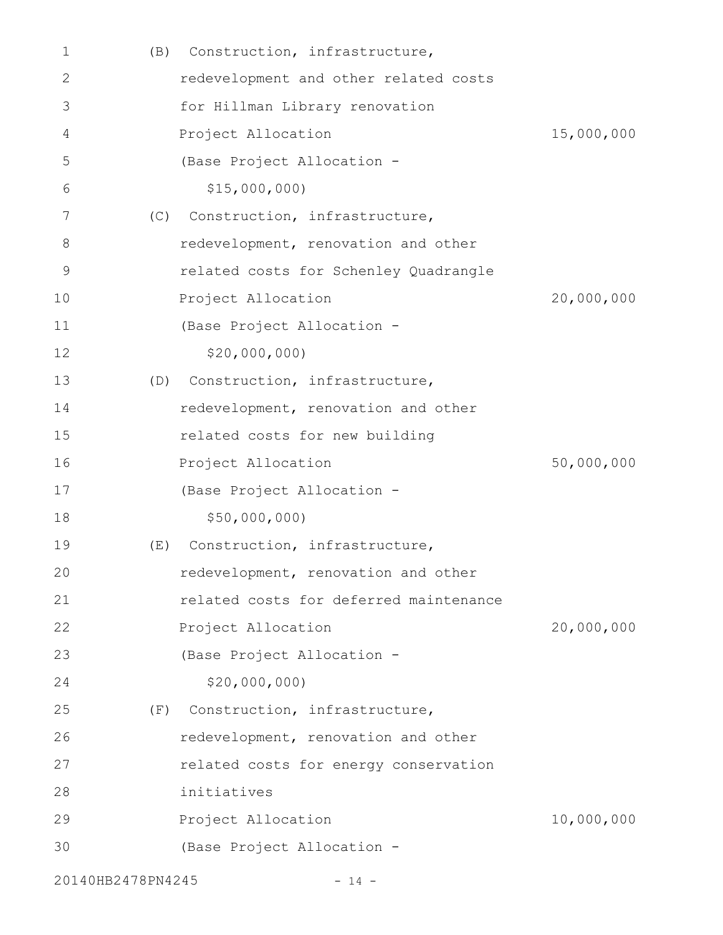| 1                 | (B) | Construction, infrastructure,          |            |
|-------------------|-----|----------------------------------------|------------|
| 2                 |     | redevelopment and other related costs  |            |
| 3                 |     | for Hillman Library renovation         |            |
| 4                 |     | Project Allocation                     | 15,000,000 |
| 5                 |     | (Base Project Allocation -             |            |
| 6                 |     | \$15,000,000                           |            |
| 7                 | (C) | Construction, infrastructure,          |            |
| 8                 |     | redevelopment, renovation and other    |            |
| 9                 |     | related costs for Schenley Quadrangle  |            |
| 10                |     | Project Allocation                     | 20,000,000 |
| 11                |     | (Base Project Allocation -             |            |
| 12                |     | \$20,000,000                           |            |
| 13                | (D) | Construction, infrastructure,          |            |
| 14                |     | redevelopment, renovation and other    |            |
| 15                |     | related costs for new building         |            |
| 16                |     | Project Allocation                     | 50,000,000 |
| 17                |     | (Base Project Allocation -             |            |
| 18                |     | \$50,000,000)                          |            |
| 19                | (E) | Construction, infrastructure,          |            |
| 20                |     | redevelopment, renovation and other    |            |
| 21                |     | related costs for deferred maintenance |            |
| 22                |     | Project Allocation                     | 20,000,000 |
| 23                |     | (Base Project Allocation -             |            |
| 24                |     | \$20,000,000                           |            |
| 25                | (F) | Construction, infrastructure,          |            |
| 26                |     | redevelopment, renovation and other    |            |
| 27                |     | related costs for energy conservation  |            |
| 28                |     | initiatives                            |            |
| 29                |     | Project Allocation                     | 10,000,000 |
| 30                |     | (Base Project Allocation -             |            |
| 20140HB2478PN4245 |     | $-14 -$                                |            |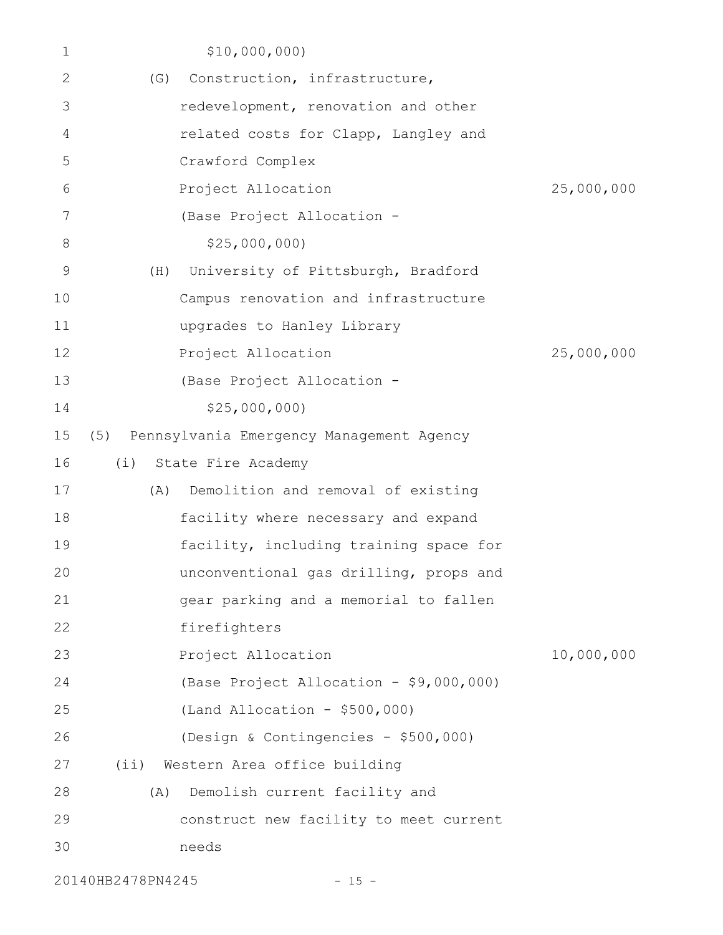| 1  |         | \$10,000,000)                                |            |
|----|---------|----------------------------------------------|------------|
| 2  | (G)     | Construction, infrastructure,                |            |
| 3  |         | redevelopment, renovation and other          |            |
| 4  |         | related costs for Clapp, Langley and         |            |
| 5  |         | Crawford Complex                             |            |
| 6  |         | Project Allocation                           | 25,000,000 |
| 7  |         | (Base Project Allocation -                   |            |
| 8  |         | \$25,000,000                                 |            |
| 9  | (H)     | University of Pittsburgh, Bradford           |            |
| 10 |         | Campus renovation and infrastructure         |            |
| 11 |         | upgrades to Hanley Library                   |            |
| 12 |         | Project Allocation                           | 25,000,000 |
| 13 |         | (Base Project Allocation -                   |            |
| 14 |         | \$25,000,000                                 |            |
| 15 |         | (5) Pennsylvania Emergency Management Agency |            |
| 16 | (i)     | State Fire Academy                           |            |
| 17 | (A)     | Demolition and removal of existing           |            |
| 18 |         | facility where necessary and expand          |            |
| 19 |         | facility, including training space for       |            |
| 20 |         | unconventional gas drilling, props and       |            |
| 21 |         | gear parking and a memorial to fallen        |            |
| 22 |         |                                              |            |
|    |         | firefighters                                 |            |
| 23 |         | Project Allocation                           | 10,000,000 |
| 24 |         | (Base Project Allocation - \$9,000,000)      |            |
| 25 |         | $(Land$ Allocation - \$500,000)              |            |
| 26 |         | (Design & Contingencies - \$500,000)         |            |
| 27 | $(i$ i) | Western Area office building                 |            |
| 28 | (A)     | Demolish current facility and                |            |
| 29 |         | construct new facility to meet current       |            |
| 30 |         | needs                                        |            |

20140HB2478PN4245 - 15 -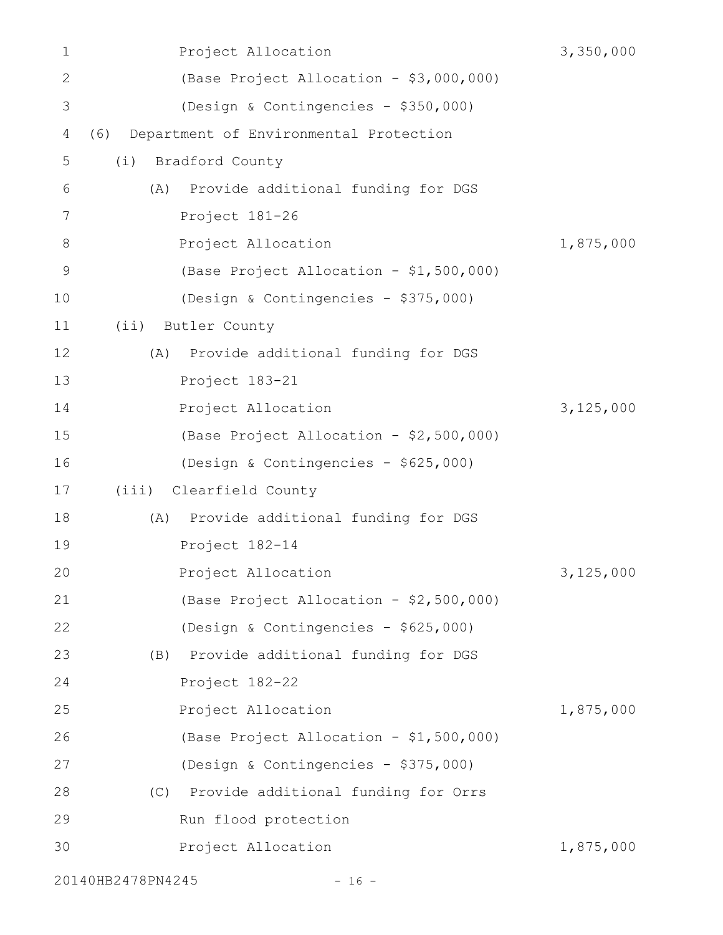| 1            | Project Allocation                            | 3,350,000 |
|--------------|-----------------------------------------------|-----------|
| $\mathbf{2}$ | (Base Project Allocation - \$3,000,000)       |           |
| 3            | (Design & Contingencies - \$350,000)          |           |
| 4            | Department of Environmental Protection<br>(6) |           |
| 5            | Bradford County<br>(i)                        |           |
| 6            | Provide additional funding for DGS<br>(A)     |           |
| 7            | Project 181-26                                |           |
| 8            | Project Allocation                            | 1,875,000 |
| 9            | (Base Project Allocation - \$1,500,000)       |           |
| 10           | (Design & Contingencies - \$375,000)          |           |
| 11           | (i)<br>Butler County                          |           |
| 12           | (A) Provide additional funding for DGS        |           |
| 13           | Project 183-21                                |           |
| 14           | Project Allocation                            | 3,125,000 |
| 15           | (Base Project Allocation - \$2,500,000)       |           |
| 16           | (Design & Contingencies - \$625,000)          |           |
| 17           | Clearfield County<br>(iii)                    |           |
| 18           | Provide additional funding for DGS<br>(A)     |           |
| 19           | Project 182-14                                |           |
| 20           | Project Allocation                            | 3,125,000 |
| 21           | (Base Project Allocation - \$2,500,000)       |           |
| 22           | (Design & Contingencies - \$625,000)          |           |
| 23           | (B) Provide additional funding for DGS        |           |
| 24           | Project 182-22                                |           |
| 25           | Project Allocation                            | 1,875,000 |
| 26           | (Base Project Allocation - \$1,500,000)       |           |
| 27           | (Design & Contingencies - \$375,000)          |           |
| 28           | (C) Provide additional funding for Orrs       |           |
| 29           | Run flood protection                          |           |
| 30           | Project Allocation                            | 1,875,000 |
|              | 20140HB2478PN4245<br>$-16 -$                  |           |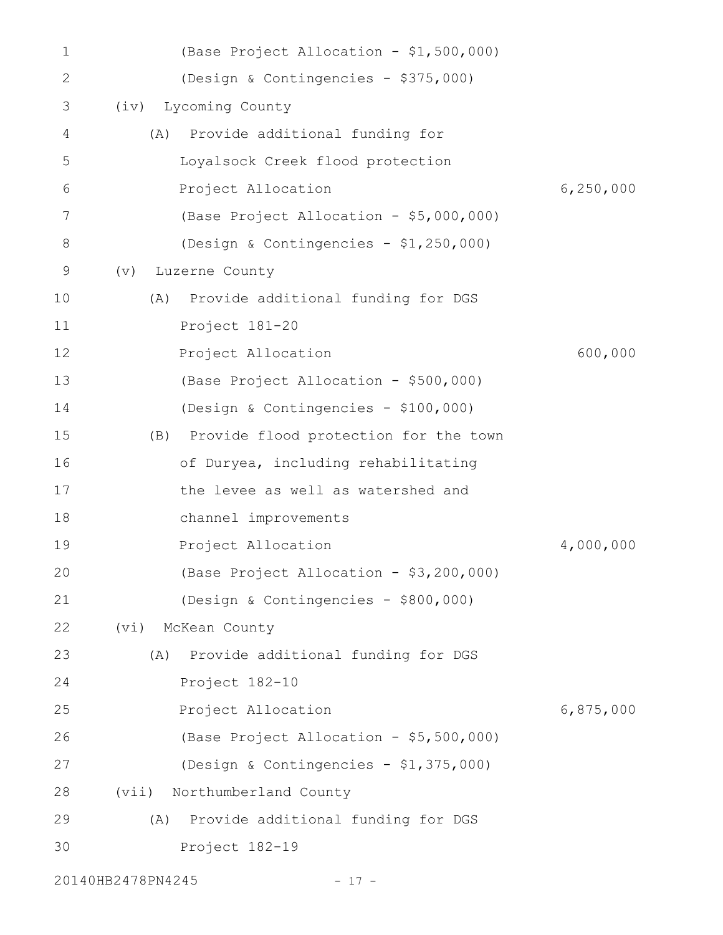| 1            | (Base Project Allocation - \$1,500,000)   |           |
|--------------|-------------------------------------------|-----------|
| $\mathbf{2}$ | (Design & Contingencies - \$375,000)      |           |
| 3            | Lycoming County<br>(iv)                   |           |
| 4            | Provide additional funding for<br>(A)     |           |
| 5            | Loyalsock Creek flood protection          |           |
| 6            | Project Allocation                        | 6,250,000 |
| 7            | (Base Project Allocation - \$5,000,000)   |           |
| 8            | (Design & Contingencies - \$1,250,000)    |           |
| 9            | Luzerne County<br>(v)                     |           |
| 10           | Provide additional funding for DGS<br>(A) |           |
| 11           | Project 181-20                            |           |
| 12           | Project Allocation                        | 600,000   |
| 13           | (Base Project Allocation - \$500,000)     |           |
| 14           | (Design & Contingencies - \$100,000)      |           |
| 15           | (B) Provide flood protection for the town |           |
| 16           | of Duryea, including rehabilitating       |           |
| 17           | the levee as well as watershed and        |           |
| 18           | channel improvements                      |           |
| 19           | Project Allocation                        | 4,000,000 |
| 20           | (Base Project Allocation - \$3,200,000)   |           |
| 21           | (Design & Contingencies - \$800,000)      |           |
| 22           | McKean County<br>(vi)                     |           |
| 23           | Provide additional funding for DGS<br>(A) |           |
| 24           | Project 182-10                            |           |
| 25           | Project Allocation                        | 6,875,000 |
| 26           | (Base Project Allocation - \$5,500,000)   |           |
| 27           | (Design & Contingencies - \$1,375,000)    |           |
| 28           | (vii) Northumberland County               |           |
| 29           | Provide additional funding for DGS<br>(A) |           |
| 30           | Project 182-19                            |           |
|              | 20140HB2478PN4245<br>$-17 -$              |           |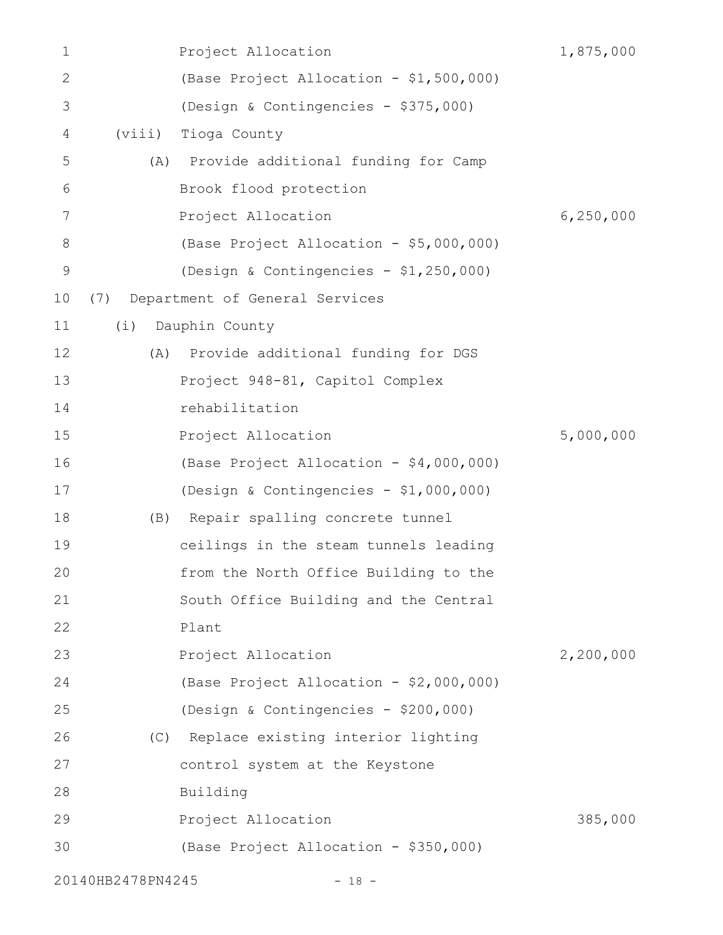| 1            |                   | Project Allocation                      | 1,875,000   |
|--------------|-------------------|-----------------------------------------|-------------|
| $\mathbf{2}$ |                   | (Base Project Allocation - \$1,500,000) |             |
| 3            |                   | (Design & Contingencies - \$375,000)    |             |
| 4            | (viii)            | Tioga County                            |             |
| 5            | (A)               | Provide additional funding for Camp     |             |
| 6            |                   | Brook flood protection                  |             |
| 7            |                   | Project Allocation                      | 6, 250, 000 |
| 8            |                   | (Base Project Allocation - \$5,000,000) |             |
| $\mathsf 9$  |                   | (Design & Contingencies - \$1,250,000)  |             |
| 10           | (7)               | Department of General Services          |             |
| 11           | (i)               | Dauphin County                          |             |
| 12           |                   | (A) Provide additional funding for DGS  |             |
| 13           |                   | Project 948-81, Capitol Complex         |             |
| 14           |                   | rehabilitation                          |             |
| 15           |                   | Project Allocation                      | 5,000,000   |
| 16           |                   | (Base Project Allocation - \$4,000,000) |             |
| 17           |                   | (Design & Contingencies - \$1,000,000)  |             |
| 18           | (B)               | Repair spalling concrete tunnel         |             |
| 19           |                   | ceilings in the steam tunnels leading   |             |
| 20           |                   | from the North Office Building to the   |             |
| 21           |                   | South Office Building and the Central   |             |
| 22           |                   | Plant                                   |             |
| 23           |                   | Project Allocation                      | 2,200,000   |
| 24           |                   | (Base Project Allocation - \$2,000,000) |             |
| 25           |                   | (Design & Contingencies - \$200,000)    |             |
| 26           |                   | (C) Replace existing interior lighting  |             |
| 27           |                   | control system at the Keystone          |             |
| 28           |                   | Building                                |             |
| 29           |                   | Project Allocation                      | 385,000     |
| 30           |                   | (Base Project Allocation - \$350,000)   |             |
|              | 20140HB2478PN4245 | $-18 -$                                 |             |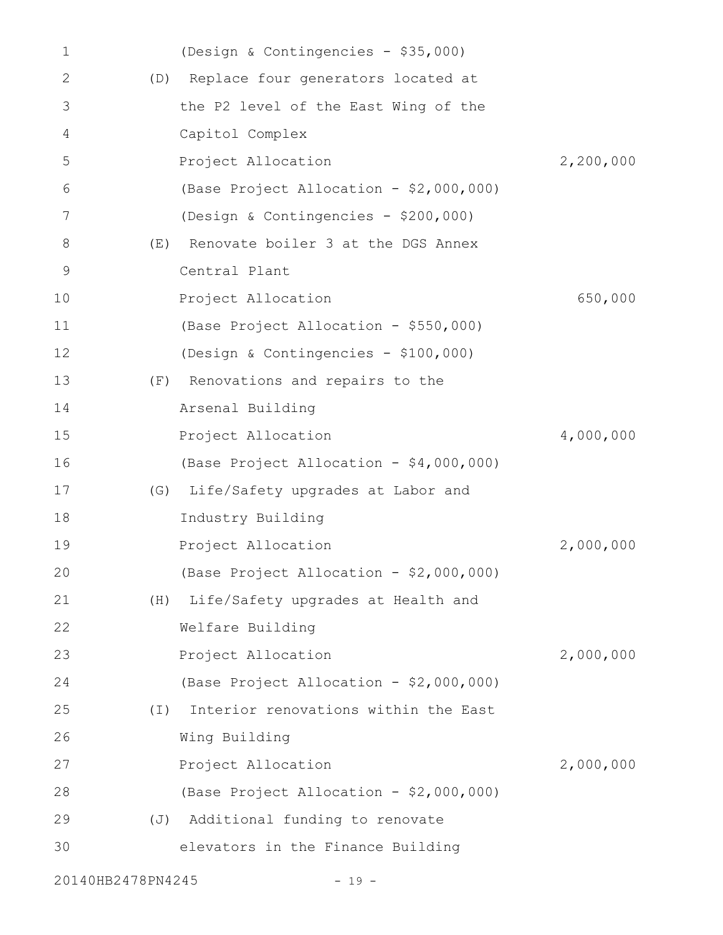| 1            |          | (Design & Contingencies - \$35,000)     |           |
|--------------|----------|-----------------------------------------|-----------|
| $\mathbf{2}$ |          | (D) Replace four generators located at  |           |
| 3            |          | the P2 level of the East Wing of the    |           |
| 4            |          | Capitol Complex                         |           |
| 5            |          | Project Allocation                      | 2,200,000 |
| 6            |          | (Base Project Allocation - \$2,000,000) |           |
| 7            |          | (Design & Contingencies - \$200,000)    |           |
| 8            | (E)      | Renovate boiler 3 at the DGS Annex      |           |
| 9            |          | Central Plant                           |           |
| 10           |          | Project Allocation                      | 650,000   |
| 11           |          | (Base Project Allocation - \$550,000)   |           |
| 12           |          | (Design & Contingencies - \$100,000)    |           |
| 13           | (F)      | Renovations and repairs to the          |           |
| 14           |          | Arsenal Building                        |           |
| 15           |          | Project Allocation                      | 4,000,000 |
| 16           |          | (Base Project Allocation - \$4,000,000) |           |
| 17           | (G)      | Life/Safety upgrades at Labor and       |           |
| 18           |          | Industry Building                       |           |
| 19           |          | Project Allocation                      | 2,000,000 |
| 20           |          | (Base Project Allocation - \$2,000,000) |           |
| 21           | (H)      | Life/Safety upgrades at Health and      |           |
| 22           |          | Welfare Building                        |           |
| 23           |          | Project Allocation                      | 2,000,000 |
| 24           |          | (Base Project Allocation - \$2,000,000) |           |
| 25           | $(\bot)$ | Interior renovations within the East    |           |
| 26           |          | Wing Building                           |           |
| 27           |          | Project Allocation                      | 2,000,000 |
| 28           |          | (Base Project Allocation - \$2,000,000) |           |
| 29           |          | (J) Additional funding to renovate      |           |
| 30           |          | elevators in the Finance Building       |           |
|              |          |                                         |           |

20140HB2478PN4245 - 19 -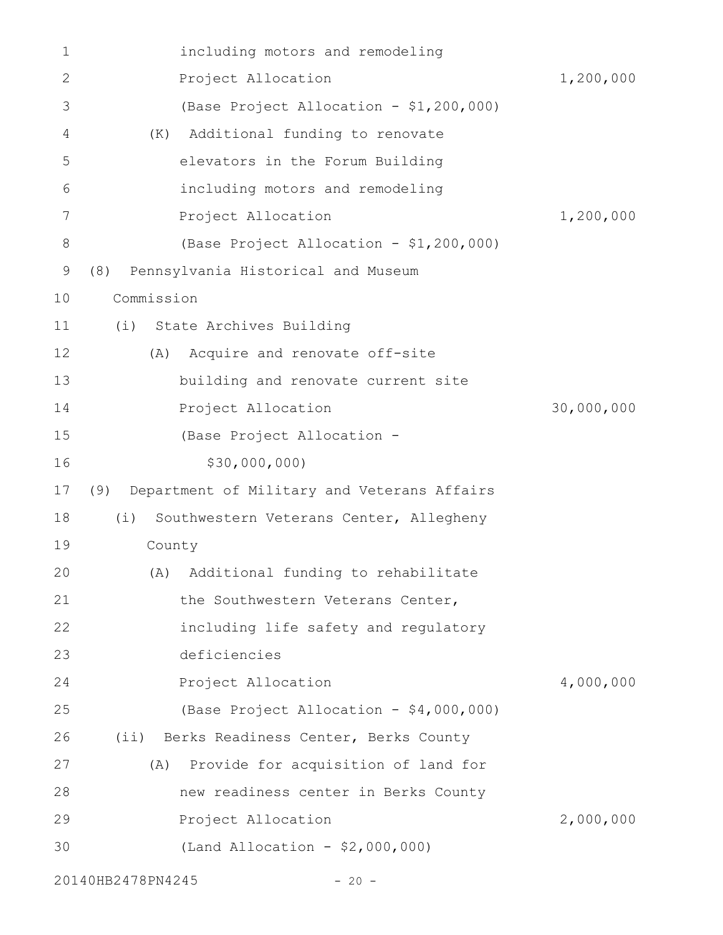| 1            | including motors and remodeling                    |            |
|--------------|----------------------------------------------------|------------|
| $\mathbf{2}$ | Project Allocation                                 | 1,200,000  |
| 3            | (Base Project Allocation - \$1,200,000)            |            |
| 4            | Additional funding to renovate<br>(K)              |            |
| 5            | elevators in the Forum Building                    |            |
| 6            | including motors and remodeling                    |            |
| 7            | Project Allocation                                 | 1,200,000  |
| $8\,$        | (Base Project Allocation - \$1,200,000)            |            |
| 9            | Pennsylvania Historical and Museum<br>(8)          |            |
| 10           | Commission                                         |            |
| 11           | (i) State Archives Building                        |            |
| 12           | (A) Acquire and renovate off-site                  |            |
| 13           | building and renovate current site                 |            |
| 14           | Project Allocation                                 | 30,000,000 |
| 15           | (Base Project Allocation -                         |            |
| 16           | \$30,000,000)                                      |            |
| 17           | Department of Military and Veterans Affairs<br>(9) |            |
| 18           | (i)<br>Southwestern Veterans Center, Allegheny     |            |
| 19           | County                                             |            |
| 20           | (A) Additional funding to rehabilitate             |            |
| 21           | the Southwestern Veterans Center,                  |            |
| 22           | including life safety and regulatory               |            |
| 23           | deficiencies                                       |            |
| 24           | Project Allocation                                 | 4,000,000  |
| 25           | (Base Project Allocation - \$4,000,000)            |            |
| 26           | (ii) Berks Readiness Center, Berks County          |            |
| 27           | Provide for acquisition of land for<br>(A)         |            |
| 28           | new readiness center in Berks County               |            |
| 29           | Project Allocation                                 | 2,000,000  |
| 30           | (Land Allocation - \$2,000,000)                    |            |
|              | 20140HB2478PN4245<br>$-20 -$                       |            |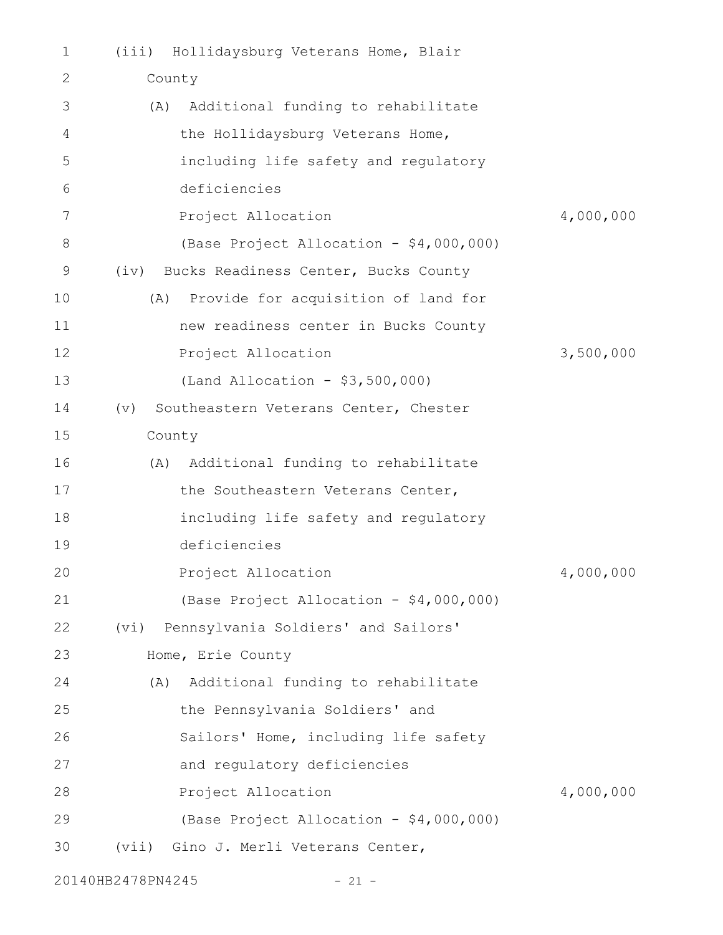| 1  | (iii) Hollidaysburg Veterans Home, Blair                   |           |
|----|------------------------------------------------------------|-----------|
| 2  | County                                                     |           |
| 3  | Additional funding to rehabilitate<br>(A)                  |           |
| 4  | the Hollidaysburg Veterans Home,                           |           |
| 5  | including life safety and regulatory                       |           |
| 6  | deficiencies                                               |           |
| 7  | Project Allocation                                         | 4,000,000 |
| 8  | (Base Project Allocation - \$4,000,000)                    |           |
| 9  | Bucks Readiness Center, Bucks County<br>(iv)               |           |
| 10 | Provide for acquisition of land for<br>(A)                 |           |
| 11 | new readiness center in Bucks County                       |           |
| 12 | Project Allocation                                         | 3,500,000 |
| 13 | (Land Allocation - \$3,500,000)                            |           |
| 14 | $(\triangledown)$<br>Southeastern Veterans Center, Chester |           |
| 15 | County                                                     |           |
| 16 | Additional funding to rehabilitate<br>(A)                  |           |
| 17 | the Southeastern Veterans Center,                          |           |
| 18 | including life safety and regulatory                       |           |
| 19 | deficiencies                                               |           |
| 20 | Project Allocation                                         | 4,000,000 |
| 21 | (Base Project Allocation - \$4,000,000)                    |           |
| 22 | Pennsylvania Soldiers' and Sailors'<br>(vi)                |           |
| 23 | Home, Erie County                                          |           |
| 24 | (A) Additional funding to rehabilitate                     |           |
| 25 | the Pennsylvania Soldiers' and                             |           |
| 26 | Sailors' Home, including life safety                       |           |
| 27 | and regulatory deficiencies                                |           |
| 28 | Project Allocation                                         | 4,000,000 |
| 29 | (Base Project Allocation - \$4,000,000)                    |           |
| 30 | (vii) Gino J. Merli Veterans Center,                       |           |
|    |                                                            |           |

20140HB2478PN4245 - 21 -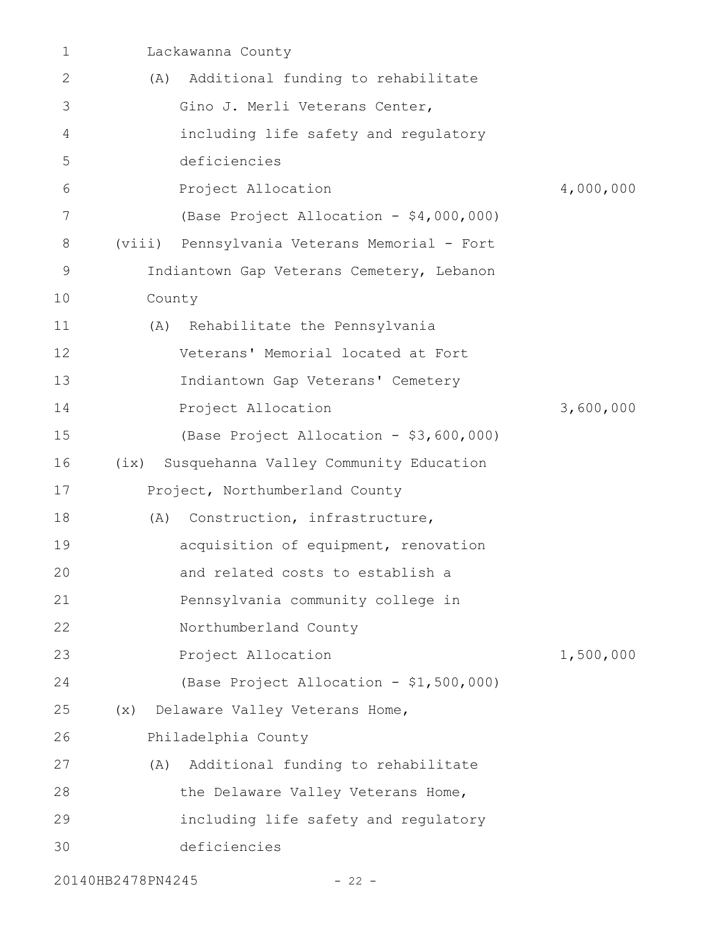| $\mathbf 1$       |      | Lackawanna County                            |           |
|-------------------|------|----------------------------------------------|-----------|
| 2                 | (A)  | Additional funding to rehabilitate           |           |
| 3                 |      | Gino J. Merli Veterans Center,               |           |
| 4                 |      | including life safety and regulatory         |           |
| 5                 |      | deficiencies                                 |           |
| 6                 |      | Project Allocation                           | 4,000,000 |
| 7                 |      | (Base Project Allocation - \$4,000,000)      |           |
| 8                 |      | (viii) Pennsylvania Veterans Memorial - Fort |           |
| 9                 |      | Indiantown Gap Veterans Cemetery, Lebanon    |           |
| 10                |      | County                                       |           |
| 11                |      | (A) Rehabilitate the Pennsylvania            |           |
| 12                |      | Veterans' Memorial located at Fort           |           |
| 13                |      | Indiantown Gap Veterans' Cemetery            |           |
| 14                |      | Project Allocation                           | 3,600,000 |
| 15                |      | (Base Project Allocation - \$3,600,000)      |           |
| 16                | (ix) | Susquehanna Valley Community Education       |           |
| 17                |      | Project, Northumberland County               |           |
| 18                | (A)  | Construction, infrastructure,                |           |
| 19                |      | acquisition of equipment, renovation         |           |
| 20                |      | and related costs to establish a             |           |
| 21                |      | Pennsylvania community college in            |           |
| 22                |      | Northumberland County                        |           |
| 23                |      | Project Allocation                           | 1,500,000 |
| 24                |      | (Base Project Allocation - \$1,500,000)      |           |
| 25                | (x)  | Delaware Valley Veterans Home,               |           |
| 26                |      | Philadelphia County                          |           |
| 27                | (A)  | Additional funding to rehabilitate           |           |
| 28                |      | the Delaware Valley Veterans Home,           |           |
| 29                |      | including life safety and regulatory         |           |
| 30                |      | deficiencies                                 |           |
| 20140HB2478PN4245 |      | - 22 -                                       |           |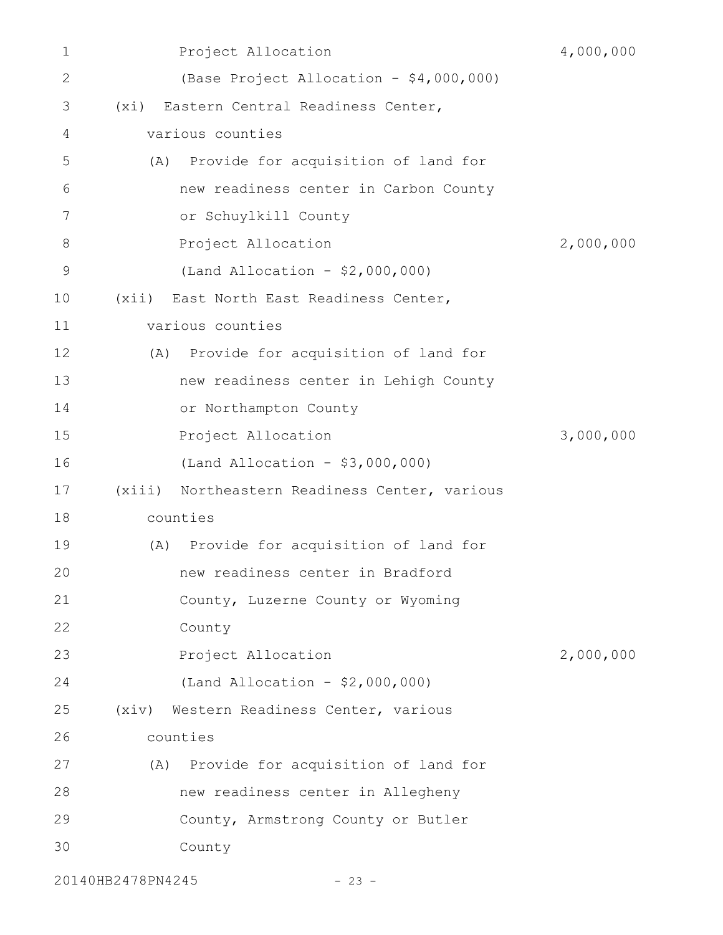| 1            | Project Allocation                               | 4,000,000 |
|--------------|--------------------------------------------------|-----------|
| $\mathbf{2}$ | (Base Project Allocation - \$4,000,000)          |           |
| 3            | Eastern Central Readiness Center,<br>(xi)        |           |
| 4            | various counties                                 |           |
| 5            | (A) Provide for acquisition of land for          |           |
| 6            | new readiness center in Carbon County            |           |
| 7            | or Schuylkill County                             |           |
| 8            | Project Allocation                               | 2,000,000 |
| 9            | (Land Allocation - \$2,000,000)                  |           |
| 10           | (xii)<br>East North East Readiness Center,       |           |
| 11           | various counties                                 |           |
| 12           | (A) Provide for acquisition of land for          |           |
| 13           | new readiness center in Lehigh County            |           |
| 14           | or Northampton County                            |           |
| 15           | Project Allocation                               | 3,000,000 |
| 16           | (Land Allocation - \$3,000,000)                  |           |
| 17           | Northeastern Readiness Center, various<br>(xiii) |           |
| 18           | counties                                         |           |
| 19           | (A) Provide for acquisition of land for          |           |
| 20           | new readiness center in Bradford                 |           |
| 21           | County, Luzerne County or Wyoming                |           |
| 22           | County                                           |           |
| 23           | Project Allocation                               | 2,000,000 |
| 24           | (Land Allocation - \$2,000,000)                  |           |
| 25           | Western Readiness Center, various<br>(xiv)       |           |
| 26           | counties                                         |           |
| 27           | (A) Provide for acquisition of land for          |           |
| 28           | new readiness center in Allegheny                |           |
| 29           | County, Armstrong County or Butler               |           |
| 30           | County                                           |           |
|              |                                                  |           |

20140HB2478PN4245 - 23 -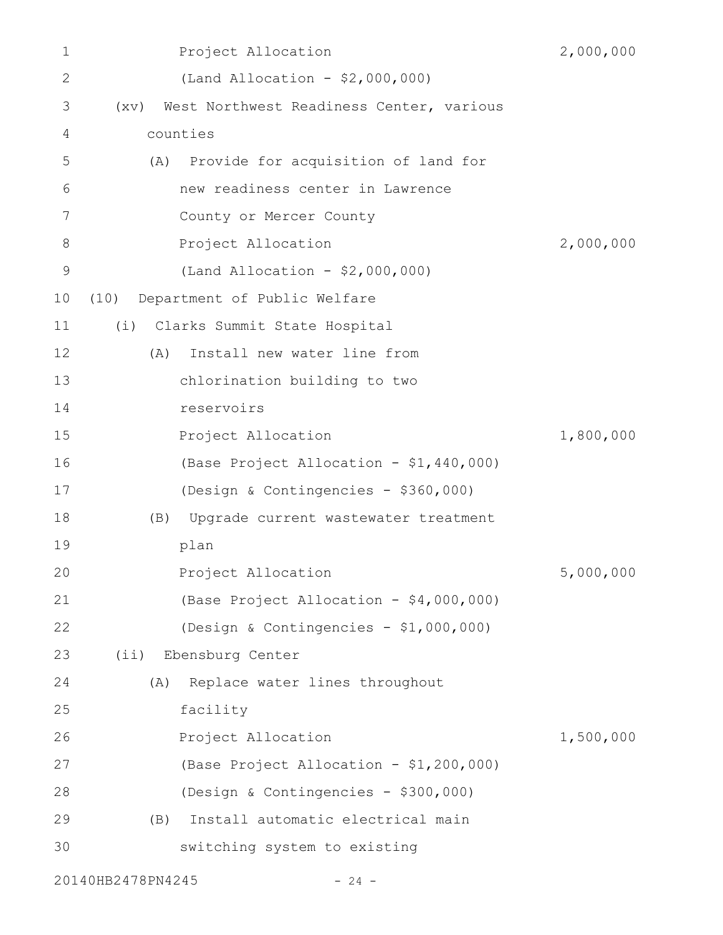| 1            | Project Allocation                               | 2,000,000 |
|--------------|--------------------------------------------------|-----------|
| $\mathbf{2}$ | (Land Allocation - $$2,000,000)$                 |           |
| 3            | West Northwest Readiness Center, various<br>(xv) |           |
| 4            | counties                                         |           |
| 5            | (A) Provide for acquisition of land for          |           |
| 6            | new readiness center in Lawrence                 |           |
| 7            | County or Mercer County                          |           |
| 8            | Project Allocation                               | 2,000,000 |
| $\mathsf 9$  | (Land Allocation - \$2,000,000)                  |           |
| 10           | (10)<br>Department of Public Welfare             |           |
| 11           | (i) Clarks Summit State Hospital                 |           |
| 12           | Install new water line from<br>(A)               |           |
| 13           | chlorination building to two                     |           |
| 14           | reservoirs                                       |           |
| 15           | Project Allocation                               | 1,800,000 |
| 16           | (Base Project Allocation - \$1,440,000)          |           |
| 17           | (Design & Contingencies - \$360,000)             |           |
| 18           | Upgrade current wastewater treatment<br>(B)      |           |
| 19           | plan                                             |           |
| 20           | Project Allocation                               | 5,000,000 |
| 21           | (Base Project Allocation - \$4,000,000)          |           |
| 22           | (Design & Contingencies - \$1,000,000)           |           |
| 23           | (i)<br>Ebensburg Center                          |           |
| 24           | Replace water lines throughout<br>(A)            |           |
| 25           | facility                                         |           |
| 26           | Project Allocation                               | 1,500,000 |
| 27           | (Base Project Allocation - \$1,200,000)          |           |
| 28           | (Design & Contingencies - \$300,000)             |           |
| 29           | Install automatic electrical main<br>(B)         |           |
| 30           | switching system to existing                     |           |
|              | 20140HB2478PN4245<br>$-24 -$                     |           |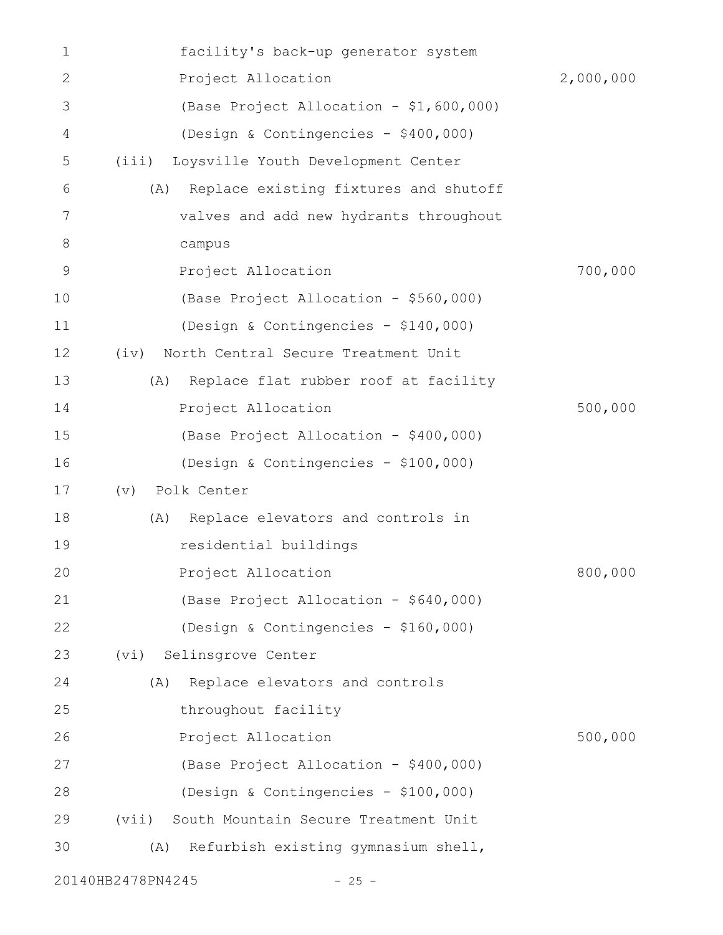| 1             | facility's back-up generator system          |           |
|---------------|----------------------------------------------|-----------|
| $\mathbf{2}$  | Project Allocation                           | 2,000,000 |
| 3             | (Base Project Allocation - \$1,600,000)      |           |
| 4             | (Design & Contingencies - \$400,000)         |           |
| 5             | (iii) Loysville Youth Development Center     |           |
| 6             | Replace existing fixtures and shutoff<br>(A) |           |
| 7             | valves and add new hydrants throughout       |           |
| $8\,$         | campus                                       |           |
| $\mathcal{G}$ | Project Allocation                           | 700,000   |
| 10            | (Base Project Allocation - \$560,000)        |           |
| 11            | (Design & Contingencies - \$140,000)         |           |
| 12            | North Central Secure Treatment Unit<br>(iv)  |           |
| 13            | Replace flat rubber roof at facility<br>(A)  |           |
| 14            | Project Allocation                           | 500,000   |
| 15            | (Base Project Allocation - \$400,000)        |           |
| 16            | (Design & Contingencies - \$100,000)         |           |
| 17            | Polk Center<br>$(\triangledown)$             |           |
| 18            | Replace elevators and controls in<br>(A)     |           |
| 19            | residential buildings                        |           |
| 20            | Project Allocation                           | 800,000   |
| 21            | (Base Project Allocation - \$640,000)        |           |
| 22            | (Design & Contingencies - \$160,000)         |           |
| 23            | (vi) Selinsgrove Center                      |           |
| 24            | Replace elevators and controls<br>(A)        |           |
| 25            | throughout facility                          |           |
| 26            | Project Allocation                           | 500,000   |
| 27            | (Base Project Allocation - \$400,000)        |           |
| 28            | (Design & Contingencies - \$100,000)         |           |
| 29            | (vii) South Mountain Secure Treatment Unit   |           |
| 30            | Refurbish existing gymnasium shell,<br>(A)   |           |
|               | 20140HB2478PN4245<br>$-25 -$                 |           |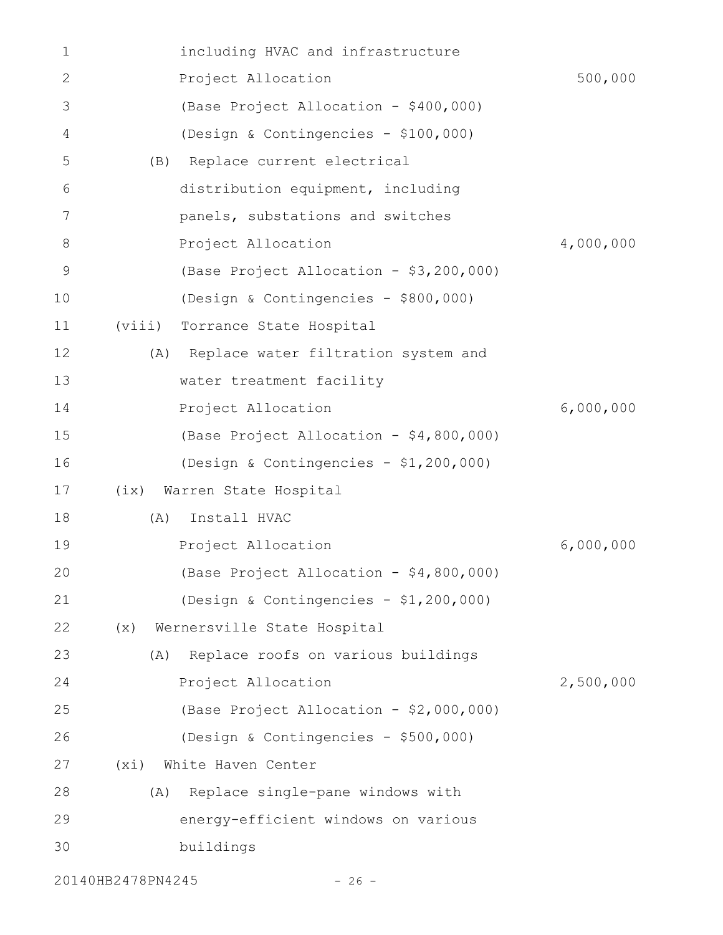| 1           | including HVAC and infrastructure          |           |
|-------------|--------------------------------------------|-----------|
| 2           | Project Allocation                         | 500,000   |
| 3           | (Base Project Allocation - \$400,000)      |           |
| 4           | (Design & Contingencies - \$100,000)       |           |
| 5           | Replace current electrical<br>(B)          |           |
| 6           | distribution equipment, including          |           |
| 7           | panels, substations and switches           |           |
| 8           | Project Allocation                         | 4,000,000 |
| $\mathsf 9$ | (Base Project Allocation - \$3,200,000)    |           |
| 10          | (Design & Contingencies - \$800,000)       |           |
| 11          | (viii)<br>Torrance State Hospital          |           |
| 12          | Replace water filtration system and<br>(A) |           |
| 13          | water treatment facility                   |           |
| 14          | Project Allocation                         | 6,000,000 |
| 15          | (Base Project Allocation - \$4,800,000)    |           |
| 16          | (Design & Contingencies - \$1,200,000)     |           |
| 17          | (ix) Warren State Hospital                 |           |
| 18          | Install HVAC<br>(A)                        |           |
| 19          | Project Allocation                         | 6,000,000 |
| 20          | (Base Project Allocation - \$4,800,000)    |           |
| 21          | (Design & Contingencies - \$1,200,000)     |           |
| 22          | (x)<br>Wernersville State Hospital         |           |
| 23          | Replace roofs on various buildings<br>(A)  |           |
| 24          | Project Allocation                         | 2,500,000 |
| 25          | (Base Project Allocation - \$2,000,000)    |           |
| 26          | (Design & Contingencies - \$500,000)       |           |
| 27          | (xi) White Haven Center                    |           |
| 28          | Replace single-pane windows with<br>(A)    |           |
| 29          | energy-efficient windows on various        |           |
| 30          | buildings                                  |           |
|             | 20140HB2478PN4245<br>$-26 -$               |           |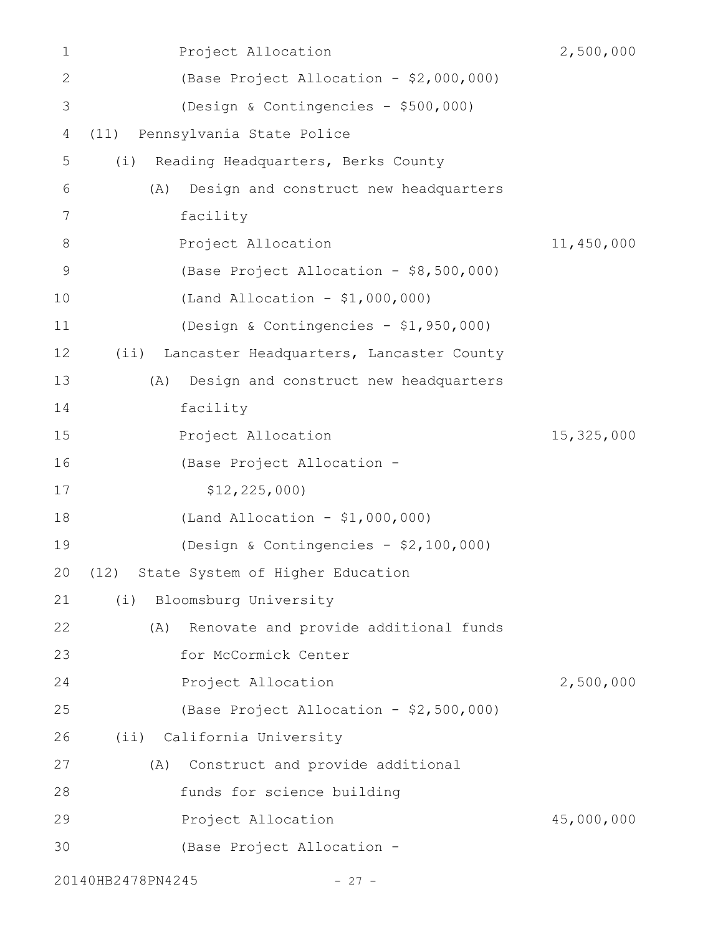| 1  | Project Allocation                              | 2,500,000  |
|----|-------------------------------------------------|------------|
| 2  | (Base Project Allocation - \$2,000,000)         |            |
| 3  | (Design & Contingencies - \$500,000)            |            |
| 4  | Pennsylvania State Police<br>(11)               |            |
| 5  | Reading Headquarters, Berks County<br>(i)       |            |
| 6  | Design and construct new headquarters<br>(A)    |            |
| 7  | facility                                        |            |
| 8  | Project Allocation                              | 11,450,000 |
| 9  | (Base Project Allocation - \$8,500,000)         |            |
| 10 | (Land Allocation - \$1,000,000)                 |            |
| 11 | (Design & Contingencies - \$1,950,000)          |            |
| 12 | Lancaster Headquarters, Lancaster County<br>(i) |            |
| 13 | Design and construct new headquarters<br>(A)    |            |
| 14 | facility                                        |            |
| 15 | Project Allocation                              | 15,325,000 |
| 16 | (Base Project Allocation -                      |            |
| 17 | \$12, 225, 000)                                 |            |
| 18 | (Land Allocation - $$1,000,000)$                |            |
| 19 | (Design & Contingencies - \$2,100,000)          |            |
|    | 20 (12) State System of Higher Education        |            |
| 21 | Bloomsburg University<br>(i)                    |            |
| 22 | Renovate and provide additional funds<br>(A)    |            |
| 23 | for McCormick Center                            |            |
| 24 | Project Allocation                              | 2,500,000  |
| 25 | (Base Project Allocation - \$2,500,000)         |            |
| 26 | (ii) California University                      |            |
| 27 | Construct and provide additional<br>(A)         |            |
| 28 | funds for science building                      |            |
| 29 | Project Allocation                              | 45,000,000 |
| 30 | (Base Project Allocation -                      |            |
|    | 20140HB2478PN4245<br>$-27 -$                    |            |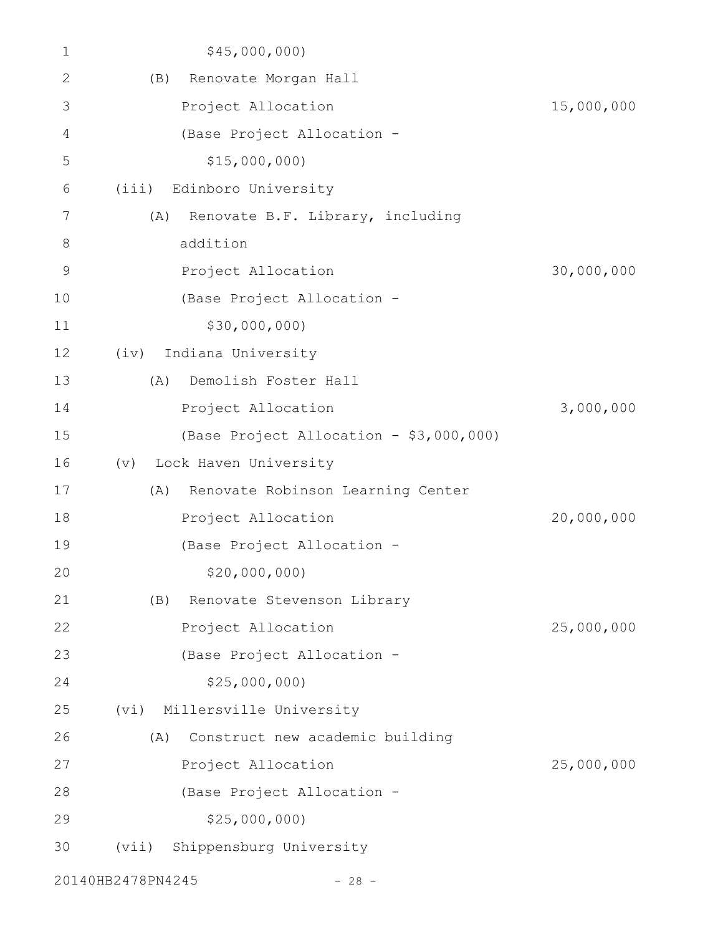| 1  | \$45,000,000                             |            |
|----|------------------------------------------|------------|
| 2  | Renovate Morgan Hall<br>(B)              |            |
| 3  | Project Allocation                       | 15,000,000 |
| 4  | (Base Project Allocation -               |            |
| 5  | \$15,000,000                             |            |
| 6  | Edinboro University<br>(iii)             |            |
| 7  | Renovate B.F. Library, including<br>(A)  |            |
| 8  | addition                                 |            |
| 9  | Project Allocation                       | 30,000,000 |
| 10 | (Base Project Allocation -               |            |
| 11 | \$30,000,000)                            |            |
| 12 | Indiana University<br>(iv)               |            |
| 13 | Demolish Foster Hall<br>(A)              |            |
| 14 | Project Allocation                       | 3,000,000  |
| 15 | (Base Project Allocation - \$3,000,000)  |            |
| 16 | Lock Haven University<br>(v)             |            |
| 17 | Renovate Robinson Learning Center<br>(A) |            |
| 18 | Project Allocation                       | 20,000,000 |
| 19 | (Base Project Allocation -               |            |
| 20 | \$20,000,000)                            |            |
| 21 | Renovate Stevenson Library<br>(B)        |            |
| 22 | Project Allocation                       | 25,000,000 |
| 23 | (Base Project Allocation -               |            |
| 24 | \$25,000,000                             |            |
| 25 | (vi)<br>Millersville University          |            |
| 26 | Construct new academic building<br>(A)   |            |
| 27 | Project Allocation                       | 25,000,000 |
| 28 | (Base Project Allocation -               |            |
| 29 | \$25,000,000                             |            |
| 30 | Shippensburg University<br>(vii)         |            |
|    |                                          |            |

20140HB2478PN4245 - 28 -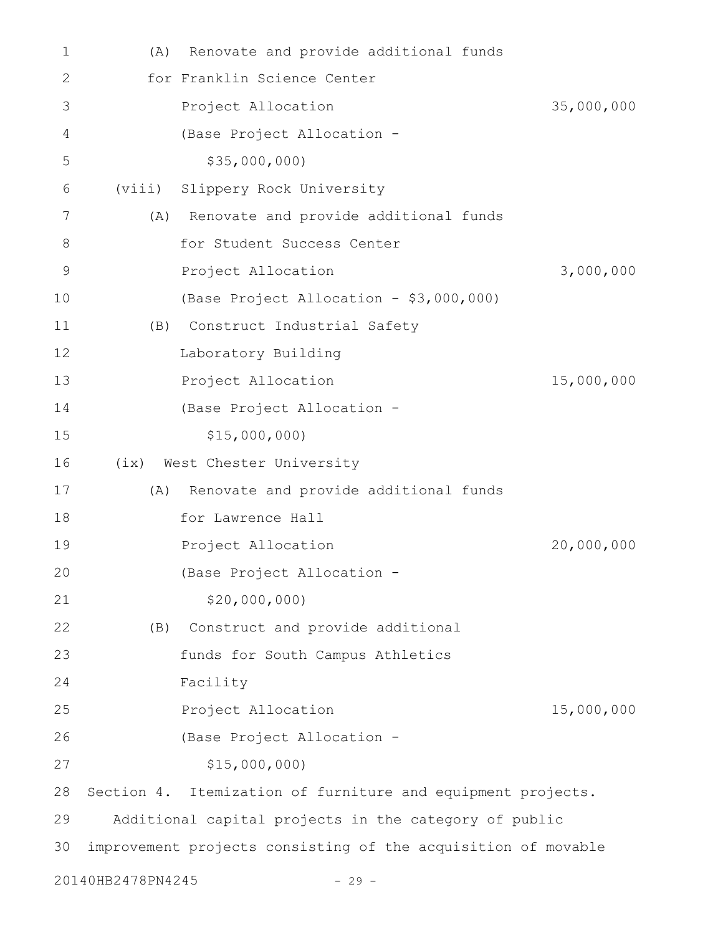| 1  | (A)               | Renovate and provide additional funds                         |            |
|----|-------------------|---------------------------------------------------------------|------------|
| 2  |                   | for Franklin Science Center                                   |            |
| 3  |                   | Project Allocation                                            | 35,000,000 |
| 4  |                   | (Base Project Allocation -                                    |            |
| 5  |                   | \$35,000,000                                                  |            |
| 6  | (viii)            | Slippery Rock University                                      |            |
| 7  | (A)               | Renovate and provide additional funds                         |            |
| 8  |                   | for Student Success Center                                    |            |
| 9  |                   | Project Allocation                                            | 3,000,000  |
| 10 |                   | (Base Project Allocation - \$3,000,000)                       |            |
| 11 | (B)               | Construct Industrial Safety                                   |            |
| 12 |                   | Laboratory Building                                           |            |
| 13 |                   | Project Allocation                                            | 15,000,000 |
| 14 |                   | (Base Project Allocation -                                    |            |
| 15 |                   | \$15,000,000                                                  |            |
| 16 |                   | (ix) West Chester University                                  |            |
| 17 | (A)               | Renovate and provide additional funds                         |            |
| 18 |                   | for Lawrence Hall                                             |            |
| 19 |                   | Project Allocation                                            | 20,000,000 |
| 20 |                   | (Base Project Allocation -                                    |            |
| 21 |                   | \$20,000,000                                                  |            |
| 22 | (B)               | Construct and provide additional                              |            |
| 23 |                   | funds for South Campus Athletics                              |            |
| 24 |                   | Facility                                                      |            |
| 25 |                   | Project Allocation                                            | 15,000,000 |
| 26 |                   | (Base Project Allocation -                                    |            |
| 27 |                   | \$15,000,000                                                  |            |
| 28 |                   | Section 4. Itemization of furniture and equipment projects.   |            |
| 29 |                   | Additional capital projects in the category of public         |            |
| 30 |                   | improvement projects consisting of the acquisition of movable |            |
|    | 20140HB2478PN4245 | $-29 -$                                                       |            |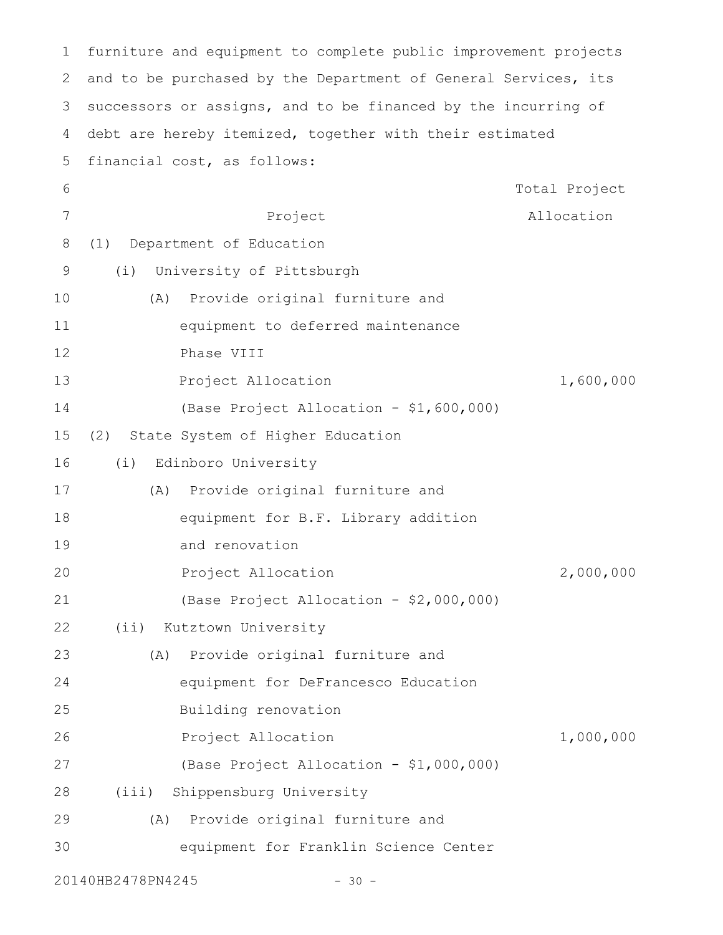| $\mathbf 1$    | furniture and equipment to complete public improvement projects |               |
|----------------|-----------------------------------------------------------------|---------------|
| 2              | and to be purchased by the Department of General Services, its  |               |
| 3              | successors or assigns, and to be financed by the incurring of   |               |
| 4              | debt are hereby itemized, together with their estimated         |               |
| 5              | financial cost, as follows:                                     |               |
| 6              |                                                                 | Total Project |
| $\overline{7}$ | Project                                                         | Allocation    |
| 8              | Department of Education<br>(1)                                  |               |
| 9              | University of Pittsburgh<br>(i)                                 |               |
| 10             | Provide original furniture and<br>(A)                           |               |
| 11             | equipment to deferred maintenance                               |               |
| 12             | Phase VIII                                                      |               |
| 13             | Project Allocation                                              | 1,600,000     |
| 14             | (Base Project Allocation - \$1,600,000)                         |               |
| 15             | State System of Higher Education<br>(2)                         |               |
| 16             | (i)<br>Edinboro University                                      |               |
| 17             | Provide original furniture and<br>(A)                           |               |
| 18             | equipment for B.F. Library addition                             |               |
| 19             | and renovation                                                  |               |
| 20             | Project Allocation                                              | 2,000,000     |
| 21             | (Base Project Allocation - \$2,000,000)                         |               |
| 22             | (ii) Kutztown University                                        |               |
| 23             | Provide original furniture and<br>(A)                           |               |
| 24             | equipment for DeFrancesco Education                             |               |
| 25             | Building renovation                                             |               |
| 26             | Project Allocation                                              | 1,000,000     |
| 27             | (Base Project Allocation - \$1,000,000)                         |               |
| 28             | (iii) Shippensburg University                                   |               |
| 29             | (A) Provide original furniture and                              |               |
| 30             | equipment for Franklin Science Center                           |               |
|                | 20140HB2478PN4245<br>$-30 -$                                    |               |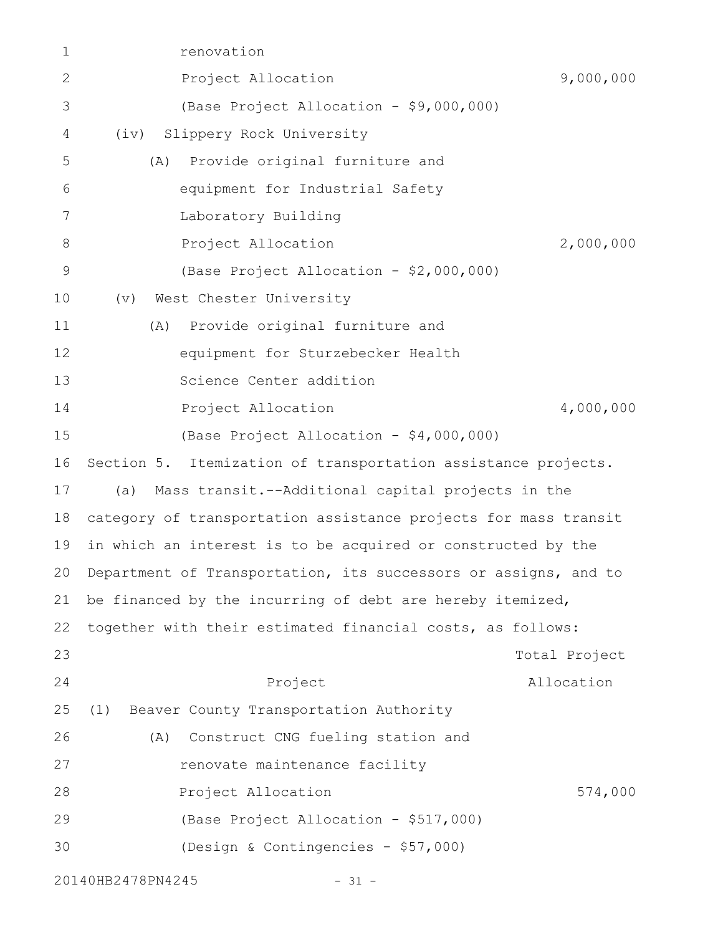| 1            | renovation                                                         |               |
|--------------|--------------------------------------------------------------------|---------------|
| $\mathbf{2}$ | Project Allocation                                                 | 9,000,000     |
| 3            | (Base Project Allocation - \$9,000,000)                            |               |
| 4            | Slippery Rock University<br>(iv)                                   |               |
| 5            | Provide original furniture and<br>(A)                              |               |
| 6            | equipment for Industrial Safety                                    |               |
| 7            | Laboratory Building                                                |               |
| $8\,$        | Project Allocation                                                 | 2,000,000     |
| $\mathsf 9$  | (Base Project Allocation - \$2,000,000)                            |               |
| 10           | West Chester University<br>$(\triangledown)$                       |               |
| 11           | Provide original furniture and<br>(A)                              |               |
| 12           | equipment for Sturzebecker Health                                  |               |
| 13           | Science Center addition                                            |               |
| 14           | Project Allocation                                                 | 4,000,000     |
| 15           | (Base Project Allocation - \$4,000,000)                            |               |
| 16           | Section 5. Itemization of transportation assistance projects.      |               |
| 17           | Mass transit.--Additional capital projects in the<br>(a)           |               |
| 18           | category of transportation assistance projects for mass transit    |               |
| 19           | in which an interest is to be acquired or constructed by the       |               |
|              | 20 Department of Transportation, its successors or assigns, and to |               |
| 21           | be financed by the incurring of debt are hereby itemized,          |               |
| 22           | together with their estimated financial costs, as follows:         |               |
| 23           |                                                                    | Total Project |
| 24           | Project                                                            | Allocation    |
| 25           | Beaver County Transportation Authority<br>(1)                      |               |
| 26           | Construct CNG fueling station and<br>(A)                           |               |
| 27           | renovate maintenance facility                                      |               |
| 28           | Project Allocation                                                 | 574,000       |
| 29           | (Base Project Allocation - \$517,000)                              |               |
| 30           | (Design & Contingencies - \$57,000)                                |               |
|              | 20140HB2478PN4245<br>$-31 -$                                       |               |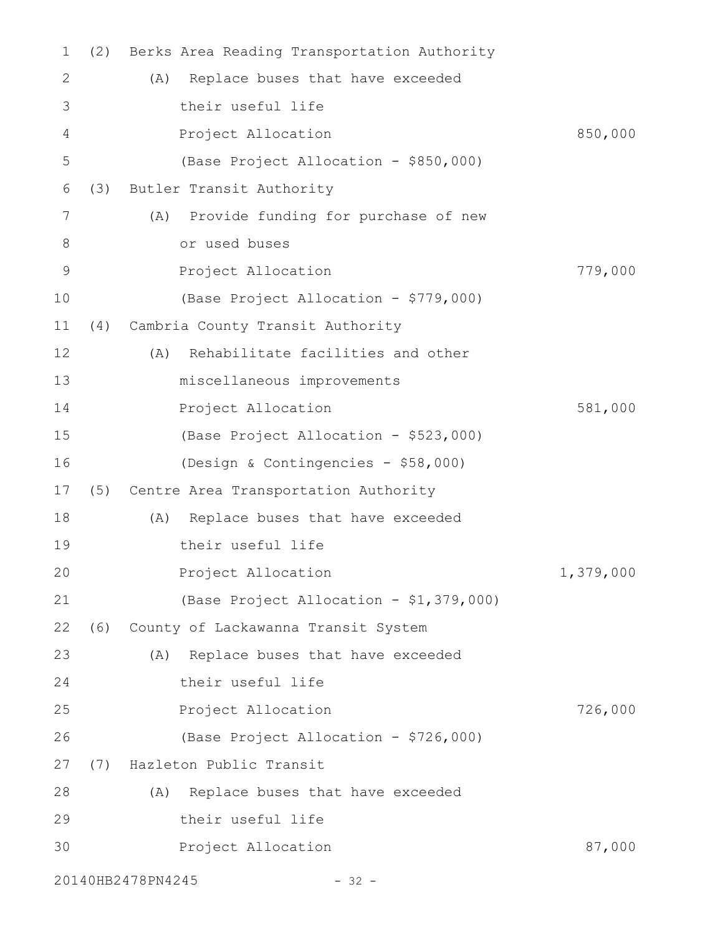| 1  | (2) | Berks Area Reading Transportation Authority |           |
|----|-----|---------------------------------------------|-----------|
| 2  |     | Replace buses that have exceeded<br>(A)     |           |
| 3  |     | their useful life                           |           |
| 4  |     | Project Allocation                          | 850,000   |
| 5  |     | (Base Project Allocation - \$850,000)       |           |
| 6  | (3) | Butler Transit Authority                    |           |
| 7  |     | Provide funding for purchase of new<br>(A)  |           |
| 8  |     | or used buses                               |           |
| 9  |     | Project Allocation                          | 779,000   |
| 10 |     | (Base Project Allocation - \$779,000)       |           |
| 11 | (4) | Cambria County Transit Authority            |           |
| 12 |     | Rehabilitate facilities and other<br>(A)    |           |
| 13 |     | miscellaneous improvements                  |           |
| 14 |     | Project Allocation                          | 581,000   |
| 15 |     | (Base Project Allocation - \$523,000)       |           |
| 16 |     | (Design & Contingencies - \$58,000)         |           |
| 17 | (5) | Centre Area Transportation Authority        |           |
| 18 |     | Replace buses that have exceeded<br>(A)     |           |
| 19 |     | their useful life                           |           |
| 20 |     | Project Allocation                          | 1,379,000 |
| 21 |     | (Base Project Allocation - \$1,379,000)     |           |
| 22 |     | (6) County of Lackawanna Transit System     |           |
| 23 |     | Replace buses that have exceeded<br>(A)     |           |
| 24 |     | their useful life                           |           |
| 25 |     | Project Allocation                          | 726,000   |
| 26 |     | (Base Project Allocation - \$726,000)       |           |
| 27 |     | (7) Hazleton Public Transit                 |           |
| 28 |     | Replace buses that have exceeded<br>(A)     |           |
| 29 |     | their useful life                           |           |
| 30 |     | Project Allocation                          | 87,000    |
|    |     | 20140HB2478PN4245<br>$-32 -$                |           |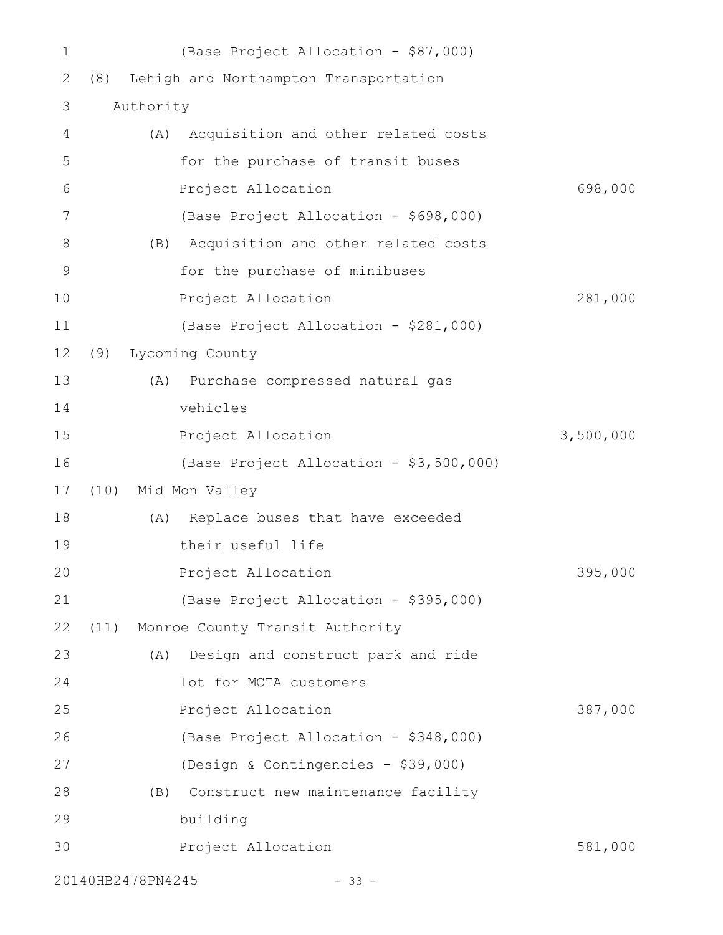| 1           |                   | (Base Project Allocation - \$87,000)    |           |
|-------------|-------------------|-----------------------------------------|-----------|
| 2           | (8)               | Lehigh and Northampton Transportation   |           |
| 3           | Authority         |                                         |           |
| 4           | (A)               | Acquisition and other related costs     |           |
| 5           |                   | for the purchase of transit buses       |           |
| 6           |                   | Project Allocation                      | 698,000   |
| 7           |                   | (Base Project Allocation - \$698,000)   |           |
| $8\,$       | (B)               | Acquisition and other related costs     |           |
| $\mathsf 9$ |                   | for the purchase of minibuses           |           |
| 10          |                   | Project Allocation                      | 281,000   |
| 11          |                   | (Base Project Allocation - \$281,000)   |           |
| 12          | (9)               | Lycoming County                         |           |
| 13          |                   | (A) Purchase compressed natural gas     |           |
| 14          |                   | vehicles                                |           |
| 15          |                   | Project Allocation                      | 3,500,000 |
| 16          |                   | (Base Project Allocation - \$3,500,000) |           |
| 17          | (10)              | Mid Mon Valley                          |           |
| 18          |                   | (A) Replace buses that have exceeded    |           |
| 19          |                   | their useful life                       |           |
| 20          |                   | Project Allocation                      | 395,000   |
| 21          |                   | (Base Project Allocation - \$395,000)   |           |
| 22          | (11)              | Monroe County Transit Authority         |           |
| 23          |                   | (A) Design and construct park and ride  |           |
| 24          |                   | lot for MCTA customers                  |           |
| 25          |                   | Project Allocation                      | 387,000   |
| 26          |                   | (Base Project Allocation - \$348,000)   |           |
| 27          |                   | (Design & Contingencies - \$39,000)     |           |
| 28          |                   | (B) Construct new maintenance facility  |           |
| 29          |                   | building                                |           |
| 30          |                   | Project Allocation                      | 581,000   |
|             | 20140HB2478PN4245 | $-33 -$                                 |           |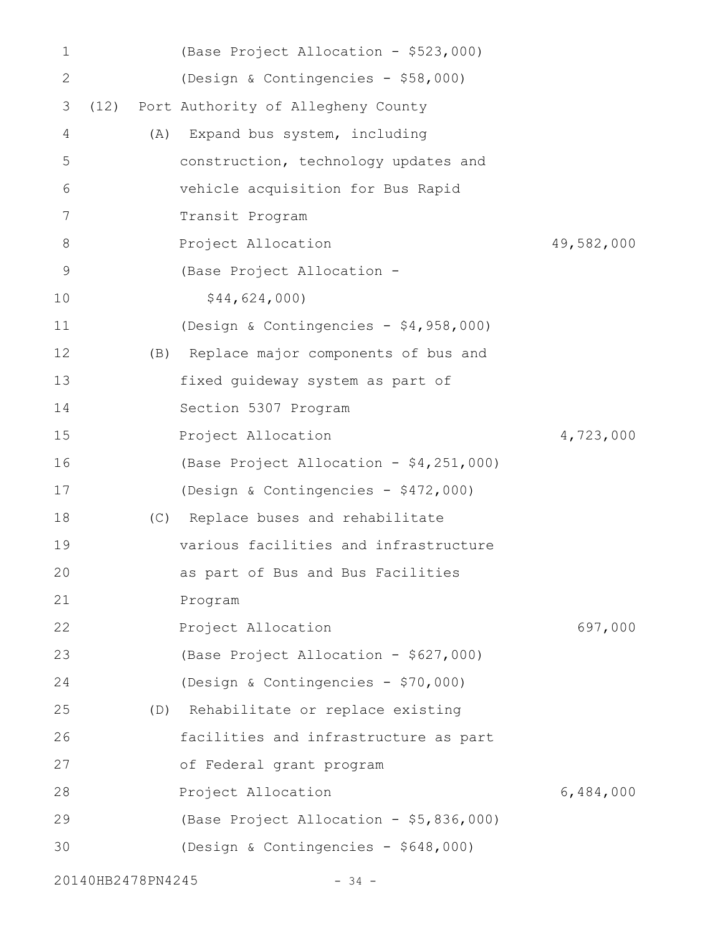| 1            |                   |     | (Base Project Allocation - \$523,000)   |            |
|--------------|-------------------|-----|-----------------------------------------|------------|
| $\mathbf{2}$ |                   |     | (Design & Contingencies - \$58,000)     |            |
| 3            | (12)              |     | Port Authority of Allegheny County      |            |
| 4            |                   | (A) | Expand bus system, including            |            |
| 5            |                   |     | construction, technology updates and    |            |
| 6            |                   |     | vehicle acquisition for Bus Rapid       |            |
| 7            |                   |     | Transit Program                         |            |
| 8            |                   |     | Project Allocation                      | 49,582,000 |
| 9            |                   |     | (Base Project Allocation -              |            |
| 10           |                   |     | \$44,624,000                            |            |
| 11           |                   |     | (Design & Contingencies - \$4,958,000)  |            |
| 12           |                   |     | (B) Replace major components of bus and |            |
| 13           |                   |     | fixed guideway system as part of        |            |
| 14           |                   |     | Section 5307 Program                    |            |
| 15           |                   |     | Project Allocation                      | 4,723,000  |
| 16           |                   |     | (Base Project Allocation - \$4,251,000) |            |
| 17           |                   |     | (Design & Contingencies - \$472,000)    |            |
| 18           |                   | (C) | Replace buses and rehabilitate          |            |
| 19           |                   |     | various facilities and infrastructure   |            |
| 20           |                   |     | as part of Bus and Bus Facilities       |            |
| 21           |                   |     | Program                                 |            |
| 22           |                   |     | Project Allocation                      | 697,000    |
| 23           |                   |     | (Base Project Allocation - \$627,000)   |            |
| 24           |                   |     | (Design & Contingencies - \$70,000)     |            |
| 25           |                   |     | (D) Rehabilitate or replace existing    |            |
| 26           |                   |     | facilities and infrastructure as part   |            |
| 27           |                   |     | of Federal grant program                |            |
| 28           |                   |     | Project Allocation                      | 6,484,000  |
| 29           |                   |     | (Base Project Allocation - \$5,836,000) |            |
| 30           |                   |     | (Design & Contingencies - \$648,000)    |            |
|              | 20140HB2478PN4245 |     | $-34 -$                                 |            |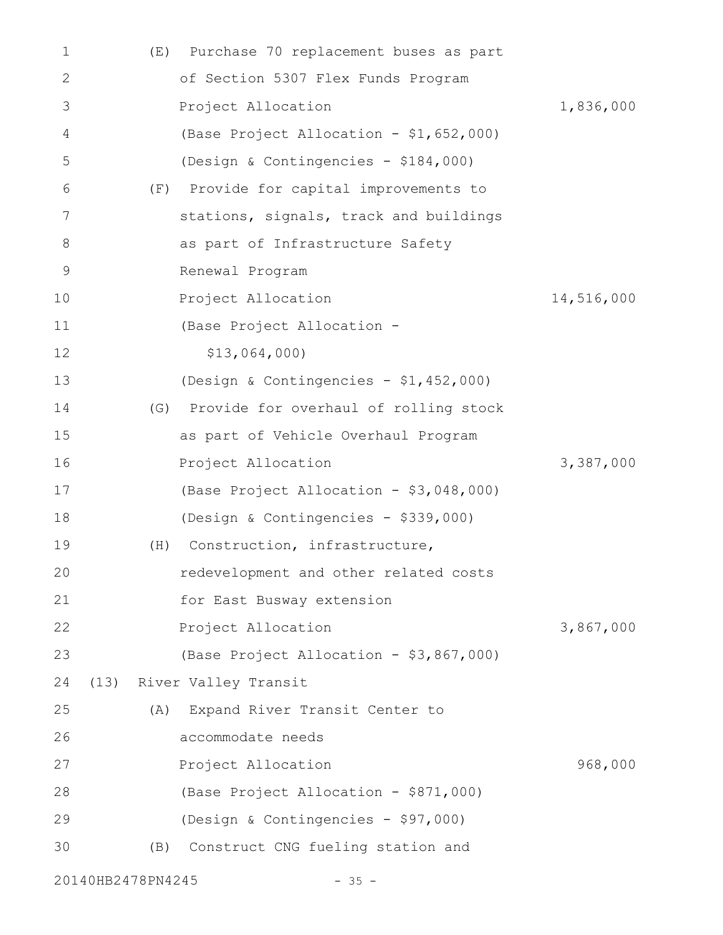| 1  | (E)               | Purchase 70 replacement buses as part     |            |
|----|-------------------|-------------------------------------------|------------|
| 2  |                   | of Section 5307 Flex Funds Program        |            |
| 3  |                   | Project Allocation                        | 1,836,000  |
| 4  |                   | (Base Project Allocation - \$1,652,000)   |            |
| 5  |                   | (Design & Contingencies - \$184,000)      |            |
| 6  | (F)               | Provide for capital improvements to       |            |
| 7  |                   | stations, signals, track and buildings    |            |
| 8  |                   | as part of Infrastructure Safety          |            |
| 9  |                   | Renewal Program                           |            |
| 10 |                   | Project Allocation                        | 14,516,000 |
| 11 |                   | (Base Project Allocation -                |            |
| 12 |                   | \$13,064,000                              |            |
| 13 |                   | (Design & Contingencies - \$1,452,000)    |            |
| 14 |                   | (G) Provide for overhaul of rolling stock |            |
| 15 |                   | as part of Vehicle Overhaul Program       |            |
| 16 |                   | Project Allocation                        | 3,387,000  |
| 17 |                   | (Base Project Allocation - \$3,048,000)   |            |
| 18 |                   | (Design & Contingencies - \$339,000)      |            |
| 19 | (H)               | Construction, infrastructure,             |            |
| 20 |                   | redevelopment and other related costs     |            |
| 21 |                   | for East Busway extension                 |            |
| 22 |                   | Project Allocation                        | 3,867,000  |
| 23 |                   | (Base Project Allocation - \$3,867,000)   |            |
| 24 |                   | (13) River Valley Transit                 |            |
| 25 | (A)               | Expand River Transit Center to            |            |
| 26 |                   | accommodate needs                         |            |
| 27 |                   | Project Allocation                        | 968,000    |
| 28 |                   | (Base Project Allocation - \$871,000)     |            |
| 29 |                   | (Design & Contingencies - \$97,000)       |            |
| 30 | (B)               | Construct CNG fueling station and         |            |
|    | 20140HB2478PN4245 | $-35 -$                                   |            |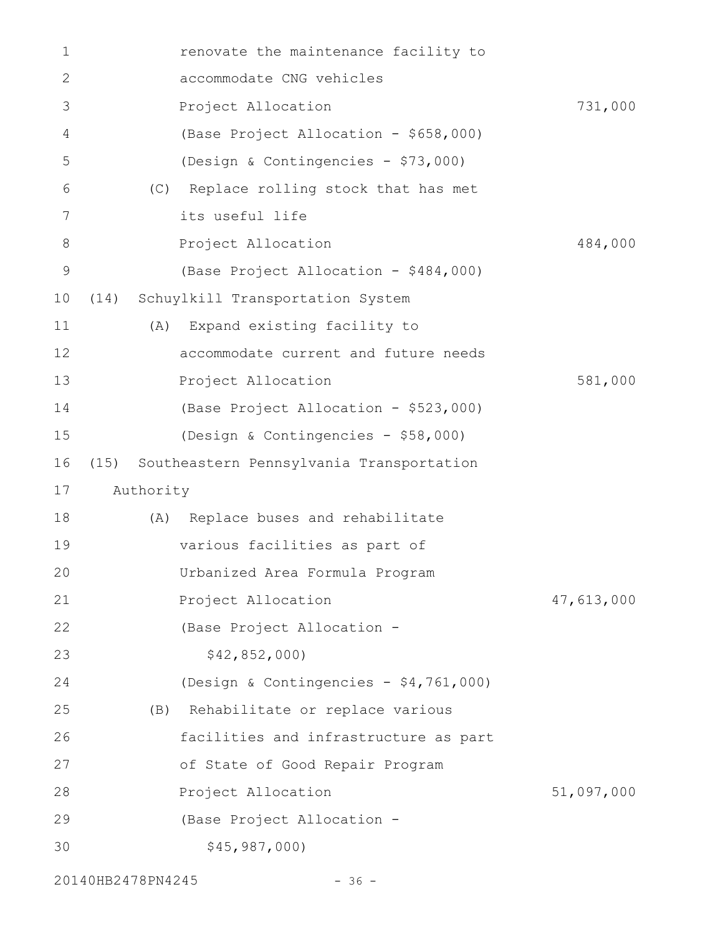| $\mathbf 1$ |           | renovate the maintenance facility to     |            |
|-------------|-----------|------------------------------------------|------------|
| 2           |           | accommodate CNG vehicles                 |            |
| 3           |           | Project Allocation                       | 731,000    |
| 4           |           | (Base Project Allocation - \$658,000)    |            |
| 5           |           | (Design & Contingencies - \$73,000)      |            |
| 6           |           | (C) Replace rolling stock that has met   |            |
| 7           |           | its useful life                          |            |
| 8           |           | Project Allocation                       | 484,000    |
| 9           |           | (Base Project Allocation - \$484,000)    |            |
| 10          | (14)      | Schuylkill Transportation System         |            |
| 11          | (A)       | Expand existing facility to              |            |
| 12          |           | accommodate current and future needs     |            |
| 13          |           | Project Allocation                       | 581,000    |
| 14          |           | (Base Project Allocation - \$523,000)    |            |
| 15          |           | (Design & Contingencies - \$58,000)      |            |
| 16          | (15)      | Southeastern Pennsylvania Transportation |            |
| 17          | Authority |                                          |            |
| 18          | (A)       | Replace buses and rehabilitate           |            |
| 19          |           | various facilities as part of            |            |
| 20          |           | Urbanized Area Formula Program           |            |
| 21          |           | Project Allocation                       | 47,613,000 |
| 22          |           | (Base Project Allocation -               |            |
| 23          |           | \$42,852,000                             |            |
| 24          |           | (Design & Contingencies - \$4,761,000)   |            |
| 25          |           | (B) Rehabilitate or replace various      |            |
| 26          |           | facilities and infrastructure as part    |            |
| 27          |           | of State of Good Repair Program          |            |
| 28          |           | Project Allocation                       | 51,097,000 |
| 29          |           | (Base Project Allocation -               |            |
| 30          |           | \$45, 987, 000)                          |            |
|             |           |                                          |            |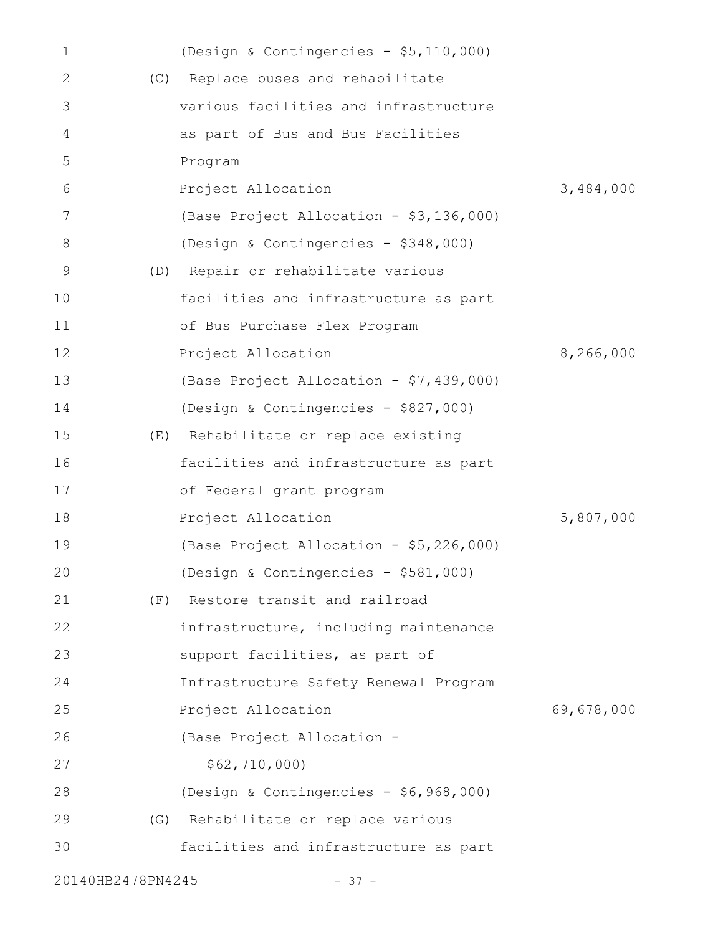| 1                 |     | (Design & Contingencies - \$5,110,000)  |            |
|-------------------|-----|-----------------------------------------|------------|
| 2                 |     | (C) Replace buses and rehabilitate      |            |
| 3                 |     | various facilities and infrastructure   |            |
| 4                 |     | as part of Bus and Bus Facilities       |            |
| 5                 |     | Program                                 |            |
| 6                 |     | Project Allocation                      | 3,484,000  |
| 7                 |     | (Base Project Allocation - \$3,136,000) |            |
| 8                 |     | (Design & Contingencies - \$348,000)    |            |
| 9                 |     | (D) Repair or rehabilitate various      |            |
| 10                |     | facilities and infrastructure as part   |            |
| 11                |     | of Bus Purchase Flex Program            |            |
| 12                |     | Project Allocation                      | 8,266,000  |
| 13                |     | (Base Project Allocation - \$7,439,000) |            |
| 14                |     | (Design & Contingencies - \$827,000)    |            |
| 15                |     | (E) Rehabilitate or replace existing    |            |
| 16                |     | facilities and infrastructure as part   |            |
| 17                |     | of Federal grant program                |            |
| 18                |     | Project Allocation                      | 5,807,000  |
| 19                |     | (Base Project Allocation - \$5,226,000) |            |
| 20                |     | (Design & Contingencies - \$581,000)    |            |
| 21                | (F) | Restore transit and railroad            |            |
| 22                |     | infrastructure, including maintenance   |            |
| 23                |     | support facilities, as part of          |            |
| 24                |     | Infrastructure Safety Renewal Program   |            |
| 25                |     | Project Allocation                      | 69,678,000 |
| 26                |     | (Base Project Allocation -              |            |
| 27                |     | \$62, 710, 000)                         |            |
| 28                |     | (Design & Contingencies - \$6,968,000)  |            |
| 29                |     | (G) Rehabilitate or replace various     |            |
| 30                |     | facilities and infrastructure as part   |            |
| 20140HB2478PN4245 |     | $-37 -$                                 |            |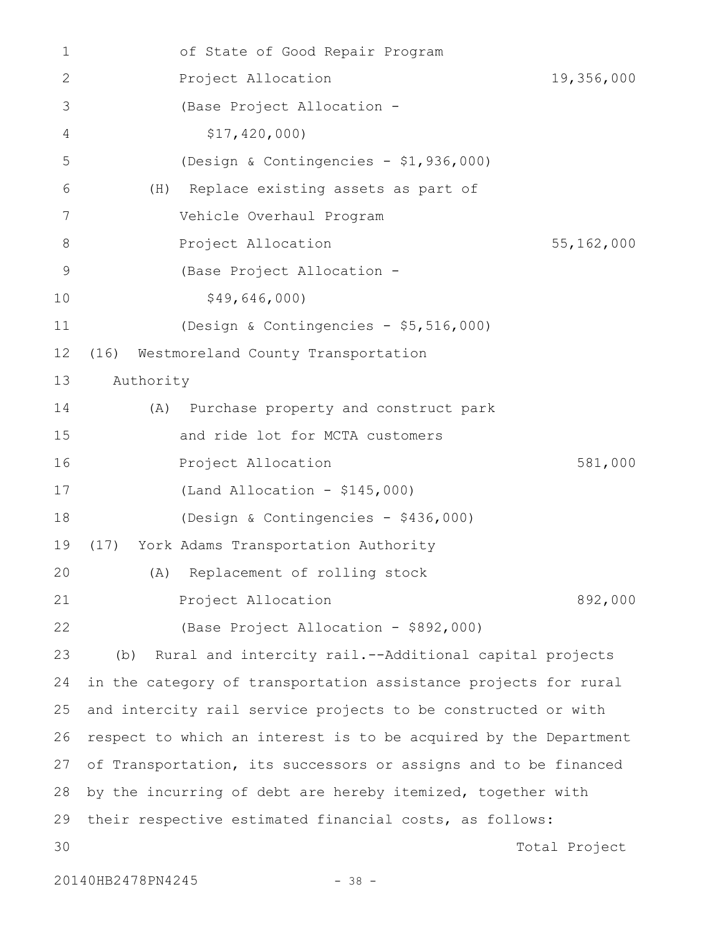| 1             | of State of Good Repair Program                                  |
|---------------|------------------------------------------------------------------|
| 2             | 19,356,000<br>Project Allocation                                 |
| 3             | (Base Project Allocation -                                       |
| 4             | \$17,420,000                                                     |
| 5             | (Design & Contingencies - \$1,936,000)                           |
| 6             | Replace existing assets as part of<br>(H)                        |
| 7             | Vehicle Overhaul Program                                         |
| 8             | 55, 162, 000<br>Project Allocation                               |
| $\mathcal{G}$ | (Base Project Allocation -                                       |
| 10            | \$49,646,000                                                     |
| 11            | (Design & Contingencies - \$5,516,000)                           |
| 12            | (16) Westmoreland County Transportation                          |
| 13            | Authority                                                        |
| 14            | (A)<br>Purchase property and construct park                      |
| 15            | and ride lot for MCTA customers                                  |
| 16            | 581,000<br>Project Allocation                                    |
| 17            | (Land Allocation - $$145,000$ )                                  |
| 18            | (Design & Contingencies - \$436,000)                             |
| 19            | (17) York Adams Transportation Authority                         |
| 20            | (A) Replacement of rolling stock                                 |
| 21            | Project Allocation<br>892,000                                    |
| 22            | (Base Project Allocation - \$892,000)                            |
| 23            | Rural and intercity rail.--Additional capital projects<br>(b)    |
| 24            | in the category of transportation assistance projects for rural  |
| 25            | and intercity rail service projects to be constructed or with    |
| 26            | respect to which an interest is to be acquired by the Department |
| 27            | of Transportation, its successors or assigns and to be financed  |
| 28            | by the incurring of debt are hereby itemized, together with      |
| 29            | their respective estimated financial costs, as follows:          |
| 30            | Total Project                                                    |
|               |                                                                  |

20140HB2478PN4245 - 38 -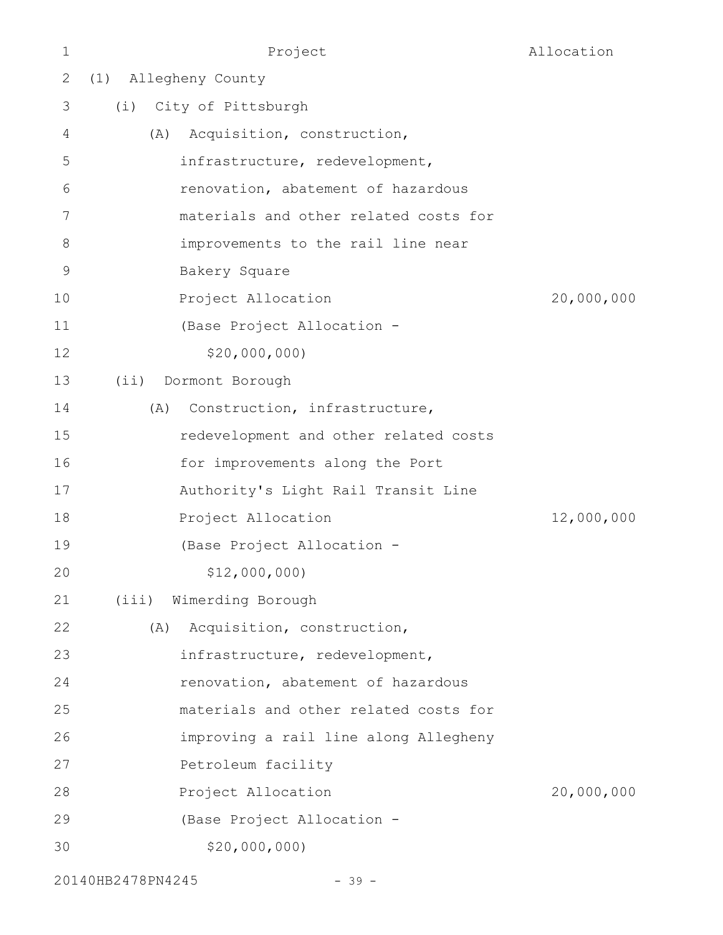| $\mathbf 1$ | Project                               | Allocation |
|-------------|---------------------------------------|------------|
| 2           | (1) Allegheny County                  |            |
| 3           | City of Pittsburgh<br>(i)             |            |
| 4           | Acquisition, construction,<br>(A)     |            |
| 5           | infrastructure, redevelopment,        |            |
| 6           | renovation, abatement of hazardous    |            |
| 7           | materials and other related costs for |            |
| 8           | improvements to the rail line near    |            |
| 9           | Bakery Square                         |            |
| 10          | Project Allocation                    | 20,000,000 |
| 11          | (Base Project Allocation -            |            |
| 12          | \$20,000,000                          |            |
| 13          | (i)<br>Dormont Borough                |            |
| 14          | Construction, infrastructure,<br>(A)  |            |
| 15          | redevelopment and other related costs |            |
| 16          | for improvements along the Port       |            |
| 17          | Authority's Light Rail Transit Line   |            |
| 18          | Project Allocation                    | 12,000,000 |
| 19          | (Base Project Allocation -            |            |
| 20          | \$12,000,000                          |            |
| 21          | (iii) Wimerding Borough               |            |
| 22          | Acquisition, construction,<br>(A)     |            |
| 23          | infrastructure, redevelopment,        |            |
| 24          | renovation, abatement of hazardous    |            |
| 25          | materials and other related costs for |            |
| 26          | improving a rail line along Allegheny |            |
| 27          | Petroleum facility                    |            |
| 28          | Project Allocation                    | 20,000,000 |
| 29          | (Base Project Allocation -            |            |
| 30          | \$20,000,000                          |            |
|             |                                       |            |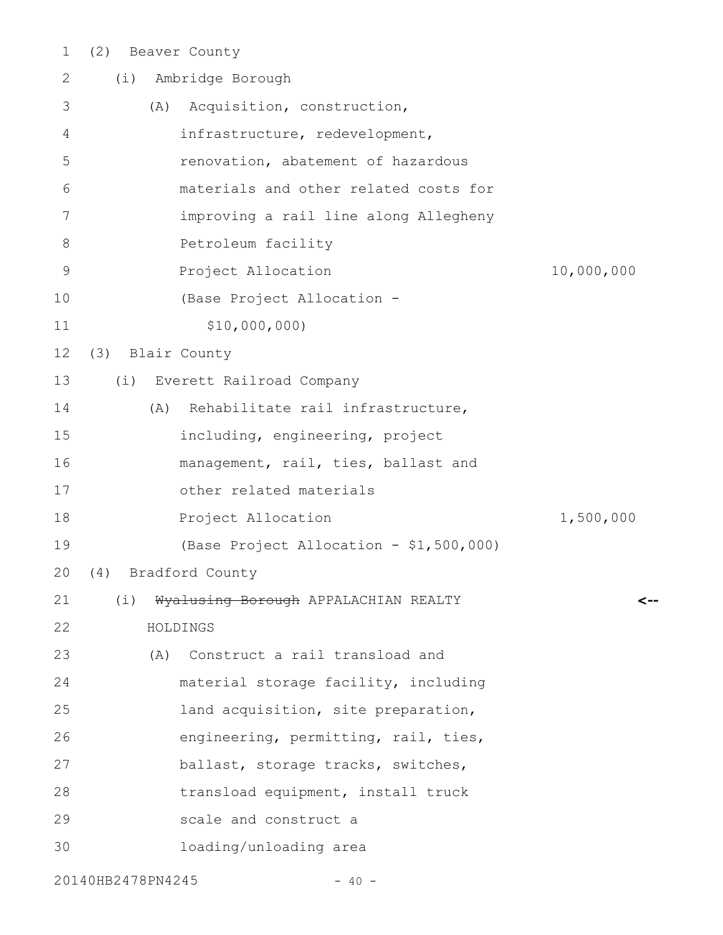| $\mathbf 1$     | (2)               | Beaver County                            |            |
|-----------------|-------------------|------------------------------------------|------------|
| 2               | (i)               | Ambridge Borough                         |            |
| 3               | (A)               | Acquisition, construction,               |            |
| 4               |                   | infrastructure, redevelopment,           |            |
| 5               |                   | renovation, abatement of hazardous       |            |
| 6               |                   | materials and other related costs for    |            |
| $\overline{7}$  |                   | improving a rail line along Allegheny    |            |
| $8\,$           |                   | Petroleum facility                       |            |
| $\mathcal{G}$   |                   | Project Allocation                       | 10,000,000 |
| 10              |                   | (Base Project Allocation -               |            |
| 11              |                   | \$10,000,000)                            |            |
| 12 <sup>°</sup> | (3)               | Blair County                             |            |
| 13              | (i)               | Everett Railroad Company                 |            |
| 14              | (A)               | Rehabilitate rail infrastructure,        |            |
| 15              |                   | including, engineering, project          |            |
| 16              |                   | management, rail, ties, ballast and      |            |
| 17              |                   | other related materials                  |            |
| 18              |                   | Project Allocation                       | 1,500,000  |
| 19              |                   | (Base Project Allocation - \$1,500,000)  |            |
| 20              | (4)               | Bradford County                          |            |
| 21              |                   | (i) Wyalusing Borough APPALACHIAN REALTY |            |
| 22              |                   | HOLDINGS                                 |            |
| 23              | (A)               | Construct a rail transload and           |            |
| 24              |                   | material storage facility, including     |            |
| 25              |                   | land acquisition, site preparation,      |            |
| 26              |                   | engineering, permitting, rail, ties,     |            |
| 27              |                   | ballast, storage tracks, switches,       |            |
| 28              |                   | transload equipment, install truck       |            |
| 29              |                   | scale and construct a                    |            |
| 30              |                   | loading/unloading area                   |            |
|                 | 20140HB2478PN4245 | $40 -$                                   |            |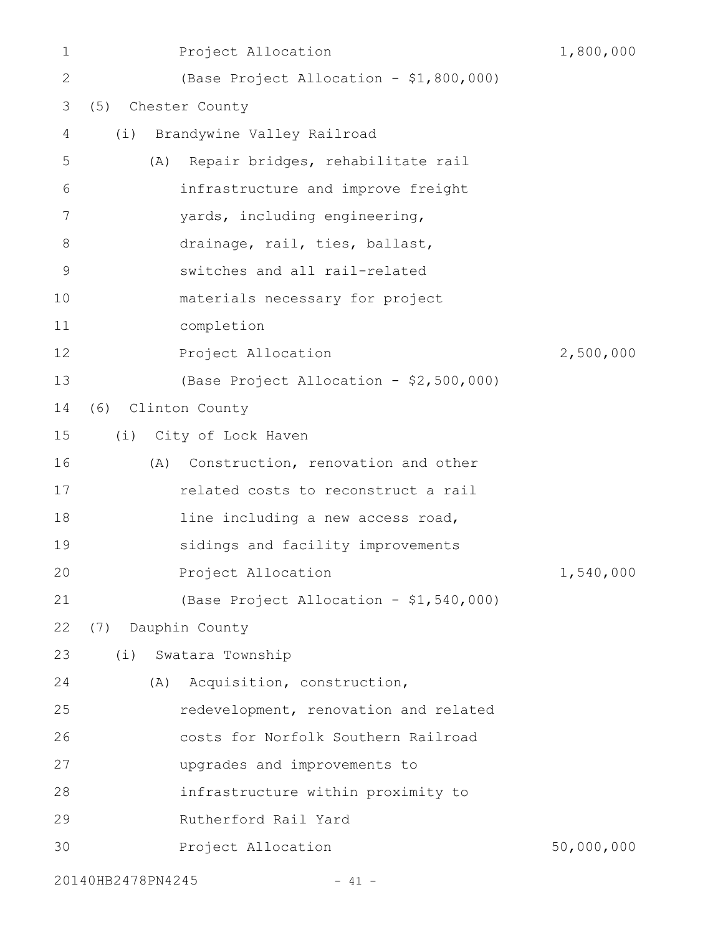| 1           | Project Allocation                        | 1,800,000  |
|-------------|-------------------------------------------|------------|
| 2           | (Base Project Allocation - \$1,800,000)   |            |
| 3           | Chester County<br>(5)                     |            |
| 4           | Brandywine Valley Railroad<br>(i)         |            |
| 5           | Repair bridges, rehabilitate rail<br>(A)  |            |
| 6           | infrastructure and improve freight        |            |
| 7           | yards, including engineering,             |            |
| $\,8\,$     | drainage, rail, ties, ballast,            |            |
| $\mathsf 9$ | switches and all rail-related             |            |
| 10          | materials necessary for project           |            |
| 11          | completion                                |            |
| 12          | Project Allocation                        | 2,500,000  |
| 13          | (Base Project Allocation - \$2,500,000)   |            |
| 14          | Clinton County<br>(6)                     |            |
| 15          | (i) City of Lock Haven                    |            |
| 16          | Construction, renovation and other<br>(A) |            |
| 17          | related costs to reconstruct a rail       |            |
| 18          | line including a new access road,         |            |
| 19          | sidings and facility improvements         |            |
| 20          | Project Allocation                        | 1,540,000  |
| 21          | (Base Project Allocation - \$1,540,000)   |            |
| 22          | (7) Dauphin County                        |            |
| 23          | (i)<br>Swatara Township                   |            |
| 24          | Acquisition, construction,<br>(A)         |            |
| 25          | redevelopment, renovation and related     |            |
| 26          | costs for Norfolk Southern Railroad       |            |
| 27          | upgrades and improvements to              |            |
| 28          | infrastructure within proximity to        |            |
| 29          | Rutherford Rail Yard                      |            |
| 30          | Project Allocation                        | 50,000,000 |
|             |                                           |            |

20140HB2478PN4245 - 41 -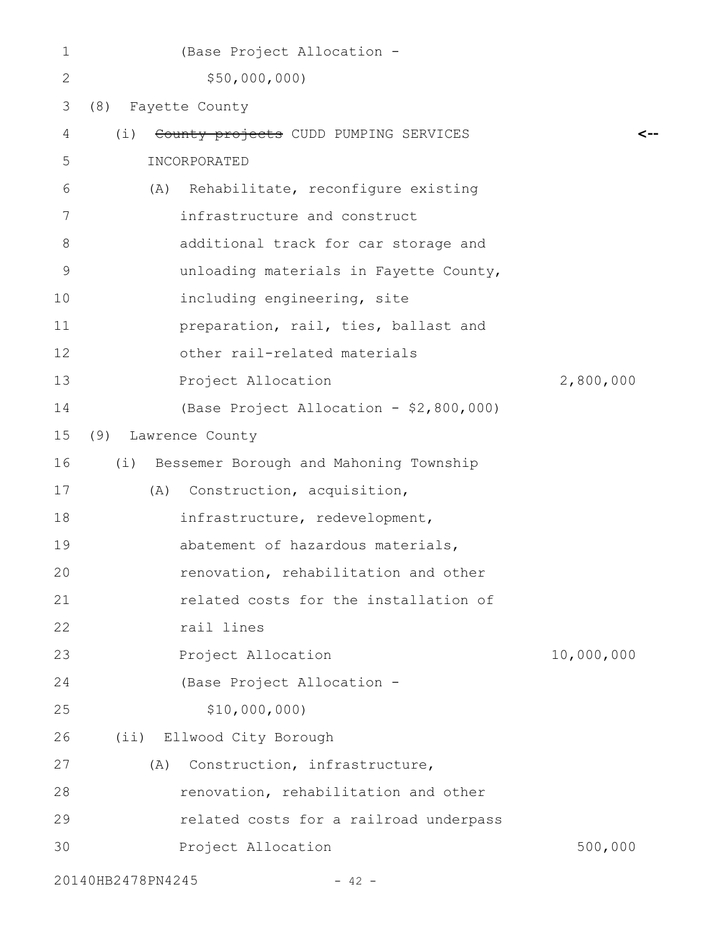| 1  | (Base Project Allocation -                    |            |
|----|-----------------------------------------------|------------|
| 2  | \$50,000,000)                                 |            |
| 3  | (8)<br>Fayette County                         |            |
| 4  | County projects CUDD PUMPING SERVICES<br>(i)  |            |
| 5  | INCORPORATED                                  |            |
| 6  | Rehabilitate, reconfigure existing<br>(A)     |            |
| 7  | infrastructure and construct                  |            |
| 8  | additional track for car storage and          |            |
| 9  | unloading materials in Fayette County,        |            |
| 10 | including engineering, site                   |            |
| 11 | preparation, rail, ties, ballast and          |            |
| 12 | other rail-related materials                  |            |
| 13 | Project Allocation                            | 2,800,000  |
| 14 | (Base Project Allocation - \$2,800,000)       |            |
| 15 | (9)<br>Lawrence County                        |            |
| 16 | Bessemer Borough and Mahoning Township<br>(i) |            |
| 17 | Construction, acquisition,<br>(A)             |            |
| 18 | infrastructure, redevelopment,                |            |
| 19 | abatement of hazardous materials,             |            |
| 20 | renovation, rehabilitation and other          |            |
| 21 | related costs for the installation of         |            |
| 22 | rail lines                                    |            |
| 23 | Project Allocation                            | 10,000,000 |
| 24 | (Base Project Allocation -                    |            |
| 25 | \$10,000,000)                                 |            |
| 26 | $(i$ i)<br>Ellwood City Borough               |            |
| 27 | Construction, infrastructure,<br>(A)          |            |
| 28 | renovation, rehabilitation and other          |            |
| 29 | related costs for a railroad underpass        |            |
| 30 | Project Allocation                            | 500,000    |
|    | 20140HB2478PN4245<br>$-42 -$                  |            |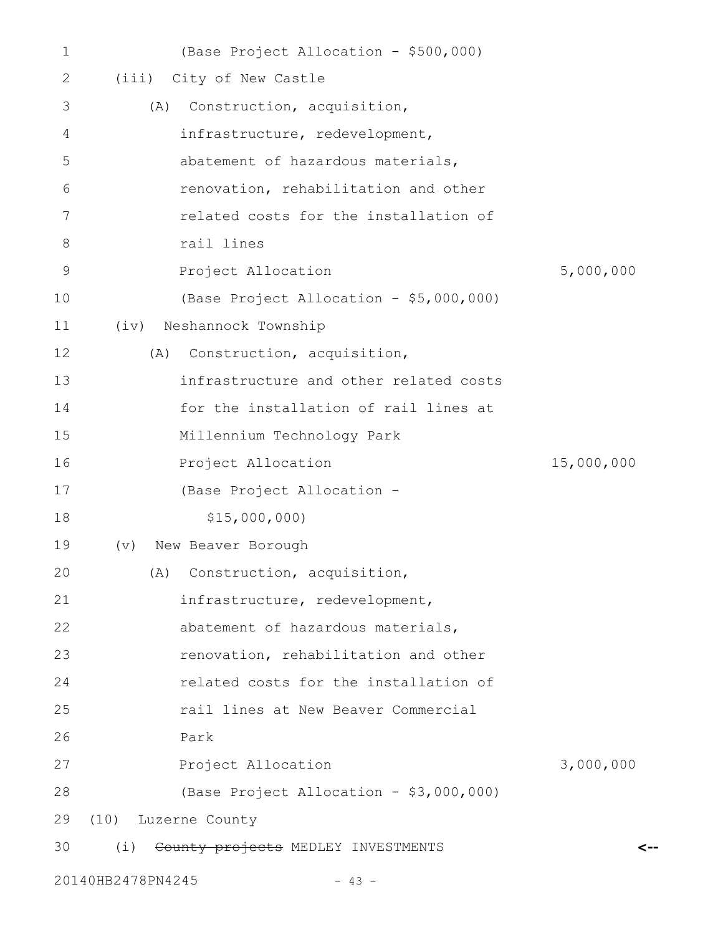| $\mathbf 1$ | (Base Project Allocation - \$500,000)   |            |
|-------------|-----------------------------------------|------------|
| 2           | City of New Castle<br>(iii)             |            |
| 3           | Construction, acquisition,<br>(A)       |            |
| 4           | infrastructure, redevelopment,          |            |
| 5           | abatement of hazardous materials,       |            |
| 6           | renovation, rehabilitation and other    |            |
| 7           | related costs for the installation of   |            |
| 8           | rail lines                              |            |
| 9           | Project Allocation                      | 5,000,000  |
| 10          | (Base Project Allocation - \$5,000,000) |            |
| 11          | Neshannock Township<br>(iv)             |            |
| 12          | Construction, acquisition,<br>(A)       |            |
| 13          | infrastructure and other related costs  |            |
| 14          | for the installation of rail lines at   |            |
| 15          | Millennium Technology Park              |            |
| 16          | Project Allocation                      | 15,000,000 |
| 17          | (Base Project Allocation -              |            |
| 18          | \$15,000,000                            |            |
| 19          | New Beaver Borough<br>$(\triangledown)$ |            |
| 20          | (A) Construction, acquisition,          |            |
| 21          | infrastructure, redevelopment,          |            |
| 22          | abatement of hazardous materials,       |            |
| 23          | renovation, rehabilitation and other    |            |
| 24          | related costs for the installation of   |            |
| 25          | rail lines at New Beaver Commercial     |            |
| 26          | Park                                    |            |
| 27          | Project Allocation                      | 3,000,000  |
| 28          | (Base Project Allocation - \$3,000,000) |            |
| 29          | (10) Luzerne County                     |            |
| 30          | (i) County projects MEDLEY INVESTMENTS  | <--        |
|             |                                         |            |

20140HB2478PN4245 - 43 -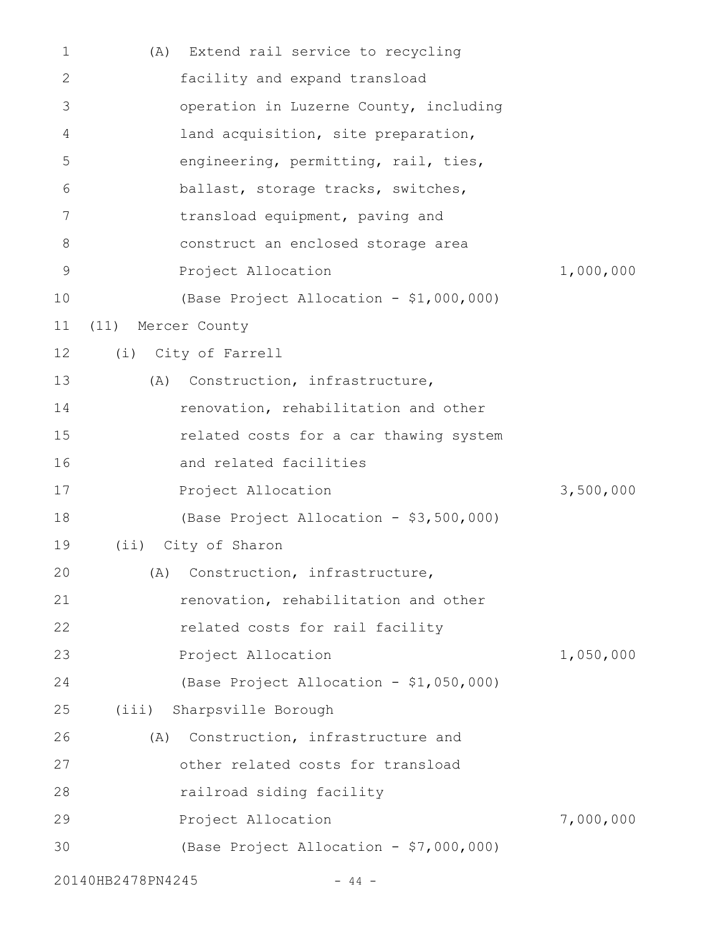| 1  | Extend rail service to recycling<br>(A) |         |           |
|----|-----------------------------------------|---------|-----------|
| 2  | facility and expand transload           |         |           |
| 3  | operation in Luzerne County, including  |         |           |
| 4  | land acquisition, site preparation,     |         |           |
| 5  | engineering, permitting, rail, ties,    |         |           |
| 6  | ballast, storage tracks, switches,      |         |           |
| 7  | transload equipment, paving and         |         |           |
| 8  | construct an enclosed storage area      |         |           |
| 9  | Project Allocation                      |         | 1,000,000 |
| 10 | (Base Project Allocation - \$1,000,000) |         |           |
| 11 | Mercer County<br>(11)                   |         |           |
| 12 | (i) City of Farrell                     |         |           |
| 13 | Construction, infrastructure,<br>(A)    |         |           |
| 14 | renovation, rehabilitation and other    |         |           |
| 15 | related costs for a car thawing system  |         |           |
| 16 | and related facilities                  |         |           |
| 17 | Project Allocation                      |         | 3,500,000 |
| 18 | (Base Project Allocation - \$3,500,000) |         |           |
| 19 | (ii) City of Sharon                     |         |           |
| 20 | (A) Construction, infrastructure,       |         |           |
| 21 | renovation, rehabilitation and other    |         |           |
| 22 | related costs for rail facility         |         |           |
| 23 | Project Allocation                      |         | 1,050,000 |
| 24 | (Base Project Allocation - \$1,050,000) |         |           |
| 25 | Sharpsville Borough<br>(iii)            |         |           |
| 26 | Construction, infrastructure and<br>(A) |         |           |
| 27 | other related costs for transload       |         |           |
| 28 | railroad siding facility                |         |           |
| 29 | Project Allocation                      |         | 7,000,000 |
| 30 | (Base Project Allocation - \$7,000,000) |         |           |
|    | 20140HB2478PN4245                       | $-44 -$ |           |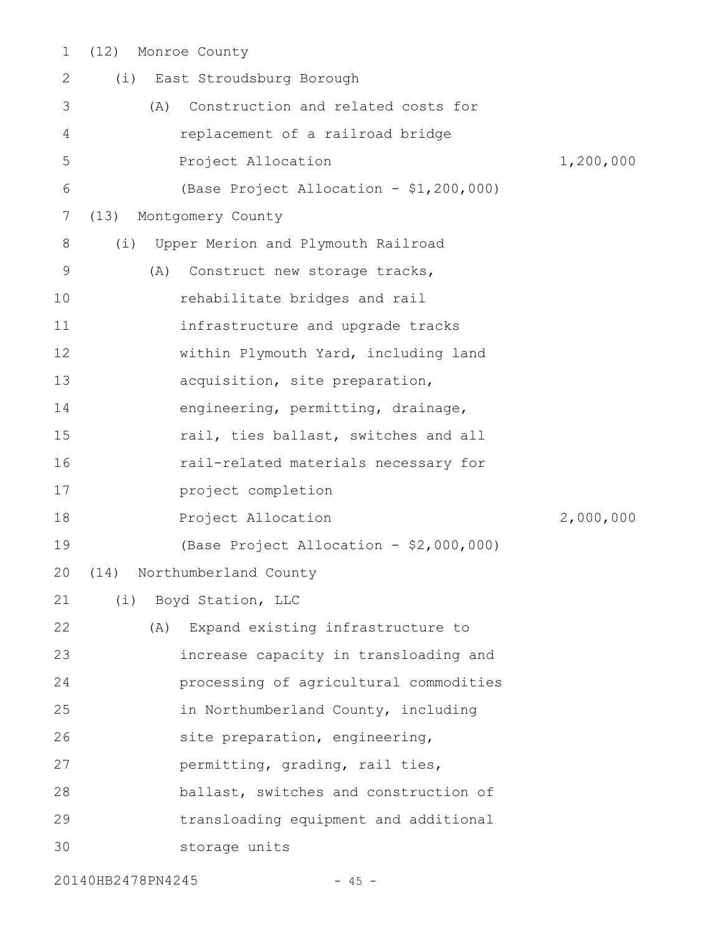| $\mathbf 1$   | (12) Monroe County |                                         |           |
|---------------|--------------------|-----------------------------------------|-----------|
| 2             |                    | (i) East Stroudsburg Borough            |           |
| 3             | (A)                | Construction and related costs for      |           |
| 4             |                    | replacement of a railroad bridge        |           |
| 5             |                    | Project Allocation                      | 1,200,000 |
| 6             |                    | (Base Project Allocation - \$1,200,000) |           |
| 7             | (13)               | Montgomery County                       |           |
| 8             | (i)                | Upper Merion and Plymouth Railroad      |           |
| $\mathcal{G}$ | (A)                | Construct new storage tracks,           |           |
| 10            |                    | rehabilitate bridges and rail           |           |
| 11            |                    | infrastructure and upgrade tracks       |           |
| 12            |                    | within Plymouth Yard, including land    |           |
| 13            |                    | acquisition, site preparation,          |           |
| 14            |                    | engineering, permitting, drainage,      |           |
| 15            |                    | rail, ties ballast, switches and all    |           |
| 16            |                    | rail-related materials necessary for    |           |
| 17            |                    | project completion                      |           |
| 18            |                    | Project Allocation                      | 2,000,000 |
| 19            |                    | (Base Project Allocation - \$2,000,000) |           |
|               |                    | 20 (14) Northumberland County           |           |
| 21            |                    | (i) Boyd Station, LLC                   |           |
| 22            | (A)                | Expand existing infrastructure to       |           |
| 23            |                    | increase capacity in transloading and   |           |
| 24            |                    | processing of agricultural commodities  |           |
| 25            |                    | in Northumberland County, including     |           |
| 26            |                    | site preparation, engineering,          |           |
| 27            |                    | permitting, grading, rail ties,         |           |
| 28            |                    | ballast, switches and construction of   |           |
| 29            |                    | transloading equipment and additional   |           |
| 30            |                    | storage units                           |           |
|               |                    |                                         |           |

20140HB2478PN4245 - 45 -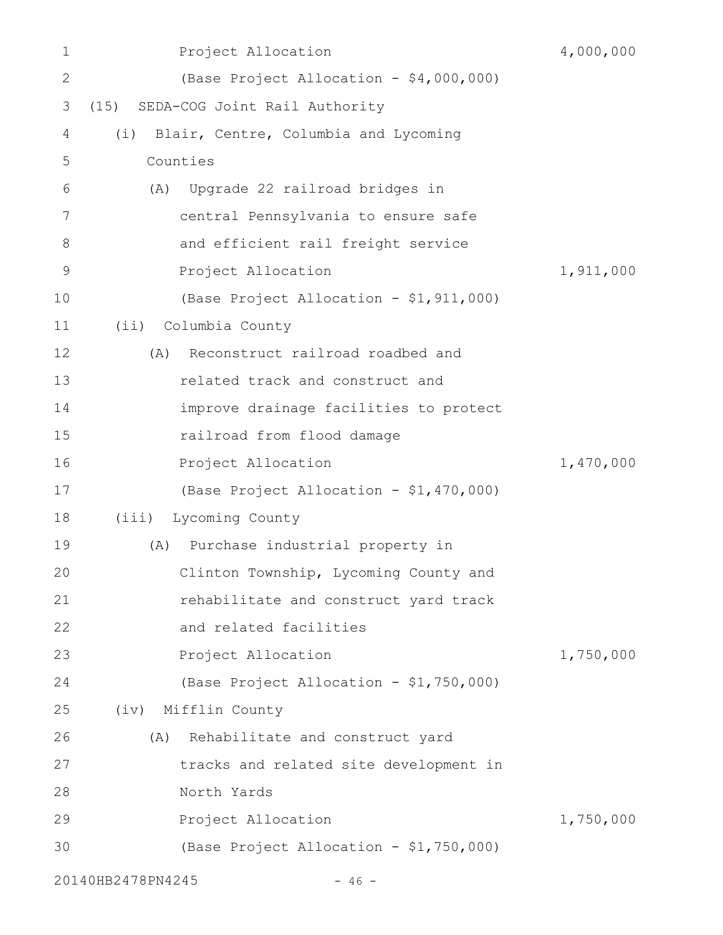| 1            | Project Allocation                          | 4,000,000 |
|--------------|---------------------------------------------|-----------|
| $\mathbf{2}$ | (Base Project Allocation - \$4,000,000)     |           |
| 3            | (15)<br>SEDA-COG Joint Rail Authority       |           |
| 4            | Blair, Centre, Columbia and Lycoming<br>(i) |           |
| 5            | Counties                                    |           |
| 6            | Upgrade 22 railroad bridges in<br>(A)       |           |
| 7            | central Pennsylvania to ensure safe         |           |
| 8            | and efficient rail freight service          |           |
| 9            | Project Allocation                          | 1,911,000 |
| 10           | (Base Project Allocation - \$1,911,000)     |           |
| 11           | (i <sub>i</sub> )<br>Columbia County        |           |
| 12           | Reconstruct railroad roadbed and<br>(A)     |           |
| 13           | related track and construct and             |           |
| 14           | improve drainage facilities to protect      |           |
| 15           | railroad from flood damage                  |           |
| 16           | Project Allocation                          | 1,470,000 |
| 17           | (Base Project Allocation - \$1,470,000)     |           |
| 18           | Lycoming County<br>(iii)                    |           |
| 19           | Purchase industrial property in<br>(A)      |           |
| 20           | Clinton Township, Lycoming County and       |           |
| 21           | rehabilitate and construct yard track       |           |
| 22           | and related facilities                      |           |
| 23           | Project Allocation                          | 1,750,000 |
| 24           | (Base Project Allocation - \$1,750,000)     |           |
| 25           | (iv) Mifflin County                         |           |
| 26           | Rehabilitate and construct yard<br>(A)      |           |
| 27           | tracks and related site development in      |           |
| 28           | North Yards                                 |           |
| 29           | Project Allocation                          | 1,750,000 |
| 30           | (Base Project Allocation - \$1,750,000)     |           |
|              | 20140HB2478PN4245<br>$-46 -$                |           |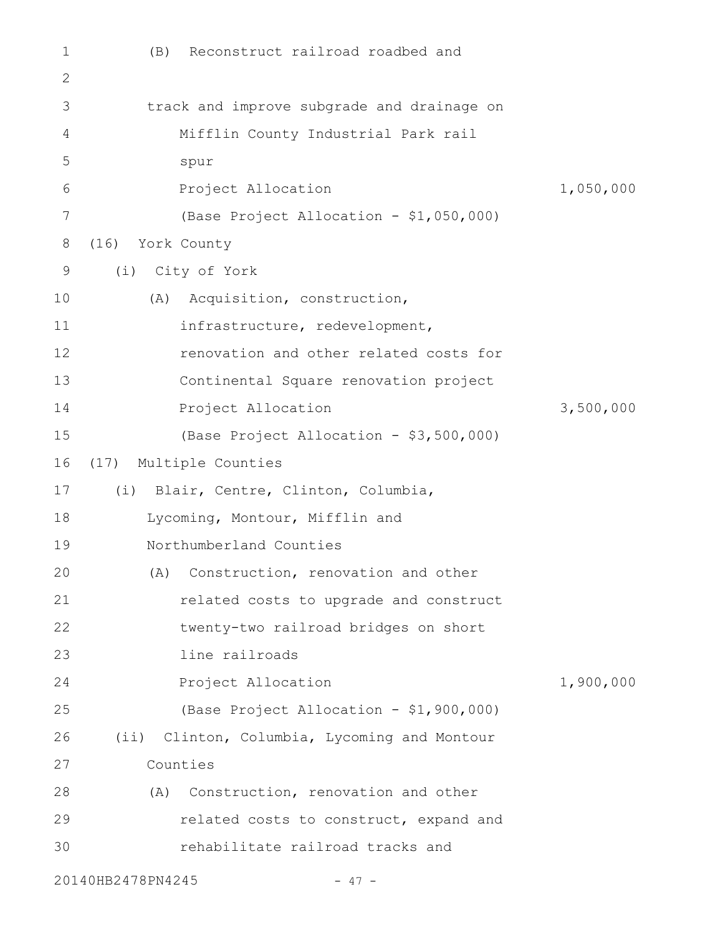| $\mathbf 1$ | Reconstruct railroad roadbed and<br>(B)      |           |
|-------------|----------------------------------------------|-----------|
| 2           |                                              |           |
| 3           | track and improve subgrade and drainage on   |           |
| 4           | Mifflin County Industrial Park rail          |           |
| 5           | spur                                         |           |
| 6           | Project Allocation                           | 1,050,000 |
| 7           | (Base Project Allocation - \$1,050,000)      |           |
| 8           | (16)<br>York County                          |           |
| 9           | (i)<br>City of York                          |           |
| 10          | (A) Acquisition, construction,               |           |
| 11          | infrastructure, redevelopment,               |           |
| 12          | renovation and other related costs for       |           |
| 13          | Continental Square renovation project        |           |
| 14          | Project Allocation                           | 3,500,000 |
| 15          | (Base Project Allocation - \$3,500,000)      |           |
| 16          | Multiple Counties<br>(17)                    |           |
| 17          | (i) Blair, Centre, Clinton, Columbia,        |           |
| 18          | Lycoming, Montour, Mifflin and               |           |
| 19          | Northumberland Counties                      |           |
| 20          | (A) Construction, renovation and other       |           |
| 21          | related costs to upgrade and construct       |           |
| 22          | twenty-two railroad bridges on short         |           |
| 23          | line railroads                               |           |
| 24          | Project Allocation                           | 1,900,000 |
| 25          | (Base Project Allocation - \$1,900,000)      |           |
| 26          | (ii) Clinton, Columbia, Lycoming and Montour |           |
| 27          | Counties                                     |           |
| 28          | Construction, renovation and other<br>(A)    |           |
| 29          | related costs to construct, expand and       |           |
| 30          | rehabilitate railroad tracks and             |           |
|             | 20140HB2478PN4245<br>$-47 -$                 |           |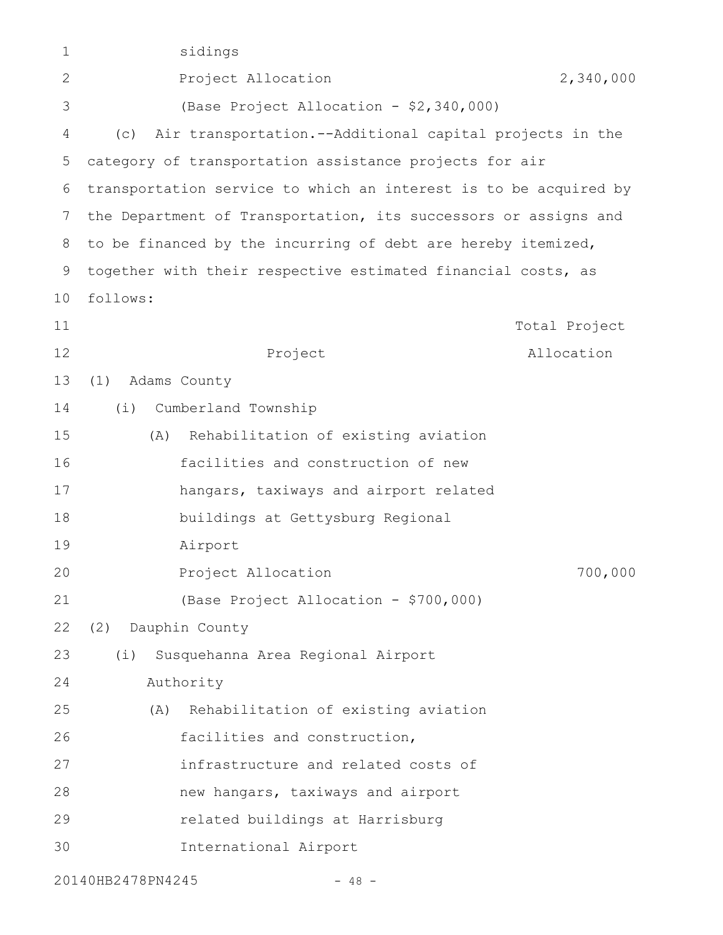| 1            | sidings                                                          |               |
|--------------|------------------------------------------------------------------|---------------|
| $\mathbf{2}$ | Project Allocation                                               | 2,340,000     |
| 3            | (Base Project Allocation - \$2,340,000)                          |               |
| 4            | Air transportation.--Additional capital projects in the<br>(C)   |               |
| 5            | category of transportation assistance projects for air           |               |
| 6            | transportation service to which an interest is to be acquired by |               |
| 7            | the Department of Transportation, its successors or assigns and  |               |
| 8            | to be financed by the incurring of debt are hereby itemized,     |               |
| 9            | together with their respective estimated financial costs, as     |               |
| 10           | follows:                                                         |               |
| 11           |                                                                  | Total Project |
| 12           | Project                                                          | Allocation    |
| 13           | (1)<br>Adams County                                              |               |
| 14           | Cumberland Township<br>(i)                                       |               |
| 15           | Rehabilitation of existing aviation<br>(A)                       |               |
| 16           | facilities and construction of new                               |               |
| 17           | hangars, taxiways and airport related                            |               |
| 18           | buildings at Gettysburg Regional                                 |               |
| 19           | Airport                                                          |               |
| 20           | Project Allocation                                               | 700,000       |
| 21           | (Base Project Allocation - \$700,000)                            |               |
| 22           | Dauphin County<br>(2)                                            |               |
| 23           | Susquehanna Area Regional Airport<br>(i)                         |               |
| 24           | Authority                                                        |               |
| 25           | Rehabilitation of existing aviation<br>(A)                       |               |
| 26           | facilities and construction,                                     |               |
| 27           | infrastructure and related costs of                              |               |
| 28           | new hangars, taxiways and airport                                |               |
| 29           | related buildings at Harrisburg                                  |               |
| 30           | International Airport                                            |               |
|              | 20140HB2478PN4245<br>$-48 -$                                     |               |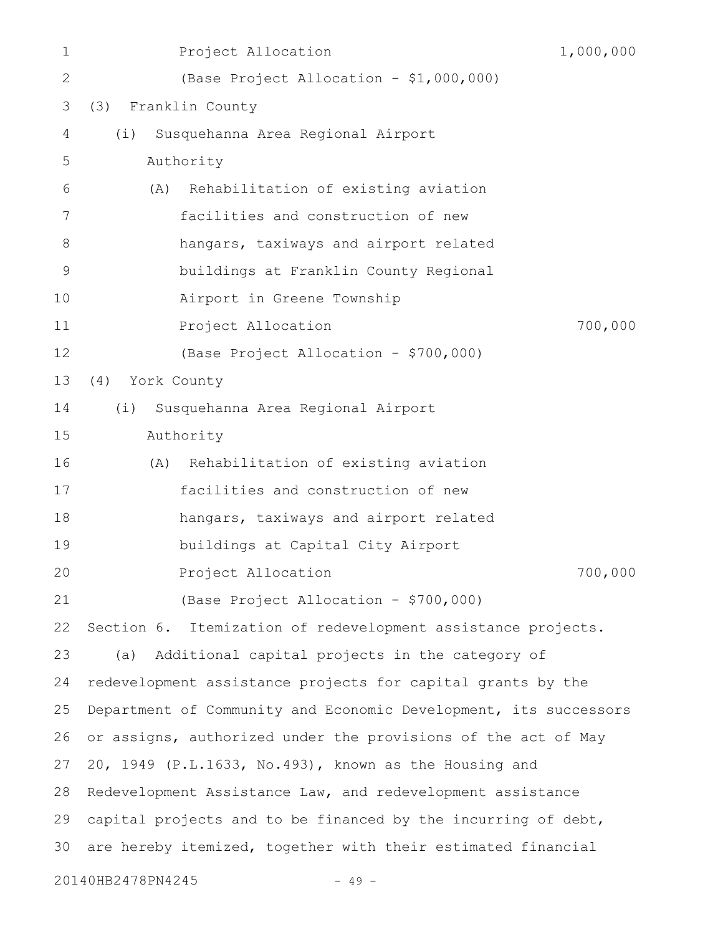| 1            |                    | Project Allocation                                               | 1,000,000 |
|--------------|--------------------|------------------------------------------------------------------|-----------|
| $\mathbf{2}$ |                    | (Base Project Allocation - \$1,000,000)                          |           |
| 3            | (3)                | Franklin County                                                  |           |
| 4            | (i)                | Susquehanna Area Regional Airport                                |           |
| 5            | Authority          |                                                                  |           |
| 6            | (A)                | Rehabilitation of existing aviation                              |           |
| 7            |                    | facilities and construction of new                               |           |
| 8            |                    | hangars, taxiways and airport related                            |           |
| 9            |                    | buildings at Franklin County Regional                            |           |
| 10           |                    | Airport in Greene Township                                       |           |
| 11           |                    | Project Allocation                                               | 700,000   |
| 12           |                    | (Base Project Allocation - \$700,000)                            |           |
| 13           | York County<br>(4) |                                                                  |           |
| 14           | (i)                | Susquehanna Area Regional Airport                                |           |
| 15           | Authority          |                                                                  |           |
| 16           | (A)                | Rehabilitation of existing aviation                              |           |
| 17           |                    | facilities and construction of new                               |           |
| 18           |                    | hangars, taxiways and airport related                            |           |
| 19           |                    | buildings at Capital City Airport                                |           |
| 20           |                    | Project Allocation                                               | 700,000   |
| 21           |                    | (Base Project Allocation - \$700,000)                            |           |
| 22           |                    | Section 6. Itemization of redevelopment assistance projects.     |           |
| 23           | (a)                | Additional capital projects in the category of                   |           |
| 24           |                    | redevelopment assistance projects for capital grants by the      |           |
| 25           |                    | Department of Community and Economic Development, its successors |           |
| 26           |                    | or assigns, authorized under the provisions of the act of May    |           |
| 27           |                    | 20, 1949 (P.L.1633, No.493), known as the Housing and            |           |
| 28           |                    | Redevelopment Assistance Law, and redevelopment assistance       |           |
| 29           |                    | capital projects and to be financed by the incurring of debt,    |           |
| 30           |                    | are hereby itemized, together with their estimated financial     |           |
|              | 20140HB2478PN4245  | $-49 -$                                                          |           |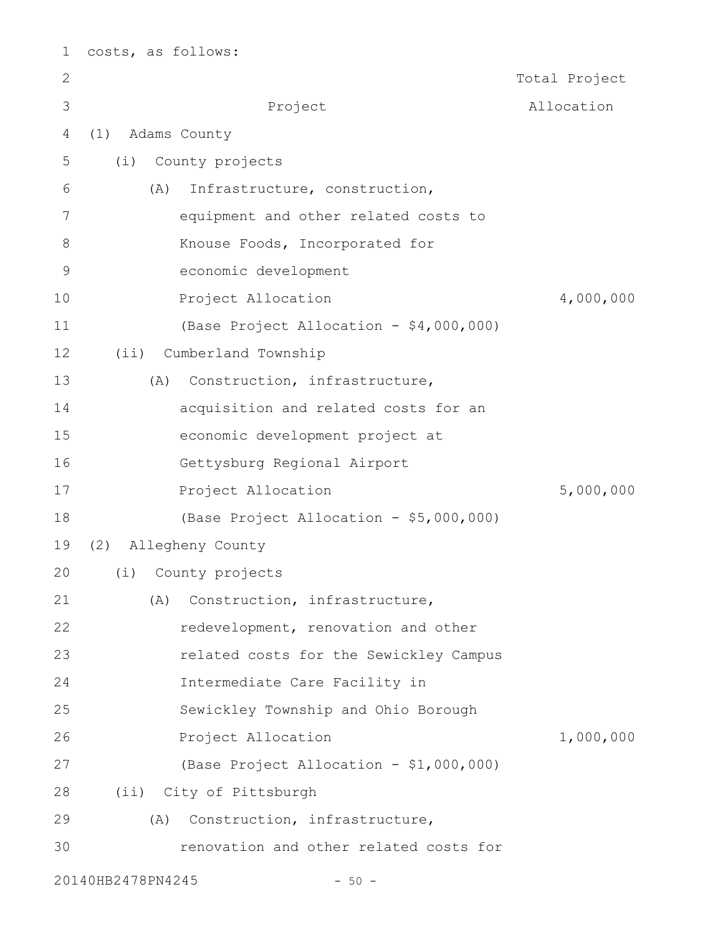| $\mathbf 1$    | costs, as follows:                      |               |
|----------------|-----------------------------------------|---------------|
| 2              |                                         | Total Project |
| 3              | Project                                 | Allocation    |
| 4              | Adams County<br>(1)                     |               |
| 5              | County projects<br>(i)                  |               |
| 6              | Infrastructure, construction,<br>(A)    |               |
| $\overline{7}$ | equipment and other related costs to    |               |
| 8              | Knouse Foods, Incorporated for          |               |
| $\mathsf 9$    | economic development                    |               |
| 10             | Project Allocation                      | 4,000,000     |
| 11             | (Base Project Allocation - \$4,000,000) |               |
| 12             | (iii)<br>Cumberland Township            |               |
| 13             | Construction, infrastructure,<br>(A)    |               |
| 14             | acquisition and related costs for an    |               |
| 15             | economic development project at         |               |
| 16             | Gettysburg Regional Airport             |               |
| 17             | Project Allocation                      | 5,000,000     |
| 18             | (Base Project Allocation - \$5,000,000) |               |
| 19             | (2)<br>Allegheny County                 |               |
| 20             | (i) County projects                     |               |
| 21             | Construction, infrastructure,<br>(A)    |               |
| 22             | redevelopment, renovation and other     |               |
| 23             | related costs for the Sewickley Campus  |               |
| 24             | Intermediate Care Facility in           |               |
| 25             | Sewickley Township and Ohio Borough     |               |
| 26             | Project Allocation                      | 1,000,000     |
| 27             | (Base Project Allocation - \$1,000,000) |               |
| 28             | (ii) City of Pittsburgh                 |               |
| 29             | Construction, infrastructure,<br>(A)    |               |
| 30             | renovation and other related costs for  |               |
|                | 20140HB2478PN4245<br>$-50 -$            |               |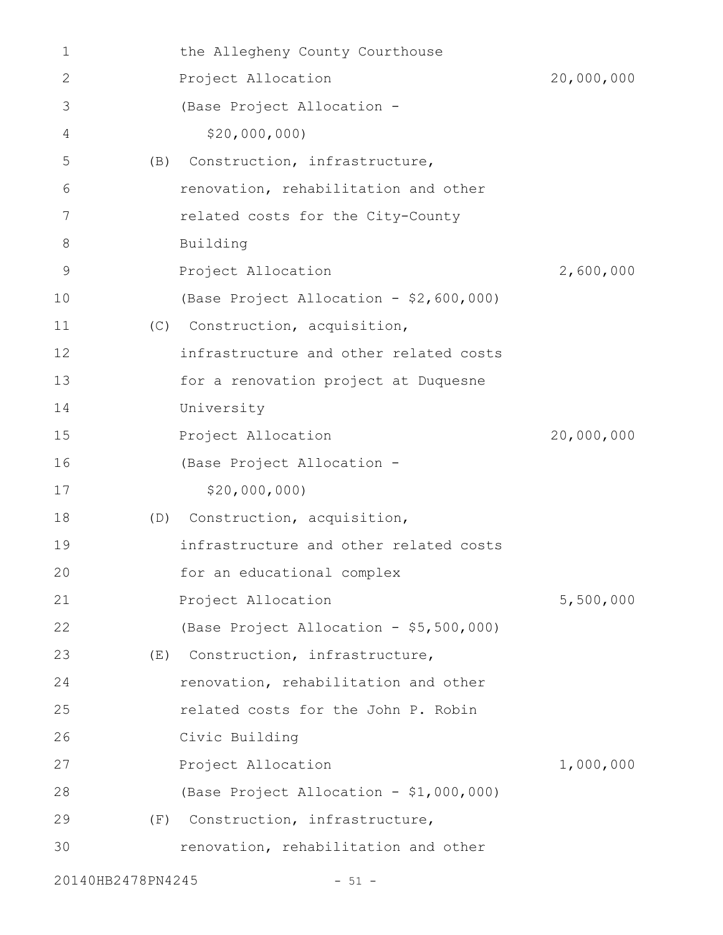| 1                 |     | the Allegheny County Courthouse         |            |
|-------------------|-----|-----------------------------------------|------------|
| $\mathbf{2}$      |     | Project Allocation                      | 20,000,000 |
| 3                 |     | (Base Project Allocation -              |            |
| 4                 |     | \$20,000,000                            |            |
| 5                 | (B) | Construction, infrastructure,           |            |
| 6                 |     | renovation, rehabilitation and other    |            |
| 7                 |     | related costs for the City-County       |            |
| 8                 |     | Building                                |            |
| 9                 |     | Project Allocation                      | 2,600,000  |
| 10                |     | (Base Project Allocation - \$2,600,000) |            |
| 11                | (C) | Construction, acquisition,              |            |
| 12                |     | infrastructure and other related costs  |            |
| 13                |     | for a renovation project at Duquesne    |            |
| 14                |     | University                              |            |
| 15                |     | Project Allocation                      | 20,000,000 |
| 16                |     | (Base Project Allocation -              |            |
| 17                |     | \$20,000,000                            |            |
| 18                | (D) | Construction, acquisition,              |            |
| 19                |     | infrastructure and other related costs  |            |
| 20                |     | for an educational complex              |            |
| 21                |     | Project Allocation                      | 5,500,000  |
| 22                |     | (Base Project Allocation - \$5,500,000) |            |
| 23                |     | (E) Construction, infrastructure,       |            |
| 24                |     | renovation, rehabilitation and other    |            |
| 25                |     | related costs for the John P. Robin     |            |
| 26                |     | Civic Building                          |            |
| 27                |     | Project Allocation                      | 1,000,000  |
| 28                |     | (Base Project Allocation - \$1,000,000) |            |
| 29                | (F) | Construction, infrastructure,           |            |
| 30                |     | renovation, rehabilitation and other    |            |
| 20140HB2478PN4245 |     | $-51 -$                                 |            |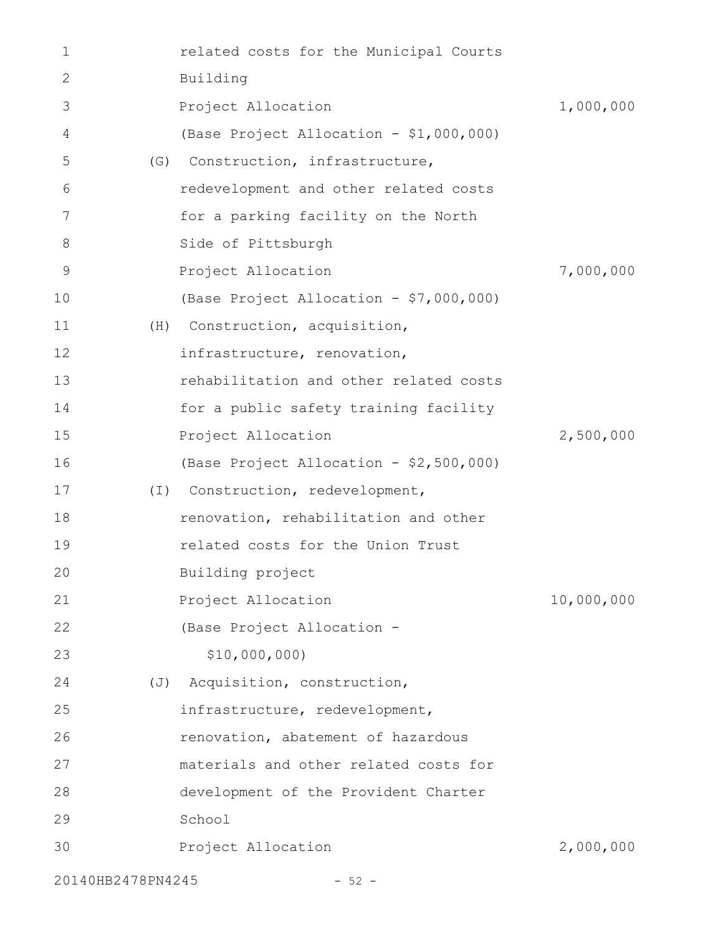| 1                 |          | related costs for the Municipal Courts  |            |
|-------------------|----------|-----------------------------------------|------------|
| 2                 |          | Building                                |            |
| 3                 |          | Project Allocation                      | 1,000,000  |
| 4                 |          | (Base Project Allocation - \$1,000,000) |            |
| 5                 | (G)      | Construction, infrastructure,           |            |
| 6                 |          | redevelopment and other related costs   |            |
| 7                 |          | for a parking facility on the North     |            |
| 8                 |          | Side of Pittsburgh                      |            |
| 9                 |          | Project Allocation                      | 7,000,000  |
| 10                |          | (Base Project Allocation - \$7,000,000) |            |
| 11                | (H)      | Construction, acquisition,              |            |
| 12                |          | infrastructure, renovation,             |            |
| 13                |          | rehabilitation and other related costs  |            |
| 14                |          | for a public safety training facility   |            |
| 15                |          | Project Allocation                      | 2,500,000  |
| 16                |          | (Base Project Allocation - \$2,500,000) |            |
| 17                | $(\top)$ | Construction, redevelopment,            |            |
| 18                |          | renovation, rehabilitation and other    |            |
| 19                |          | related costs for the Union Trust       |            |
| 20                |          | Building project                        |            |
| 21                |          | Project Allocation                      | 10,000,000 |
| 22                |          | (Base Project Allocation -              |            |
| 23                |          | \$10,000,000)                           |            |
| 24                |          | (J) Acquisition, construction,          |            |
| 25                |          | infrastructure, redevelopment,          |            |
| 26                |          | renovation, abatement of hazardous      |            |
| 27                |          | materials and other related costs for   |            |
| 28                |          | development of the Provident Charter    |            |
| 29                |          | School                                  |            |
| 30                |          | Project Allocation                      | 2,000,000  |
| 20140HB2478PN4245 |          | $-52 -$                                 |            |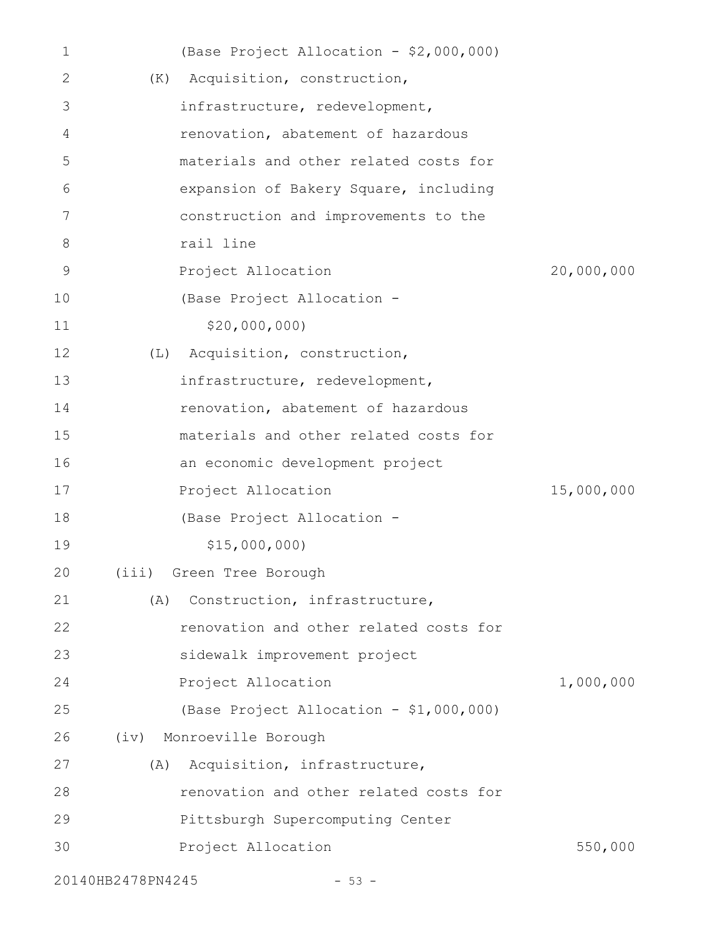| 1  | (Base Project Allocation - \$2,000,000) |            |
|----|-----------------------------------------|------------|
| 2  | Acquisition, construction,<br>(K)       |            |
| 3  | infrastructure, redevelopment,          |            |
| 4  | renovation, abatement of hazardous      |            |
| 5  | materials and other related costs for   |            |
| 6  | expansion of Bakery Square, including   |            |
| 7  | construction and improvements to the    |            |
| 8  | rail line                               |            |
| 9  | Project Allocation                      | 20,000,000 |
| 10 | (Base Project Allocation -              |            |
| 11 | \$20,000,000                            |            |
| 12 | (L) Acquisition, construction,          |            |
| 13 | infrastructure, redevelopment,          |            |
| 14 | renovation, abatement of hazardous      |            |
| 15 | materials and other related costs for   |            |
| 16 | an economic development project         |            |
| 17 | Project Allocation                      | 15,000,000 |
| 18 | (Base Project Allocation -              |            |
| 19 | \$15,000,000                            |            |
| 20 | (iii) Green Tree Borough                |            |
| 21 | Construction, infrastructure,<br>(A)    |            |
| 22 | renovation and other related costs for  |            |
| 23 | sidewalk improvement project            |            |
| 24 | Project Allocation                      | 1,000,000  |
| 25 | (Base Project Allocation - \$1,000,000) |            |
| 26 | (iv)<br>Monroeville Borough             |            |
| 27 | Acquisition, infrastructure,<br>(A)     |            |
| 28 | renovation and other related costs for  |            |
| 29 | Pittsburgh Supercomputing Center        |            |
| 30 | Project Allocation                      | 550,000    |
|    | 20140HB2478PN4245<br>$-53 -$            |            |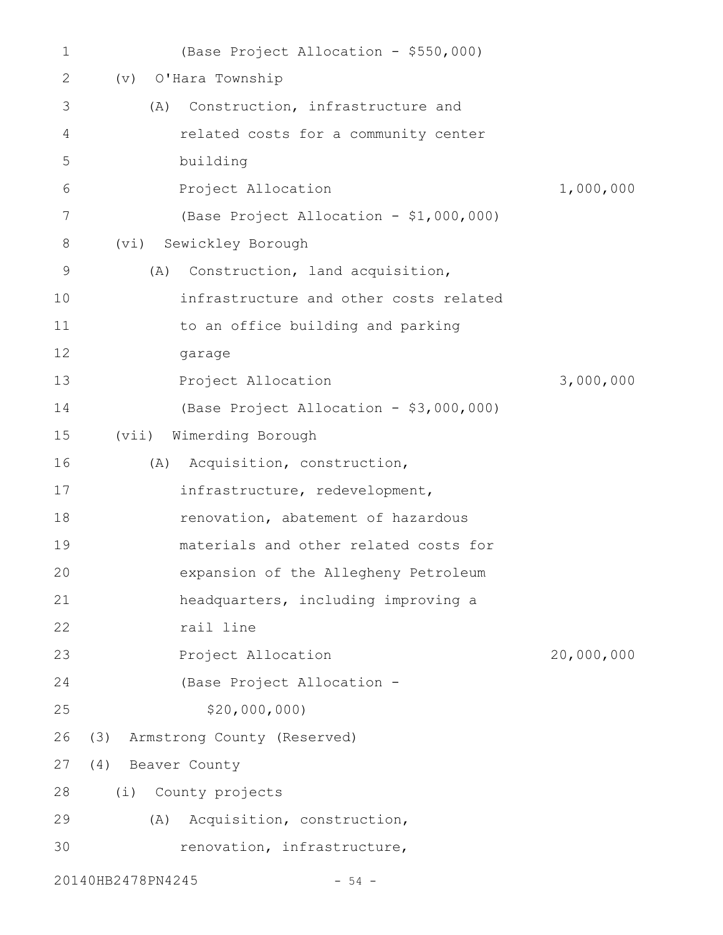| 1  |                      | (Base Project Allocation - \$550,000)   |            |
|----|----------------------|-----------------------------------------|------------|
| 2  | (v)                  | O'Hara Township                         |            |
| 3  | (A)                  | Construction, infrastructure and        |            |
| 4  |                      | related costs for a community center    |            |
| 5  |                      | building                                |            |
| 6  |                      | Project Allocation                      | 1,000,000  |
| 7  |                      | (Base Project Allocation - \$1,000,000) |            |
| 8  | (vi)                 | Sewickley Borough                       |            |
| 9  | (A)                  | Construction, land acquisition,         |            |
| 10 |                      | infrastructure and other costs related  |            |
| 11 |                      | to an office building and parking       |            |
| 12 | garage               |                                         |            |
| 13 |                      | Project Allocation                      | 3,000,000  |
| 14 |                      | (Base Project Allocation - \$3,000,000) |            |
| 15 | (vii)                | Wimerding Borough                       |            |
| 16 | (A)                  | Acquisition, construction,              |            |
| 17 |                      | infrastructure, redevelopment,          |            |
| 18 |                      | renovation, abatement of hazardous      |            |
| 19 |                      | materials and other related costs for   |            |
| 20 |                      | expansion of the Allegheny Petroleum    |            |
| 21 |                      | headquarters, including improving a     |            |
| 22 |                      | rail line                               |            |
| 23 |                      | Project Allocation                      | 20,000,000 |
| 24 |                      | (Base Project Allocation -              |            |
| 25 |                      | \$20,000,000)                           |            |
| 26 | (3)                  | Armstrong County (Reserved)             |            |
| 27 | Beaver County<br>(4) |                                         |            |
| 28 | (i) County projects  |                                         |            |
| 29 | (A)                  | Acquisition, construction,              |            |
| 30 |                      | renovation, infrastructure,             |            |
|    | 20140HB2478PN4245    | $-54 -$                                 |            |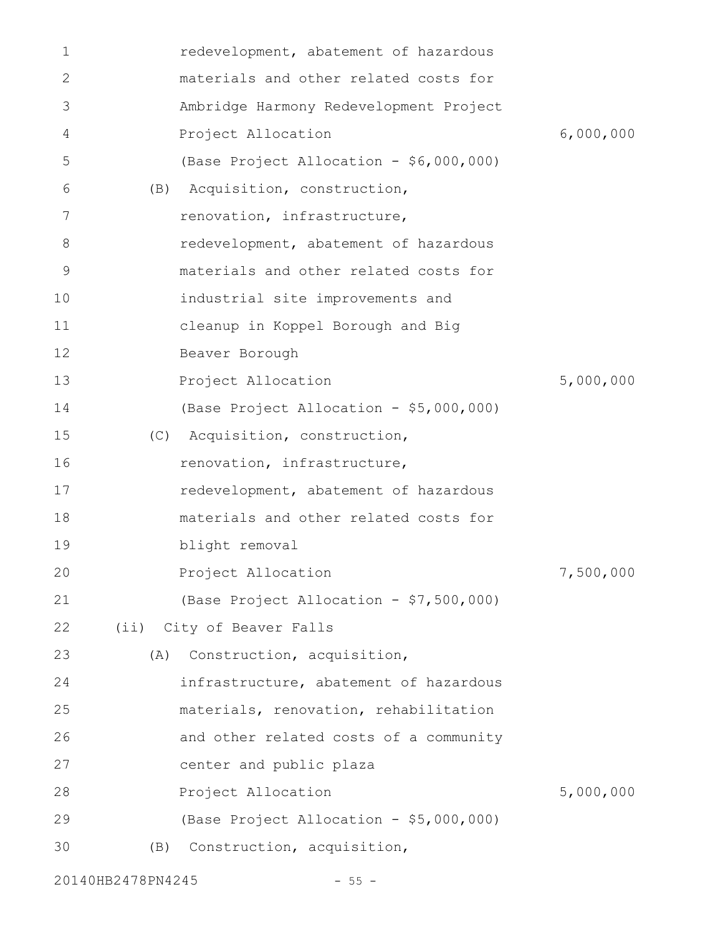| $\mathbf{1}$      |     | redevelopment, abatement of hazardous   |           |
|-------------------|-----|-----------------------------------------|-----------|
| 2                 |     | materials and other related costs for   |           |
| 3                 |     | Ambridge Harmony Redevelopment Project  |           |
| $\overline{4}$    |     | Project Allocation                      | 6,000,000 |
| 5                 |     | (Base Project Allocation - \$6,000,000) |           |
| 6                 |     | (B) Acquisition, construction,          |           |
| 7                 |     | renovation, infrastructure,             |           |
| 8                 |     | redevelopment, abatement of hazardous   |           |
| 9                 |     | materials and other related costs for   |           |
| 10                |     | industrial site improvements and        |           |
| 11                |     | cleanup in Koppel Borough and Big       |           |
| 12                |     | Beaver Borough                          |           |
| 13                |     | Project Allocation                      | 5,000,000 |
| 14                |     | (Base Project Allocation - \$5,000,000) |           |
| 15                |     | (C) Acquisition, construction,          |           |
| 16                |     | renovation, infrastructure,             |           |
| 17                |     | redevelopment, abatement of hazardous   |           |
| 18                |     | materials and other related costs for   |           |
| 19                |     | blight removal                          |           |
| 20                |     | Project Allocation                      | 7,500,000 |
| 21                |     | (Base Project Allocation - \$7,500,000) |           |
| 22                |     | (ii) City of Beaver Falls               |           |
| 23                | (A) | Construction, acquisition,              |           |
| 24                |     | infrastructure, abatement of hazardous  |           |
| 25                |     | materials, renovation, rehabilitation   |           |
| 26                |     | and other related costs of a community  |           |
| 27                |     | center and public plaza                 |           |
| 28                |     | Project Allocation                      | 5,000,000 |
| 29                |     | (Base Project Allocation - \$5,000,000) |           |
| 30                | (B) | Construction, acquisition,              |           |
| 20140HB2478PN4245 |     | $-55 -$                                 |           |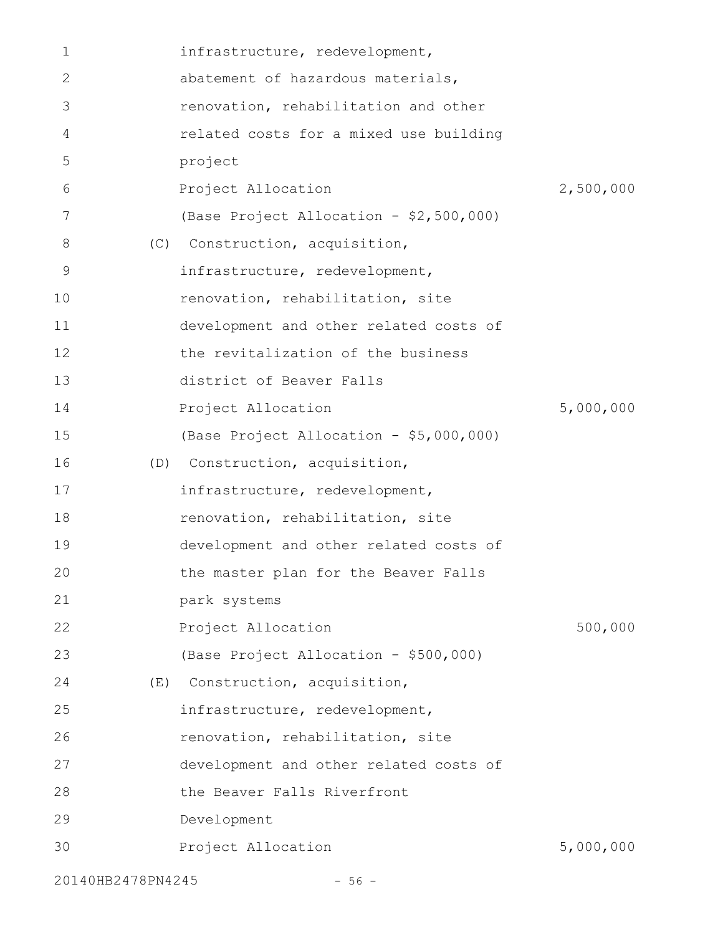| 1  |     | infrastructure, redevelopment,          |           |
|----|-----|-----------------------------------------|-----------|
| 2  |     | abatement of hazardous materials,       |           |
| 3  |     | renovation, rehabilitation and other    |           |
| 4  |     | related costs for a mixed use building  |           |
| 5  |     | project                                 |           |
| 6  |     | Project Allocation                      | 2,500,000 |
| 7  |     | (Base Project Allocation - \$2,500,000) |           |
| 8  | (C) | Construction, acquisition,              |           |
| 9  |     | infrastructure, redevelopment,          |           |
| 10 |     | renovation, rehabilitation, site        |           |
| 11 |     | development and other related costs of  |           |
| 12 |     | the revitalization of the business      |           |
| 13 |     | district of Beaver Falls                |           |
| 14 |     | Project Allocation                      | 5,000,000 |
| 15 |     | (Base Project Allocation - \$5,000,000) |           |
| 16 |     | (D) Construction, acquisition,          |           |
| 17 |     | infrastructure, redevelopment,          |           |
| 18 |     | renovation, rehabilitation, site        |           |
| 19 |     | development and other related costs of  |           |
| 20 |     | the master plan for the Beaver Falls    |           |
| 21 |     | park systems                            |           |
| 22 |     | Project Allocation                      | 500,000   |
| 23 |     | (Base Project Allocation - \$500,000)   |           |
| 24 | (E) | Construction, acquisition,              |           |
| 25 |     | infrastructure, redevelopment,          |           |
| 26 |     | renovation, rehabilitation, site        |           |
| 27 |     | development and other related costs of  |           |
| 28 |     | the Beaver Falls Riverfront             |           |
| 29 |     | Development                             |           |
| 30 |     | Project Allocation                      | 5,000,000 |
|    |     |                                         |           |

20140HB2478PN4245 - 56 -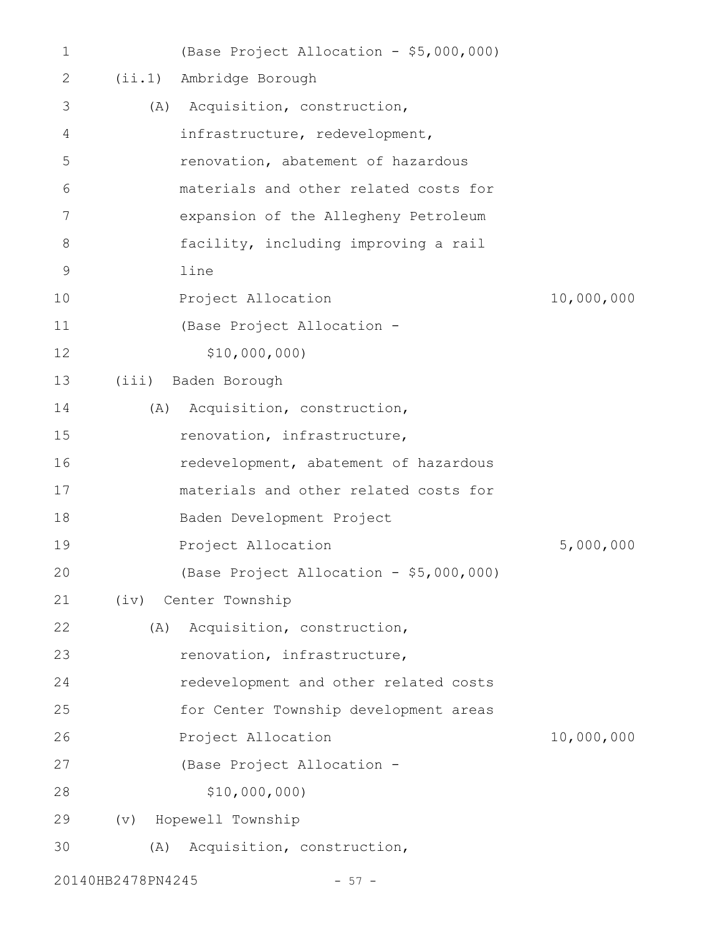| 1           |                   | (Base Project Allocation - \$5,000,000) |            |
|-------------|-------------------|-----------------------------------------|------------|
| 2           | (i.i.1)           | Ambridge Borough                        |            |
| 3           | (A)               | Acquisition, construction,              |            |
| 4           |                   | infrastructure, redevelopment,          |            |
| 5           |                   | renovation, abatement of hazardous      |            |
| 6           |                   | materials and other related costs for   |            |
| 7           |                   | expansion of the Allegheny Petroleum    |            |
| 8           |                   | facility, including improving a rail    |            |
| $\mathsf 9$ |                   | line                                    |            |
| 10          |                   | Project Allocation                      | 10,000,000 |
| 11          |                   | (Base Project Allocation -              |            |
| 12          |                   | \$10,000,000                            |            |
| 13          | (iii)             | Baden Borough                           |            |
| 14          | (A)               | Acquisition, construction,              |            |
| 15          |                   | renovation, infrastructure,             |            |
| 16          |                   | redevelopment, abatement of hazardous   |            |
| 17          |                   | materials and other related costs for   |            |
| 18          |                   | Baden Development Project               |            |
| 19          |                   | Project Allocation                      | 5,000,000  |
| 20          |                   | (Base Project Allocation - \$5,000,000) |            |
| 21          | (iv)              | Center Township                         |            |
| 22          | (A)               | Acquisition, construction,              |            |
| 23          |                   | renovation, infrastructure,             |            |
| 24          |                   | redevelopment and other related costs   |            |
| 25          |                   | for Center Township development areas   |            |
| 26          |                   | Project Allocation                      | 10,000,000 |
| 27          |                   | (Base Project Allocation -              |            |
| 28          |                   | \$10,000,000                            |            |
| 29          | $(\triangledown)$ | Hopewell Township                       |            |
| 30          |                   | (A) Acquisition, construction,          |            |
|             | 20140HB2478PN4245 | $-57 -$                                 |            |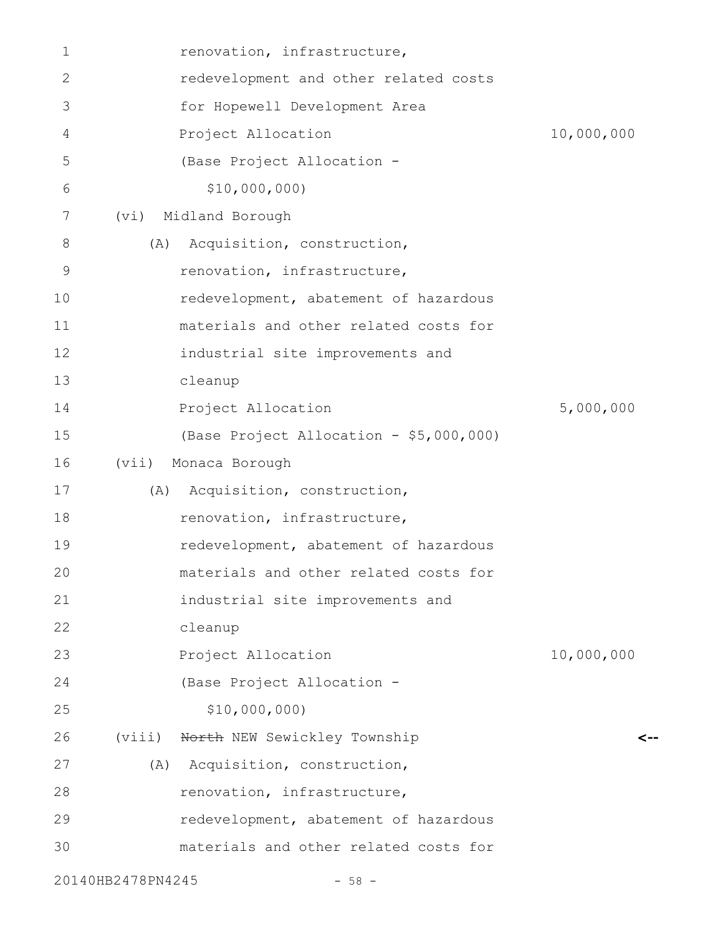| 1              |                   | renovation, infrastructure,             |            |
|----------------|-------------------|-----------------------------------------|------------|
| 2              |                   | redevelopment and other related costs   |            |
| 3              |                   | for Hopewell Development Area           |            |
| 4              |                   | Project Allocation                      | 10,000,000 |
| 5              |                   | (Base Project Allocation -              |            |
| 6              |                   | \$10,000,000)                           |            |
| $\overline{7}$ | (vi)              | Midland Borough                         |            |
| 8              | (A)               | Acquisition, construction,              |            |
| 9              |                   | renovation, infrastructure,             |            |
| 10             |                   | redevelopment, abatement of hazardous   |            |
| 11             |                   | materials and other related costs for   |            |
| 12             |                   | industrial site improvements and        |            |
| 13             |                   | cleanup                                 |            |
| 14             |                   | Project Allocation                      | 5,000,000  |
| 15             |                   | (Base Project Allocation - \$5,000,000) |            |
| 16             | (vii)             | Monaca Borough                          |            |
| 17             | (A)               | Acquisition, construction,              |            |
| 18             |                   | renovation, infrastructure,             |            |
| 19             |                   | redevelopment, abatement of hazardous   |            |
| 20             |                   | materials and other related costs for   |            |
| 21             |                   | industrial site improvements and        |            |
| 22             |                   | cleanup                                 |            |
| 23             |                   | Project Allocation                      | 10,000,000 |
| 24             |                   | (Base Project Allocation -              |            |
| 25             |                   | \$10,000,000)                           |            |
| 26             |                   | (viii) North NEW Sewickley Township     | <--        |
| 27             |                   | (A) Acquisition, construction,          |            |
| 28             |                   | renovation, infrastructure,             |            |
| 29             |                   | redevelopment, abatement of hazardous   |            |
| 30             |                   | materials and other related costs for   |            |
|                | 20140HB2478PN4245 | $-58 -$                                 |            |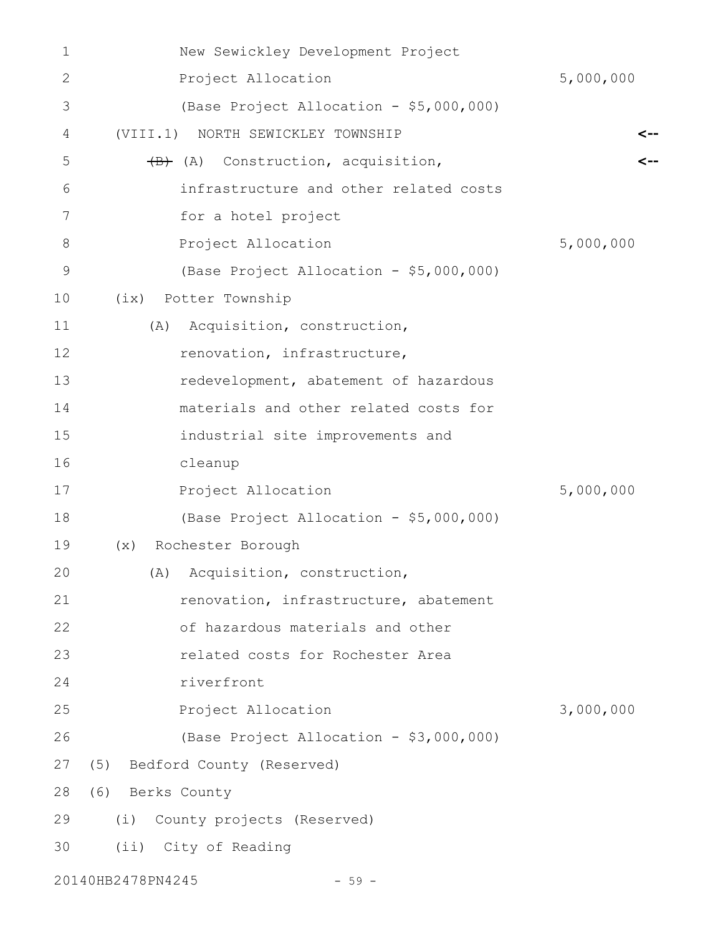| $\mathbf 1$   | New Sewickley Development Project       |           |
|---------------|-----------------------------------------|-----------|
| $\mathbf{2}$  | Project Allocation                      | 5,000,000 |
| 3             | (Base Project Allocation - \$5,000,000) |           |
| 4             | (VIII.1) NORTH SEWICKLEY TOWNSHIP       | <--       |
| 5             | (B) (A) Construction, acquisition,      |           |
| 6             | infrastructure and other related costs  |           |
| 7             | for a hotel project                     |           |
| 8             | Project Allocation                      | 5,000,000 |
| $\mathcal{G}$ | (Base Project Allocation - \$5,000,000) |           |
| 10            | (ix) Potter Township                    |           |
| 11            | (A) Acquisition, construction,          |           |
| 12            | renovation, infrastructure,             |           |
| 13            | redevelopment, abatement of hazardous   |           |
| 14            | materials and other related costs for   |           |
| 15            | industrial site improvements and        |           |
| 16            | cleanup                                 |           |
| 17            | Project Allocation                      | 5,000,000 |
| 18            | (Base Project Allocation - \$5,000,000) |           |
| 19            | Rochester Borough<br>(x)                |           |
| 20            | (A) Acquisition, construction,          |           |
| 21            | renovation, infrastructure, abatement   |           |
| 22            | of hazardous materials and other        |           |
| 23            | related costs for Rochester Area        |           |
| 24            | riverfront                              |           |
| 25            | Project Allocation                      | 3,000,000 |
| 26            | (Base Project Allocation - \$3,000,000) |           |
| 27            | (5)<br>Bedford County (Reserved)        |           |
| 28            | (6) Berks County                        |           |
| 29            | County projects (Reserved)<br>(i)       |           |
| 30            | (ii) City of Reading                    |           |
|               | 20140HB2478PN4245<br>$-59 -$            |           |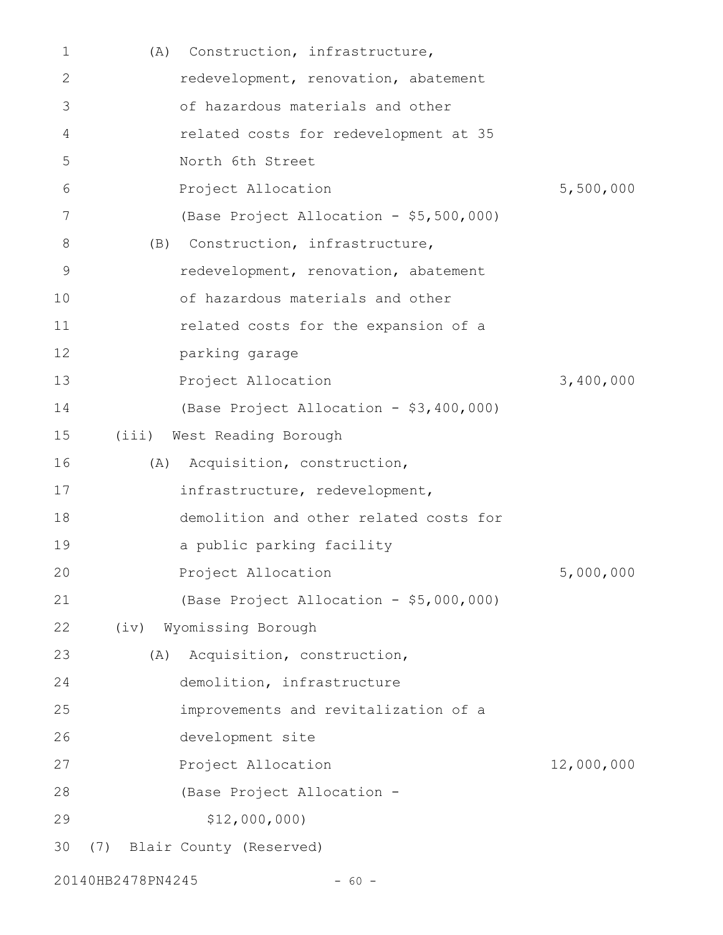| 1           | (A)  | Construction, infrastructure,           |            |
|-------------|------|-----------------------------------------|------------|
| 2           |      | redevelopment, renovation, abatement    |            |
| 3           |      | of hazardous materials and other        |            |
| 4           |      | related costs for redevelopment at 35   |            |
| 5           |      | North 6th Street                        |            |
| 6           |      | Project Allocation                      | 5,500,000  |
| 7           |      | (Base Project Allocation - \$5,500,000) |            |
| 8           | (B)  | Construction, infrastructure,           |            |
| $\mathsf 9$ |      | redevelopment, renovation, abatement    |            |
| 10          |      | of hazardous materials and other        |            |
| 11          |      | related costs for the expansion of a    |            |
| 12          |      | parking garage                          |            |
| 13          |      | Project Allocation                      | 3,400,000  |
| 14          |      | (Base Project Allocation - \$3,400,000) |            |
| 15          |      | (iii) West Reading Borough              |            |
| 16          |      | (A) Acquisition, construction,          |            |
| 17          |      | infrastructure, redevelopment,          |            |
| 18          |      | demolition and other related costs for  |            |
| 19          |      | a public parking facility               |            |
| 20          |      | Project Allocation                      | 5,000,000  |
| 21          |      | (Base Project Allocation - \$5,000,000) |            |
| 22          | (iv) | Wyomissing Borough                      |            |
| 23          | (A)  | Acquisition, construction,              |            |
| 24          |      | demolition, infrastructure              |            |
| 25          |      | improvements and revitalization of a    |            |
| 26          |      | development site                        |            |
| 27          |      | Project Allocation                      | 12,000,000 |
| 28          |      | (Base Project Allocation -              |            |
| 29          |      | \$12,000,000                            |            |
| 30          |      | (7) Blair County (Reserved)             |            |
|             |      |                                         |            |

20140HB2478PN4245 - 60 -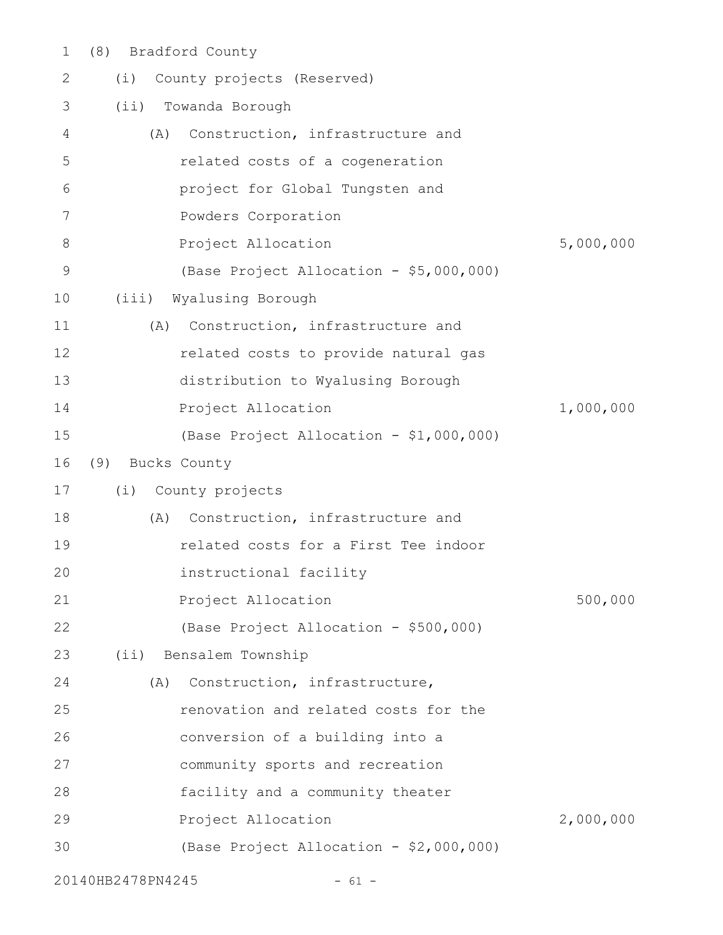| $\mathbf 1$     | (8)<br>Bradford County                  |           |
|-----------------|-----------------------------------------|-----------|
| 2               | County projects (Reserved)<br>(i)       |           |
| 3               | (ii) Towanda Borough                    |           |
| 4               | Construction, infrastructure and<br>(A) |           |
| 5               | related costs of a cogeneration         |           |
| 6               | project for Global Tungsten and         |           |
| $7\phantom{.0}$ | Powders Corporation                     |           |
| 8               | Project Allocation                      | 5,000,000 |
| $\mathcal{G}$   | (Base Project Allocation - \$5,000,000) |           |
| 10              | (iii)<br>Wyalusing Borough              |           |
| 11              | Construction, infrastructure and<br>(A) |           |
| 12              | related costs to provide natural gas    |           |
| 13              | distribution to Wyalusing Borough       |           |
| 14              | Project Allocation                      | 1,000,000 |
| 15              | (Base Project Allocation - \$1,000,000) |           |
| 16              | (9)<br>Bucks County                     |           |
| 17              | County projects<br>(i)                  |           |
| 18              | Construction, infrastructure and<br>(A) |           |
| 19              | related costs for a First Tee indoor    |           |
| 20              | instructional facility                  |           |
| 21              | Project Allocation                      | 500,000   |
| 22              | (Base Project Allocation - \$500,000)   |           |
| 23              | (ii) Bensalem Township                  |           |
| 24              | Construction, infrastructure,<br>(A)    |           |
| 25              | renovation and related costs for the    |           |
| 26              | conversion of a building into a         |           |
| 27              | community sports and recreation         |           |
| 28              | facility and a community theater        |           |
| 29              | Project Allocation                      | 2,000,000 |
| 30              | (Base Project Allocation - \$2,000,000) |           |
|                 |                                         |           |

20140HB2478PN4245 - 61 -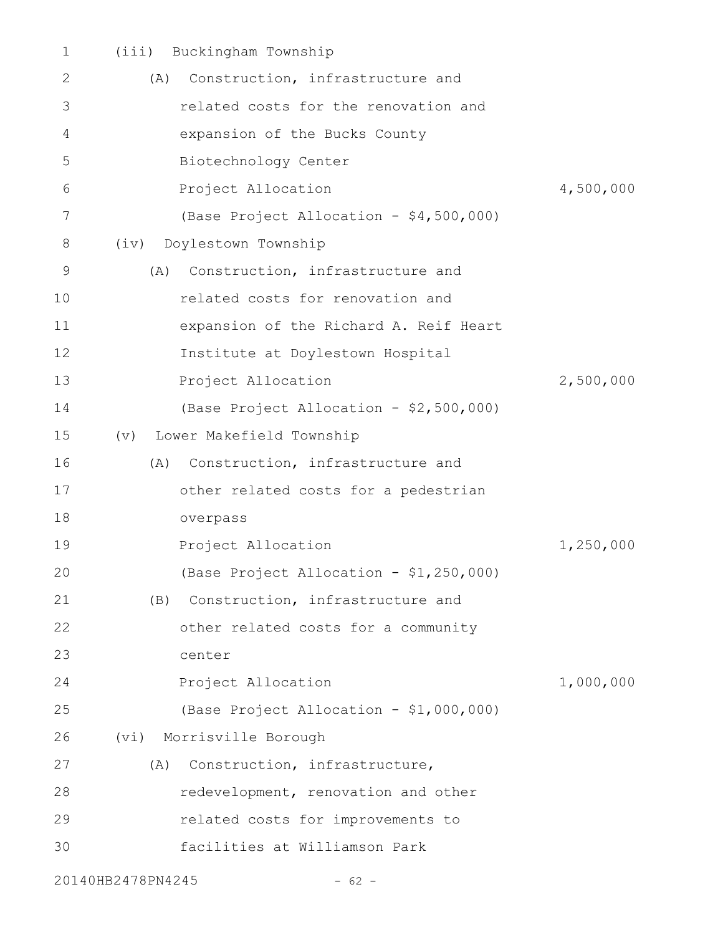| 1                 | (iii)             |     | Buckingham Township                     |           |
|-------------------|-------------------|-----|-----------------------------------------|-----------|
| 2                 |                   | (A) | Construction, infrastructure and        |           |
| 3                 |                   |     | related costs for the renovation and    |           |
| 4                 |                   |     | expansion of the Bucks County           |           |
| 5                 |                   |     | Biotechnology Center                    |           |
| 6                 |                   |     | Project Allocation                      | 4,500,000 |
| 7                 |                   |     | (Base Project Allocation - \$4,500,000) |           |
| 8                 | (iv)              |     | Doylestown Township                     |           |
| 9                 |                   | (A) | Construction, infrastructure and        |           |
| 10                |                   |     | related costs for renovation and        |           |
| 11                |                   |     | expansion of the Richard A. Reif Heart  |           |
| 12                |                   |     | Institute at Doylestown Hospital        |           |
| 13                |                   |     | Project Allocation                      | 2,500,000 |
| 14                |                   |     | (Base Project Allocation - \$2,500,000) |           |
| 15                | $(\triangledown)$ |     | Lower Makefield Township                |           |
| 16                |                   | (A) | Construction, infrastructure and        |           |
| 17                |                   |     | other related costs for a pedestrian    |           |
| 18                |                   |     | overpass                                |           |
| 19                |                   |     | Project Allocation                      | 1,250,000 |
| 20                |                   |     | (Base Project Allocation - \$1,250,000) |           |
| 21                |                   | (B) | Construction, infrastructure and        |           |
| 22                |                   |     | other related costs for a community     |           |
| 23                |                   |     | center                                  |           |
| 24                |                   |     | Project Allocation                      | 1,000,000 |
| 25                |                   |     | (Base Project Allocation - \$1,000,000) |           |
| 26                |                   |     | (vi) Morrisville Borough                |           |
| 27                |                   | (A) | Construction, infrastructure,           |           |
| 28                |                   |     | redevelopment, renovation and other     |           |
| 29                |                   |     | related costs for improvements to       |           |
| 30                |                   |     | facilities at Williamson Park           |           |
| 20140HB2478PN4245 |                   |     | $-62 -$                                 |           |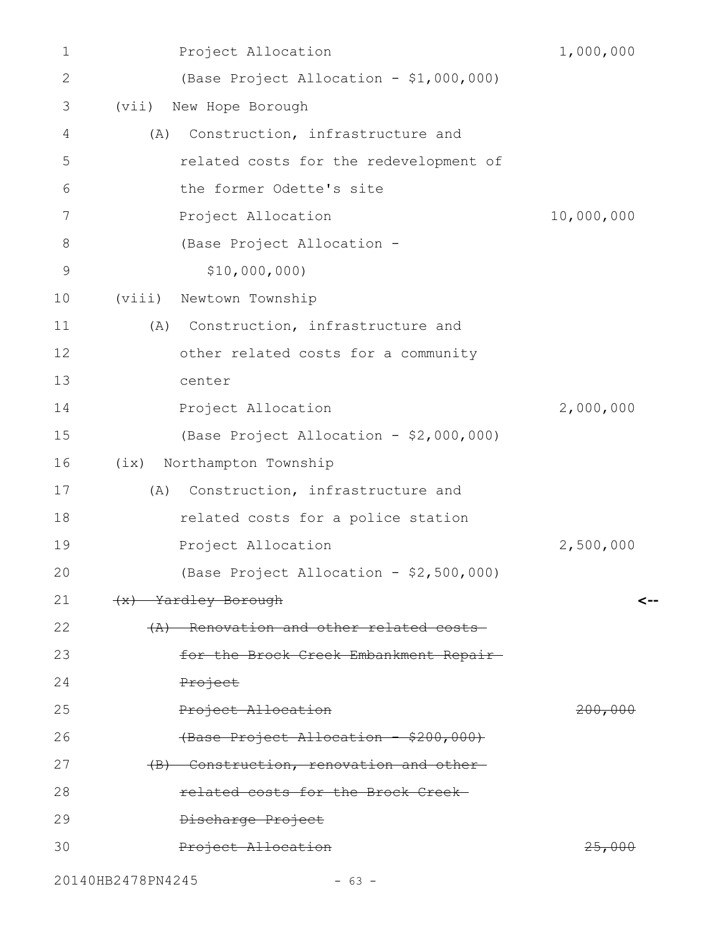| $\mathbf 1$ | Project Allocation                      | 1,000,000  |
|-------------|-----------------------------------------|------------|
| 2           | (Base Project Allocation - \$1,000,000) |            |
| 3           | New Hope Borough<br>(vii)               |            |
| 4           | Construction, infrastructure and<br>(A) |            |
| 5           | related costs for the redevelopment of  |            |
| 6           | the former Odette's site                |            |
| 7           | Project Allocation                      | 10,000,000 |
| 8           | (Base Project Allocation -              |            |
| 9           | \$10,000,000                            |            |
| 10          | (viii)<br>Newtown Township              |            |
| 11          | Construction, infrastructure and<br>(A) |            |
| 12          | other related costs for a community     |            |
| 13          | center                                  |            |
| 14          | Project Allocation                      | 2,000,000  |
| 15          | (Base Project Allocation - \$2,000,000) |            |
| 16          | Northampton Township<br>(ix)            |            |
| 17          | Construction, infrastructure and<br>(A) |            |
| 18          | related costs for a police station      |            |
| 19          | Project Allocation                      | 2,500,000  |
| 20          | (Base Project Allocation - \$2,500,000) |            |
| 21          | (x) Yardley Borough                     | <--        |
| 22          | (A) Renovation and other related costs- |            |
| 23          | for the Brock Creek Embankment Repair-  |            |
| 24          | Project                                 |            |
| 25          | Project Allocation                      | 200,000    |
| 26          | (Base Project Allocation - \$200,000)   |            |
| 27          | (B) Construction, renovation and other- |            |
| 28          | related costs for the Brock Creek       |            |
| 29          | Discharge Project                       |            |
| 30          | Project Allocation                      | 25,000     |
|             |                                         |            |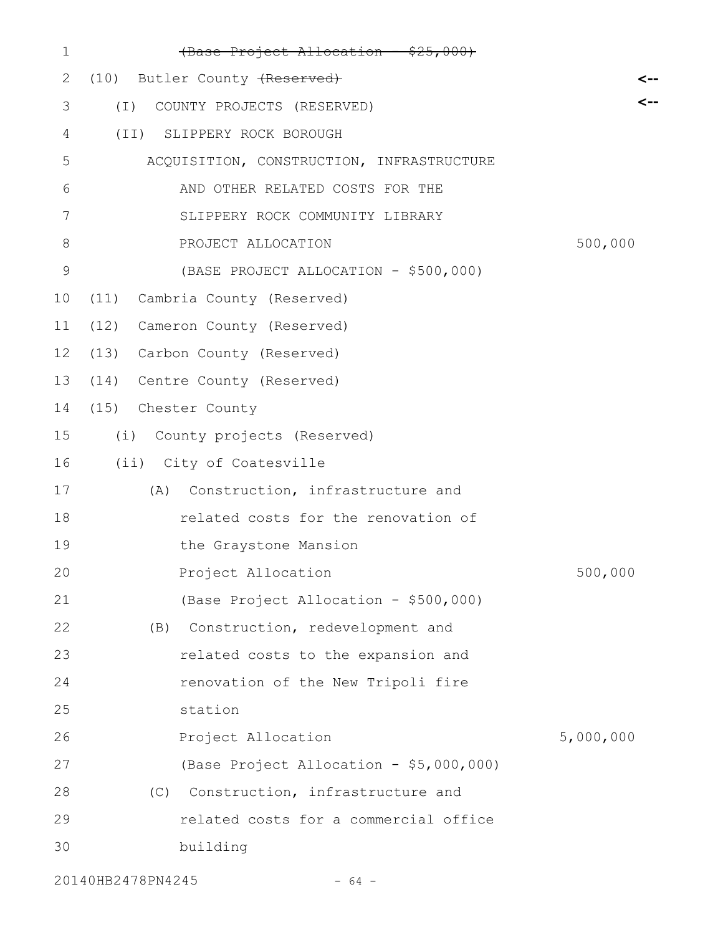| 1  | (Base Project Allocation - \$25,000)      |           |
|----|-------------------------------------------|-----------|
| 2  | (10) Butler County (Reserved)             |           |
| 3  | COUNTY PROJECTS (RESERVED)<br>$(\top)$    |           |
| 4  | (II) SLIPPERY ROCK BOROUGH                |           |
| 5  | ACQUISITION, CONSTRUCTION, INFRASTRUCTURE |           |
| 6  | AND OTHER RELATED COSTS FOR THE           |           |
| 7  | SLIPPERY ROCK COMMUNITY LIBRARY           |           |
| 8  | PROJECT ALLOCATION                        | 500,000   |
| 9  | (BASE PROJECT ALLOCATION - \$500,000)     |           |
| 10 | (11) Cambria County (Reserved)            |           |
| 11 | (12) Cameron County (Reserved)            |           |
| 12 | (13) Carbon County (Reserved)             |           |
| 13 | (14) Centre County (Reserved)             |           |
| 14 | (15) Chester County                       |           |
| 15 | (i) County projects (Reserved)            |           |
| 16 | (ii) City of Coatesville                  |           |
| 17 | (A) Construction, infrastructure and      |           |
| 18 | related costs for the renovation of       |           |
| 19 | the Graystone Mansion                     |           |
| 20 | Project Allocation                        | 500,000   |
| 21 | (Base Project Allocation - \$500,000)     |           |
| 22 | Construction, redevelopment and<br>(B)    |           |
| 23 | related costs to the expansion and        |           |
| 24 | renovation of the New Tripoli fire        |           |
| 25 | station                                   |           |
| 26 | Project Allocation                        | 5,000,000 |
| 27 | (Base Project Allocation - \$5,000,000)   |           |
| 28 | Construction, infrastructure and<br>(C)   |           |
| 29 | related costs for a commercial office     |           |
| 30 | building                                  |           |

20140HB2478PN4245 - 64 -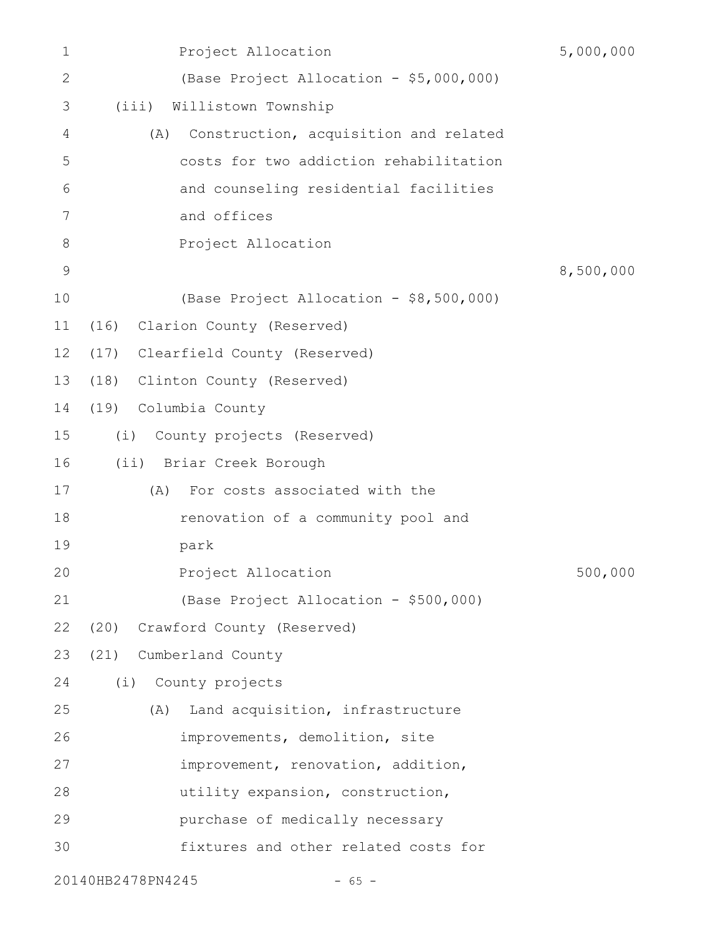| 1            | Project Allocation                           | 5,000,000 |
|--------------|----------------------------------------------|-----------|
| $\mathbf{2}$ | (Base Project Allocation - \$5,000,000)      |           |
| 3            | (iii)<br>Willistown Township                 |           |
| 4            | Construction, acquisition and related<br>(A) |           |
| 5            | costs for two addiction rehabilitation       |           |
| 6            | and counseling residential facilities        |           |
| 7            | and offices                                  |           |
| 8            | Project Allocation                           |           |
| 9            |                                              | 8,500,000 |
| 10           | (Base Project Allocation - \$8,500,000)      |           |
| 11           | Clarion County (Reserved)<br>(16)            |           |
| 12           | (17) Clearfield County (Reserved)            |           |
| 13           | (18) Clinton County (Reserved)               |           |
| 14           | (19)<br>Columbia County                      |           |
| 15           | (i)<br>County projects (Reserved)            |           |
| 16           | (ii) Briar Creek Borough                     |           |
| 17           | For costs associated with the<br>(A)         |           |
| 18           | renovation of a community pool and           |           |
| 19           | park                                         |           |
| 20           | Project Allocation                           | 500,000   |
| 21           | (Base Project Allocation - \$500,000)        |           |
| 22           | (20)<br>Crawford County (Reserved)           |           |
| 23           | (21)<br>Cumberland County                    |           |
| 24           | (i)<br>County projects                       |           |
| 25           | Land acquisition, infrastructure<br>(A)      |           |
| 26           | improvements, demolition, site               |           |
| 27           | improvement, renovation, addition,           |           |
| 28           | utility expansion, construction,             |           |
| 29           | purchase of medically necessary              |           |
| 30           | fixtures and other related costs for         |           |
|              | 20140HB2478PN4245<br>$-65 -$                 |           |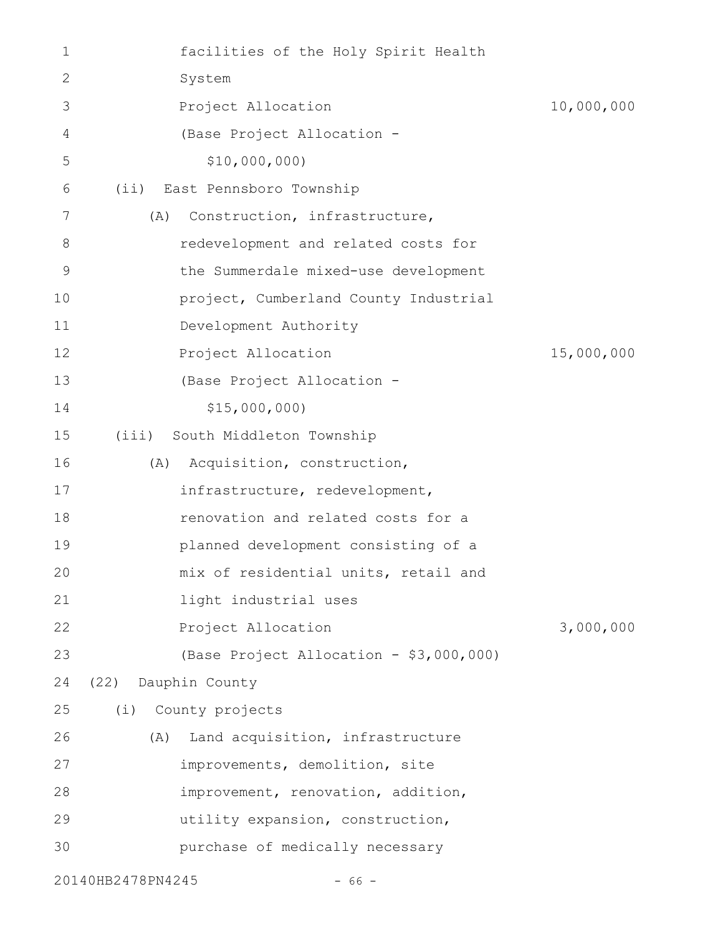| 1            | facilities of the Holy Spirit Health    |            |
|--------------|-----------------------------------------|------------|
| $\mathbf{2}$ | System                                  |            |
| 3            | Project Allocation                      | 10,000,000 |
| 4            | (Base Project Allocation -              |            |
| 5            | \$10,000,000)                           |            |
| 6            | East Pennsboro Township<br>(i)          |            |
| 7            | Construction, infrastructure,<br>(A)    |            |
| 8            | redevelopment and related costs for     |            |
| 9            | the Summerdale mixed-use development    |            |
| 10           | project, Cumberland County Industrial   |            |
| 11           | Development Authority                   |            |
| 12           | Project Allocation                      | 15,000,000 |
| 13           | (Base Project Allocation -              |            |
| 14           | \$15,000,000                            |            |
| 15           | (iii) South Middleton Township          |            |
| 16           | Acquisition, construction,<br>(A)       |            |
| 17           | infrastructure, redevelopment,          |            |
| 18           | renovation and related costs for a      |            |
| 19           | planned development consisting of a     |            |
| 20           | mix of residential units, retail and    |            |
| 21           | light industrial uses                   |            |
| 22           | Project Allocation                      | 3,000,000  |
| 23           | (Base Project Allocation - \$3,000,000) |            |
| 24           | (22)<br>Dauphin County                  |            |
| 25           | County projects<br>(i)                  |            |
| 26           | Land acquisition, infrastructure<br>(A) |            |
| 27           | improvements, demolition, site          |            |
| 28           | improvement, renovation, addition,      |            |
| 29           | utility expansion, construction,        |            |
| 30           | purchase of medically necessary         |            |
|              | 20140HB2478PN4245<br>$-66 -$            |            |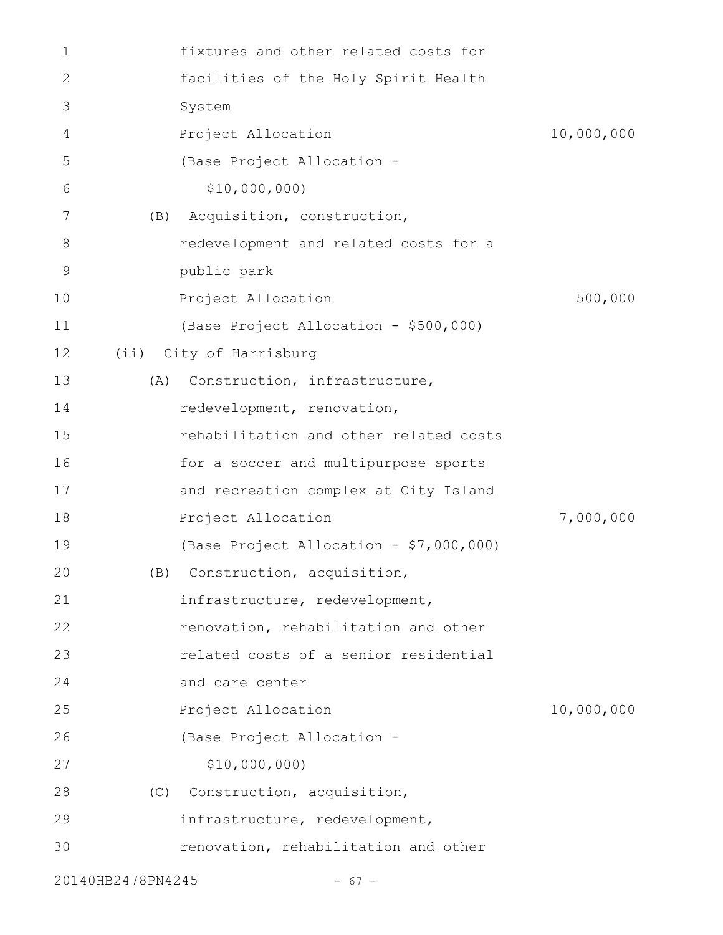| 1            | fixtures and other related costs for    |            |
|--------------|-----------------------------------------|------------|
| $\mathbf{2}$ | facilities of the Holy Spirit Health    |            |
| 3            | System                                  |            |
| 4            | Project Allocation                      | 10,000,000 |
| 5            | (Base Project Allocation -              |            |
| 6            | \$10,000,000)                           |            |
| 7            | Acquisition, construction,<br>(B)       |            |
| 8            | redevelopment and related costs for a   |            |
| 9            | public park                             |            |
| 10           | Project Allocation                      | 500,000    |
| 11           | (Base Project Allocation - \$500,000)   |            |
| 12           | (ii) City of Harrisburg                 |            |
| 13           | Construction, infrastructure,<br>(A)    |            |
| 14           | redevelopment, renovation,              |            |
| 15           | rehabilitation and other related costs  |            |
| 16           | for a soccer and multipurpose sports    |            |
| 17           | and recreation complex at City Island   |            |
| 18           | Project Allocation                      | 7,000,000  |
| 19           | (Base Project Allocation - \$7,000,000) |            |
| 20           | (B) Construction, acquisition,          |            |
| 21           | infrastructure, redevelopment,          |            |
| 22           | renovation, rehabilitation and other    |            |
| 23           | related costs of a senior residential   |            |
| 24           | and care center                         |            |
| 25           | Project Allocation                      | 10,000,000 |
| 26           | (Base Project Allocation -              |            |
| 27           | \$10,000,000)                           |            |
| 28           | (C) Construction, acquisition,          |            |
| 29           | infrastructure, redevelopment,          |            |
| 30           | renovation, rehabilitation and other    |            |
|              | 20140HB2478PN4245<br>$-67 -$            |            |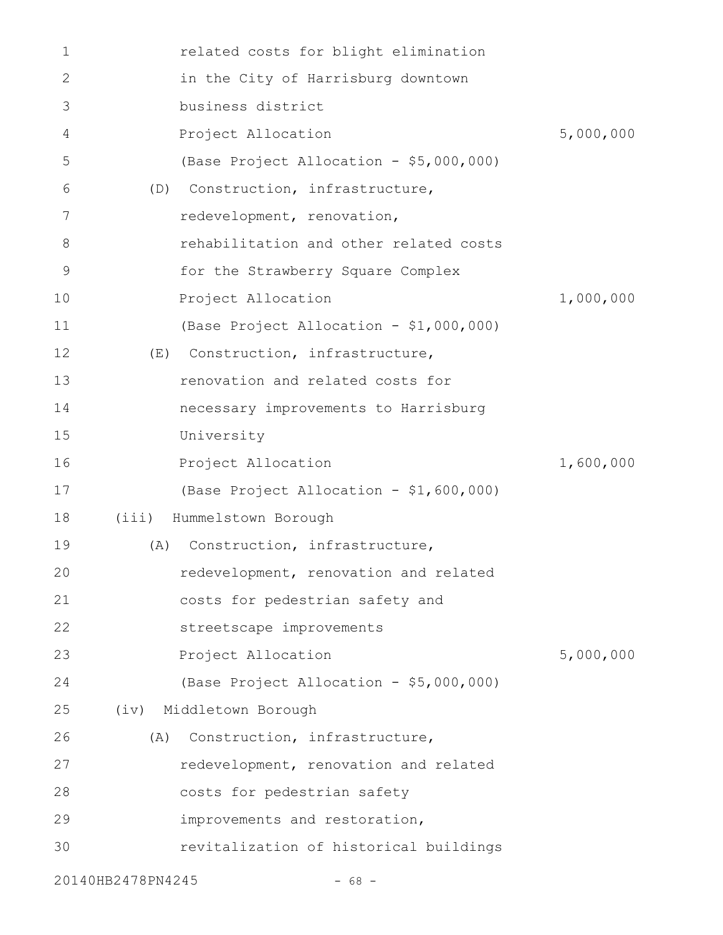| 1  |                   | related costs for blight elimination    |           |
|----|-------------------|-----------------------------------------|-----------|
| 2  |                   | in the City of Harrisburg downtown      |           |
| 3  |                   | business district                       |           |
| 4  |                   | Project Allocation                      | 5,000,000 |
| 5  |                   | (Base Project Allocation - \$5,000,000) |           |
| 6  | (D)               | Construction, infrastructure,           |           |
| 7  |                   | redevelopment, renovation,              |           |
| 8  |                   | rehabilitation and other related costs  |           |
| 9  |                   | for the Strawberry Square Complex       |           |
| 10 |                   | Project Allocation                      | 1,000,000 |
| 11 |                   | (Base Project Allocation - \$1,000,000) |           |
| 12 | (E)               | Construction, infrastructure,           |           |
| 13 |                   | renovation and related costs for        |           |
| 14 |                   | necessary improvements to Harrisburg    |           |
| 15 |                   | University                              |           |
| 16 |                   | Project Allocation                      | 1,600,000 |
| 17 |                   | (Base Project Allocation - \$1,600,000) |           |
| 18 | (iii)             | Hummelstown Borough                     |           |
| 19 | (A)               | Construction, infrastructure,           |           |
| 20 |                   | redevelopment, renovation and related   |           |
| 21 |                   | costs for pedestrian safety and         |           |
| 22 |                   | streetscape improvements                |           |
| 23 |                   | Project Allocation                      | 5,000,000 |
| 24 |                   | (Base Project Allocation - \$5,000,000) |           |
| 25 | (iv)              | Middletown Borough                      |           |
| 26 | (A)               | Construction, infrastructure,           |           |
| 27 |                   | redevelopment, renovation and related   |           |
| 28 |                   | costs for pedestrian safety             |           |
| 29 |                   | improvements and restoration,           |           |
| 30 |                   | revitalization of historical buildings  |           |
|    | 20140HB2478PN4245 | $-68 -$                                 |           |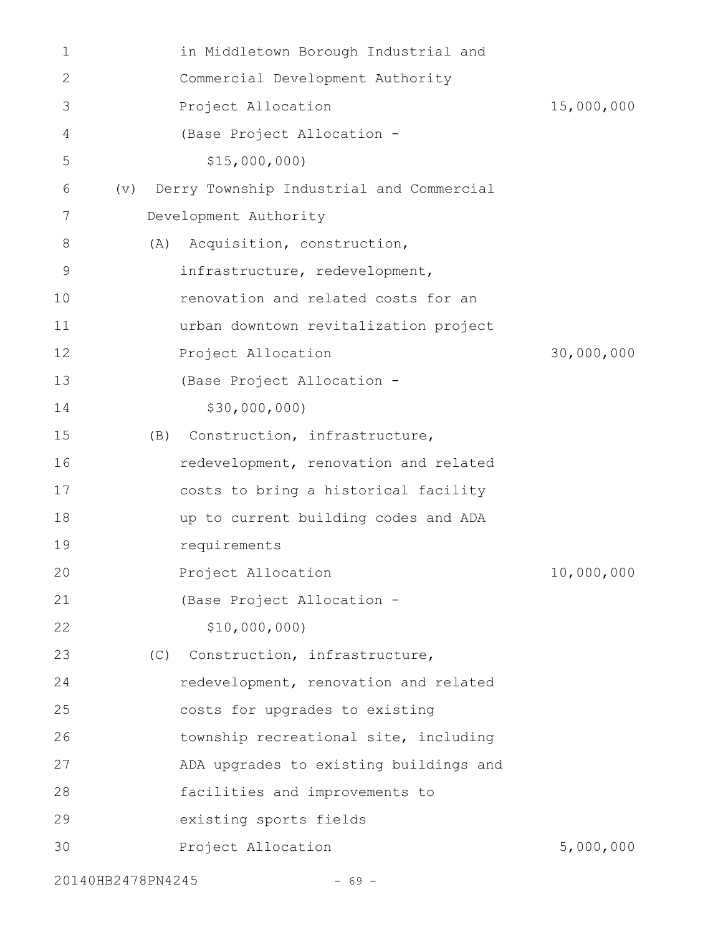| 1           |     | in Middletown Borough Industrial and     |            |
|-------------|-----|------------------------------------------|------------|
| 2           |     | Commercial Development Authority         |            |
| 3           |     | Project Allocation                       | 15,000,000 |
| 4           |     | (Base Project Allocation -               |            |
| 5           |     | \$15,000,000                             |            |
| 6           | (v) | Derry Township Industrial and Commercial |            |
| 7           |     | Development Authority                    |            |
| 8           |     | Acquisition, construction,<br>(A)        |            |
| $\mathsf 9$ |     | infrastructure, redevelopment,           |            |
| 10          |     | renovation and related costs for an      |            |
| 11          |     | urban downtown revitalization project    |            |
| 12          |     | Project Allocation                       | 30,000,000 |
| 13          |     | (Base Project Allocation -               |            |
| 14          |     | \$30,000,000)                            |            |
| 15          |     | Construction, infrastructure,<br>(B)     |            |
| 16          |     | redevelopment, renovation and related    |            |
| 17          |     | costs to bring a historical facility     |            |
| 18          |     | up to current building codes and ADA     |            |
| 19          |     | requirements                             |            |
| 20          |     | Project Allocation                       | 10,000,000 |
| 21          |     | (Base Project Allocation -               |            |
| 22          |     | \$10,000,000)                            |            |
| 23          |     | (C) Construction, infrastructure,        |            |
| 24          |     | redevelopment, renovation and related    |            |
| 25          |     | costs for upgrades to existing           |            |
| 26          |     | township recreational site, including    |            |
| 27          |     | ADA upgrades to existing buildings and   |            |
| 28          |     | facilities and improvements to           |            |
| 29          |     | existing sports fields                   |            |
| 30          |     | Project Allocation                       | 5,000,000  |
|             |     |                                          |            |

20140HB2478PN4245 - 69 -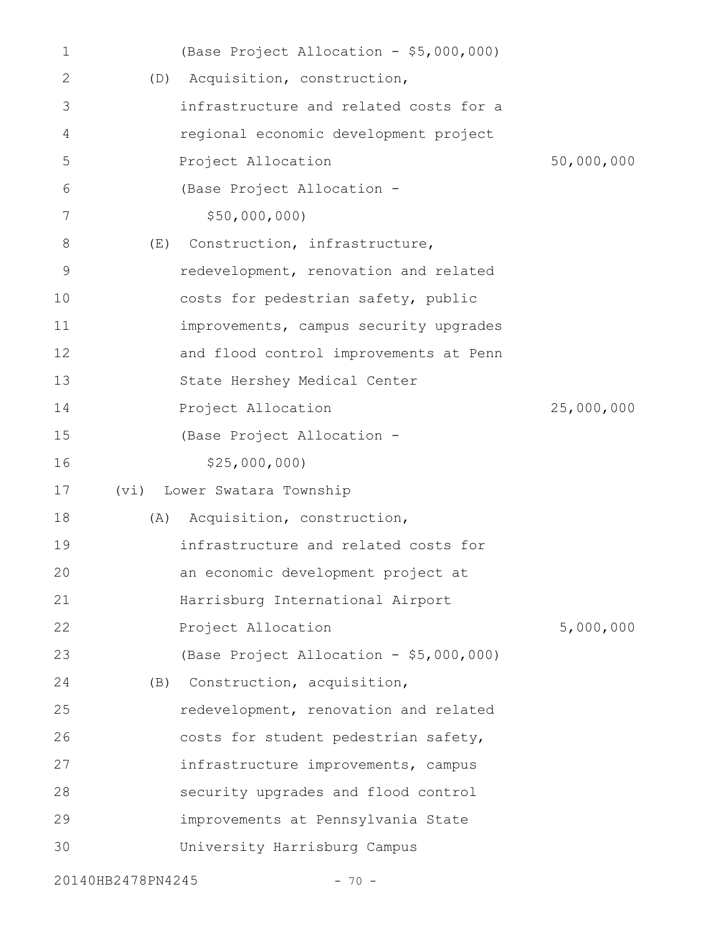| 1  |      | (Base Project Allocation - \$5,000,000) |            |
|----|------|-----------------------------------------|------------|
| 2  |      | (D) Acquisition, construction,          |            |
| 3  |      | infrastructure and related costs for a  |            |
| 4  |      | regional economic development project   |            |
| 5  |      | Project Allocation                      | 50,000,000 |
| 6  |      | (Base Project Allocation -              |            |
| 7  |      | \$50,000,000                            |            |
| 8  | (E)  | Construction, infrastructure,           |            |
| 9  |      | redevelopment, renovation and related   |            |
| 10 |      | costs for pedestrian safety, public     |            |
| 11 |      | improvements, campus security upgrades  |            |
| 12 |      | and flood control improvements at Penn  |            |
| 13 |      | State Hershey Medical Center            |            |
| 14 |      | Project Allocation                      | 25,000,000 |
| 15 |      | (Base Project Allocation -              |            |
| 16 |      | \$25,000,000                            |            |
| 17 | (vi) | Lower Swatara Township                  |            |
| 18 | (A)  | Acquisition, construction,              |            |
| 19 |      | infrastructure and related costs for    |            |
| 20 |      | an economic development project at      |            |
| 21 |      | Harrisburg International Airport        |            |
| 22 |      | Project Allocation                      | 5,000,000  |
| 23 |      | (Base Project Allocation - \$5,000,000) |            |
| 24 |      | (B) Construction, acquisition,          |            |
| 25 |      | redevelopment, renovation and related   |            |
| 26 |      | costs for student pedestrian safety,    |            |
| 27 |      | infrastructure improvements, campus     |            |
| 28 |      | security upgrades and flood control     |            |
| 29 |      | improvements at Pennsylvania State      |            |
| 30 |      | University Harrisburg Campus            |            |
|    |      |                                         |            |

20140HB2478PN4245 - 70 -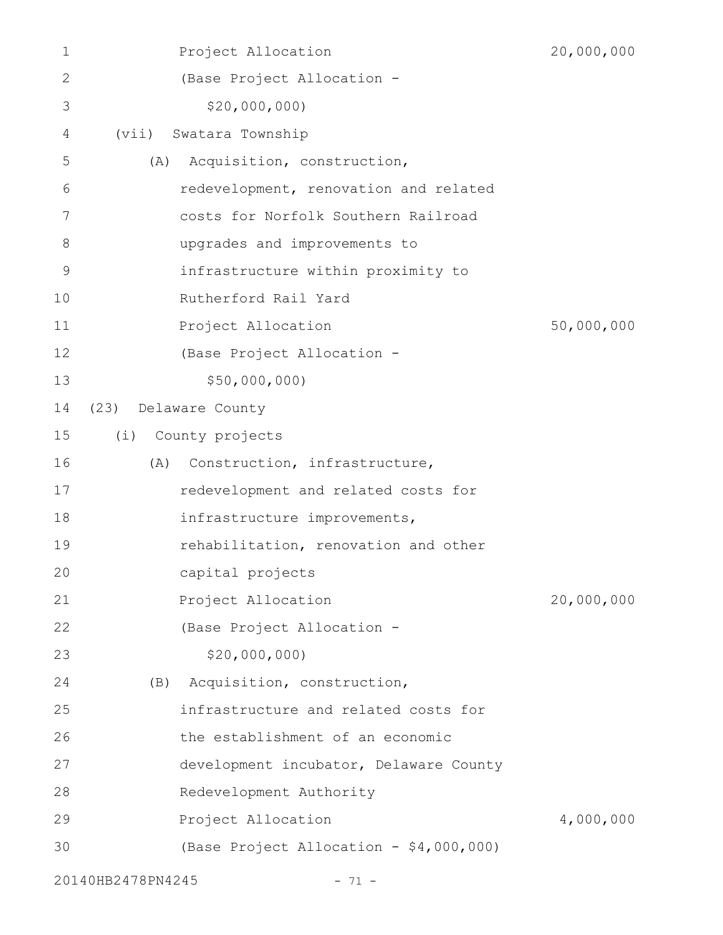| 1           | Project Allocation                      | 20,000,000 |
|-------------|-----------------------------------------|------------|
| 2           | (Base Project Allocation -              |            |
| 3           | \$20,000,000)                           |            |
| 4           | Swatara Township<br>(vii)               |            |
| 5           | Acquisition, construction,<br>(A)       |            |
| 6           | redevelopment, renovation and related   |            |
| 7           | costs for Norfolk Southern Railroad     |            |
| $8\,$       | upgrades and improvements to            |            |
| $\mathsf 9$ | infrastructure within proximity to      |            |
| 10          | Rutherford Rail Yard                    |            |
| 11          | Project Allocation                      | 50,000,000 |
| 12          | (Base Project Allocation -              |            |
| 13          | \$50,000,000)                           |            |
| 14          | (23)<br>Delaware County                 |            |
| 15          | (i)<br>County projects                  |            |
| 16          | Construction, infrastructure,<br>(A)    |            |
| 17          | redevelopment and related costs for     |            |
| 18          | infrastructure improvements,            |            |
| 19          | rehabilitation, renovation and other    |            |
| 20          | capital projects                        |            |
| 21          | Project Allocation                      | 20,000,000 |
| 22          | (Base Project Allocation -              |            |
| 23          | \$20,000,000                            |            |
| 24          | (B) Acquisition, construction,          |            |
| 25          | infrastructure and related costs for    |            |
| 26          | the establishment of an economic        |            |
| 27          | development incubator, Delaware County  |            |
| 28          | Redevelopment Authority                 |            |
| 29          | Project Allocation                      | 4,000,000  |
| 30          | (Base Project Allocation - \$4,000,000) |            |
|             | 20140HB2478PN4245<br>$-71 -$            |            |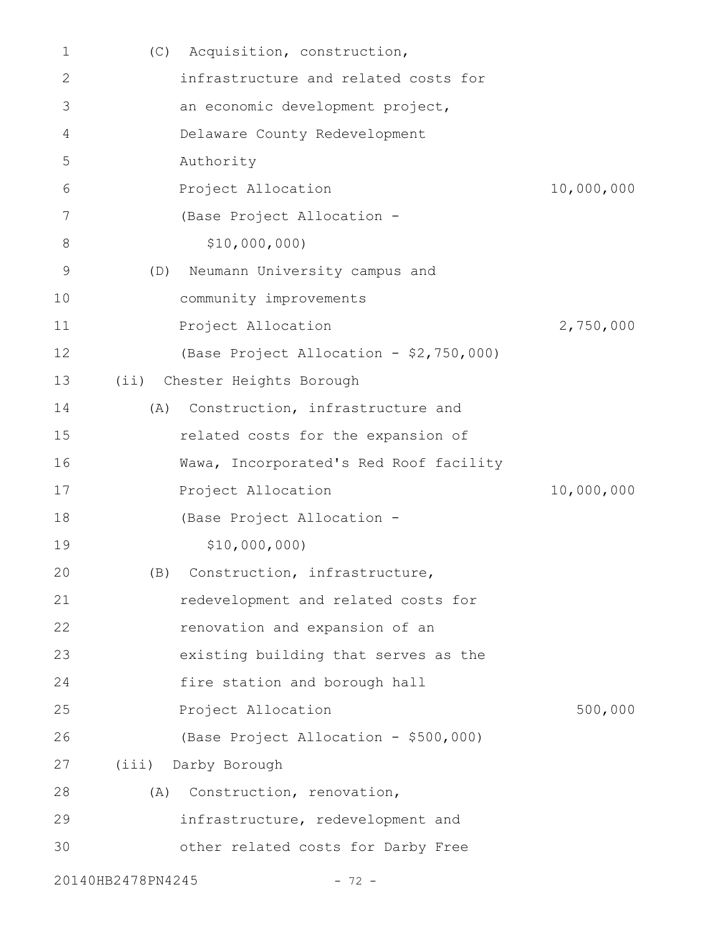| 1  | Acquisition, construction,<br>(C)       |            |
|----|-----------------------------------------|------------|
| 2  | infrastructure and related costs for    |            |
| 3  | an economic development project,        |            |
| 4  | Delaware County Redevelopment           |            |
| 5  | Authority                               |            |
| 6  | Project Allocation                      | 10,000,000 |
| 7  | (Base Project Allocation -              |            |
| 8  | \$10,000,000)                           |            |
| 9  | Neumann University campus and<br>(D)    |            |
| 10 | community improvements                  |            |
| 11 | Project Allocation                      | 2,750,000  |
| 12 | (Base Project Allocation - \$2,750,000) |            |
| 13 | $(i$ i)<br>Chester Heights Borough      |            |
| 14 | Construction, infrastructure and<br>(A) |            |
| 15 | related costs for the expansion of      |            |
| 16 | Wawa, Incorporated's Red Roof facility  |            |
| 17 | Project Allocation                      | 10,000,000 |
| 18 | (Base Project Allocation -              |            |
| 19 | \$10,000,000)                           |            |
| 20 | (B) Construction, infrastructure,       |            |
| 21 | redevelopment and related costs for     |            |
| 22 | renovation and expansion of an          |            |
| 23 | existing building that serves as the    |            |
| 24 | fire station and borough hall           |            |
| 25 | Project Allocation                      | 500,000    |
| 26 | (Base Project Allocation - \$500,000)   |            |
| 27 | (iii) Darby Borough                     |            |
| 28 | Construction, renovation,<br>(A)        |            |
| 29 | infrastructure, redevelopment and       |            |
| 30 | other related costs for Darby Free      |            |
|    | 20140HB2478PN4245<br>$-72 -$            |            |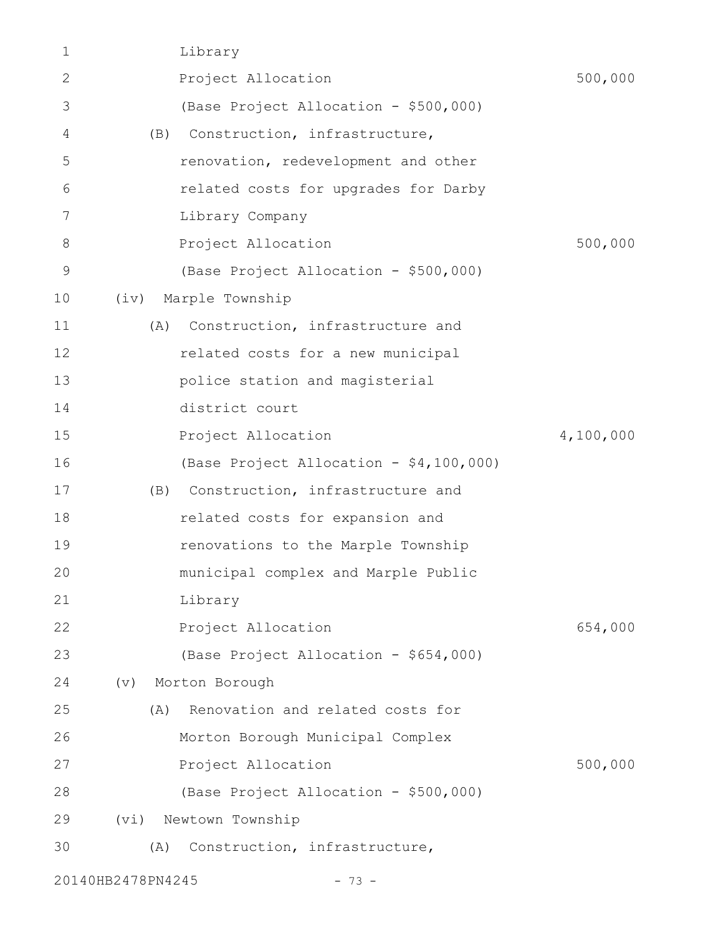| 1                 |      | Library                                 |           |
|-------------------|------|-----------------------------------------|-----------|
| 2                 |      | Project Allocation                      | 500,000   |
| 3                 |      | (Base Project Allocation - \$500,000)   |           |
| 4                 | (B)  | Construction, infrastructure,           |           |
| 5                 |      | renovation, redevelopment and other     |           |
| 6                 |      | related costs for upgrades for Darby    |           |
| 7                 |      | Library Company                         |           |
| 8                 |      | Project Allocation                      | 500,000   |
| $\mathsf 9$       |      | (Base Project Allocation - \$500,000)   |           |
| 10                | (iv) | Marple Township                         |           |
| 11                | (A)  | Construction, infrastructure and        |           |
| 12                |      | related costs for a new municipal       |           |
| 13                |      | police station and magisterial          |           |
| 14                |      | district court                          |           |
| 15                |      | Project Allocation                      | 4,100,000 |
| 16                |      | (Base Project Allocation - \$4,100,000) |           |
| 17                | (B)  | Construction, infrastructure and        |           |
| 18                |      | related costs for expansion and         |           |
| 19                |      | renovations to the Marple Township      |           |
| 20                |      | municipal complex and Marple Public     |           |
| 21                |      | Library                                 |           |
| 22                |      | Project Allocation                      | 654,000   |
| 23                |      | (Base Project Allocation - \$654,000)   |           |
| 24                | (v)  | Morton Borough                          |           |
| 25                | (A)  | Renovation and related costs for        |           |
| 26                |      | Morton Borough Municipal Complex        |           |
| 27                |      | Project Allocation                      | 500,000   |
| 28                |      | (Base Project Allocation - \$500,000)   |           |
| 29                | (vi) | Newtown Township                        |           |
| 30                | (A)  | Construction, infrastructure,           |           |
| 20140HB2478PN4245 |      | $-73 -$                                 |           |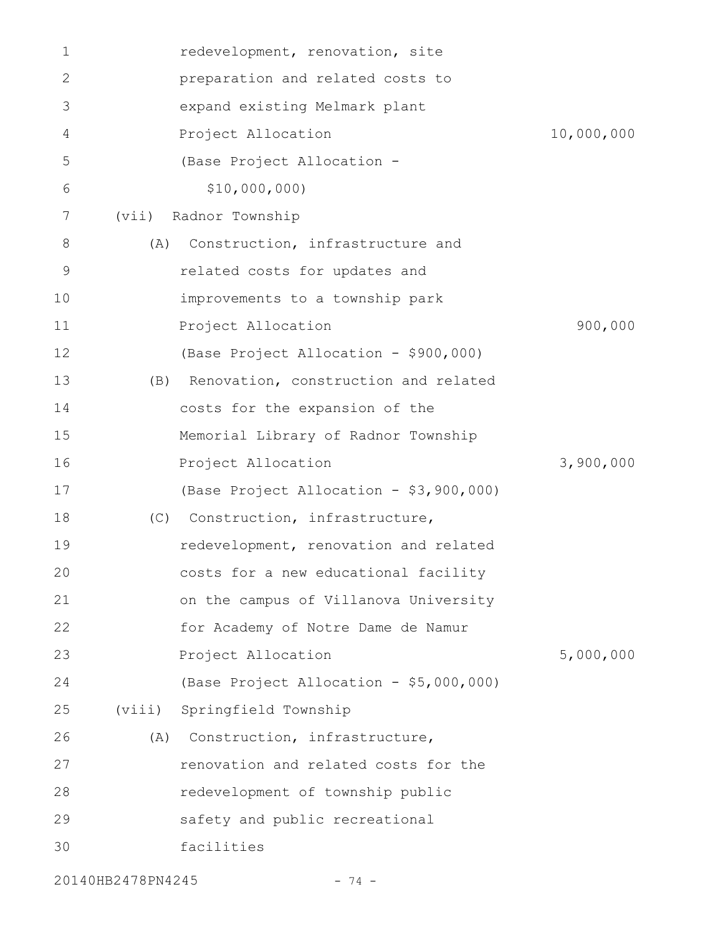| 1  |        | redevelopment, renovation, site          |            |
|----|--------|------------------------------------------|------------|
| 2  |        | preparation and related costs to         |            |
| 3  |        | expand existing Melmark plant            |            |
| 4  |        | Project Allocation                       | 10,000,000 |
| 5  |        | (Base Project Allocation -               |            |
| 6  |        | \$10,000,000                             |            |
| 7  | (vii)  | Radnor Township                          |            |
| 8  | (A)    | Construction, infrastructure and         |            |
| 9  |        | related costs for updates and            |            |
| 10 |        | improvements to a township park          |            |
| 11 |        | Project Allocation                       | 900,000    |
| 12 |        | (Base Project Allocation - \$900,000)    |            |
| 13 |        | (B) Renovation, construction and related |            |
| 14 |        | costs for the expansion of the           |            |
| 15 |        | Memorial Library of Radnor Township      |            |
| 16 |        | Project Allocation                       | 3,900,000  |
| 17 |        | (Base Project Allocation - \$3,900,000)  |            |
| 18 | (C)    | Construction, infrastructure,            |            |
| 19 |        | redevelopment, renovation and related    |            |
| 20 |        | costs for a new educational facility     |            |
| 21 |        | on the campus of Villanova University    |            |
| 22 |        | for Academy of Notre Dame de Namur       |            |
| 23 |        | Project Allocation                       | 5,000,000  |
| 24 |        | (Base Project Allocation - \$5,000,000)  |            |
| 25 | (viii) | Springfield Township                     |            |
| 26 | (A)    | Construction, infrastructure,            |            |
| 27 |        | renovation and related costs for the     |            |
| 28 |        | redevelopment of township public         |            |
| 29 |        | safety and public recreational           |            |
| 30 |        | facilities                               |            |
|    |        |                                          |            |

20140HB2478PN4245 - 74 -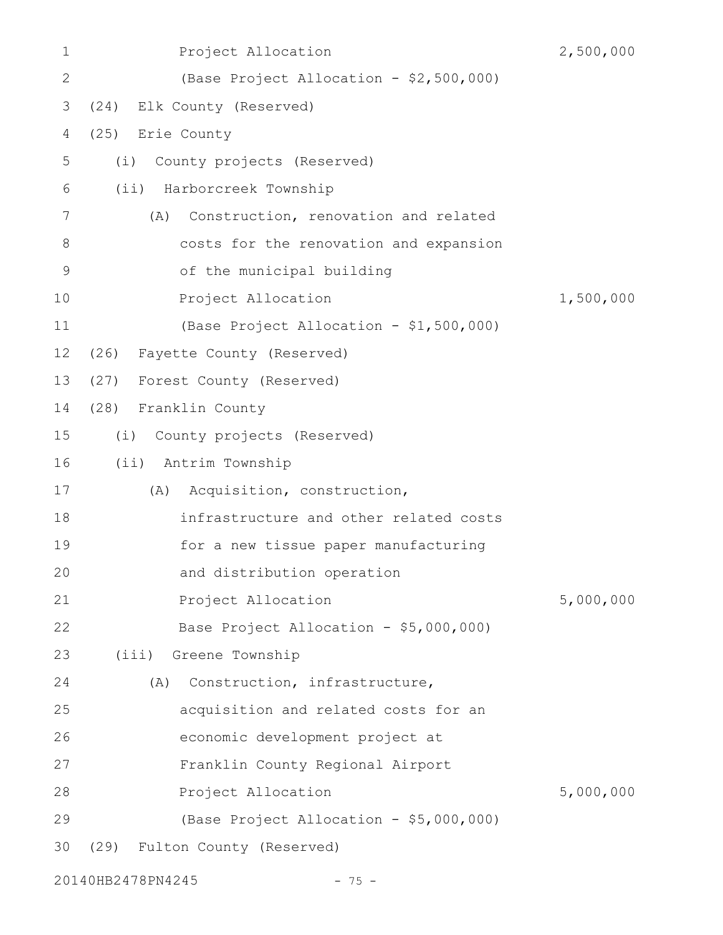| $\mathbf 1$  | Project Allocation                          | 2,500,000 |
|--------------|---------------------------------------------|-----------|
| $\mathbf{2}$ | (Base Project Allocation - \$2,500,000)     |           |
| 3            | Elk County (Reserved)<br>(24)               |           |
| 4            | (25)<br>Erie County                         |           |
| 5            | County projects (Reserved)<br>(i)           |           |
| 6            | (ii) Harborcreek Township                   |           |
| 7            | Construction, renovation and related<br>(A) |           |
| 8            | costs for the renovation and expansion      |           |
| 9            | of the municipal building                   |           |
| 10           | Project Allocation                          | 1,500,000 |
| 11           | (Base Project Allocation - \$1,500,000)     |           |
| 12           | (26) Fayette County (Reserved)              |           |
| 13           | (27) Forest County (Reserved)               |           |
| 14           | (28) Franklin County                        |           |
| 15           | (i) County projects (Reserved)              |           |
| 16           | (ii) Antrim Township                        |           |
| 17           | Acquisition, construction,<br>(A)           |           |
| 18           | infrastructure and other related costs      |           |
| 19           | for a new tissue paper manufacturing        |           |
| 20           | and distribution operation                  |           |
| 21           | Project Allocation                          | 5,000,000 |
| 22           | Base Project Allocation - \$5,000,000)      |           |
| 23           | (iii) Greene Township                       |           |
| 24           | Construction, infrastructure,<br>(A)        |           |
| 25           | acquisition and related costs for an        |           |
| 26           | economic development project at             |           |
| 27           | Franklin County Regional Airport            |           |
| 28           | Project Allocation                          | 5,000,000 |
| 29           | (Base Project Allocation - \$5,000,000)     |           |
| 30           | Fulton County (Reserved)<br>(29)            |           |
|              |                                             |           |

20140HB2478PN4245 - 75 -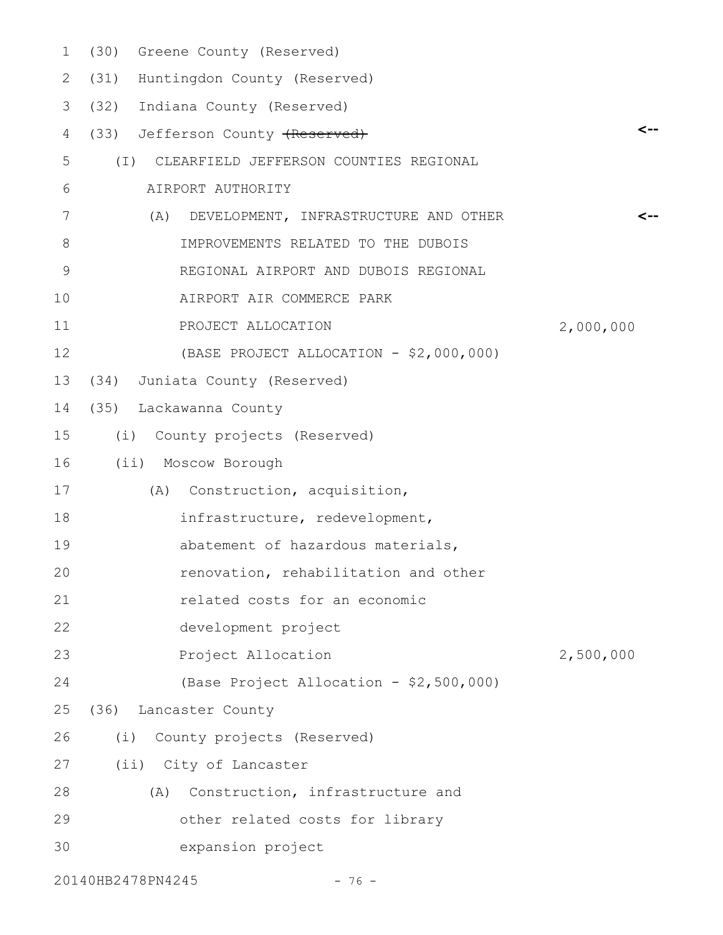| $\mathbf{1}$  | (30) Greene County (Reserved)              |           |
|---------------|--------------------------------------------|-----------|
| 2             | (31)<br>Huntingdon County (Reserved)       |           |
| 3             | (32)<br>Indiana County (Reserved)          |           |
| 4             | (33) Jefferson County (Reserved)           | <--       |
| 5             | (I) CLEARFIELD JEFFERSON COUNTIES REGIONAL |           |
| 6             | AIRPORT AUTHORITY                          |           |
| 7             | (A) DEVELOPMENT, INFRASTRUCTURE AND OTHER  | <--       |
| 8             | IMPROVEMENTS RELATED TO THE DUBOIS         |           |
| $\mathcal{G}$ | REGIONAL AIRPORT AND DUBOIS REGIONAL       |           |
| 10            | AIRPORT AIR COMMERCE PARK                  |           |
| 11            | PROJECT ALLOCATION                         | 2,000,000 |
| 12            | (BASE PROJECT ALLOCATION - \$2,000,000)    |           |
| 13            | (34) Juniata County (Reserved)             |           |
| 14            | (35) Lackawanna County                     |           |
| 15            | (i) County projects (Reserved)             |           |
| 16            | (ii) Moscow Borough                        |           |
| 17            | (A) Construction, acquisition,             |           |
| 18            | infrastructure, redevelopment,             |           |
| 19            | abatement of hazardous materials,          |           |
| 20            | renovation, rehabilitation and other       |           |
| 21            | related costs for an economic              |           |
| 22            | development project                        |           |
| 23            | Project Allocation                         | 2,500,000 |
| 24            | (Base Project Allocation - \$2,500,000)    |           |
| 25            | (36) Lancaster County                      |           |
| 26            | (i) County projects (Reserved)             |           |
| 27            | (ii) City of Lancaster                     |           |
| 28            | Construction, infrastructure and<br>(A)    |           |
| 29            | other related costs for library            |           |
| 30            | expansion project                          |           |
|               | 20140HB2478PN4245<br>$-76 -$               |           |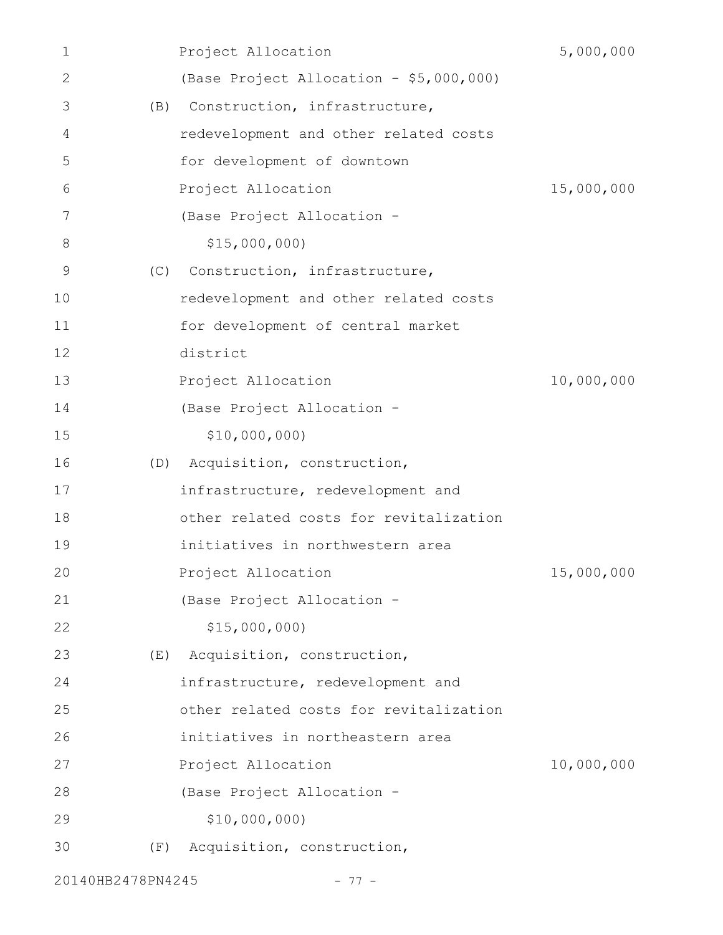| 1  |     | Project Allocation                      | 5,000,000  |
|----|-----|-----------------------------------------|------------|
| 2  |     | (Base Project Allocation - \$5,000,000) |            |
| 3  | (B) | Construction, infrastructure,           |            |
| 4  |     | redevelopment and other related costs   |            |
| 5  |     | for development of downtown             |            |
| 6  |     | Project Allocation                      | 15,000,000 |
| 7  |     | (Base Project Allocation -              |            |
| 8  |     | \$15,000,000                            |            |
| 9  | (C) | Construction, infrastructure,           |            |
| 10 |     | redevelopment and other related costs   |            |
| 11 |     | for development of central market       |            |
| 12 |     | district                                |            |
| 13 |     | Project Allocation                      | 10,000,000 |
| 14 |     | (Base Project Allocation -              |            |
| 15 |     | \$10,000,000)                           |            |
| 16 |     | (D) Acquisition, construction,          |            |
| 17 |     | infrastructure, redevelopment and       |            |
| 18 |     | other related costs for revitalization  |            |
| 19 |     | initiatives in northwestern area        |            |
| 20 |     | Project Allocation                      | 15,000,000 |
| 21 |     | (Base Project Allocation -              |            |
| 22 |     | \$15,000,000                            |            |
| 23 | (E) | Acquisition, construction,              |            |
| 24 |     | infrastructure, redevelopment and       |            |
| 25 |     | other related costs for revitalization  |            |
| 26 |     | initiatives in northeastern area        |            |
| 27 |     | Project Allocation                      | 10,000,000 |
| 28 |     | (Base Project Allocation -              |            |
| 29 |     | \$10,000,000                            |            |
| 30 | (F) | Acquisition, construction,              |            |
|    |     |                                         |            |

20140HB2478PN4245 - 77 -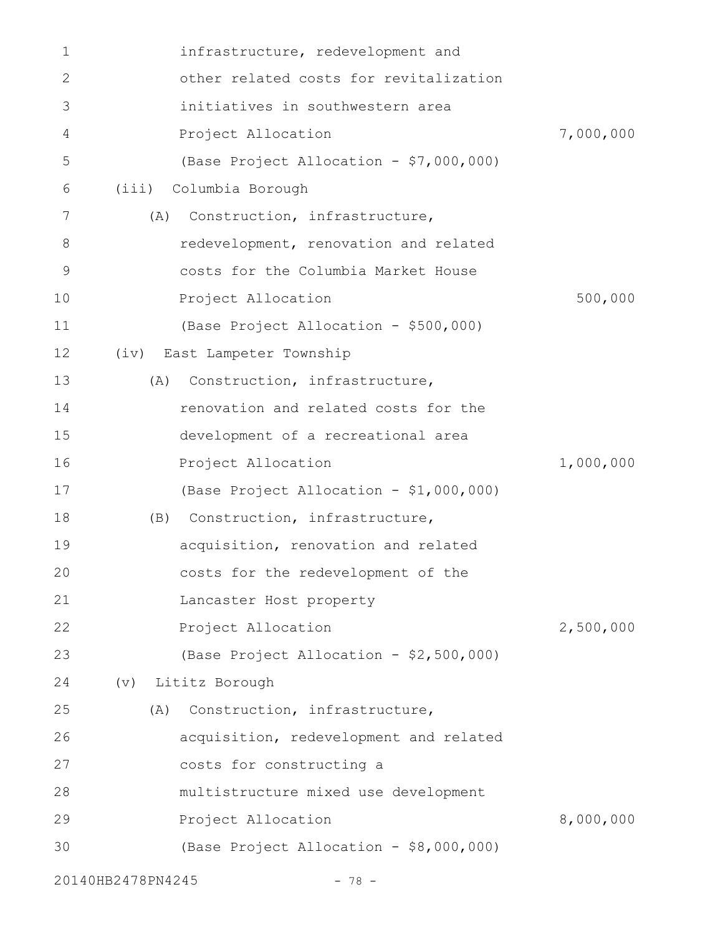| 1            | infrastructure, redevelopment and       |           |
|--------------|-----------------------------------------|-----------|
| $\mathbf{2}$ | other related costs for revitalization  |           |
| 3            | initiatives in southwestern area        |           |
| 4            | Project Allocation                      | 7,000,000 |
| 5            | (Base Project Allocation - \$7,000,000) |           |
| 6            | Columbia Borough<br>(iii)               |           |
| 7            | Construction, infrastructure,<br>(A)    |           |
| 8            | redevelopment, renovation and related   |           |
| 9            | costs for the Columbia Market House     |           |
| 10           | Project Allocation                      | 500,000   |
| 11           | (Base Project Allocation - \$500,000)   |           |
| 12           | (iv) East Lampeter Township             |           |
| 13           | Construction, infrastructure,<br>(A)    |           |
| 14           | renovation and related costs for the    |           |
| 15           | development of a recreational area      |           |
| 16           | Project Allocation                      | 1,000,000 |
| 17           | (Base Project Allocation - \$1,000,000) |           |
| 18           | Construction, infrastructure,<br>(B)    |           |
| 19           | acquisition, renovation and related     |           |
| 20           | costs for the redevelopment of the      |           |
| 21           | Lancaster Host property                 |           |
| 22           | Project Allocation                      | 2,500,000 |
| 23           | (Base Project Allocation - \$2,500,000) |           |
| 24           | Lititz Borough<br>$(\triangledown)$     |           |
| 25           | Construction, infrastructure,<br>(A)    |           |
| 26           | acquisition, redevelopment and related  |           |
| 27           | costs for constructing a                |           |
| 28           | multistructure mixed use development    |           |
| 29           | Project Allocation                      | 8,000,000 |
| 30           | (Base Project Allocation - \$8,000,000) |           |
|              | 20140HB2478PN4245<br>$-78 -$            |           |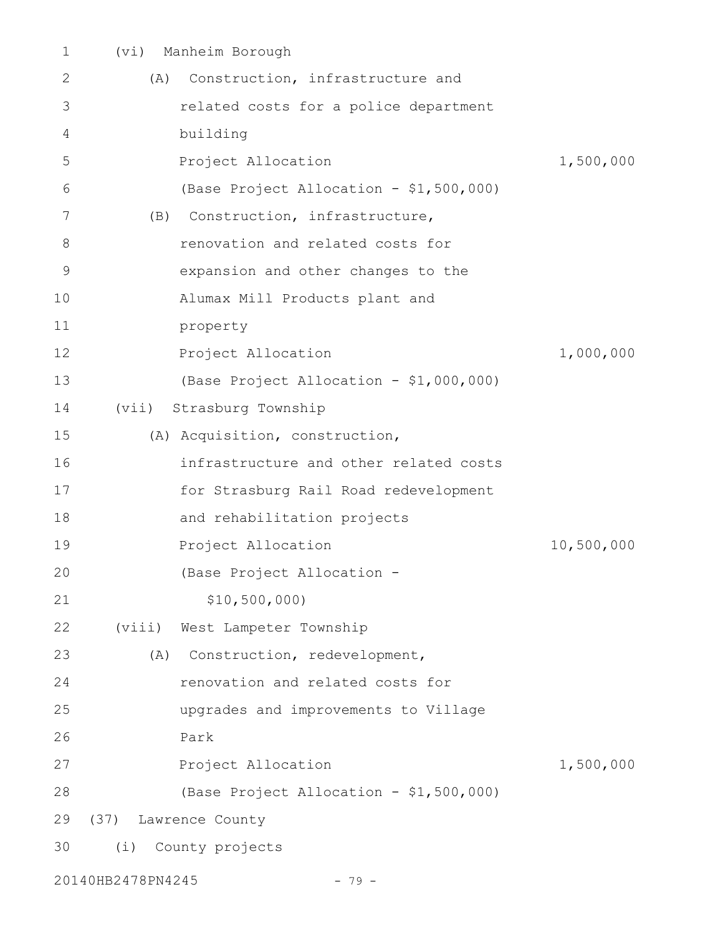| 1            | (vi)              | Manheim Borough                         |            |
|--------------|-------------------|-----------------------------------------|------------|
| $\mathbf{2}$ | (A)               | Construction, infrastructure and        |            |
| 3            |                   | related costs for a police department   |            |
| 4            |                   | building                                |            |
| 5            |                   | Project Allocation                      | 1,500,000  |
| 6            |                   | (Base Project Allocation - \$1,500,000) |            |
| 7            | (B)               | Construction, infrastructure,           |            |
| 8            |                   | renovation and related costs for        |            |
| 9            |                   | expansion and other changes to the      |            |
| 10           |                   | Alumax Mill Products plant and          |            |
| 11           |                   | property                                |            |
| 12           |                   | Project Allocation                      | 1,000,000  |
| 13           |                   | (Base Project Allocation - \$1,000,000) |            |
| 14           | (vii)             | Strasburg Township                      |            |
| 15           |                   | (A) Acquisition, construction,          |            |
| 16           |                   | infrastructure and other related costs  |            |
| 17           |                   | for Strasburg Rail Road redevelopment   |            |
| 18           |                   | and rehabilitation projects             |            |
| 19           |                   | Project Allocation                      | 10,500,000 |
| 20           |                   | (Base Project Allocation                |            |
| 21           |                   | \$10,500,000                            |            |
| 22           |                   | (viii) West Lampeter Township           |            |
| 23           | (A)               | Construction, redevelopment,            |            |
| 24           |                   | renovation and related costs for        |            |
| 25           |                   | upgrades and improvements to Village    |            |
| 26           |                   | Park                                    |            |
| 27           |                   | Project Allocation                      | 1,500,000  |
| 28           |                   | (Base Project Allocation - \$1,500,000) |            |
| 29           | (37)              | Lawrence County                         |            |
| 30           |                   | (i) County projects                     |            |
|              | 20140HB2478PN4245 | $-79-$                                  |            |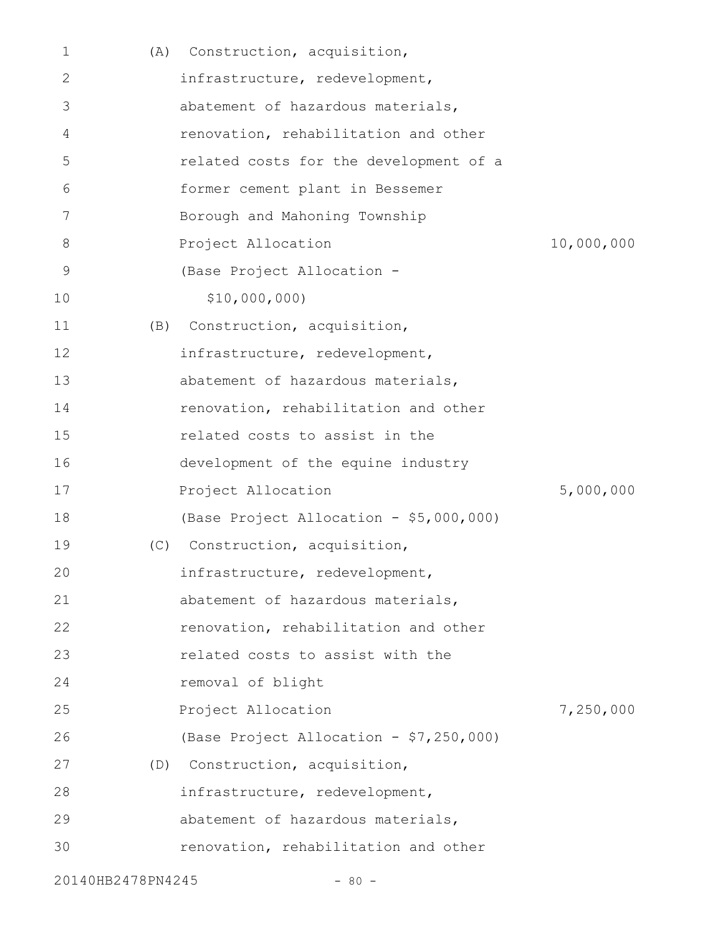| 1                 | (A) | Construction, acquisition,              |            |
|-------------------|-----|-----------------------------------------|------------|
| 2                 |     | infrastructure, redevelopment,          |            |
| 3                 |     | abatement of hazardous materials,       |            |
| 4                 |     | renovation, rehabilitation and other    |            |
| 5                 |     | related costs for the development of a  |            |
| 6                 |     | former cement plant in Bessemer         |            |
| 7                 |     | Borough and Mahoning Township           |            |
| $8\,$             |     | Project Allocation                      | 10,000,000 |
| 9                 |     | (Base Project Allocation -              |            |
| 10                |     | \$10,000,000)                           |            |
| 11                | (B) | Construction, acquisition,              |            |
| 12                |     | infrastructure, redevelopment,          |            |
| 13                |     | abatement of hazardous materials,       |            |
| 14                |     | renovation, rehabilitation and other    |            |
| 15                |     | related costs to assist in the          |            |
| 16                |     | development of the equine industry      |            |
| 17                |     | Project Allocation                      | 5,000,000  |
| 18                |     | (Base Project Allocation - \$5,000,000) |            |
| 19                | (C) | Construction, acquisition,              |            |
| 20                |     | infrastructure, redevelopment,          |            |
| 21                |     | abatement of hazardous materials,       |            |
| 22                |     | renovation, rehabilitation and other    |            |
| 23                |     | related costs to assist with the        |            |
| 24                |     | removal of blight                       |            |
| 25                |     | Project Allocation                      | 7,250,000  |
| 26                |     | (Base Project Allocation - \$7,250,000) |            |
| 27                |     | (D) Construction, acquisition,          |            |
| 28                |     | infrastructure, redevelopment,          |            |
| 29                |     | abatement of hazardous materials,       |            |
| 30                |     | renovation, rehabilitation and other    |            |
| 20140HB2478PN4245 |     | $-80 -$                                 |            |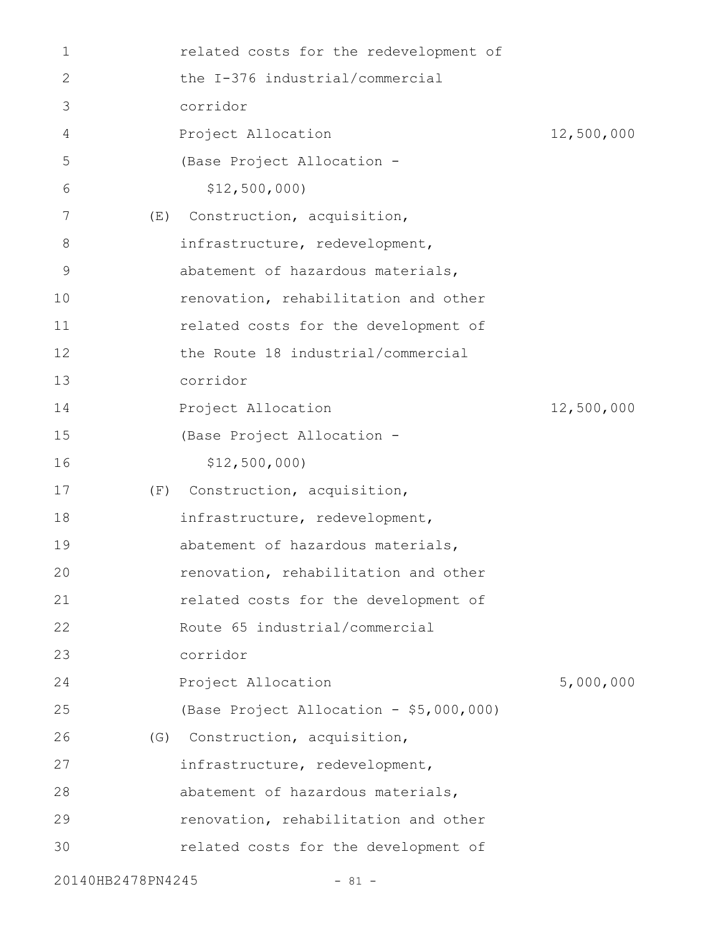| 1                 |     | related costs for the redevelopment of  |            |
|-------------------|-----|-----------------------------------------|------------|
| $\mathbf{2}$      |     | the I-376 industrial/commercial         |            |
| 3                 |     | corridor                                |            |
| 4                 |     | Project Allocation                      | 12,500,000 |
| 5                 |     | (Base Project Allocation -              |            |
| 6                 |     | \$12,500,000                            |            |
| 7                 | (E) | Construction, acquisition,              |            |
| 8                 |     | infrastructure, redevelopment,          |            |
| 9                 |     | abatement of hazardous materials,       |            |
| 10                |     | renovation, rehabilitation and other    |            |
| 11                |     | related costs for the development of    |            |
| 12                |     | the Route 18 industrial/commercial      |            |
| 13                |     | corridor                                |            |
| 14                |     | Project Allocation                      | 12,500,000 |
| 15                |     | (Base Project Allocation -              |            |
| 16                |     | \$12,500,000                            |            |
| 17                | (E) | Construction, acquisition,              |            |
| 18                |     | infrastructure, redevelopment,          |            |
| 19                |     | abatement of hazardous materials,       |            |
| 20                |     | renovation, rehabilitation and other    |            |
| 21                |     | related costs for the development of    |            |
| 22                |     | Route 65 industrial/commercial          |            |
| 23                |     | corridor                                |            |
| 24                |     | Project Allocation                      | 5,000,000  |
| 25                |     | (Base Project Allocation - \$5,000,000) |            |
| 26                |     | (G) Construction, acquisition,          |            |
| 27                |     | infrastructure, redevelopment,          |            |
| 28                |     | abatement of hazardous materials,       |            |
| 29                |     | renovation, rehabilitation and other    |            |
| 30                |     | related costs for the development of    |            |
| 20140HB2478PN4245 |     | $-81 -$                                 |            |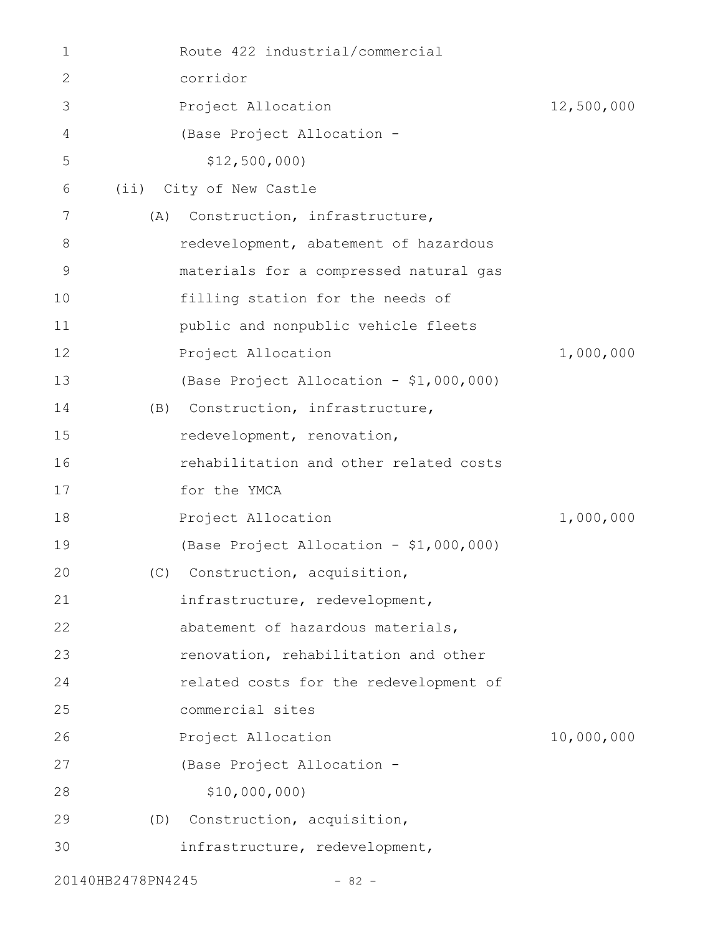| 1            |                   | Route 422 industrial/commercial         |            |
|--------------|-------------------|-----------------------------------------|------------|
| $\mathbf{2}$ |                   | corridor                                |            |
| 3            |                   | Project Allocation                      | 12,500,000 |
| 4            |                   | (Base Project Allocation -              |            |
| 5            |                   | \$12,500,000                            |            |
| 6            |                   | (ii) City of New Castle                 |            |
| 7            | (A)               | Construction, infrastructure,           |            |
| 8            |                   | redevelopment, abatement of hazardous   |            |
| 9            |                   | materials for a compressed natural gas  |            |
| 10           |                   | filling station for the needs of        |            |
| 11           |                   | public and nonpublic vehicle fleets     |            |
| 12           |                   | Project Allocation                      | 1,000,000  |
| 13           |                   | (Base Project Allocation - \$1,000,000) |            |
| 14           | (B)               | Construction, infrastructure,           |            |
| 15           |                   | redevelopment, renovation,              |            |
| 16           |                   | rehabilitation and other related costs  |            |
| 17           |                   | for the YMCA                            |            |
| 18           |                   | Project Allocation                      | 1,000,000  |
| 19           |                   | (Base Project Allocation - \$1,000,000) |            |
| 20           |                   | (C) Construction, acquisition,          |            |
| 21           |                   | infrastructure, redevelopment,          |            |
| 22           |                   | abatement of hazardous materials,       |            |
| 23           |                   | renovation, rehabilitation and other    |            |
| 24           |                   | related costs for the redevelopment of  |            |
| 25           |                   | commercial sites                        |            |
| 26           |                   | Project Allocation                      | 10,000,000 |
| 27           |                   | (Base Project Allocation -              |            |
| 28           |                   | \$10,000,000)                           |            |
| 29           | (D)               | Construction, acquisition,              |            |
| 30           |                   | infrastructure, redevelopment,          |            |
|              | 20140HB2478PN4245 | $-82 -$                                 |            |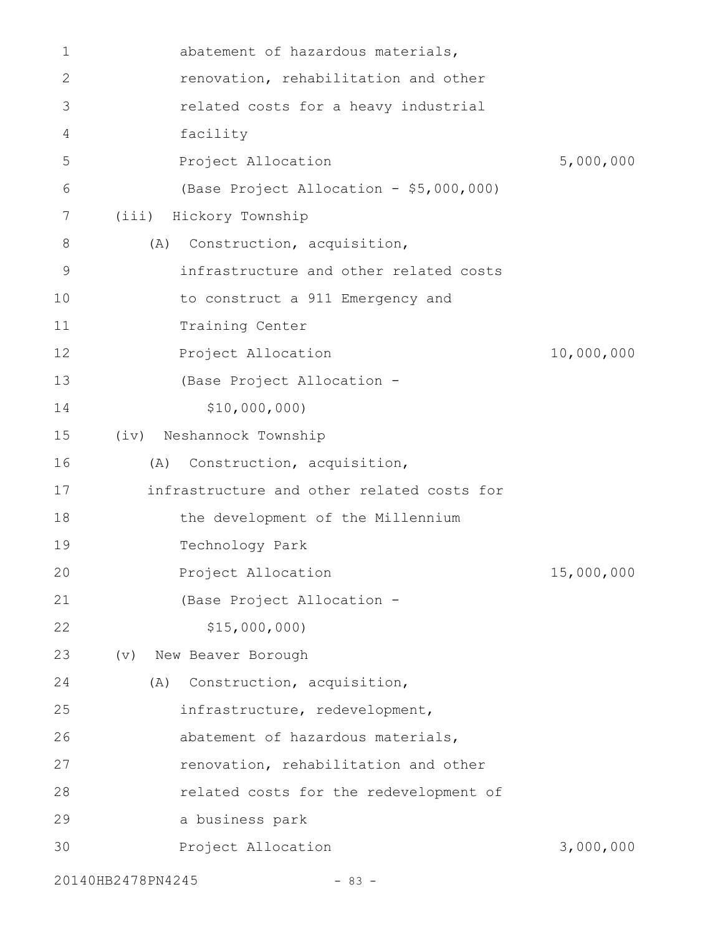| 1           | abatement of hazardous materials,          |            |
|-------------|--------------------------------------------|------------|
| 2           | renovation, rehabilitation and other       |            |
| 3           | related costs for a heavy industrial       |            |
| 4           | facility                                   |            |
| 5           | Project Allocation                         | 5,000,000  |
| 6           | (Base Project Allocation - \$5,000,000)    |            |
| 7           | Hickory Township<br>(iii)                  |            |
| 8           | Construction, acquisition,<br>(A)          |            |
| $\mathsf 9$ | infrastructure and other related costs     |            |
| 10          | to construct a 911 Emergency and           |            |
| 11          | Training Center                            |            |
| 12          | Project Allocation                         | 10,000,000 |
| 13          | (Base Project Allocation -                 |            |
| 14          | \$10,000,000)                              |            |
| 15          | (iv) Neshannock Township                   |            |
| 16          | Construction, acquisition,<br>(A)          |            |
| 17          | infrastructure and other related costs for |            |
| 18          | the development of the Millennium          |            |
| 19          | Technology Park                            |            |
| 20          | Project Allocation                         | 15,000,000 |
| 21          | (Base Project Allocation -                 |            |
| 22          | \$15,000,000                               |            |
| 23          | New Beaver Borough<br>$(\triangledown)$    |            |
| 24          | Construction, acquisition,<br>(A)          |            |
| 25          | infrastructure, redevelopment,             |            |
| 26          | abatement of hazardous materials,          |            |
| 27          | renovation, rehabilitation and other       |            |
| 28          | related costs for the redevelopment of     |            |
| 29          | a business park                            |            |
| 30          | Project Allocation                         | 3,000,000  |
|             | 20140HB2478PN4245<br>$-83 -$               |            |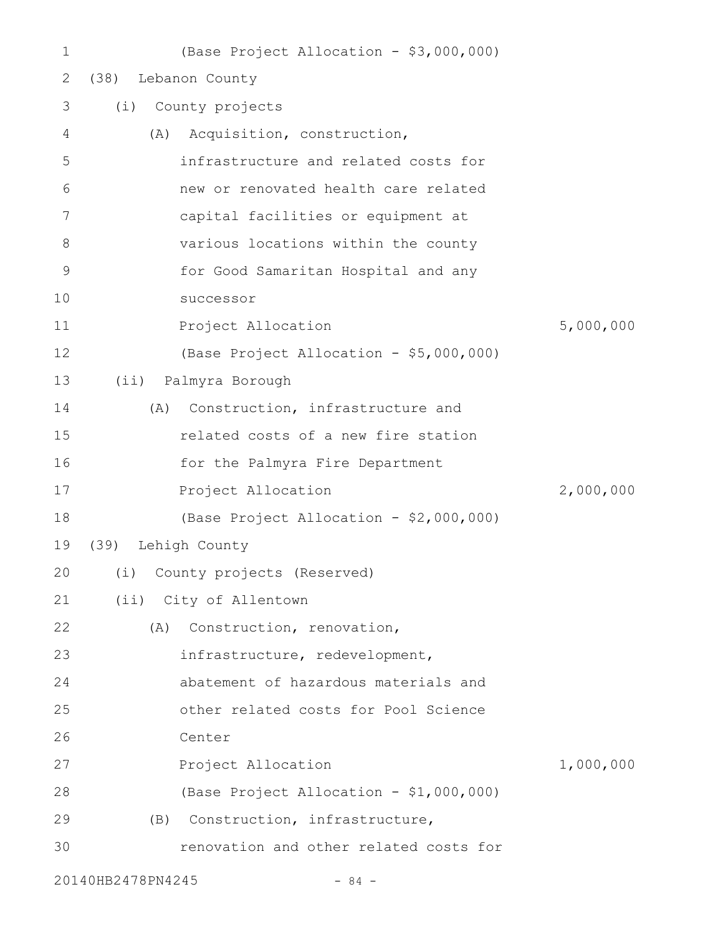| 1           |                   | (Base Project Allocation - \$3,000,000) |           |
|-------------|-------------------|-----------------------------------------|-----------|
| 2           | (38)              | Lebanon County                          |           |
| 3           | (i)               | County projects                         |           |
| 4           | (A)               | Acquisition, construction,              |           |
| 5           |                   | infrastructure and related costs for    |           |
| 6           |                   | new or renovated health care related    |           |
| 7           |                   | capital facilities or equipment at      |           |
| $8\,$       |                   | various locations within the county     |           |
| $\mathsf 9$ |                   | for Good Samaritan Hospital and any     |           |
| 10          |                   | successor                               |           |
| 11          |                   | Project Allocation                      | 5,000,000 |
| 12          |                   | (Base Project Allocation - \$5,000,000) |           |
| 13          |                   | (ii) Palmyra Borough                    |           |
| 14          | (A)               | Construction, infrastructure and        |           |
| 15          |                   | related costs of a new fire station     |           |
| 16          |                   | for the Palmyra Fire Department         |           |
| 17          |                   | Project Allocation                      | 2,000,000 |
| 18          |                   | (Base Project Allocation - \$2,000,000) |           |
| 19          | (39)              | Lehigh County                           |           |
| 20          |                   | (i) County projects (Reserved)          |           |
| 21          |                   | (ii) City of Allentown                  |           |
| 22          | (A)               | Construction, renovation,               |           |
| 23          |                   | infrastructure, redevelopment,          |           |
| 24          |                   | abatement of hazardous materials and    |           |
| 25          |                   | other related costs for Pool Science    |           |
| 26          |                   | Center                                  |           |
| 27          |                   | Project Allocation                      | 1,000,000 |
| 28          |                   | (Base Project Allocation - \$1,000,000) |           |
| 29          | (B)               | Construction, infrastructure,           |           |
| 30          |                   | renovation and other related costs for  |           |
|             | 20140HB2478PN4245 | $-84 -$                                 |           |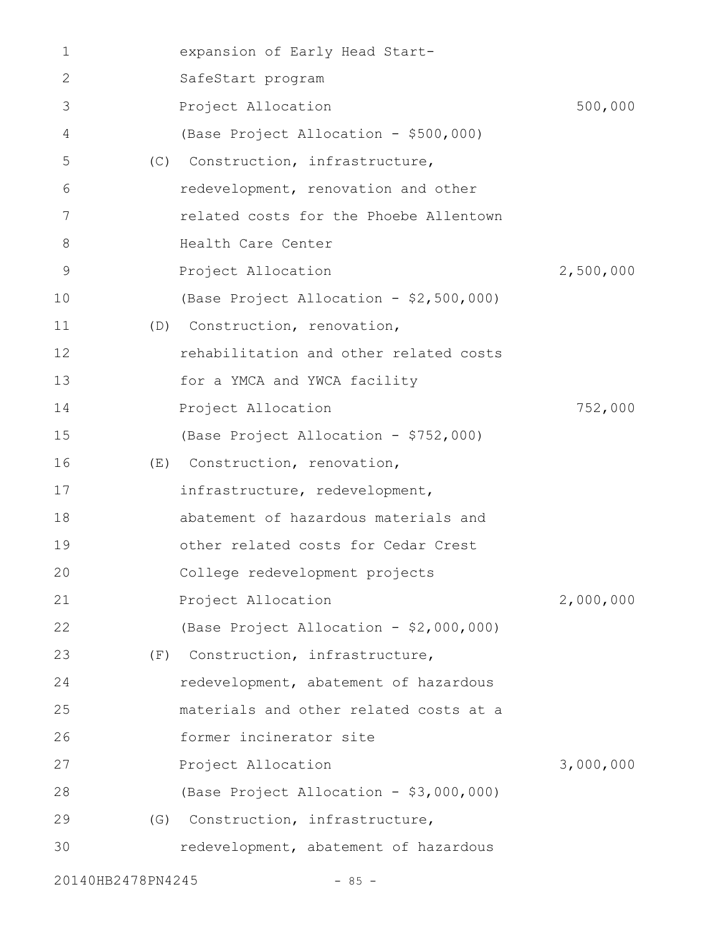| 1                 |     | expansion of Early Head Start-          |           |
|-------------------|-----|-----------------------------------------|-----------|
| 2                 |     | SafeStart program                       |           |
| 3                 |     | Project Allocation                      | 500,000   |
| 4                 |     | (Base Project Allocation - \$500,000)   |           |
| 5                 | (C) | Construction, infrastructure,           |           |
| 6                 |     | redevelopment, renovation and other     |           |
| 7                 |     | related costs for the Phoebe Allentown  |           |
| 8                 |     | Health Care Center                      |           |
| 9                 |     | Project Allocation                      | 2,500,000 |
| 10                |     | (Base Project Allocation - \$2,500,000) |           |
| 11                | (D) | Construction, renovation,               |           |
| 12                |     | rehabilitation and other related costs  |           |
| 13                |     | for a YMCA and YWCA facility            |           |
| 14                |     | Project Allocation                      | 752,000   |
| 15                |     | (Base Project Allocation - \$752,000)   |           |
| 16                |     | (E) Construction, renovation,           |           |
| 17                |     | infrastructure, redevelopment,          |           |
| 18                |     | abatement of hazardous materials and    |           |
| 19                |     | other related costs for Cedar Crest     |           |
| 20                |     | College redevelopment projects          |           |
| 21                |     | Project Allocation                      | 2,000,000 |
| 22                |     | (Base Project Allocation - \$2,000,000) |           |
| 23                | (F) | Construction, infrastructure,           |           |
| 24                |     | redevelopment, abatement of hazardous   |           |
| 25                |     | materials and other related costs at a  |           |
| 26                |     | former incinerator site                 |           |
| 27                |     | Project Allocation                      | 3,000,000 |
| 28                |     | (Base Project Allocation - \$3,000,000) |           |
| 29                | (G) | Construction, infrastructure,           |           |
| 30                |     | redevelopment, abatement of hazardous   |           |
| 20140HB2478PN4245 |     | $-85 -$                                 |           |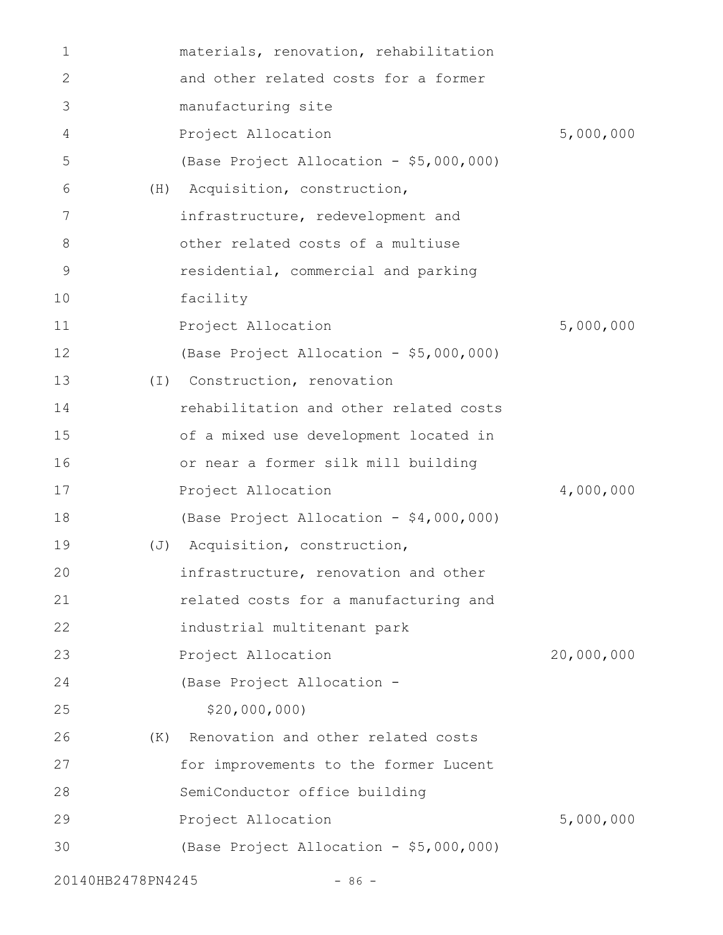| 1                 |                | materials, renovation, rehabilitation   |            |
|-------------------|----------------|-----------------------------------------|------------|
| 2                 |                | and other related costs for a former    |            |
| 3                 |                | manufacturing site                      |            |
| 4                 |                | Project Allocation                      | 5,000,000  |
| 5                 |                | (Base Project Allocation - \$5,000,000) |            |
| 6                 | (H)            | Acquisition, construction,              |            |
| 7                 |                | infrastructure, redevelopment and       |            |
| 8                 |                | other related costs of a multiuse       |            |
| 9                 |                | residential, commercial and parking     |            |
| 10                |                | facility                                |            |
| 11                |                | Project Allocation                      | 5,000,000  |
| 12                |                | (Base Project Allocation - \$5,000,000) |            |
| 13                | $(\top)$       | Construction, renovation                |            |
| 14                |                | rehabilitation and other related costs  |            |
| 15                |                | of a mixed use development located in   |            |
| 16                |                | or near a former silk mill building     |            |
| 17                |                | Project Allocation                      | 4,000,000  |
| 18                |                | (Base Project Allocation - \$4,000,000) |            |
| 19                | $(\mathbb{J})$ | Acquisition, construction,              |            |
| 20                |                | infrastructure, renovation and other    |            |
| 21                |                | related costs for a manufacturing and   |            |
| 22                |                | industrial multitenant park             |            |
| 23                |                | Project Allocation                      | 20,000,000 |
| 24                |                | (Base Project Allocation -              |            |
| 25                |                | \$20,000,000)                           |            |
| 26                |                | (K) Renovation and other related costs  |            |
| 27                |                | for improvements to the former Lucent   |            |
| 28                |                | SemiConductor office building           |            |
| 29                |                | Project Allocation                      | 5,000,000  |
| 30                |                | (Base Project Allocation - \$5,000,000) |            |
| 20140HB2478PN4245 |                | $-86 -$                                 |            |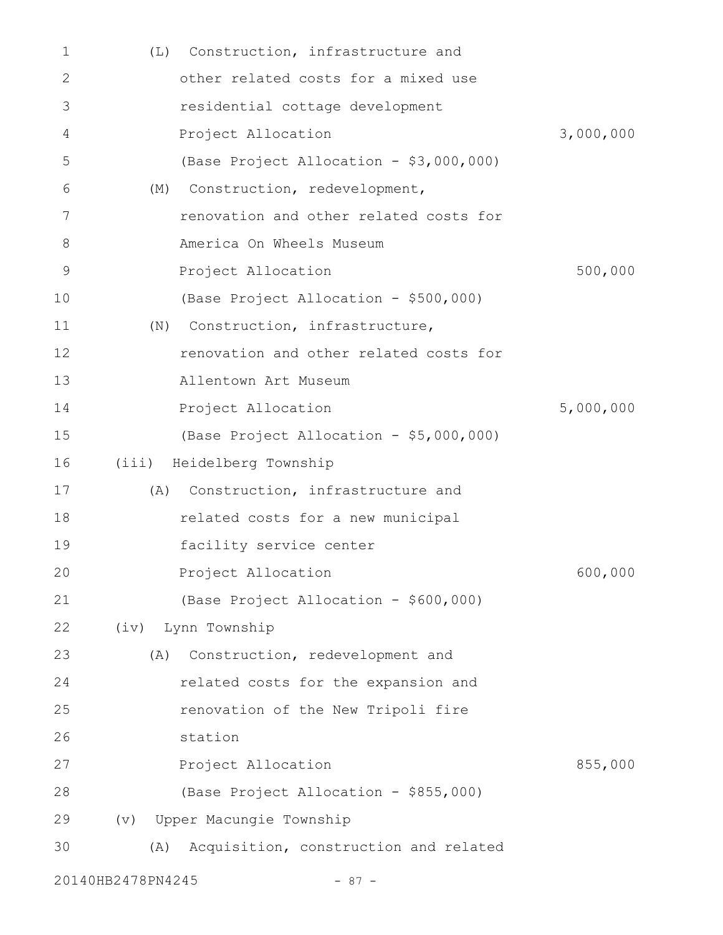| 1  | (L)               | Construction, infrastructure and        |           |
|----|-------------------|-----------------------------------------|-----------|
| 2  |                   | other related costs for a mixed use     |           |
| 3  |                   | residential cottage development         |           |
| 4  |                   | Project Allocation                      | 3,000,000 |
| 5  |                   | (Base Project Allocation - \$3,000,000) |           |
| 6  | (M)               | Construction, redevelopment,            |           |
| 7  |                   | renovation and other related costs for  |           |
| 8  |                   | America On Wheels Museum                |           |
| 9  |                   | Project Allocation                      | 500,000   |
| 10 |                   | (Base Project Allocation - \$500,000)   |           |
| 11 | (N)               | Construction, infrastructure,           |           |
| 12 |                   | renovation and other related costs for  |           |
| 13 |                   | Allentown Art Museum                    |           |
| 14 |                   | Project Allocation                      | 5,000,000 |
| 15 |                   | (Base Project Allocation - \$5,000,000) |           |
| 16 |                   | (iii) Heidelberg Township               |           |
| 17 | (A)               | Construction, infrastructure and        |           |
| 18 |                   | related costs for a new municipal       |           |
| 19 |                   | facility service center                 |           |
| 20 |                   | Project Allocation                      | 600,000   |
| 21 |                   | (Base Project Allocation - \$600,000)   |           |
| 22 | (iv)              | Lynn Township                           |           |
| 23 | (A)               | Construction, redevelopment and         |           |
| 24 |                   | related costs for the expansion and     |           |
| 25 |                   | renovation of the New Tripoli fire      |           |
| 26 |                   | station                                 |           |
| 27 |                   | Project Allocation                      | 855,000   |
| 28 |                   | (Base Project Allocation - \$855,000)   |           |
| 29 | $(\triangledown)$ | Upper Macungie Township                 |           |
| 30 | (A)               | Acquisition, construction and related   |           |
|    | 20140HB2478PN4245 | $-87 -$                                 |           |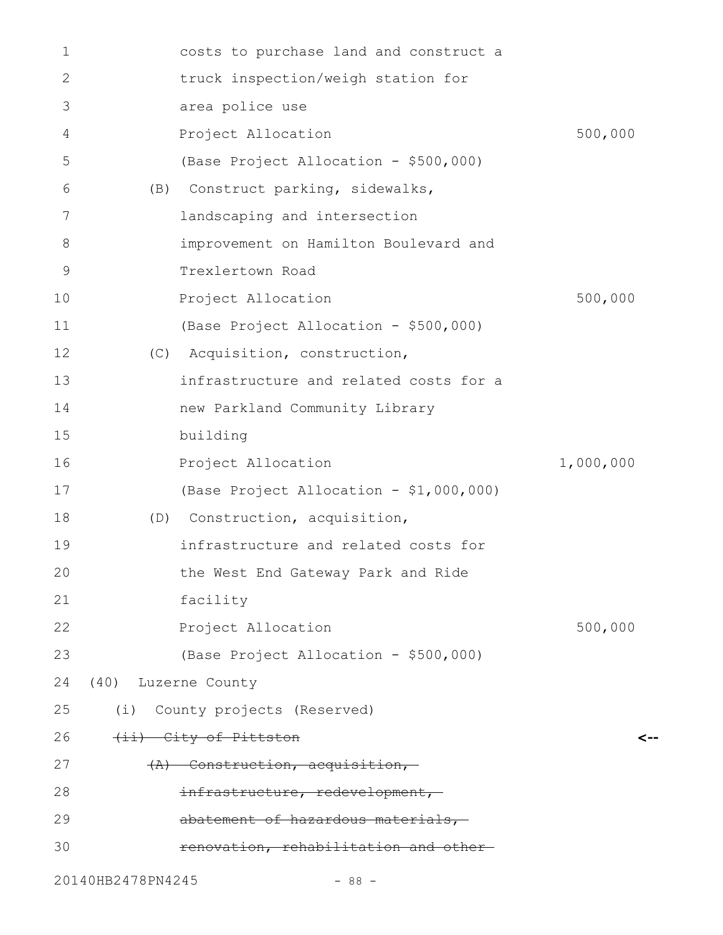| 1                 | costs to purchase land and construct a  |           |
|-------------------|-----------------------------------------|-----------|
| 2                 | truck inspection/weigh station for      |           |
| 3                 | area police use                         |           |
| 4                 | Project Allocation                      | 500,000   |
| 5                 | (Base Project Allocation - \$500,000)   |           |
| 6                 | Construct parking, sidewalks,<br>(B)    |           |
| 7                 | landscaping and intersection            |           |
| 8                 | improvement on Hamilton Boulevard and   |           |
| 9                 | Trexlertown Road                        |           |
| 10                | Project Allocation                      | 500,000   |
| 11                | (Base Project Allocation - \$500,000)   |           |
| 12                | (C)<br>Acquisition, construction,       |           |
| 13                | infrastructure and related costs for a  |           |
| 14                | new Parkland Community Library          |           |
| 15                | building                                |           |
| 16                | Project Allocation                      | 1,000,000 |
| 17                | (Base Project Allocation - \$1,000,000) |           |
| 18                | Construction, acquisition,<br>(D)       |           |
| 19                | infrastructure and related costs for    |           |
| 20                | the West End Gateway Park and Ride      |           |
| 21                | facility                                |           |
| 22                | Project Allocation                      | 500,000   |
| 23                | (Base Project Allocation - \$500,000)   |           |
| 24                | (40) Luzerne County                     |           |
| 25                | (i) County projects (Reserved)          |           |
| 26                | (ii) City of Pittston                   | <--       |
| 27                | $(A)$ Construction, acquisition,        |           |
| 28                | infrastructure, redevelopment,-         |           |
| 29                | abatement of hazardous materials,       |           |
| 30                | renovation, rehabilitation and other-   |           |
| 20140HB2478PN4245 | $-88 -$                                 |           |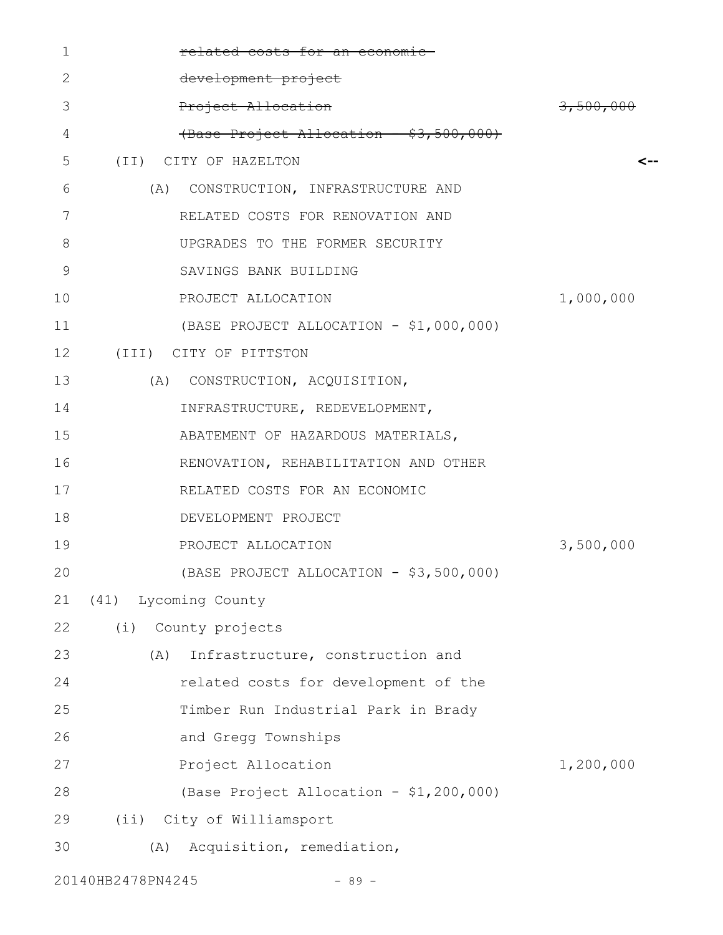| 1            | related costs for an economic           |           |
|--------------|-----------------------------------------|-----------|
| $\mathbf{2}$ | development project                     |           |
| 3            | Project Allocation                      | 3,500,000 |
| 4            | (Base Project Allocation - \$3,500,000) |           |
| 5            | (II) CITY OF HAZELTON                   | <--       |
| 6            | (A) CONSTRUCTION, INFRASTRUCTURE AND    |           |
| 7            | RELATED COSTS FOR RENOVATION AND        |           |
| 8            | UPGRADES TO THE FORMER SECURITY         |           |
| 9            | SAVINGS BANK BUILDING                   |           |
| 10           | PROJECT ALLOCATION                      | 1,000,000 |
| 11           | (BASE PROJECT ALLOCATION - \$1,000,000) |           |
| $12 \,$      | (III) CITY OF PITTSTON                  |           |
| 13           | (A) CONSTRUCTION, ACQUISITION,          |           |
| 14           | INFRASTRUCTURE, REDEVELOPMENT,          |           |
| 15           | ABATEMENT OF HAZARDOUS MATERIALS,       |           |
| 16           | RENOVATION, REHABILITATION AND OTHER    |           |
| 17           | RELATED COSTS FOR AN ECONOMIC           |           |
| 18           | DEVELOPMENT PROJECT                     |           |
| 19           | PROJECT ALLOCATION                      | 3,500,000 |
| 20           | (BASE PROJECT ALLOCATION - \$3,500,000) |           |
| 21           | (41) Lycoming County                    |           |
| 22           | (i) County projects                     |           |
| 23           | Infrastructure, construction and<br>(A) |           |
| 24           | related costs for development of the    |           |
| 25           | Timber Run Industrial Park in Brady     |           |
| 26           | and Gregg Townships                     |           |
| 27           | Project Allocation                      | 1,200,000 |
| 28           | (Base Project Allocation - \$1,200,000) |           |
| 29           | (ii) City of Williamsport               |           |
| 30           | Acquisition, remediation,<br>(A)        |           |
|              | 20140HB2478PN4245<br>$-89 -$            |           |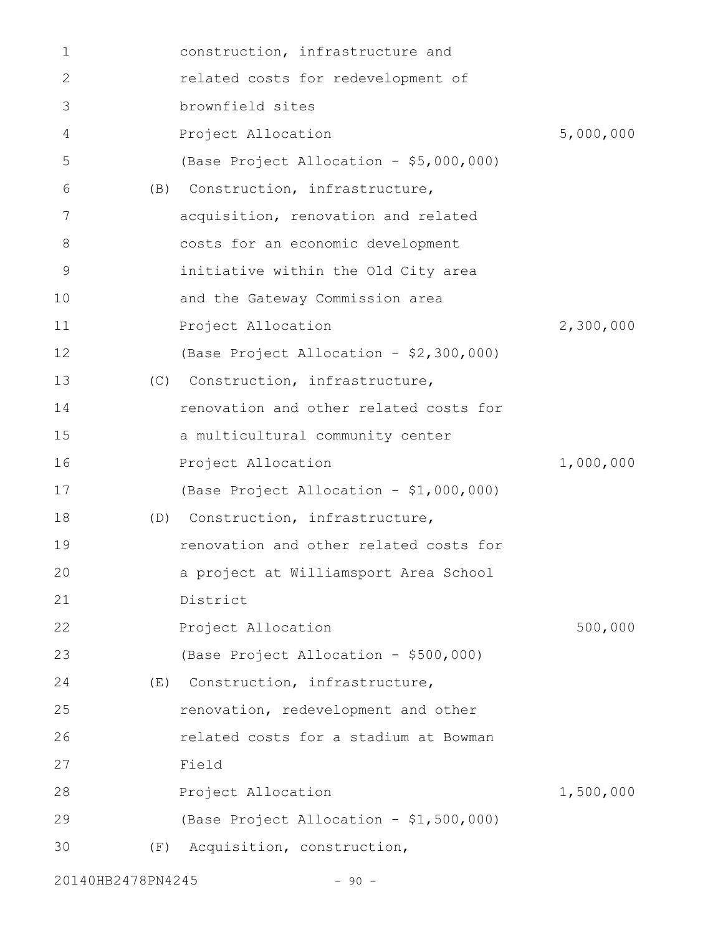| 1  |     | construction, infrastructure and        |           |
|----|-----|-----------------------------------------|-----------|
| 2  |     | related costs for redevelopment of      |           |
| 3  |     | brownfield sites                        |           |
| 4  |     | Project Allocation                      | 5,000,000 |
| 5  |     | (Base Project Allocation - \$5,000,000) |           |
| 6  | (B) | Construction, infrastructure,           |           |
| 7  |     | acquisition, renovation and related     |           |
| 8  |     | costs for an economic development       |           |
| 9  |     | initiative within the Old City area     |           |
| 10 |     | and the Gateway Commission area         |           |
| 11 |     | Project Allocation                      | 2,300,000 |
| 12 |     | (Base Project Allocation - \$2,300,000) |           |
| 13 | (C) | Construction, infrastructure,           |           |
| 14 |     | renovation and other related costs for  |           |
| 15 |     | a multicultural community center        |           |
| 16 |     | Project Allocation                      | 1,000,000 |
| 17 |     | (Base Project Allocation - \$1,000,000) |           |
| 18 | (D) | Construction, infrastructure,           |           |
| 19 |     | renovation and other related costs for  |           |
| 20 |     | a project at Williamsport Area School   |           |
| 21 |     | District                                |           |
| 22 |     | Project Allocation                      | 500,000   |
| 23 |     | (Base Project Allocation - \$500,000)   |           |
| 24 | (E) | Construction, infrastructure,           |           |
| 25 |     | renovation, redevelopment and other     |           |
| 26 |     | related costs for a stadium at Bowman   |           |
| 27 |     | Field                                   |           |
| 28 |     | Project Allocation                      | 1,500,000 |
| 29 |     | (Base Project Allocation - \$1,500,000) |           |
| 30 | (F) | Acquisition, construction,              |           |
|    |     |                                         |           |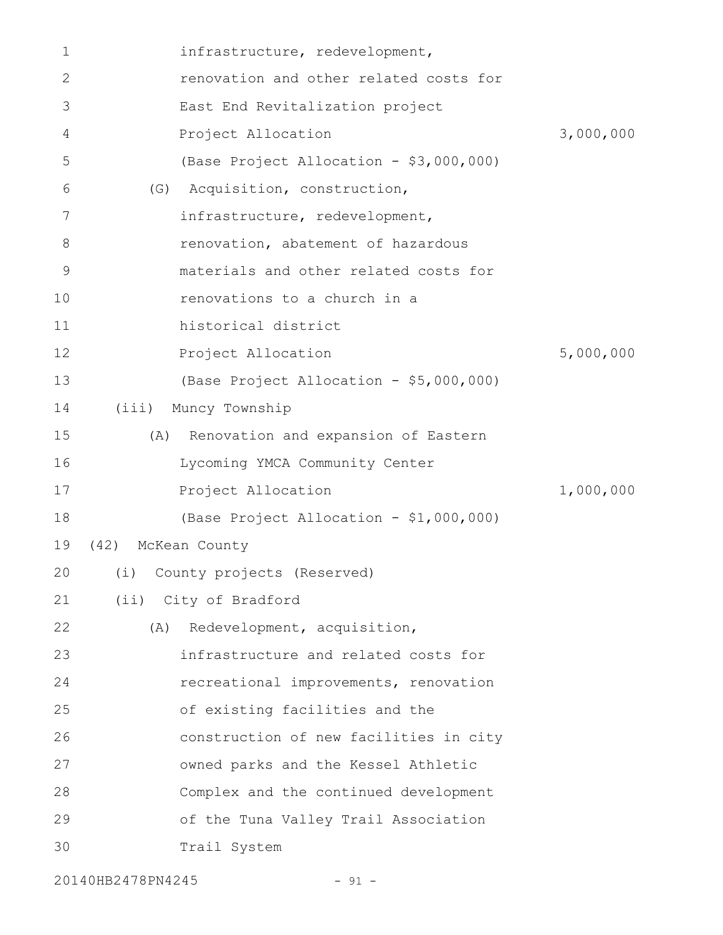| 1  | infrastructure, redevelopment,          |           |
|----|-----------------------------------------|-----------|
| 2  | renovation and other related costs for  |           |
| 3  | East End Revitalization project         |           |
| 4  | Project Allocation                      | 3,000,000 |
| 5  | (Base Project Allocation - \$3,000,000) |           |
| 6  | (G) Acquisition, construction,          |           |
| 7  | infrastructure, redevelopment,          |           |
| 8  | renovation, abatement of hazardous      |           |
| 9  | materials and other related costs for   |           |
| 10 | renovations to a church in a            |           |
| 11 | historical district                     |           |
| 12 | Project Allocation                      | 5,000,000 |
| 13 | (Base Project Allocation - \$5,000,000) |           |
| 14 | (iii) Muncy Township                    |           |
| 15 | (A) Renovation and expansion of Eastern |           |
| 16 | Lycoming YMCA Community Center          |           |
| 17 | Project Allocation                      | 1,000,000 |
| 18 | (Base Project Allocation - \$1,000,000) |           |
| 19 | (42) McKean County                      |           |
|    | 20 (i) County projects (Reserved)       |           |
| 21 | (ii) City of Bradford                   |           |
| 22 | Redevelopment, acquisition,<br>(A)      |           |
| 23 | infrastructure and related costs for    |           |
| 24 | recreational improvements, renovation   |           |
| 25 | of existing facilities and the          |           |
| 26 | construction of new facilities in city  |           |
| 27 | owned parks and the Kessel Athletic     |           |
| 28 | Complex and the continued development   |           |
| 29 | of the Tuna Valley Trail Association    |           |
| 30 | Trail System                            |           |
|    |                                         |           |

20140HB2478PN4245 - 91 -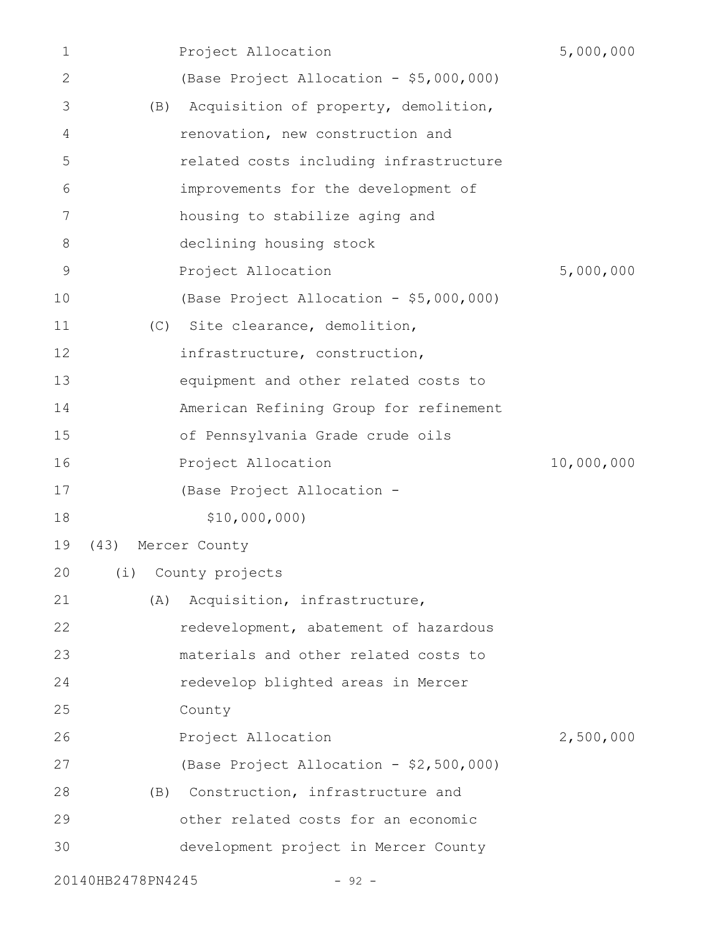| 1              |      | Project Allocation                      | 5,000,000  |
|----------------|------|-----------------------------------------|------------|
| 2              |      | (Base Project Allocation - \$5,000,000) |            |
| 3              | (B)  | Acquisition of property, demolition,    |            |
| 4              |      | renovation, new construction and        |            |
| 5              |      | related costs including infrastructure  |            |
| 6              |      | improvements for the development of     |            |
| $\overline{7}$ |      | housing to stabilize aging and          |            |
| $8\,$          |      | declining housing stock                 |            |
| $\mathsf 9$    |      | Project Allocation                      | 5,000,000  |
| 10             |      | (Base Project Allocation - \$5,000,000) |            |
| 11             | (C)  | Site clearance, demolition,             |            |
| 12             |      | infrastructure, construction,           |            |
| 13             |      | equipment and other related costs to    |            |
| 14             |      | American Refining Group for refinement  |            |
| 15             |      | of Pennsylvania Grade crude oils        |            |
| 16             |      | Project Allocation                      | 10,000,000 |
| 17             |      | (Base Project Allocation -              |            |
| 18             |      | \$10,000,000)                           |            |
| 19             | (43) | Mercer County                           |            |
| 20             | (i)  | County projects                         |            |
| 21             | (A)  | Acquisition, infrastructure,            |            |
| 22             |      | redevelopment, abatement of hazardous   |            |
| 23             |      | materials and other related costs to    |            |
| 24             |      | redevelop blighted areas in Mercer      |            |
| 25             |      | County                                  |            |
| 26             |      | Project Allocation                      | 2,500,000  |
| 27             |      | (Base Project Allocation - \$2,500,000) |            |
| 28             | (B)  | Construction, infrastructure and        |            |
| 29             |      | other related costs for an economic     |            |
| 30             |      | development project in Mercer County    |            |
|                |      |                                         |            |

20140HB2478PN4245 - 92 -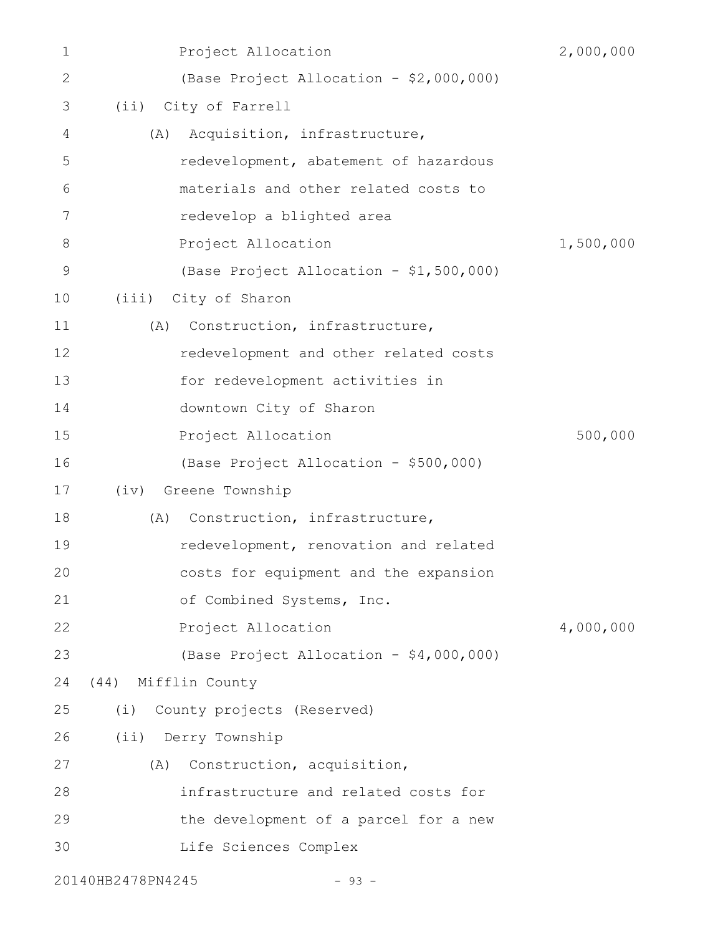| 1            | Project Allocation                      | 2,000,000 |
|--------------|-----------------------------------------|-----------|
| $\mathbf{2}$ | (Base Project Allocation - \$2,000,000) |           |
| 3            | City of Farrell<br>(i)                  |           |
| 4            | Acquisition, infrastructure,<br>(A)     |           |
| 5            | redevelopment, abatement of hazardous   |           |
| 6            | materials and other related costs to    |           |
| 7            | redevelop a blighted area               |           |
| 8            | Project Allocation                      | 1,500,000 |
| 9            | (Base Project Allocation - \$1,500,000) |           |
| 10           | (iii)<br>City of Sharon                 |           |
| 11           | Construction, infrastructure,<br>(A)    |           |
| 12           | redevelopment and other related costs   |           |
| 13           | for redevelopment activities in         |           |
| 14           | downtown City of Sharon                 |           |
| 15           | Project Allocation                      | 500,000   |
| 16           | (Base Project Allocation - \$500,000)   |           |
| 17           | Greene Township<br>(iv)                 |           |
| 18           | Construction, infrastructure,<br>(A)    |           |
| 19           | redevelopment, renovation and related   |           |
| 20           | costs for equipment and the expansion   |           |
| 21           | of Combined Systems, Inc.               |           |
| 22           | Project Allocation                      | 4,000,000 |
| 23           | (Base Project Allocation - \$4,000,000) |           |
| 24           | (44) Mifflin County                     |           |
| 25           | (i)<br>County projects (Reserved)       |           |
| 26           | (ii) Derry Township                     |           |
| 27           | Construction, acquisition,<br>(A)       |           |
| 28           | infrastructure and related costs for    |           |
| 29           | the development of a parcel for a new   |           |
| 30           | Life Sciences Complex                   |           |
|              | 20140HB2478PN4245<br>$-93 -$            |           |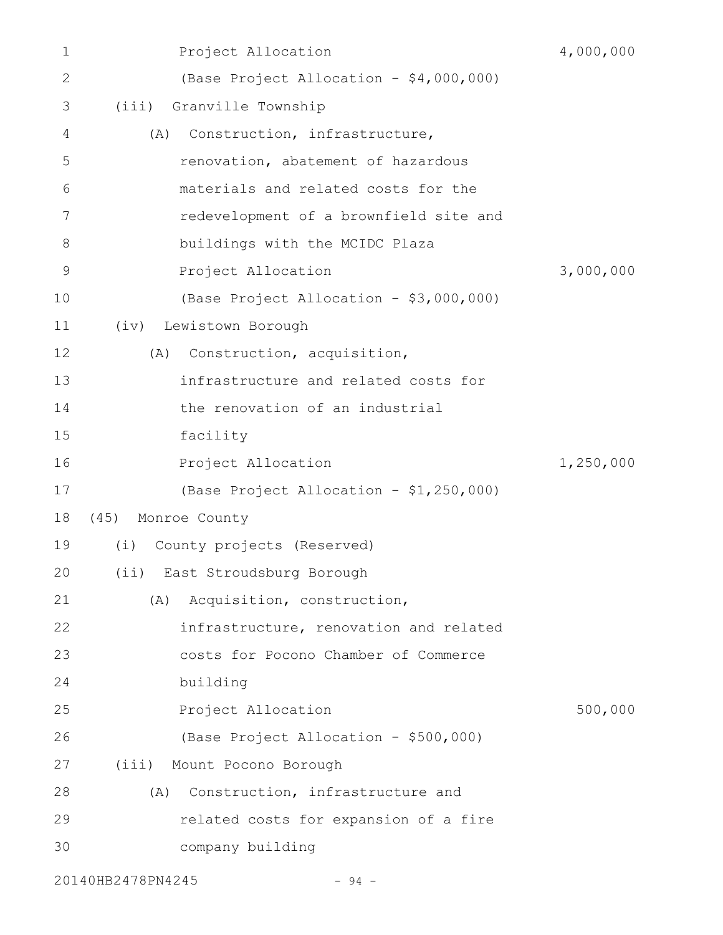| 1            | Project Allocation                      | 4,000,000 |
|--------------|-----------------------------------------|-----------|
| $\mathbf{2}$ | (Base Project Allocation - \$4,000,000) |           |
| 3            | Granville Township<br>(iii)             |           |
| 4            | Construction, infrastructure,<br>(A)    |           |
| 5            | renovation, abatement of hazardous      |           |
| 6            | materials and related costs for the     |           |
| 7            | redevelopment of a brownfield site and  |           |
| 8            | buildings with the MCIDC Plaza          |           |
| 9            | Project Allocation                      | 3,000,000 |
| 10           | (Base Project Allocation - \$3,000,000) |           |
| 11           | Lewistown Borough<br>(iv)               |           |
| 12           | Construction, acquisition,<br>(A)       |           |
| 13           | infrastructure and related costs for    |           |
| 14           | the renovation of an industrial         |           |
| 15           | facility                                |           |
| 16           | Project Allocation                      | 1,250,000 |
| 17           | (Base Project Allocation - \$1,250,000) |           |
| 18           | (45)<br>Monroe County                   |           |
| 19           | (i)<br>County projects (Reserved)       |           |
| 20           | (ii) East Stroudsburg Borough           |           |
| 21           | (A) Acquisition, construction,          |           |
| 22           | infrastructure, renovation and related  |           |
| 23           | costs for Pocono Chamber of Commerce    |           |
| 24           | building                                |           |
| 25           | Project Allocation                      | 500,000   |
| 26           | (Base Project Allocation - \$500,000)   |           |
| 27           | (iii) Mount Pocono Borough              |           |
| 28           | Construction, infrastructure and<br>(A) |           |
| 29           | related costs for expansion of a fire   |           |
| 30           | company building                        |           |
|              | 20140HB2478PN4245<br>$-94 -$            |           |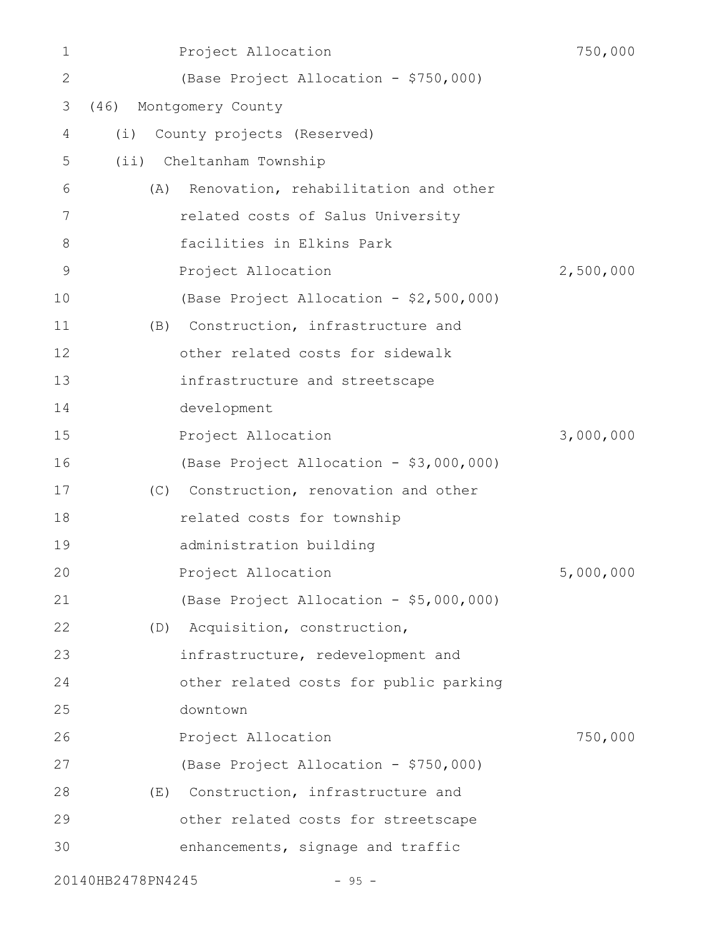| 1           |                           | Project Allocation                      | 750,000   |
|-------------|---------------------------|-----------------------------------------|-----------|
| 2           |                           | (Base Project Allocation - \$750,000)   |           |
| 3           | (46)<br>Montgomery County |                                         |           |
| 4           | (i)                       | County projects (Reserved)              |           |
| 5           |                           | (ii) Cheltanham Township                |           |
| 6           | (A)                       | Renovation, rehabilitation and other    |           |
| 7           |                           | related costs of Salus University       |           |
| 8           |                           | facilities in Elkins Park               |           |
| $\mathsf 9$ |                           | Project Allocation                      | 2,500,000 |
| 10          |                           | (Base Project Allocation - \$2,500,000) |           |
| 11          | (B)                       | Construction, infrastructure and        |           |
| 12          |                           | other related costs for sidewalk        |           |
| 13          |                           | infrastructure and streetscape          |           |
| 14          |                           | development                             |           |
| 15          |                           | Project Allocation                      | 3,000,000 |
| 16          |                           | (Base Project Allocation - \$3,000,000) |           |
| 17          |                           | (C) Construction, renovation and other  |           |
| 18          |                           | related costs for township              |           |
| 19          |                           | administration building                 |           |
| 20          |                           | Project Allocation                      | 5,000,000 |
| 21          |                           | (Base Project Allocation - \$5,000,000) |           |
| 22          |                           | (D) Acquisition, construction,          |           |
| 23          |                           | infrastructure, redevelopment and       |           |
| 24          |                           | other related costs for public parking  |           |
| 25          | downtown                  |                                         |           |
| 26          |                           | Project Allocation                      | 750,000   |
| 27          |                           | (Base Project Allocation - \$750,000)   |           |
| 28          | (E)                       | Construction, infrastructure and        |           |
| 29          |                           | other related costs for streetscape     |           |
| 30          |                           | enhancements, signage and traffic       |           |
|             | 20140HB2478PN4245         | $-95 -$                                 |           |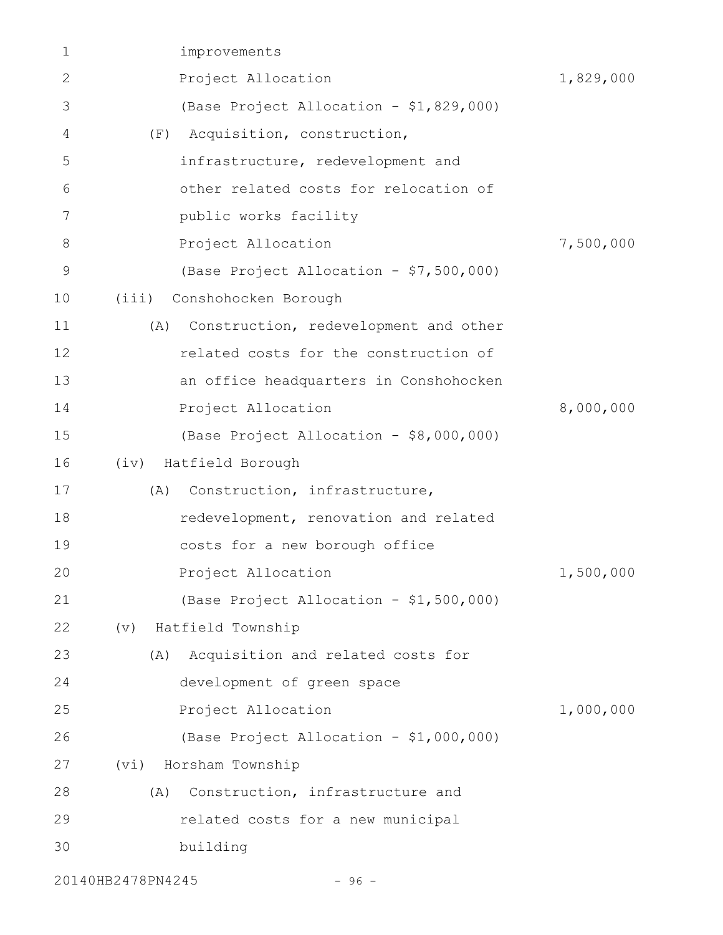| 1           | improvements                                 |           |
|-------------|----------------------------------------------|-----------|
| 2           | Project Allocation                           | 1,829,000 |
| 3           | (Base Project Allocation - \$1,829,000)      |           |
| 4           | Acquisition, construction,<br>(F)            |           |
| 5           | infrastructure, redevelopment and            |           |
| 6           | other related costs for relocation of        |           |
| 7           | public works facility                        |           |
| 8           | Project Allocation                           | 7,500,000 |
| $\mathsf 9$ | (Base Project Allocation - \$7,500,000)      |           |
| 10          | Conshohocken Borough<br>(iii)                |           |
| 11          | Construction, redevelopment and other<br>(A) |           |
| 12          | related costs for the construction of        |           |
| 13          | an office headquarters in Conshohocken       |           |
| 14          | Project Allocation                           | 8,000,000 |
| 15          | (Base Project Allocation - \$8,000,000)      |           |
| 16          | Hatfield Borough<br>(iv)                     |           |
| 17          | Construction, infrastructure,<br>(A)         |           |
| 18          | redevelopment, renovation and related        |           |
| 19          | costs for a new borough office               |           |
| 20          | Project Allocation                           | 1,500,000 |
| 21          | (Base Project Allocation - \$1,500,000)      |           |
| 22          | Hatfield Township<br>$(\triangledown)$       |           |
| 23          | Acquisition and related costs for<br>(A)     |           |
| 24          | development of green space                   |           |
| 25          | Project Allocation                           | 1,000,000 |
| 26          | (Base Project Allocation - \$1,000,000)      |           |
| 27          | (vi) Horsham Township                        |           |
| 28          | Construction, infrastructure and<br>(A)      |           |
| 29          | related costs for a new municipal            |           |
| 30          | building                                     |           |
|             |                                              |           |

20140HB2478PN4245 - 96 -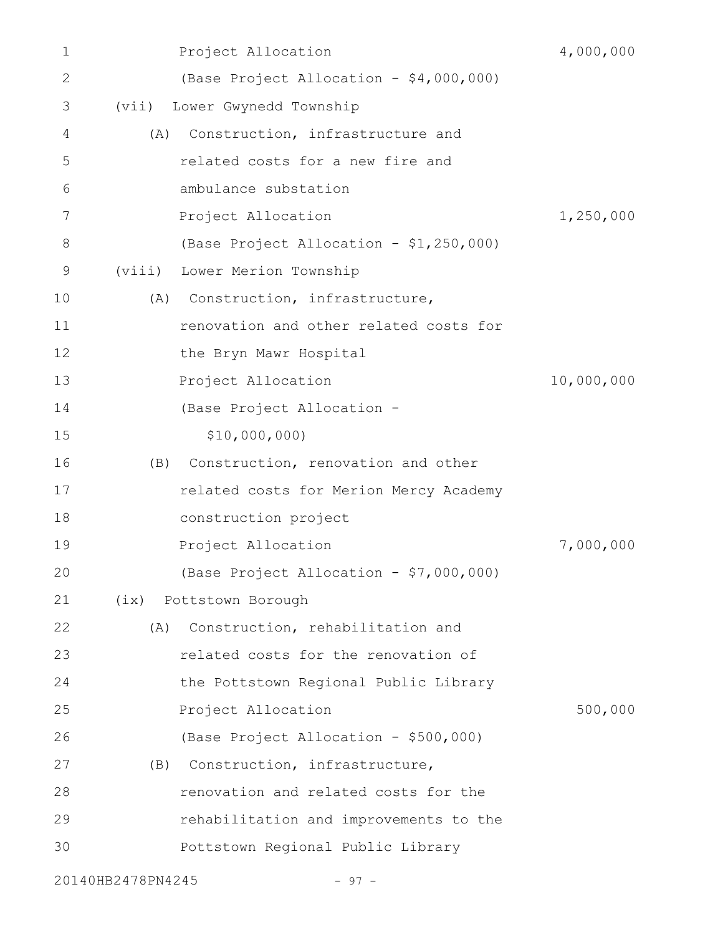| 1  | Project Allocation                        | 4,000,000  |
|----|-------------------------------------------|------------|
| 2  | (Base Project Allocation - \$4,000,000)   |            |
| 3  | Lower Gwynedd Township<br>(vii)           |            |
| 4  | Construction, infrastructure and<br>(A)   |            |
| 5  | related costs for a new fire and          |            |
| 6  | ambulance substation                      |            |
| 7  | Project Allocation                        | 1,250,000  |
| 8  | (Base Project Allocation - \$1,250,000)   |            |
| 9  | (viii)<br>Lower Merion Township           |            |
| 10 | Construction, infrastructure,<br>(A)      |            |
| 11 | renovation and other related costs for    |            |
| 12 | the Bryn Mawr Hospital                    |            |
| 13 | Project Allocation                        | 10,000,000 |
| 14 | (Base Project Allocation -                |            |
| 15 | \$10,000,000)                             |            |
| 16 | Construction, renovation and other<br>(B) |            |
| 17 | related costs for Merion Mercy Academy    |            |
| 18 | construction project                      |            |
| 19 | Project Allocation                        | 7,000,000  |
| 20 | (Base Project Allocation - \$7,000,000)   |            |
| 21 | Pottstown Borough<br>(ix)                 |            |
| 22 | Construction, rehabilitation and<br>(A)   |            |
| 23 | related costs for the renovation of       |            |
| 24 | the Pottstown Regional Public Library     |            |
| 25 | Project Allocation                        | 500,000    |
| 26 | (Base Project Allocation - \$500,000)     |            |
| 27 | Construction, infrastructure,<br>(B)      |            |
| 28 | renovation and related costs for the      |            |
| 29 | rehabilitation and improvements to the    |            |
| 30 | Pottstown Regional Public Library         |            |
|    |                                           |            |

20140HB2478PN4245 - 97 -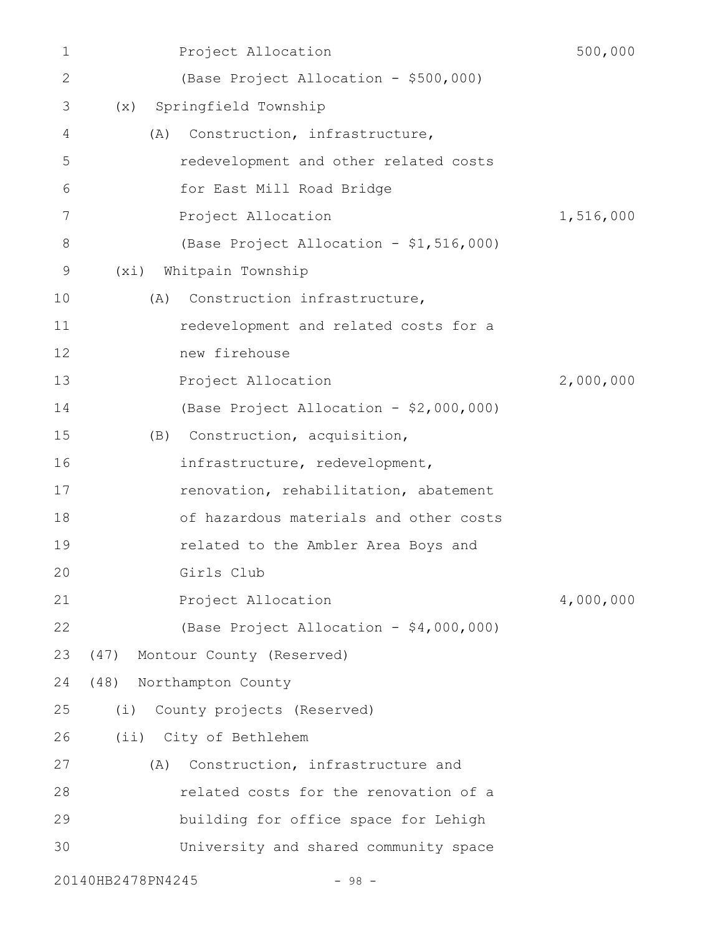| 1  | Project Allocation                      | 500,000   |
|----|-----------------------------------------|-----------|
| 2  | (Base Project Allocation - \$500,000)   |           |
| 3  | Springfield Township<br>(x)             |           |
| 4  | Construction, infrastructure,<br>(A)    |           |
| 5  | redevelopment and other related costs   |           |
| 6  | for East Mill Road Bridge               |           |
| 7  | Project Allocation                      | 1,516,000 |
| 8  | (Base Project Allocation - \$1,516,000) |           |
| 9  | Whitpain Township<br>(xi)               |           |
| 10 | Construction infrastructure,<br>(A)     |           |
| 11 | redevelopment and related costs for a   |           |
| 12 | new firehouse                           |           |
| 13 | Project Allocation                      | 2,000,000 |
| 14 | (Base Project Allocation - \$2,000,000) |           |
| 15 | (B) Construction, acquisition,          |           |
| 16 | infrastructure, redevelopment,          |           |
| 17 | renovation, rehabilitation, abatement   |           |
| 18 | of hazardous materials and other costs  |           |
| 19 | related to the Ambler Area Boys and     |           |
| 20 | Girls Club                              |           |
| 21 | Project Allocation                      | 4,000,000 |
| 22 | (Base Project Allocation - \$4,000,000) |           |
| 23 | Montour County (Reserved)<br>(47)       |           |
| 24 | (48) Northampton County                 |           |
| 25 | (i)<br>County projects (Reserved)       |           |
| 26 | (ii) City of Bethlehem                  |           |
| 27 | Construction, infrastructure and<br>(A) |           |
| 28 | related costs for the renovation of a   |           |
| 29 | building for office space for Lehigh    |           |
| 30 | University and shared community space   |           |
|    | 20140HB2478PN4245<br>$-98 -$            |           |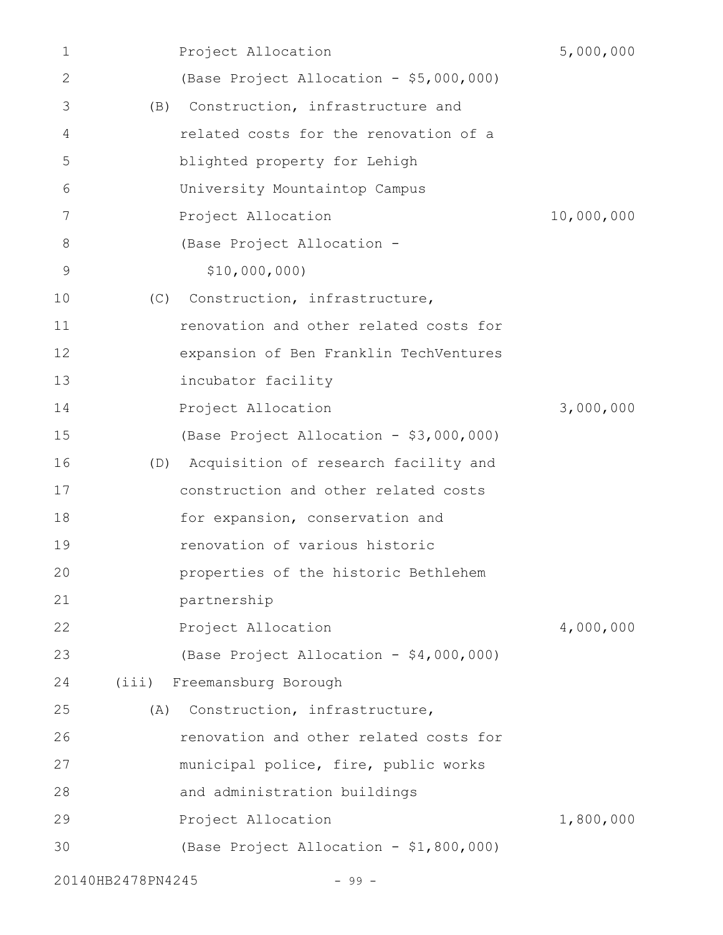| 1           |                   | Project Allocation                       | 5,000,000  |
|-------------|-------------------|------------------------------------------|------------|
| 2           |                   | (Base Project Allocation - \$5,000,000)  |            |
| 3           | (B)               | Construction, infrastructure and         |            |
| 4           |                   | related costs for the renovation of a    |            |
| 5           |                   | blighted property for Lehigh             |            |
| 6           |                   | University Mountaintop Campus            |            |
| 7           |                   | Project Allocation                       | 10,000,000 |
| 8           |                   | (Base Project Allocation -               |            |
| $\mathsf 9$ |                   | \$10,000,000)                            |            |
| 10          | (C)               | Construction, infrastructure,            |            |
| 11          |                   | renovation and other related costs for   |            |
| 12          |                   | expansion of Ben Franklin TechVentures   |            |
| 13          |                   | incubator facility                       |            |
| 14          |                   | Project Allocation                       | 3,000,000  |
| 15          |                   | (Base Project Allocation - \$3,000,000)  |            |
| 16          |                   | (D) Acquisition of research facility and |            |
| 17          |                   | construction and other related costs     |            |
| 18          |                   | for expansion, conservation and          |            |
| 19          |                   | renovation of various historic           |            |
| 20          |                   | properties of the historic Bethlehem     |            |
| 21          |                   | partnership                              |            |
| 22          |                   | Project Allocation                       | 4,000,000  |
| 23          |                   | (Base Project Allocation - \$4,000,000)  |            |
| 24          | (iii)             | Freemansburg Borough                     |            |
| 25          | (A)               | Construction, infrastructure,            |            |
| 26          |                   | renovation and other related costs for   |            |
| 27          |                   | municipal police, fire, public works     |            |
| 28          |                   | and administration buildings             |            |
| 29          |                   | Project Allocation                       | 1,800,000  |
| 30          |                   | (Base Project Allocation - \$1,800,000)  |            |
|             | 20140HB2478PN4245 | $-99 -$                                  |            |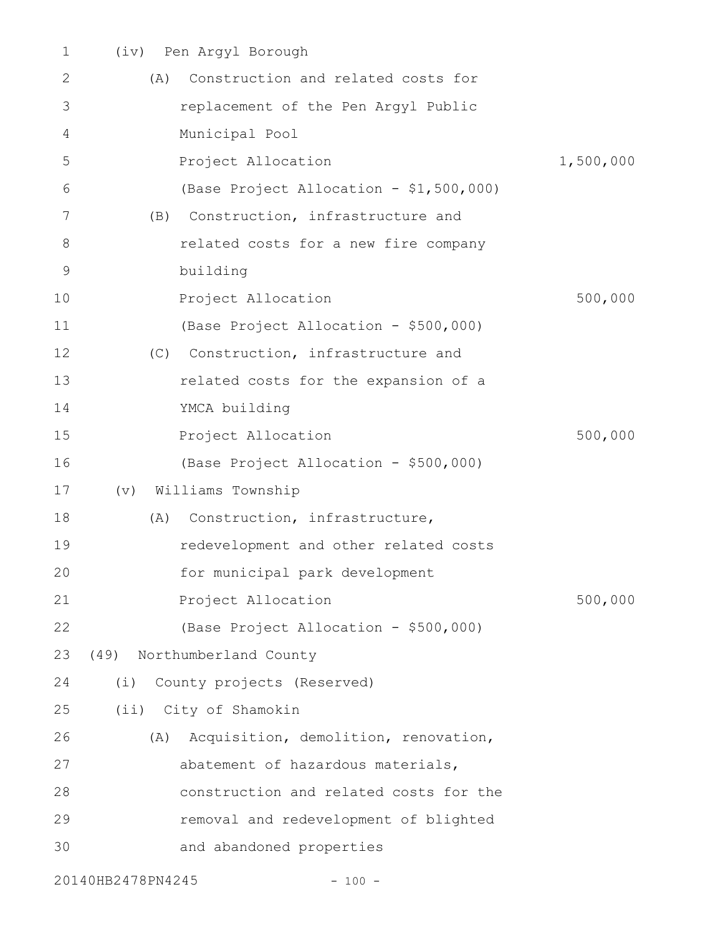| $\mathbf 1$ | Pen Argyl Borough<br>$(i\nu)$               |           |
|-------------|---------------------------------------------|-----------|
| 2           | Construction and related costs for<br>(A)   |           |
| 3           | replacement of the Pen Argyl Public         |           |
| 4           | Municipal Pool                              |           |
| 5           | Project Allocation                          | 1,500,000 |
| 6           | (Base Project Allocation - \$1,500,000)     |           |
| 7           | Construction, infrastructure and<br>(B)     |           |
| 8           | related costs for a new fire company        |           |
| 9           | building                                    |           |
| 10          | Project Allocation                          | 500,000   |
| 11          | (Base Project Allocation - \$500,000)       |           |
| 12          | (C) Construction, infrastructure and        |           |
| 13          | related costs for the expansion of a        |           |
| 14          | YMCA building                               |           |
| 15          | Project Allocation                          | 500,000   |
| 16          | (Base Project Allocation - \$500,000)       |           |
| 17          | Williams Township<br>(v)                    |           |
| 18          | Construction, infrastructure,<br>(A)        |           |
| 19          | redevelopment and other related costs       |           |
| 20          | for municipal park development              |           |
| 21          | Project Allocation                          | 500,000   |
| 22          | (Base Project Allocation - \$500,000)       |           |
| 23          | (49) Northumberland County                  |           |
| 24          | County projects (Reserved)<br>(i)           |           |
| 25          | (ii) City of Shamokin                       |           |
| 26          | Acquisition, demolition, renovation,<br>(A) |           |
| 27          | abatement of hazardous materials,           |           |
| 28          | construction and related costs for the      |           |
| 29          | removal and redevelopment of blighted       |           |
| 30          | and abandoned properties                    |           |
|             | 20140HB2478PN4245<br>$-100 -$               |           |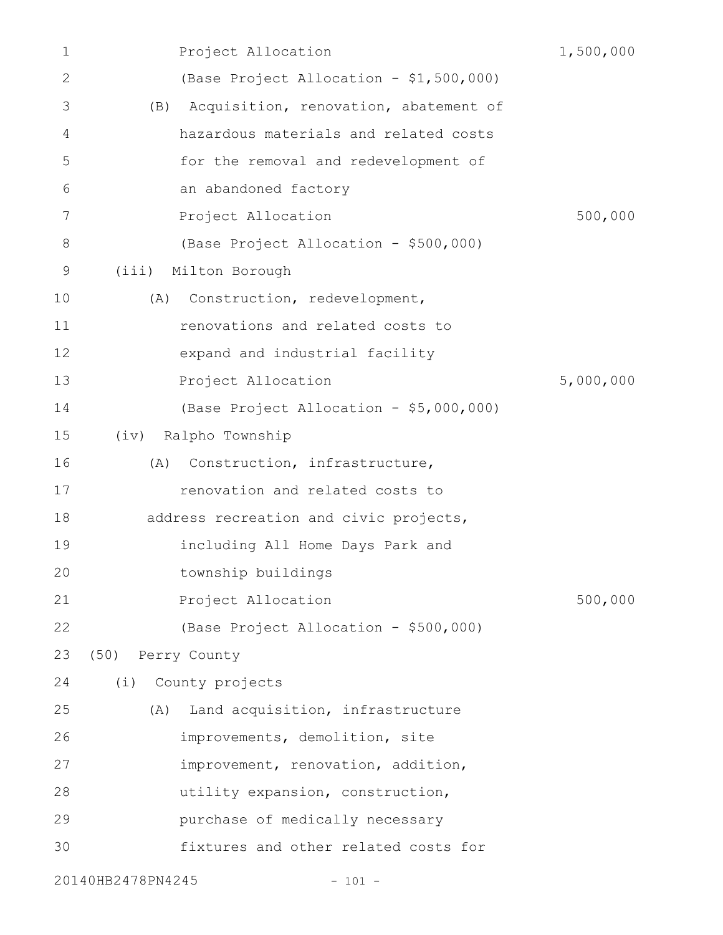| 1            | Project Allocation                           | 1,500,000 |
|--------------|----------------------------------------------|-----------|
| $\mathbf{2}$ | (Base Project Allocation - \$1,500,000)      |           |
| 3            | Acquisition, renovation, abatement of<br>(B) |           |
| 4            | hazardous materials and related costs        |           |
| 5            | for the removal and redevelopment of         |           |
| 6            | an abandoned factory                         |           |
| 7            | Project Allocation                           | 500,000   |
| $8\,$        | (Base Project Allocation - \$500,000)        |           |
| 9            | Milton Borough<br>(iii)                      |           |
| 10           | Construction, redevelopment,<br>(A)          |           |
| 11           | renovations and related costs to             |           |
| 12           | expand and industrial facility               |           |
| 13           | Project Allocation                           | 5,000,000 |
| 14           | (Base Project Allocation - \$5,000,000)      |           |
| 15           | (iv) Ralpho Township                         |           |
| 16           | Construction, infrastructure,<br>(A)         |           |
| 17           | renovation and related costs to              |           |
| 18           | address recreation and civic projects,       |           |
| 19           | including All Home Days Park and             |           |
| 20           | township buildings                           |           |
| 21           | Project Allocation                           | 500,000   |
| 22           | (Base Project Allocation - \$500,000)        |           |
| 23           | (50) Perry County                            |           |
| 24           | (i)<br>County projects                       |           |
| 25           | Land acquisition, infrastructure<br>(A)      |           |
| 26           | improvements, demolition, site               |           |
| 27           | improvement, renovation, addition,           |           |
| 28           | utility expansion, construction,             |           |
| 29           | purchase of medically necessary              |           |
| 30           | fixtures and other related costs for         |           |
|              | 20140HB2478PN4245<br>$-101 -$                |           |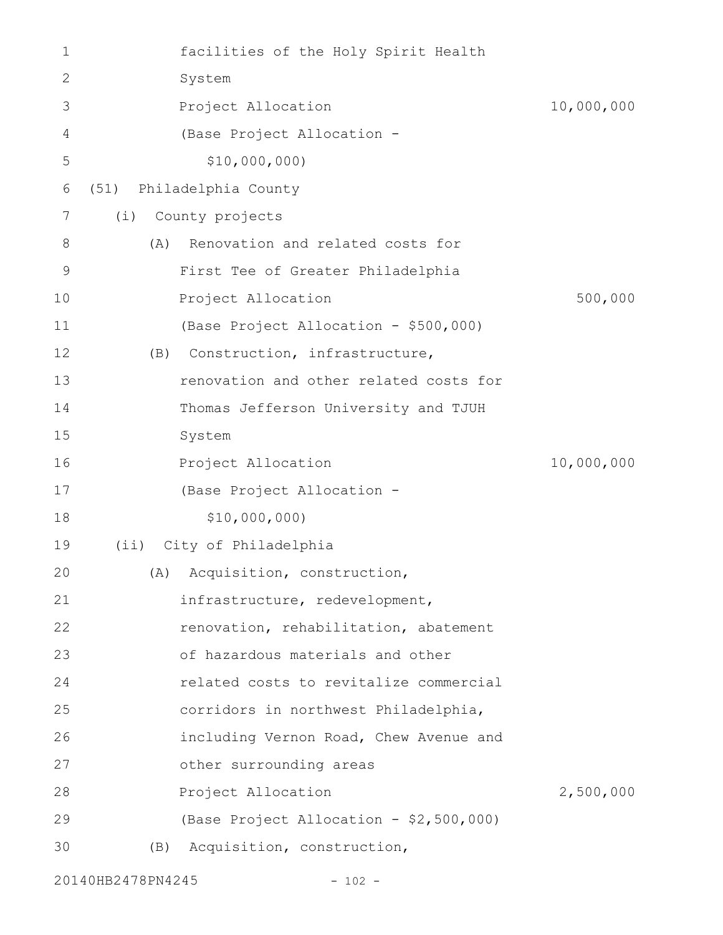| 1            |       | facilities of the Holy Spirit Health    |            |
|--------------|-------|-----------------------------------------|------------|
| $\mathbf{2}$ |       | System                                  |            |
| 3            |       | Project Allocation                      | 10,000,000 |
| 4            |       | (Base Project Allocation -              |            |
| 5            |       | \$10,000,000)                           |            |
| 6            | (51)  | Philadelphia County                     |            |
| 7            | (i)   | County projects                         |            |
| 8            | (A)   | Renovation and related costs for        |            |
| 9            |       | First Tee of Greater Philadelphia       |            |
| 10           |       | Project Allocation                      | 500,000    |
| 11           |       | (Base Project Allocation - \$500,000)   |            |
| 12           | (B)   | Construction, infrastructure,           |            |
| 13           |       | renovation and other related costs for  |            |
| 14           |       | Thomas Jefferson University and TJUH    |            |
| 15           |       | System                                  |            |
| 16           |       | Project Allocation                      | 10,000,000 |
| 17           |       | (Base Project Allocation -              |            |
| 18           |       | \$10,000,000)                           |            |
| 19           | (iii) | City of Philadelphia                    |            |
| 20           |       | (A) Acquisition, construction,          |            |
| 21           |       | infrastructure, redevelopment,          |            |
| 22           |       | renovation, rehabilitation, abatement   |            |
| 23           |       | of hazardous materials and other        |            |
| 24           |       | related costs to revitalize commercial  |            |
| 25           |       | corridors in northwest Philadelphia,    |            |
| 26           |       | including Vernon Road, Chew Avenue and  |            |
| 27           |       | other surrounding areas                 |            |
| 28           |       | Project Allocation                      | 2,500,000  |
| 29           |       | (Base Project Allocation - \$2,500,000) |            |
| 30           | (B)   | Acquisition, construction,              |            |
|              |       |                                         |            |

20140HB2478PN4245 - 102 -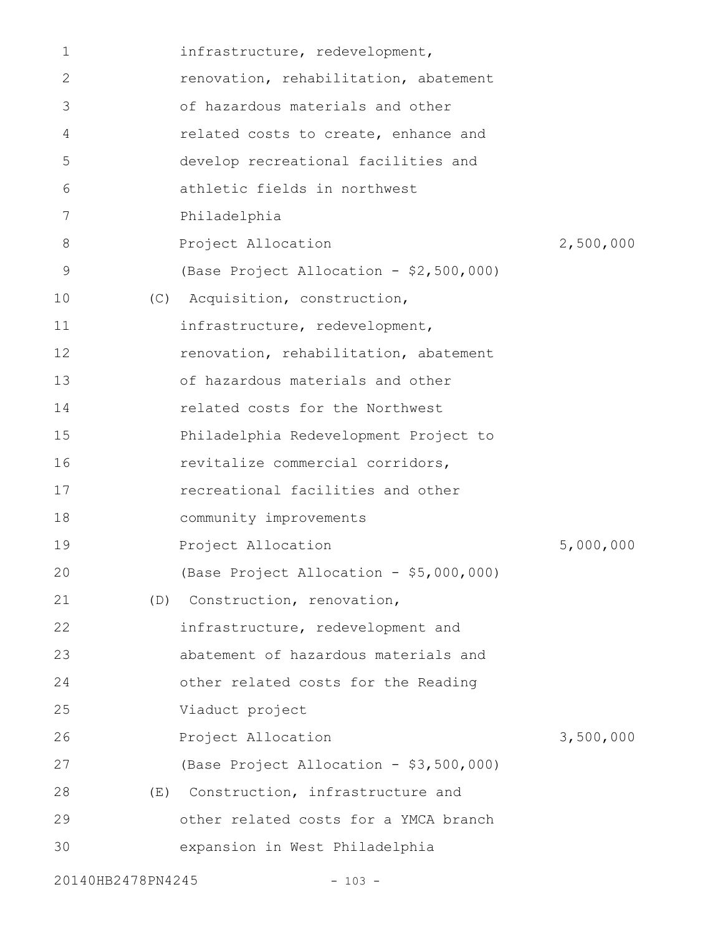| $\mathbf{1}$ |     | infrastructure, redevelopment,          |           |
|--------------|-----|-----------------------------------------|-----------|
| 2            |     | renovation, rehabilitation, abatement   |           |
| 3            |     | of hazardous materials and other        |           |
| 4            |     | related costs to create, enhance and    |           |
| 5            |     | develop recreational facilities and     |           |
| 6            |     | athletic fields in northwest            |           |
| 7            |     | Philadelphia                            |           |
| 8            |     | Project Allocation                      | 2,500,000 |
| 9            |     | (Base Project Allocation - \$2,500,000) |           |
| 10           |     | (C) Acquisition, construction,          |           |
| 11           |     | infrastructure, redevelopment,          |           |
| 12           |     | renovation, rehabilitation, abatement   |           |
| 13           |     | of hazardous materials and other        |           |
| 14           |     | related costs for the Northwest         |           |
| 15           |     | Philadelphia Redevelopment Project to   |           |
| 16           |     | revitalize commercial corridors,        |           |
| 17           |     | recreational facilities and other       |           |
| 18           |     | community improvements                  |           |
| 19           |     | Project Allocation                      | 5,000,000 |
| 20           |     | (Base Project Allocation - \$5,000,000) |           |
| 21           | (D) | Construction, renovation,               |           |
| 22           |     | infrastructure, redevelopment and       |           |
| 23           |     | abatement of hazardous materials and    |           |
| 24           |     | other related costs for the Reading     |           |
| 25           |     | Viaduct project                         |           |
| 26           |     | Project Allocation                      | 3,500,000 |
| 27           |     | (Base Project Allocation - \$3,500,000) |           |
| 28           | (E) | Construction, infrastructure and        |           |
| 29           |     | other related costs for a YMCA branch   |           |
| 30           |     | expansion in West Philadelphia          |           |
|              |     |                                         |           |

20140HB2478PN4245 - 103 -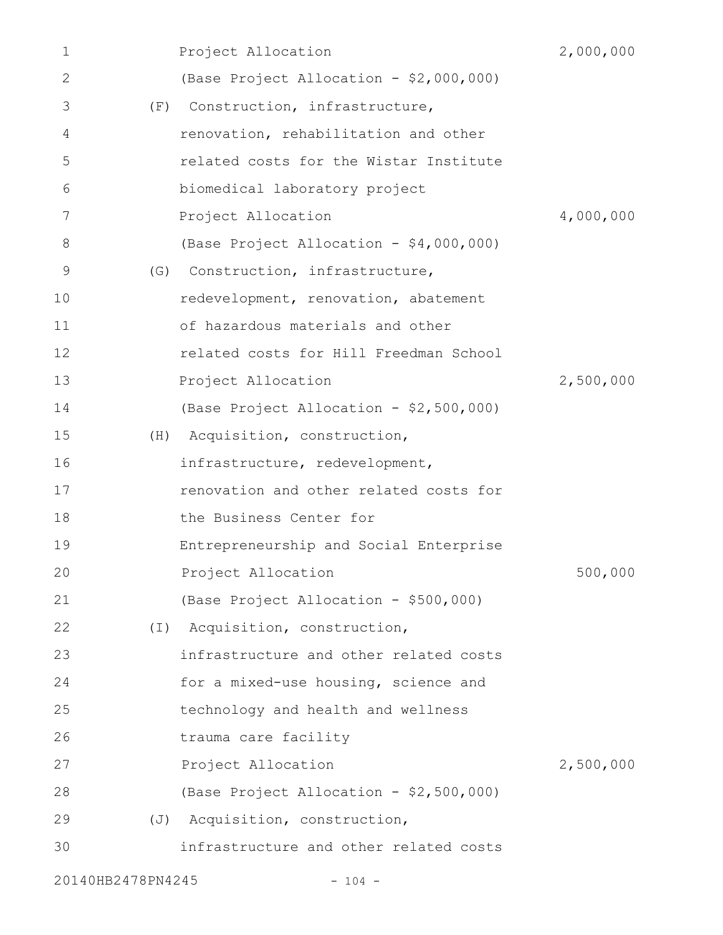| 1                 |     | Project Allocation                      | 2,000,000 |
|-------------------|-----|-----------------------------------------|-----------|
| 2                 |     | (Base Project Allocation - \$2,000,000) |           |
| 3                 |     | (F) Construction, infrastructure,       |           |
| 4                 |     | renovation, rehabilitation and other    |           |
| 5                 |     | related costs for the Wistar Institute  |           |
| 6                 |     | biomedical laboratory project           |           |
| 7                 |     | Project Allocation                      | 4,000,000 |
| 8                 |     | (Base Project Allocation - \$4,000,000) |           |
| 9                 | (G) | Construction, infrastructure,           |           |
| 10                |     | redevelopment, renovation, abatement    |           |
| 11                |     | of hazardous materials and other        |           |
| 12                |     | related costs for Hill Freedman School  |           |
| 13                |     | Project Allocation                      | 2,500,000 |
| 14                |     | (Base Project Allocation - \$2,500,000) |           |
| 15                |     | (H) Acquisition, construction,          |           |
| 16                |     | infrastructure, redevelopment,          |           |
| 17                |     | renovation and other related costs for  |           |
| 18                |     | the Business Center for                 |           |
| 19                |     | Entrepreneurship and Social Enterprise  |           |
| 20                |     | Project Allocation                      | 500,000   |
| 21                |     | (Base Project Allocation - \$500,000)   |           |
| 22                |     | (I) Acquisition, construction,          |           |
| 23                |     | infrastructure and other related costs  |           |
| 24                |     | for a mixed-use housing, science and    |           |
| 25                |     | technology and health and wellness      |           |
| 26                |     | trauma care facility                    |           |
| 27                |     | Project Allocation                      | 2,500,000 |
| 28                |     | (Base Project Allocation - \$2,500,000) |           |
| 29                |     | (J) Acquisition, construction,          |           |
| 30                |     | infrastructure and other related costs  |           |
| 20140HB2478PN4245 |     | $-104 -$                                |           |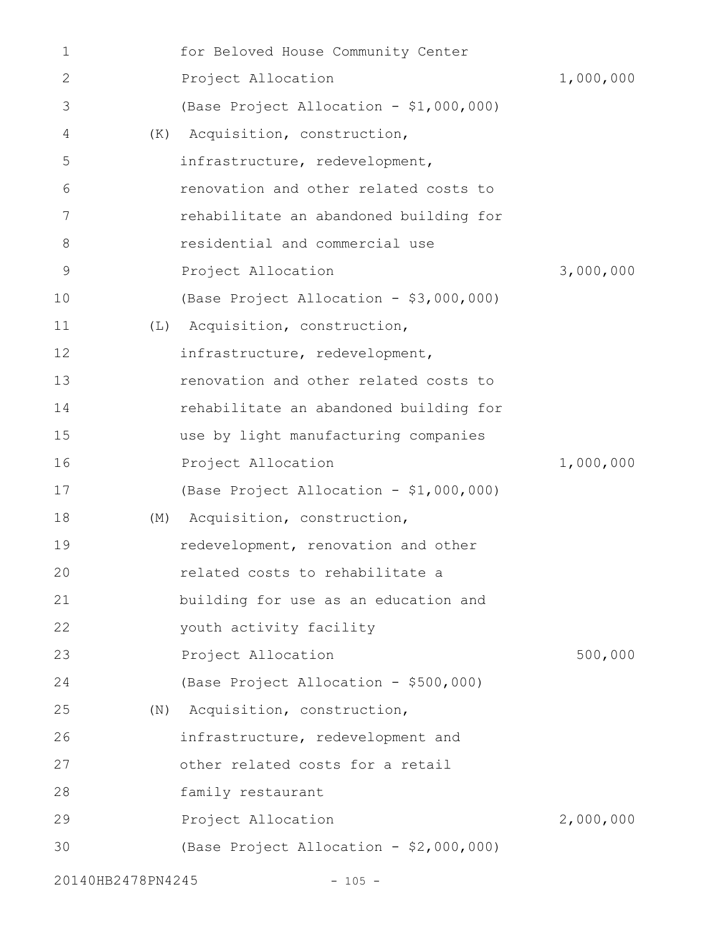| 1                 |     | for Beloved House Community Center      |           |
|-------------------|-----|-----------------------------------------|-----------|
| $\mathbf{2}$      |     | Project Allocation                      | 1,000,000 |
| 3                 |     | (Base Project Allocation - \$1,000,000) |           |
| 4                 | (K) | Acquisition, construction,              |           |
| 5                 |     | infrastructure, redevelopment,          |           |
| 6                 |     | renovation and other related costs to   |           |
| 7                 |     | rehabilitate an abandoned building for  |           |
| 8                 |     | residential and commercial use          |           |
| 9                 |     | Project Allocation                      | 3,000,000 |
| 10                |     | (Base Project Allocation - \$3,000,000) |           |
| 11                | (L) | Acquisition, construction,              |           |
| 12                |     | infrastructure, redevelopment,          |           |
| 13                |     | renovation and other related costs to   |           |
| 14                |     | rehabilitate an abandoned building for  |           |
| 15                |     | use by light manufacturing companies    |           |
| 16                |     | Project Allocation                      | 1,000,000 |
| 17                |     | (Base Project Allocation - \$1,000,000) |           |
| 18                | (M) | Acquisition, construction,              |           |
| 19                |     | redevelopment, renovation and other     |           |
| 20                |     | related costs to rehabilitate a         |           |
| 21                |     | building for use as an education and    |           |
| 22                |     | youth activity facility                 |           |
| 23                |     | Project Allocation                      | 500,000   |
| 24                |     | (Base Project Allocation - \$500,000)   |           |
| 25                |     | (N) Acquisition, construction,          |           |
| 26                |     | infrastructure, redevelopment and       |           |
| 27                |     | other related costs for a retail        |           |
| 28                |     | family restaurant                       |           |
| 29                |     | Project Allocation                      | 2,000,000 |
| 30                |     | (Base Project Allocation - \$2,000,000) |           |
| 20140HB2478PN4245 |     | $-105 -$                                |           |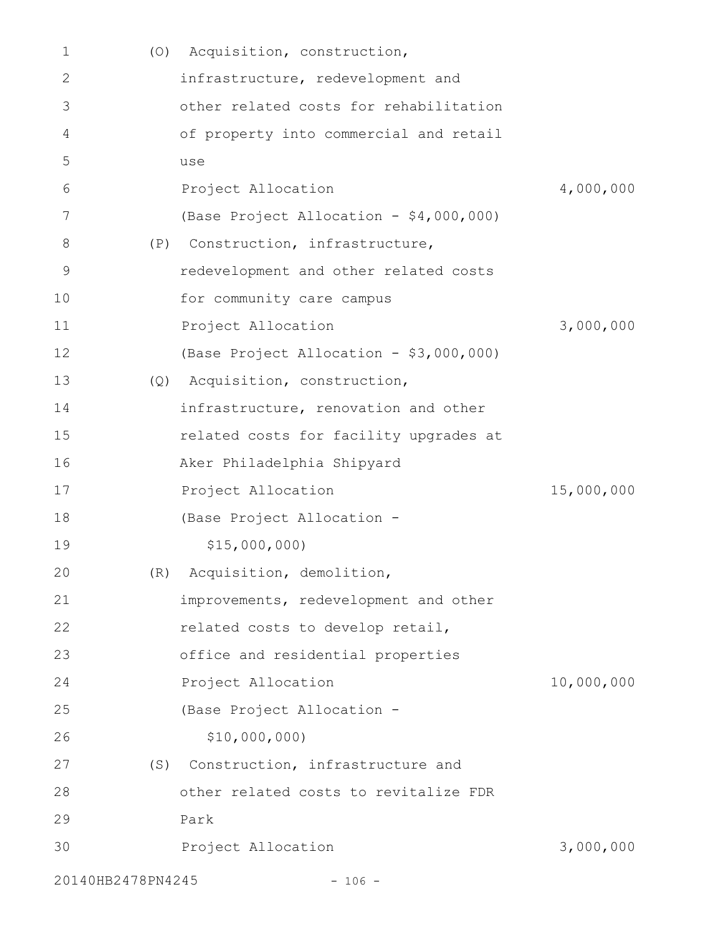| 1                 | (0) | Acquisition, construction,              |            |
|-------------------|-----|-----------------------------------------|------------|
| 2                 |     | infrastructure, redevelopment and       |            |
| 3                 |     | other related costs for rehabilitation  |            |
| 4                 |     | of property into commercial and retail  |            |
| 5                 |     | use                                     |            |
| 6                 |     | Project Allocation                      | 4,000,000  |
| 7                 |     | (Base Project Allocation - \$4,000,000) |            |
| 8                 | (P) | Construction, infrastructure,           |            |
| 9                 |     | redevelopment and other related costs   |            |
| 10                |     | for community care campus               |            |
| 11                |     | Project Allocation                      | 3,000,000  |
| 12                |     | (Base Project Allocation - \$3,000,000) |            |
| 13                | (Q) | Acquisition, construction,              |            |
| 14                |     | infrastructure, renovation and other    |            |
| 15                |     | related costs for facility upgrades at  |            |
| 16                |     | Aker Philadelphia Shipyard              |            |
| 17                |     | Project Allocation                      | 15,000,000 |
| 18                |     | (Base Project Allocation -              |            |
| 19                |     | \$15,000,000                            |            |
| 20                |     | (R) Acquisition, demolition,            |            |
| 21                |     | improvements, redevelopment and other   |            |
| 22                |     | related costs to develop retail,        |            |
| 23                |     | office and residential properties       |            |
| 24                |     | Project Allocation                      | 10,000,000 |
| 25                |     | (Base Project Allocation -              |            |
| 26                |     | \$10,000,000)                           |            |
| 27                |     | (S) Construction, infrastructure and    |            |
| 28                |     | other related costs to revitalize FDR   |            |
| 29                |     | Park                                    |            |
| 30                |     | Project Allocation                      | 3,000,000  |
| 20140HB2478PN4245 |     | $-106 -$                                |            |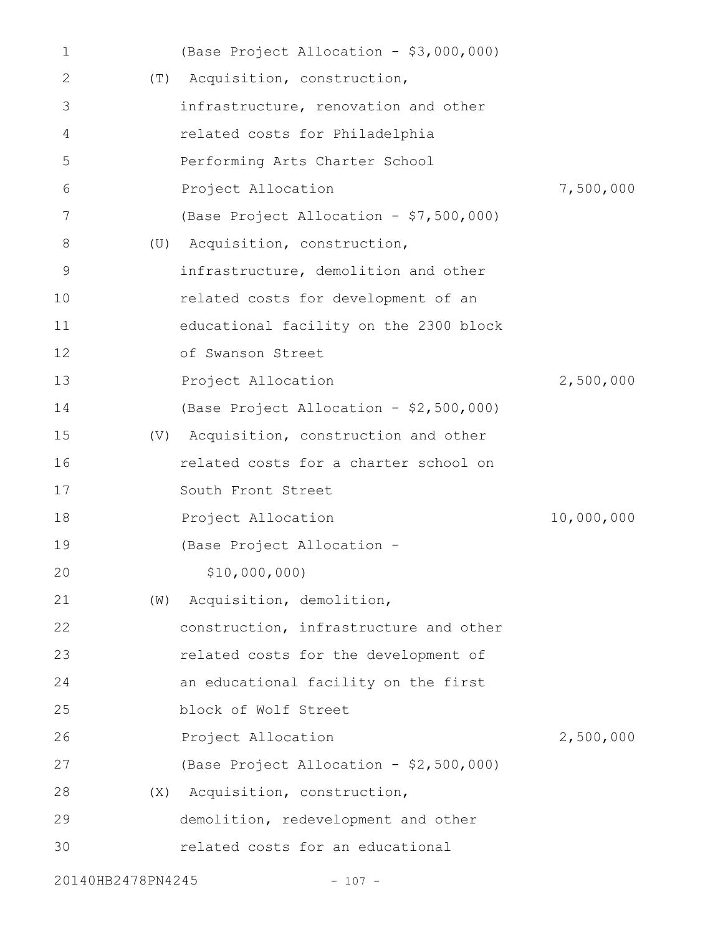| 1  |     | (Base Project Allocation - \$3,000,000) |            |
|----|-----|-----------------------------------------|------------|
| 2  | (T) | Acquisition, construction,              |            |
| 3  |     | infrastructure, renovation and other    |            |
| 4  |     | related costs for Philadelphia          |            |
| 5  |     | Performing Arts Charter School          |            |
| 6  |     | Project Allocation                      | 7,500,000  |
| 7  |     | (Base Project Allocation - \$7,500,000) |            |
| 8  | (U) | Acquisition, construction,              |            |
| 9  |     | infrastructure, demolition and other    |            |
| 10 |     | related costs for development of an     |            |
| 11 |     | educational facility on the 2300 block  |            |
| 12 |     | of Swanson Street                       |            |
| 13 |     | Project Allocation                      | 2,500,000  |
| 14 |     | (Base Project Allocation - \$2,500,000) |            |
| 15 |     | (V) Acquisition, construction and other |            |
| 16 |     | related costs for a charter school on   |            |
| 17 |     | South Front Street                      |            |
| 18 |     | Project Allocation                      | 10,000,000 |
| 19 |     | (Base Project Allocation -              |            |
| 20 |     | \$10,000,000)                           |            |
| 21 | (W) | Acquisition, demolition,                |            |
| 22 |     | construction, infrastructure and other  |            |
| 23 |     | related costs for the development of    |            |
| 24 |     | an educational facility on the first    |            |
| 25 |     | block of Wolf Street                    |            |
| 26 |     | Project Allocation                      | 2,500,000  |
| 27 |     | (Base Project Allocation - \$2,500,000) |            |
| 28 | (X) | Acquisition, construction,              |            |
| 29 |     | demolition, redevelopment and other     |            |
| 30 |     | related costs for an educational        |            |
|    |     |                                         |            |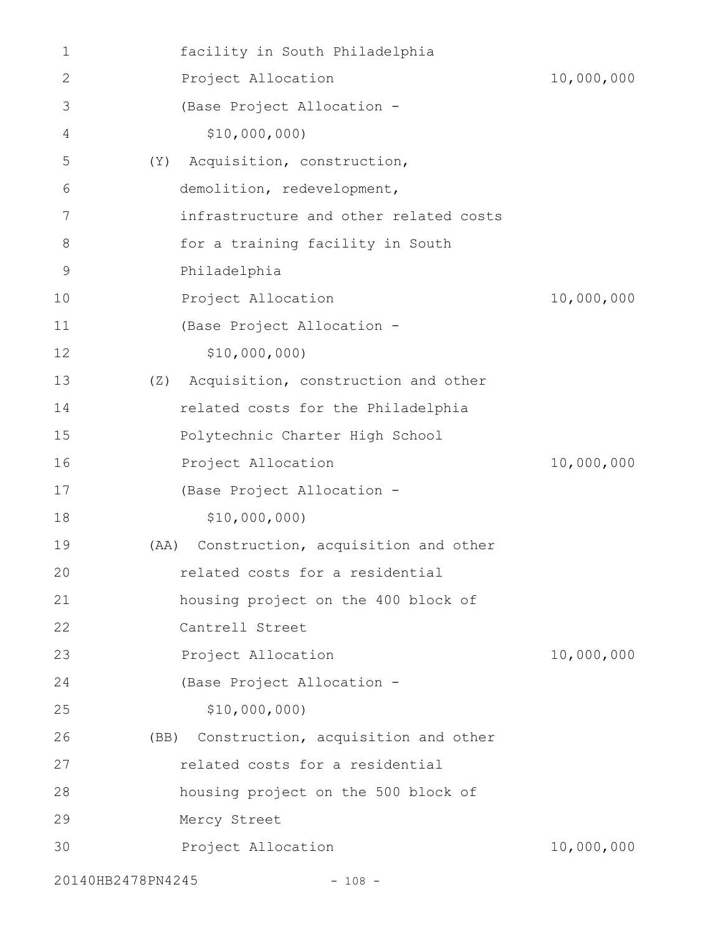| 1                 | facility in South Philadelphia              |            |
|-------------------|---------------------------------------------|------------|
| $\mathbf{2}$      | Project Allocation                          | 10,000,000 |
| 3                 | (Base Project Allocation -                  |            |
| 4                 | \$10,000,000)                               |            |
| 5                 | Acquisition, construction,<br>(Y)           |            |
| 6                 | demolition, redevelopment,                  |            |
| 7                 | infrastructure and other related costs      |            |
| 8                 | for a training facility in South            |            |
| $\mathsf 9$       | Philadelphia                                |            |
| 10                | Project Allocation                          | 10,000,000 |
| 11                | (Base Project Allocation -                  |            |
| 12                | \$10,000,000)                               |            |
| 13                | Acquisition, construction and other<br>(Z)  |            |
| 14                | related costs for the Philadelphia          |            |
| 15                | Polytechnic Charter High School             |            |
| 16                | Project Allocation                          | 10,000,000 |
| 17                | (Base Project Allocation -                  |            |
| 18                | \$10,000,000                                |            |
| 19                | Construction, acquisition and other<br>(AA) |            |
| 20                | related costs for a residential             |            |
| 21                | housing project on the 400 block of         |            |
| 22                | Cantrell Street                             |            |
| 23                | Project Allocation                          | 10,000,000 |
| 24                | (Base Project Allocation -                  |            |
| 25                | \$10,000,000)                               |            |
| 26                | (BB) Construction, acquisition and other    |            |
| 27                | related costs for a residential             |            |
| 28                | housing project on the 500 block of         |            |
| 29                | Mercy Street                                |            |
| 30                | Project Allocation                          | 10,000,000 |
| 20140HB2478PN4245 | $-108 -$                                    |            |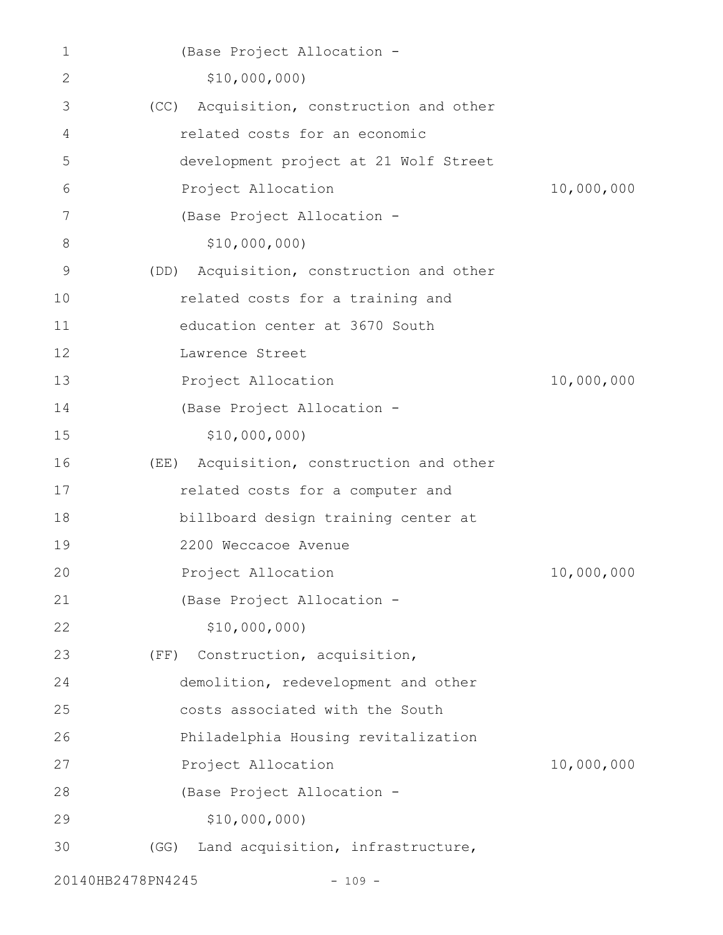| 1  | (Base Project Allocation -                  |            |
|----|---------------------------------------------|------------|
| 2  | \$10,000,000)                               |            |
| 3  | (CC) Acquisition, construction and other    |            |
| 4  | related costs for an economic               |            |
| 5  | development project at 21 Wolf Street       |            |
| 6  | Project Allocation                          | 10,000,000 |
| 7  | (Base Project Allocation -                  |            |
| 8  | \$10,000,000)                               |            |
| 9  | Acquisition, construction and other<br>(DD) |            |
| 10 | related costs for a training and            |            |
| 11 | education center at 3670 South              |            |
| 12 | Lawrence Street                             |            |
| 13 | Project Allocation                          | 10,000,000 |
| 14 | (Base Project Allocation -                  |            |
| 15 | \$10,000,000)                               |            |
| 16 | (EE) Acquisition, construction and other    |            |
| 17 | related costs for a computer and            |            |
| 18 | billboard design training center at         |            |
| 19 | 2200 Weccacoe Avenue                        |            |
| 20 | Project Allocation                          | 10,000,000 |
| 21 | (Base Project Allocation -                  |            |
| 22 | \$10,000,000)                               |            |
| 23 | Construction, acquisition,<br>(FF)          |            |
| 24 | demolition, redevelopment and other         |            |
| 25 | costs associated with the South             |            |
| 26 | Philadelphia Housing revitalization         |            |
| 27 | Project Allocation                          | 10,000,000 |
| 28 | (Base Project Allocation -                  |            |
| 29 | \$10,000,000)                               |            |
| 30 | Land acquisition, infrastructure,<br>(GG)   |            |
|    |                                             |            |

20140HB2478PN4245 - 109 -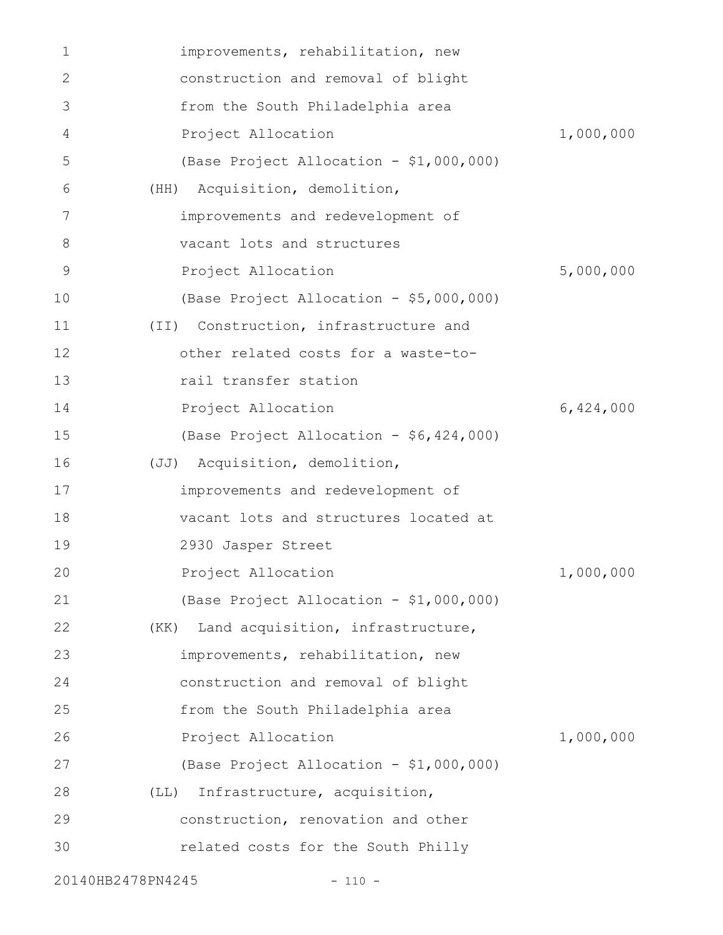| 1  | improvements, rehabilitation, new              |           |
|----|------------------------------------------------|-----------|
| 2  | construction and removal of blight             |           |
| 3  | from the South Philadelphia area               |           |
| 4  | Project Allocation                             | 1,000,000 |
| 5  | (Base Project Allocation - \$1,000,000)        |           |
| 6  | (HH) Acquisition, demolition,                  |           |
| 7  | improvements and redevelopment of              |           |
| 8  | vacant lots and structures                     |           |
| 9  | Project Allocation                             | 5,000,000 |
| 10 | (Base Project Allocation - \$5,000,000)        |           |
| 11 | Construction, infrastructure and<br>(TI)       |           |
| 12 | other related costs for a waste-to-            |           |
| 13 | rail transfer station                          |           |
| 14 | Project Allocation                             | 6,424,000 |
| 15 | (Base Project Allocation - \$6,424,000)        |           |
| 16 | (JJ) Acquisition, demolition,                  |           |
| 17 | improvements and redevelopment of              |           |
| 18 | vacant lots and structures located at          |           |
| 19 | 2930 Jasper Street                             |           |
| 20 | Project Allocation                             | 1,000,000 |
| 21 | (Base Project Allocation - \$1,000,000)        |           |
| 22 | Land acquisition, infrastructure,<br>(KK)      |           |
| 23 | improvements, rehabilitation, new              |           |
| 24 | construction and removal of blight             |           |
| 25 | from the South Philadelphia area               |           |
| 26 | Project Allocation                             | 1,000,000 |
| 27 | (Base Project Allocation - \$1,000,000)        |           |
| 28 | Infrastructure, acquisition,<br>$(\perp\perp)$ |           |
| 29 | construction, renovation and other             |           |
| 30 | related costs for the South Philly             |           |
|    |                                                |           |

20140HB2478PN4245 - 110 -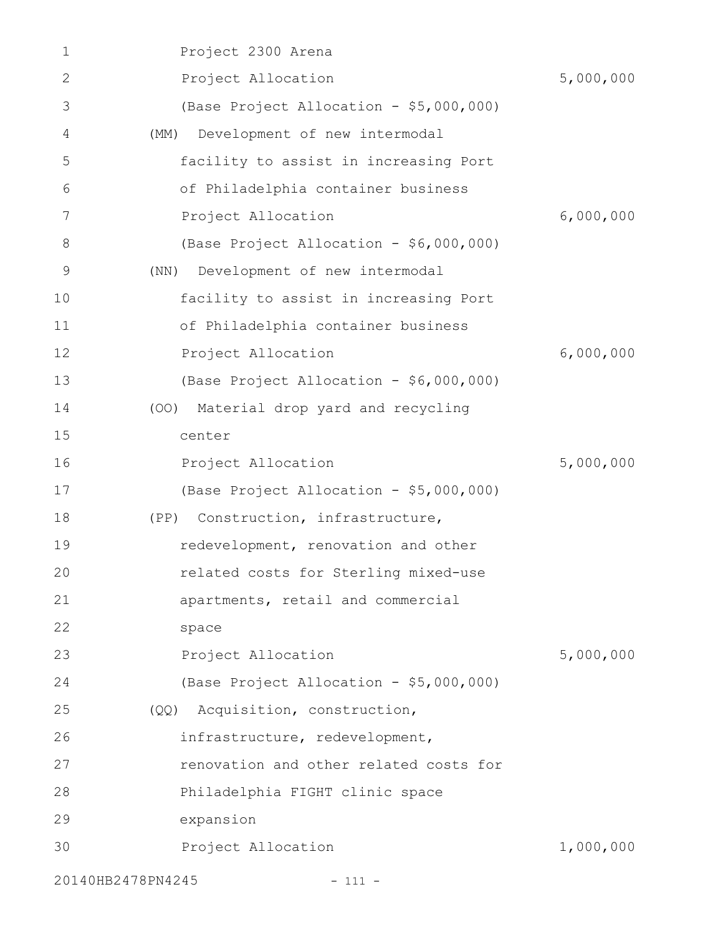| 1                 | Project 2300 Arena                       |           |
|-------------------|------------------------------------------|-----------|
| 2                 | Project Allocation                       | 5,000,000 |
| 3                 | (Base Project Allocation - \$5,000,000)  |           |
| 4                 | Development of new intermodal<br>(MM)    |           |
| 5                 | facility to assist in increasing Port    |           |
| 6                 | of Philadelphia container business       |           |
| 7                 | Project Allocation                       | 6,000,000 |
| 8                 | (Base Project Allocation - \$6,000,000)  |           |
| $\mathcal{G}$     | Development of new intermodal<br>(NN)    |           |
| 10                | facility to assist in increasing Port    |           |
| 11                | of Philadelphia container business       |           |
| 12                | Project Allocation                       | 6,000,000 |
| 13                | (Base Project Allocation - \$6,000,000)  |           |
| 14                | (OO)<br>Material drop yard and recycling |           |
| 15                | center                                   |           |
| 16                | Project Allocation                       | 5,000,000 |
| 17                | (Base Project Allocation - \$5,000,000)  |           |
| 18                | (PP) Construction, infrastructure,       |           |
| 19                | redevelopment, renovation and other      |           |
| 20                | related costs for Sterling mixed-use     |           |
| 21                | apartments, retail and commercial        |           |
| 22                | space                                    |           |
| 23                | Project Allocation                       | 5,000,000 |
| 24                | (Base Project Allocation - \$5,000,000)  |           |
| 25                | Acquisition, construction,<br>(QQ)       |           |
| 26                | infrastructure, redevelopment,           |           |
| 27                | renovation and other related costs for   |           |
| 28                | Philadelphia FIGHT clinic space          |           |
| 29                | expansion                                |           |
| 30                | Project Allocation                       | 1,000,000 |
| 20140HB2478PN4245 | $-111 -$                                 |           |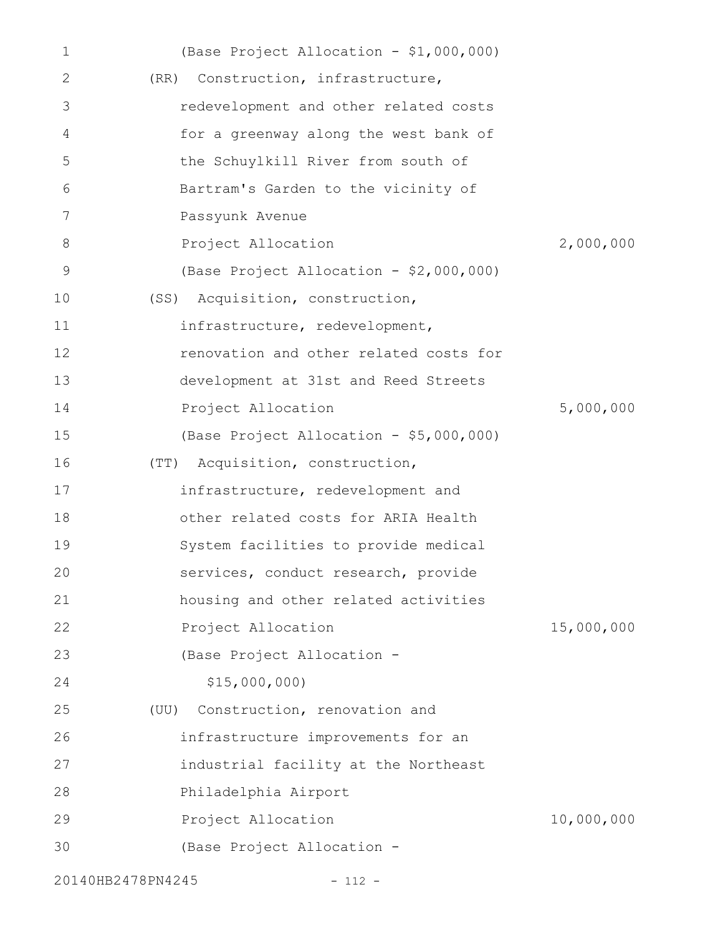| 1  | (Base Project Allocation - \$1,000,000) |            |
|----|-----------------------------------------|------------|
| 2  | (RR) Construction, infrastructure,      |            |
| 3  | redevelopment and other related costs   |            |
| 4  | for a greenway along the west bank of   |            |
| 5  | the Schuylkill River from south of      |            |
| 6  | Bartram's Garden to the vicinity of     |            |
| 7  | Passyunk Avenue                         |            |
| 8  | Project Allocation                      | 2,000,000  |
| 9  | (Base Project Allocation - \$2,000,000) |            |
| 10 | Acquisition, construction,<br>(SS)      |            |
| 11 | infrastructure, redevelopment,          |            |
| 12 | renovation and other related costs for  |            |
| 13 | development at 31st and Reed Streets    |            |
| 14 | Project Allocation                      | 5,000,000  |
| 15 | (Base Project Allocation - \$5,000,000) |            |
| 16 | (TT) Acquisition, construction,         |            |
| 17 | infrastructure, redevelopment and       |            |
| 18 | other related costs for ARIA Health     |            |
| 19 | System facilities to provide medical    |            |
| 20 | services, conduct research, provide     |            |
| 21 | housing and other related activities    |            |
| 22 | Project Allocation                      | 15,000,000 |
| 23 | (Base Project Allocation -              |            |
| 24 | \$15,000,000                            |            |
| 25 | Construction, renovation and<br>(UU)    |            |
| 26 | infrastructure improvements for an      |            |
| 27 | industrial facility at the Northeast    |            |
| 28 | Philadelphia Airport                    |            |
| 29 | Project Allocation                      | 10,000,000 |
| 30 | (Base Project Allocation -              |            |
|    |                                         |            |

20140HB2478PN4245 - 112 -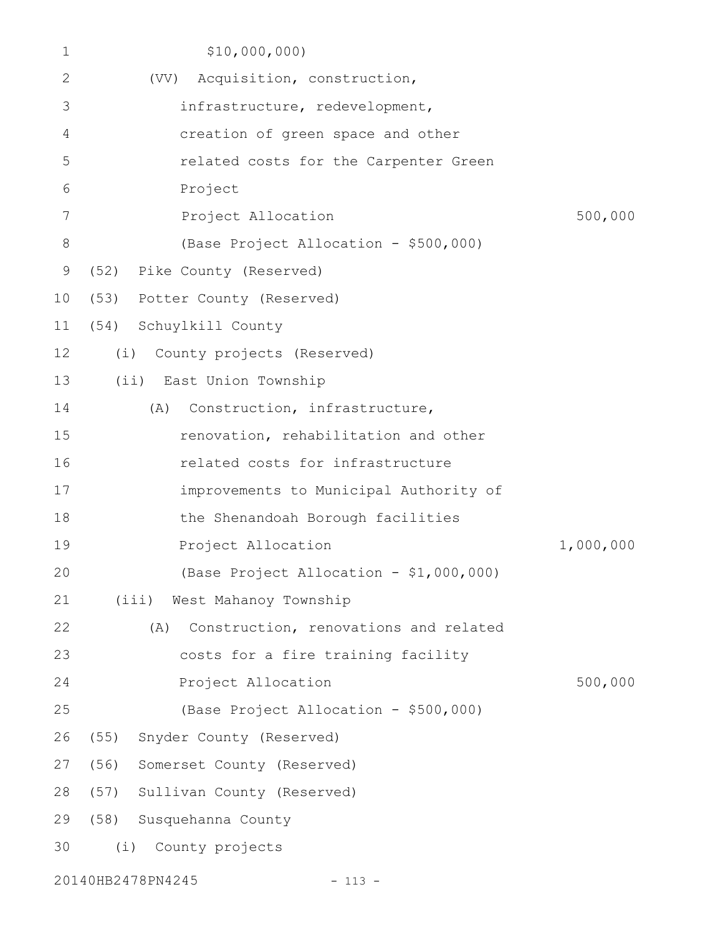| 1            | \$10,000,000)                                |           |
|--------------|----------------------------------------------|-----------|
| $\mathbf{2}$ | (VV) Acquisition, construction,              |           |
| 3            | infrastructure, redevelopment,               |           |
| 4            | creation of green space and other            |           |
| 5            | related costs for the Carpenter Green        |           |
| 6            | Project                                      |           |
| 7            | Project Allocation                           | 500,000   |
| 8            | (Base Project Allocation - \$500,000)        |           |
| 9            | (52) Pike County (Reserved)                  |           |
| 10           | (53) Potter County (Reserved)                |           |
| 11           | (54) Schuylkill County                       |           |
| 12           | (i)<br>County projects (Reserved)            |           |
| 13           | (ii) East Union Township                     |           |
| 14           | Construction, infrastructure,<br>(A)         |           |
| 15           | renovation, rehabilitation and other         |           |
| 16           | related costs for infrastructure             |           |
| 17           | improvements to Municipal Authority of       |           |
| 18           | the Shenandoah Borough facilities            |           |
| 19           | Project Allocation                           | 1,000,000 |
| 20           | (Base Project Allocation - \$1,000,000)      |           |
| 21           | (iii) West Mahanoy Township                  |           |
| 22           | (A)<br>Construction, renovations and related |           |
| 23           | costs for a fire training facility           |           |
| 24           | Project Allocation                           | 500,000   |
| 25           | (Base Project Allocation - \$500,000)        |           |
| 26           | (55) Snyder County (Reserved)                |           |
| 27           | (56) Somerset County (Reserved)              |           |
| 28           | (57) Sullivan County (Reserved)              |           |
| 29           | (58) Susquehanna County                      |           |
| 30           | (i) County projects                          |           |
|              | 20140HB2478PN4245<br>$-113 -$                |           |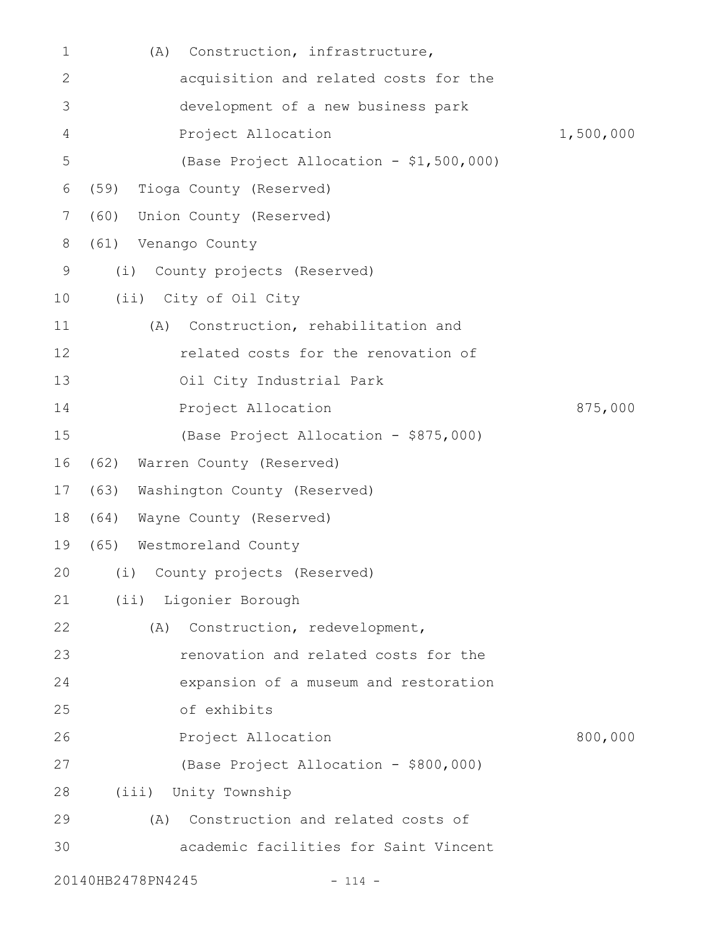| 1  | Construction, infrastructure,<br>(A)     |           |
|----|------------------------------------------|-----------|
| 2  | acquisition and related costs for the    |           |
| 3  | development of a new business park       |           |
| 4  | Project Allocation                       | 1,500,000 |
| 5  | (Base Project Allocation - \$1,500,000)  |           |
| 6  | Tioga County (Reserved)<br>(59)          |           |
| 7  | (60)<br>Union County (Reserved)          |           |
| 8  | (61) Venango County                      |           |
| 9  | (i)<br>County projects (Reserved)        |           |
| 10 | (ii) City of Oil City                    |           |
| 11 | (A) Construction, rehabilitation and     |           |
| 12 | related costs for the renovation of      |           |
| 13 | Oil City Industrial Park                 |           |
| 14 | Project Allocation                       | 875,000   |
| 15 | (Base Project Allocation - \$875,000)    |           |
| 16 | (62)<br>Warren County (Reserved)         |           |
| 17 | Washington County (Reserved)<br>(63)     |           |
| 18 | Wayne County (Reserved)<br>(64)          |           |
| 19 | (65)<br>Westmoreland County              |           |
|    | 20 (i) County projects (Reserved)        |           |
| 21 | (ii) Ligonier Borough                    |           |
| 22 | Construction, redevelopment,<br>(A)      |           |
| 23 | renovation and related costs for the     |           |
| 24 | expansion of a museum and restoration    |           |
| 25 | of exhibits                              |           |
| 26 | Project Allocation                       | 800,000   |
| 27 | (Base Project Allocation - \$800,000)    |           |
| 28 | (iii) Unity Township                     |           |
| 29 | Construction and related costs of<br>(A) |           |
| 30 | academic facilities for Saint Vincent    |           |
|    | 20140HB2478PN4245<br>$-114 -$            |           |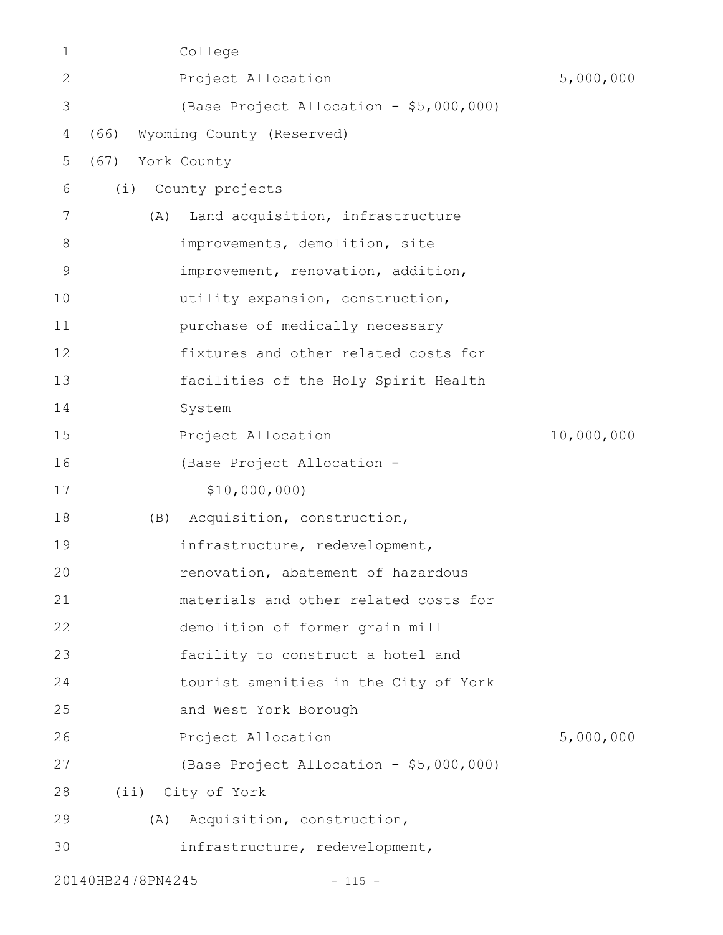| $\mathbf 1$  |                   | College                                 |            |
|--------------|-------------------|-----------------------------------------|------------|
| $\mathbf{2}$ |                   | Project Allocation                      | 5,000,000  |
| 3            |                   | (Base Project Allocation - \$5,000,000) |            |
| 4            | (66)              | Wyoming County (Reserved)               |            |
| 5            | (67)              | York County                             |            |
| 6            | (i)               | County projects                         |            |
| 7            | (A)               | Land acquisition, infrastructure        |            |
| 8            |                   | improvements, demolition, site          |            |
| $\mathsf 9$  |                   | improvement, renovation, addition,      |            |
| 10           |                   | utility expansion, construction,        |            |
| 11           |                   | purchase of medically necessary         |            |
| 12           |                   | fixtures and other related costs for    |            |
| 13           |                   | facilities of the Holy Spirit Health    |            |
| 14           |                   | System                                  |            |
| 15           |                   | Project Allocation                      | 10,000,000 |
| 16           |                   | (Base Project Allocation -              |            |
| 17           |                   | \$10,000,000)                           |            |
| 18           | (B)               | Acquisition, construction,              |            |
| 19           |                   | infrastructure, redevelopment,          |            |
| 20           |                   | renovation, abatement of hazardous      |            |
| 21           |                   | materials and other related costs for   |            |
| 22           |                   | demolition of former grain mill         |            |
| 23           |                   | facility to construct a hotel and       |            |
| 24           |                   | tourist amenities in the City of York   |            |
| 25           |                   | and West York Borough                   |            |
| 26           |                   | Project Allocation                      | 5,000,000  |
| 27           |                   | (Base Project Allocation - \$5,000,000) |            |
| 28           |                   | (ii) City of York                       |            |
| 29           | (A)               | Acquisition, construction,              |            |
| 30           |                   | infrastructure, redevelopment,          |            |
|              | 20140HB2478PN4245 | $-115 -$                                |            |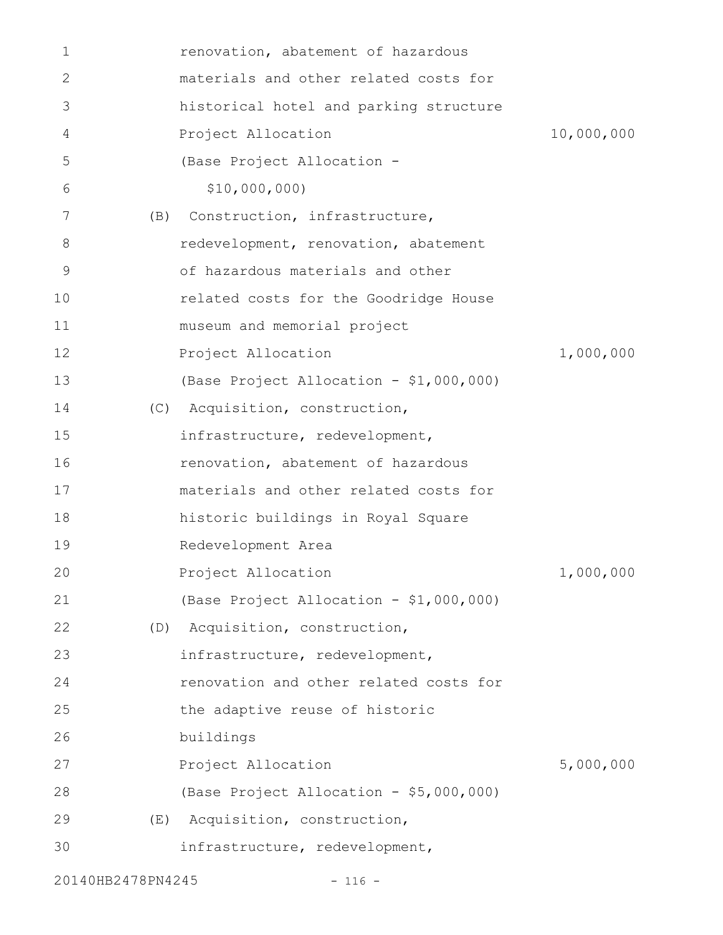| $\mathbf 1$ |     | renovation, abatement of hazardous      |            |
|-------------|-----|-----------------------------------------|------------|
| 2           |     | materials and other related costs for   |            |
| 3           |     | historical hotel and parking structure  |            |
| 4           |     | Project Allocation                      | 10,000,000 |
| 5           |     | (Base Project Allocation -              |            |
| 6           |     | \$10,000,000)                           |            |
| 7           | (B) | Construction, infrastructure,           |            |
| 8           |     | redevelopment, renovation, abatement    |            |
| 9           |     | of hazardous materials and other        |            |
| 10          |     | related costs for the Goodridge House   |            |
| 11          |     | museum and memorial project             |            |
| 12          |     | Project Allocation                      | 1,000,000  |
| 13          |     | (Base Project Allocation - \$1,000,000) |            |
| 14          |     | (C) Acquisition, construction,          |            |
| 15          |     | infrastructure, redevelopment,          |            |
| 16          |     | renovation, abatement of hazardous      |            |
| 17          |     | materials and other related costs for   |            |
| 18          |     | historic buildings in Royal Square      |            |
| 19          |     | Redevelopment Area                      |            |
| 20          |     | Project Allocation                      | 1,000,000  |
| 21          |     | (Base Project Allocation - \$1,000,000) |            |
| 22          |     | (D) Acquisition, construction,          |            |
| 23          |     | infrastructure, redevelopment,          |            |
| 24          |     | renovation and other related costs for  |            |
| 25          |     | the adaptive reuse of historic          |            |
| 26          |     | buildings                               |            |
| 27          |     | Project Allocation                      | 5,000,000  |
| 28          |     | (Base Project Allocation - \$5,000,000) |            |
| 29          | (E) | Acquisition, construction,              |            |
| 30          |     | infrastructure, redevelopment,          |            |
|             |     |                                         |            |

20140HB2478PN4245 - 116 -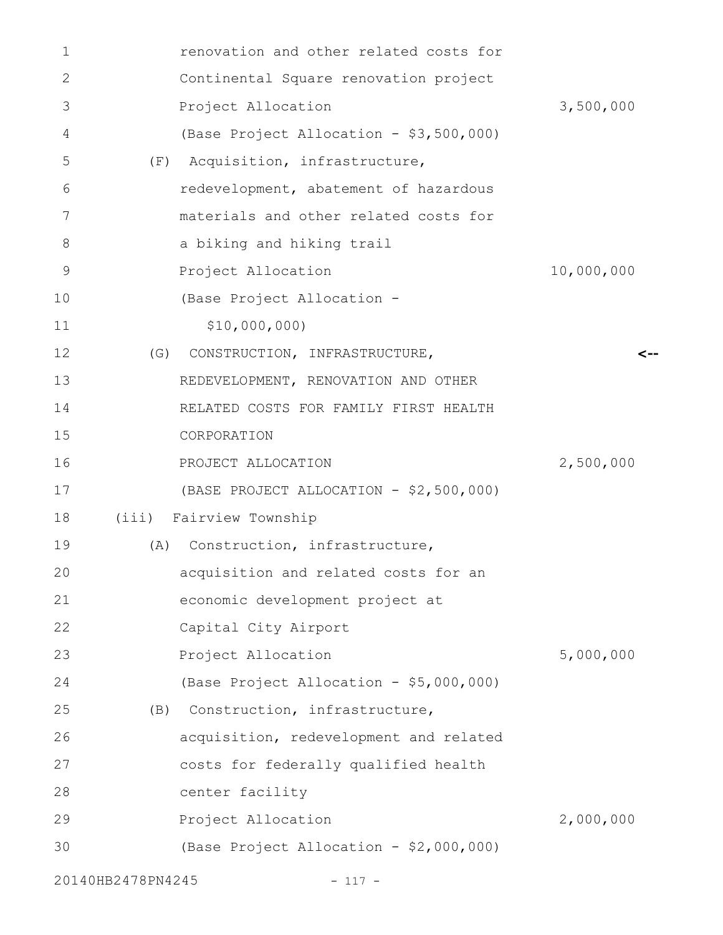| $\mathbf{1}$ | renovation and other related costs for  |            |
|--------------|-----------------------------------------|------------|
| 2            | Continental Square renovation project   |            |
| 3            | Project Allocation                      | 3,500,000  |
| 4            | (Base Project Allocation - \$3,500,000) |            |
| 5            | Acquisition, infrastructure,<br>(F)     |            |
| 6            | redevelopment, abatement of hazardous   |            |
| 7            | materials and other related costs for   |            |
| 8            | a biking and hiking trail               |            |
| 9            | Project Allocation                      | 10,000,000 |
| 10           | (Base Project Allocation -              |            |
| 11           | \$10,000,000)                           |            |
| 12           | (G)<br>CONSTRUCTION, INFRASTRUCTURE,    | <--        |
| 13           | REDEVELOPMENT, RENOVATION AND OTHER     |            |
| 14           | RELATED COSTS FOR FAMILY FIRST HEALTH   |            |
| 15           | CORPORATION                             |            |
| 16           | PROJECT ALLOCATION                      | 2,500,000  |
| 17           | (BASE PROJECT ALLOCATION - \$2,500,000) |            |
| 18           | (iii) Fairview Township                 |            |
| 19           | Construction, infrastructure,<br>(A)    |            |
| 20           | acquisition and related costs for an    |            |
| 21           | economic development project at         |            |
| 22           | Capital City Airport                    |            |
| 23           | Project Allocation                      | 5,000,000  |
| 24           | (Base Project Allocation - \$5,000,000) |            |
| 25           | Construction, infrastructure,<br>(B)    |            |
| 26           | acquisition, redevelopment and related  |            |
| 27           | costs for federally qualified health    |            |
| 28           | center facility                         |            |
| 29           | Project Allocation                      | 2,000,000  |
| 30           | (Base Project Allocation - \$2,000,000) |            |
|              | 20140HB2478PN4245<br>$-117 -$           |            |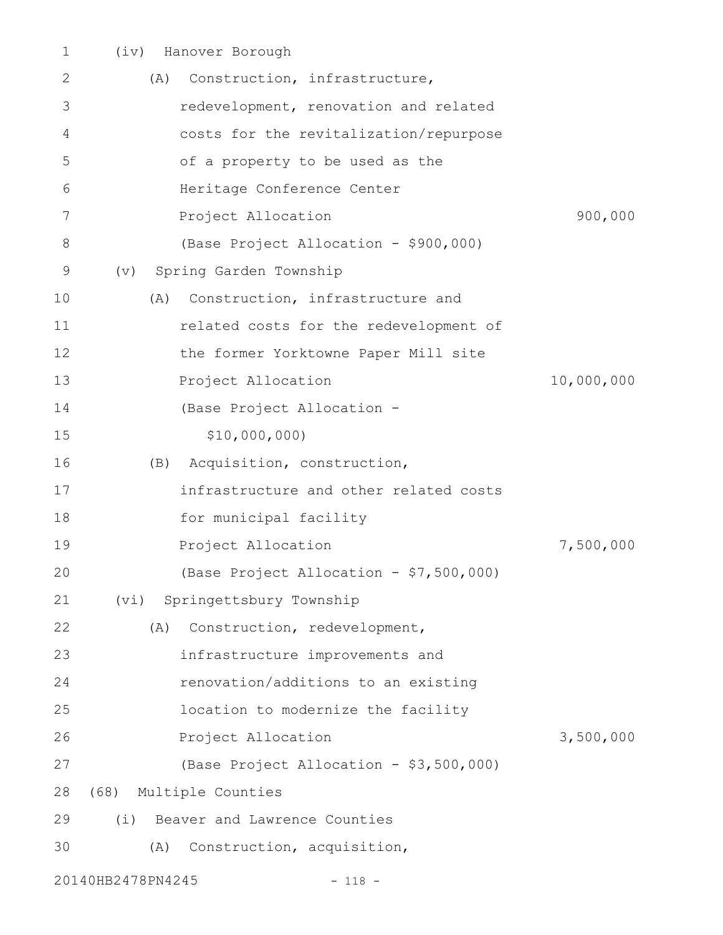| 1             | Hanover Borough<br>(iv)                 |            |
|---------------|-----------------------------------------|------------|
| 2             | Construction, infrastructure,<br>(A)    |            |
| 3             | redevelopment, renovation and related   |            |
| 4             | costs for the revitalization/repurpose  |            |
| 5             | of a property to be used as the         |            |
| 6             | Heritage Conference Center              |            |
| 7             | Project Allocation                      | 900,000    |
| 8             | (Base Project Allocation - \$900,000)   |            |
| $\mathcal{G}$ | Spring Garden Township<br>(v)           |            |
| 10            | Construction, infrastructure and<br>(A) |            |
| 11            | related costs for the redevelopment of  |            |
| 12            | the former Yorktowne Paper Mill site    |            |
| 13            | Project Allocation                      | 10,000,000 |
| 14            | (Base Project Allocation -              |            |
| 15            | \$10,000,000)                           |            |
| 16            | Acquisition, construction,<br>(B)       |            |
| 17            | infrastructure and other related costs  |            |
| 18            | for municipal facility                  |            |
| 19            | Project Allocation                      | 7,500,000  |
| 20            | (Base Project Allocation - \$7,500,000) |            |
| 21            | Springettsbury Township<br>(vi)         |            |
| 22            | Construction, redevelopment,<br>(A)     |            |
| 23            | infrastructure improvements and         |            |
| 24            | renovation/additions to an existing     |            |
| 25            | location to modernize the facility      |            |
| 26            | Project Allocation                      | 3,500,000  |
| 27            | (Base Project Allocation - \$3,500,000) |            |
| 28            | (68)<br>Multiple Counties               |            |
| 29            | Beaver and Lawrence Counties<br>(i)     |            |
| 30            | Construction, acquisition,<br>(A)       |            |
|               |                                         |            |

20140HB2478PN4245 - 118 -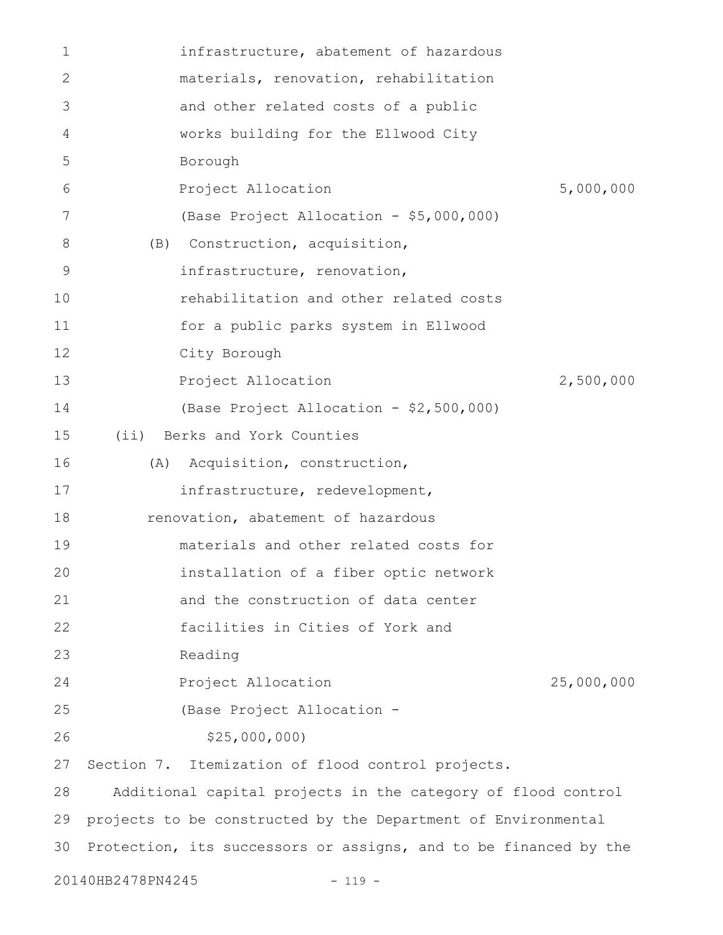| 1  |                   | infrastructure, abatement of hazardous                           |            |
|----|-------------------|------------------------------------------------------------------|------------|
| 2  |                   | materials, renovation, rehabilitation                            |            |
| 3  |                   | and other related costs of a public                              |            |
| 4  |                   | works building for the Ellwood City                              |            |
| 5  |                   | Borough                                                          |            |
| 6  |                   | Project Allocation                                               | 5,000,000  |
| 7  |                   | (Base Project Allocation - \$5,000,000)                          |            |
| 8  | (B)               | Construction, acquisition,                                       |            |
| 9  |                   | infrastructure, renovation,                                      |            |
| 10 |                   | rehabilitation and other related costs                           |            |
| 11 |                   | for a public parks system in Ellwood                             |            |
| 12 |                   | City Borough                                                     |            |
| 13 |                   | Project Allocation                                               | 2,500,000  |
| 14 |                   | (Base Project Allocation - \$2,500,000)                          |            |
| 15 | $(i$ i)           | Berks and York Counties                                          |            |
| 16 | (A)               | Acquisition, construction,                                       |            |
| 17 |                   | infrastructure, redevelopment,                                   |            |
| 18 |                   | renovation, abatement of hazardous                               |            |
| 19 |                   | materials and other related costs for                            |            |
| 20 |                   | installation of a fiber optic network                            |            |
| 21 |                   | and the construction of data center                              |            |
| 22 |                   | facilities in Cities of York and                                 |            |
| 23 |                   | Reading                                                          |            |
| 24 |                   | Project Allocation                                               | 25,000,000 |
| 25 |                   | (Base Project Allocation -                                       |            |
| 26 |                   | \$25,000,000                                                     |            |
| 27 |                   | Section 7. Itemization of flood control projects.                |            |
| 28 |                   | Additional capital projects in the category of flood control     |            |
| 29 |                   | projects to be constructed by the Department of Environmental    |            |
| 30 |                   | Protection, its successors or assigns, and to be financed by the |            |
|    | 20140HB2478PN4245 | $-119 -$                                                         |            |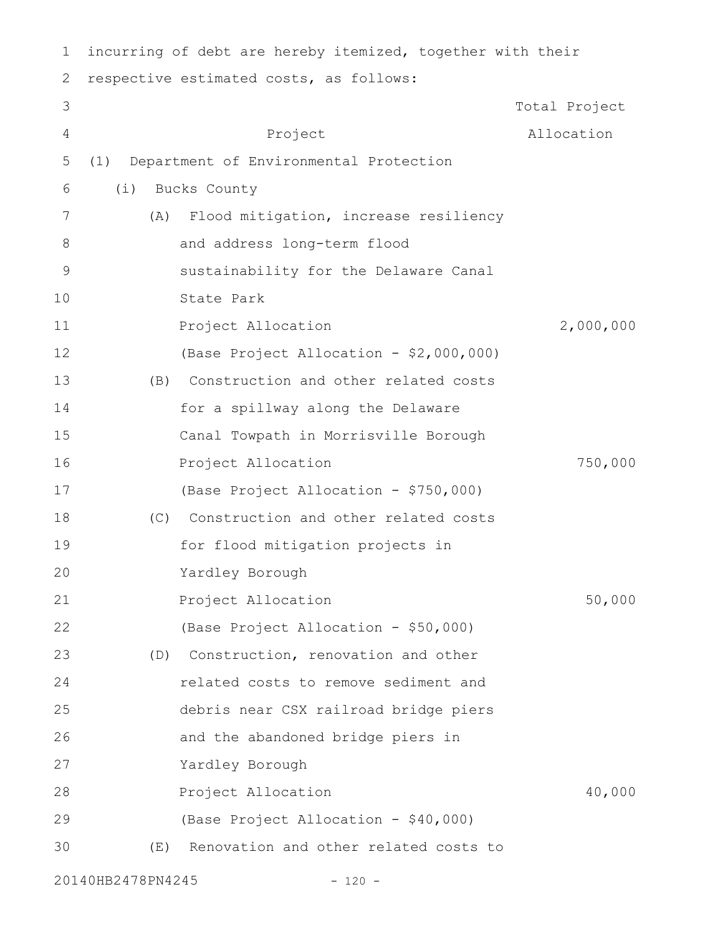| 1              |                   | incurring of debt are hereby itemized, together with their |               |
|----------------|-------------------|------------------------------------------------------------|---------------|
| 2              |                   | respective estimated costs, as follows:                    |               |
| 3              |                   |                                                            | Total Project |
| $\overline{4}$ |                   | Project                                                    | Allocation    |
| 5              | (1)               | Department of Environmental Protection                     |               |
| 6              | (i)               | Bucks County                                               |               |
| 7              | (A)               | Flood mitigation, increase resiliency                      |               |
| 8              |                   | and address long-term flood                                |               |
| 9              |                   | sustainability for the Delaware Canal                      |               |
| 10             |                   | State Park                                                 |               |
| 11             |                   | Project Allocation                                         | 2,000,000     |
| 12             |                   | (Base Project Allocation - \$2,000,000)                    |               |
| 13             |                   | (B) Construction and other related costs                   |               |
| 14             |                   | for a spillway along the Delaware                          |               |
| 15             |                   | Canal Towpath in Morrisville Borough                       |               |
| 16             |                   | Project Allocation                                         | 750,000       |
| 17             |                   | (Base Project Allocation - \$750,000)                      |               |
| 18             |                   | (C) Construction and other related costs                   |               |
| 19             |                   | for flood mitigation projects in                           |               |
| 20             |                   | Yardley Borough                                            |               |
| 21             |                   | Project Allocation                                         | 50,000        |
| 22             |                   | (Base Project Allocation - \$50,000)                       |               |
| 23             | (D)               | Construction, renovation and other                         |               |
| 24             |                   | related costs to remove sediment and                       |               |
| 25             |                   | debris near CSX railroad bridge piers                      |               |
| 26             |                   | and the abandoned bridge piers in                          |               |
| 27             |                   | Yardley Borough                                            |               |
| 28             |                   | Project Allocation                                         | 40,000        |
| 29             |                   | (Base Project Allocation - \$40,000)                       |               |
| 30             | (E)               | Renovation and other related costs to                      |               |
|                | 20140HB2478PN4245 | $-120 -$                                                   |               |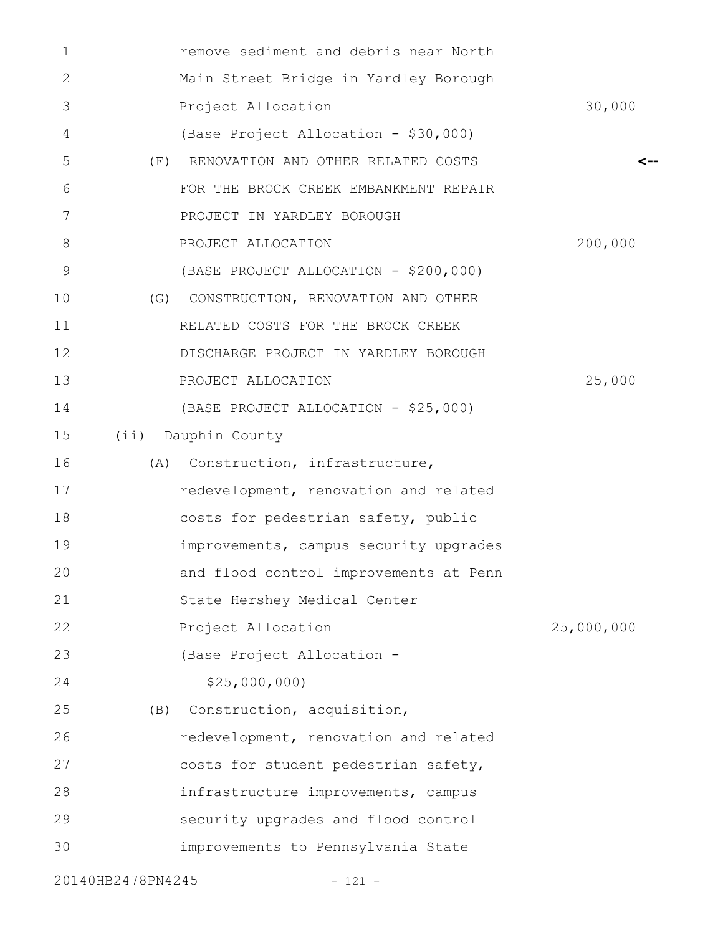| 1                 | remove sediment and debris near North     |            |
|-------------------|-------------------------------------------|------------|
| 2                 | Main Street Bridge in Yardley Borough     |            |
| 3                 | Project Allocation                        | 30,000     |
| 4                 | (Base Project Allocation - \$30,000)      |            |
| 5                 | (F)<br>RENOVATION AND OTHER RELATED COSTS | <--        |
| 6                 | FOR THE BROCK CREEK EMBANKMENT REPAIR     |            |
| 7                 | PROJECT IN YARDLEY BOROUGH                |            |
| 8                 | PROJECT ALLOCATION                        | 200,000    |
| 9                 | (BASE PROJECT ALLOCATION - \$200,000)     |            |
| 10                | (G)<br>CONSTRUCTION, RENOVATION AND OTHER |            |
| 11                | RELATED COSTS FOR THE BROCK CREEK         |            |
| 12                | DISCHARGE PROJECT IN YARDLEY BOROUGH      |            |
| 13                | PROJECT ALLOCATION                        | 25,000     |
| 14                | (BASE PROJECT ALLOCATION - \$25,000)      |            |
| 15                | (ii) Dauphin County                       |            |
| 16                | Construction, infrastructure,<br>(A)      |            |
| 17                | redevelopment, renovation and related     |            |
| 18                | costs for pedestrian safety, public       |            |
| 19                | improvements, campus security upgrades    |            |
| 20                | and flood control improvements at Penn    |            |
| 21                | State Hershey Medical Center              |            |
| 22                | Project Allocation                        | 25,000,000 |
| 23                | (Base Project Allocation -                |            |
| 24                | \$25,000,000                              |            |
| 25                | Construction, acquisition,<br>(B)         |            |
| 26                | redevelopment, renovation and related     |            |
| 27                | costs for student pedestrian safety,      |            |
| 28                | infrastructure improvements, campus       |            |
| 29                | security upgrades and flood control       |            |
| 30                | improvements to Pennsylvania State        |            |
| 20140HB2478PN4245 | $-121 -$                                  |            |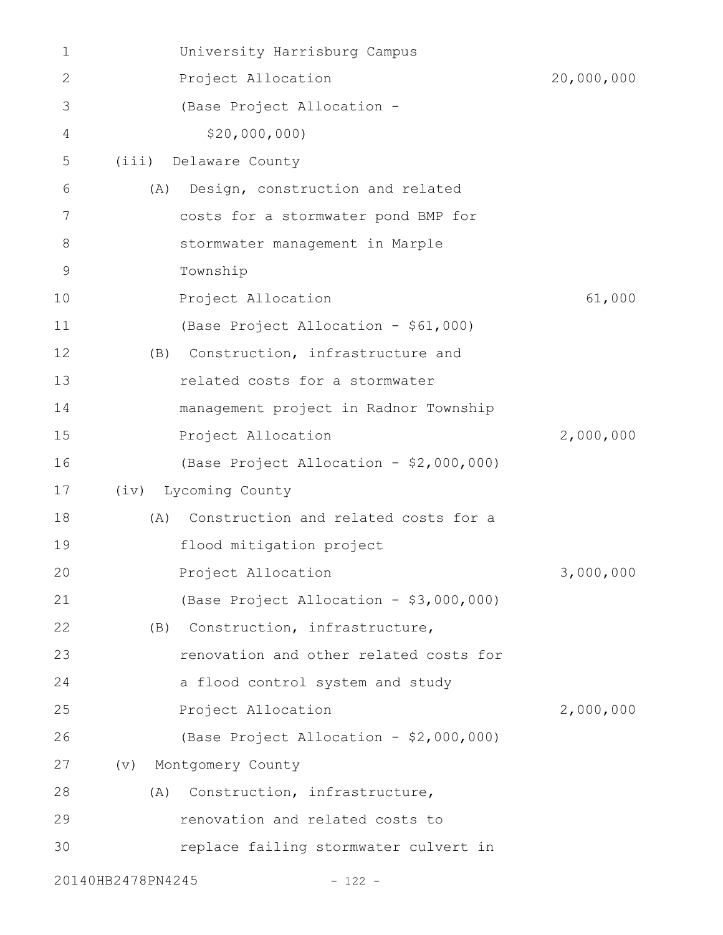| 1           |                   | University Harrisburg Campus            |            |
|-------------|-------------------|-----------------------------------------|------------|
| 2           |                   | Project Allocation                      | 20,000,000 |
| 3           |                   | (Base Project Allocation -              |            |
| 4           |                   | \$20,000,000                            |            |
| 5           | (iii)             | Delaware County                         |            |
| 6           | (A)               | Design, construction and related        |            |
| 7           |                   | costs for a stormwater pond BMP for     |            |
| 8           |                   | stormwater management in Marple         |            |
| $\mathsf 9$ |                   | Township                                |            |
| 10          |                   | Project Allocation                      | 61,000     |
| 11          |                   | (Base Project Allocation - \$61,000)    |            |
| 12          | (B)               | Construction, infrastructure and        |            |
| 13          |                   | related costs for a stormwater          |            |
| 14          |                   | management project in Radnor Township   |            |
| 15          |                   | Project Allocation                      | 2,000,000  |
| 16          |                   | (Base Project Allocation - \$2,000,000) |            |
| 17          | (iv)              | Lycoming County                         |            |
| 18          | (A)               | Construction and related costs for a    |            |
| 19          |                   | flood mitigation project                |            |
| 20          |                   | Project Allocation                      | 3,000,000  |
| 21          |                   | (Base Project Allocation - \$3,000,000) |            |
| 22          | (B)               | Construction, infrastructure,           |            |
| 23          |                   | renovation and other related costs for  |            |
| 24          |                   | a flood control system and study        |            |
| 25          |                   | Project Allocation                      | 2,000,000  |
| 26          |                   | (Base Project Allocation - \$2,000,000) |            |
| 27          | (v)               | Montgomery County                       |            |
| 28          | (A)               | Construction, infrastructure,           |            |
| 29          |                   | renovation and related costs to         |            |
| 30          |                   | replace failing stormwater culvert in   |            |
|             | 20140HB2478PN4245 | $-122 -$                                |            |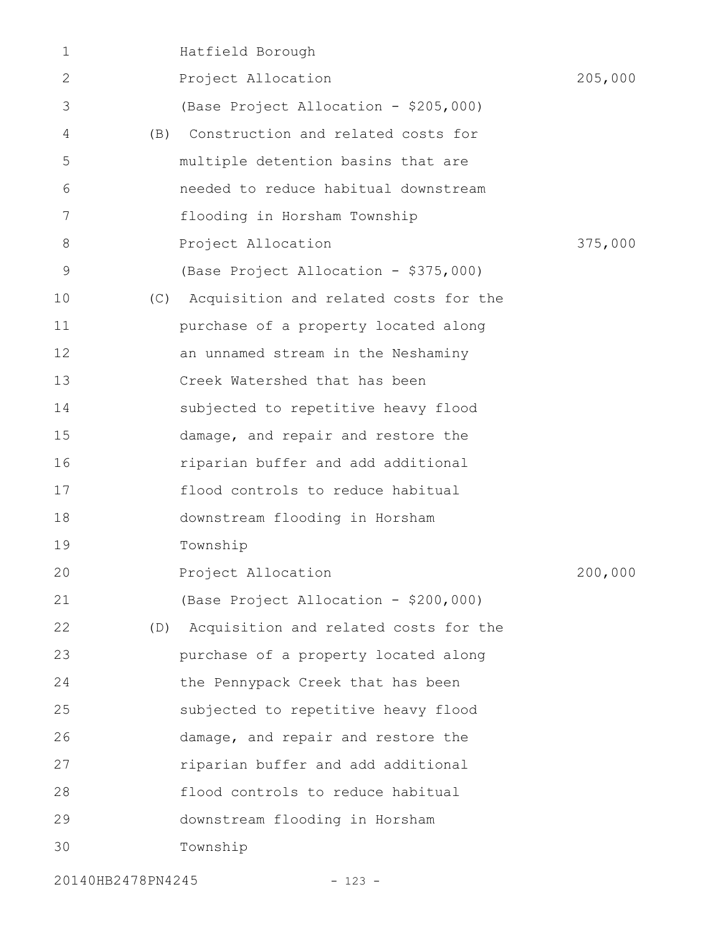| 1  |     | Hatfield Borough                          |         |
|----|-----|-------------------------------------------|---------|
| 2  |     | Project Allocation                        | 205,000 |
| 3  |     | (Base Project Allocation - \$205,000)     |         |
| 4  | (B) | Construction and related costs for        |         |
| 5  |     | multiple detention basins that are        |         |
| 6  |     | needed to reduce habitual downstream      |         |
| 7  |     | flooding in Horsham Township              |         |
| 8  |     | Project Allocation                        | 375,000 |
| 9  |     | (Base Project Allocation - \$375,000)     |         |
| 10 | (C) | Acquisition and related costs for the     |         |
| 11 |     | purchase of a property located along      |         |
| 12 |     | an unnamed stream in the Neshaminy        |         |
| 13 |     | Creek Watershed that has been             |         |
| 14 |     | subjected to repetitive heavy flood       |         |
| 15 |     | damage, and repair and restore the        |         |
| 16 |     | riparian buffer and add additional        |         |
| 17 |     | flood controls to reduce habitual         |         |
| 18 |     | downstream flooding in Horsham            |         |
| 19 |     | Township                                  |         |
| 20 |     | Project Allocation                        | 200,000 |
| 21 |     | (Base Project Allocation - \$200,000)     |         |
| 22 |     | (D) Acquisition and related costs for the |         |
| 23 |     | purchase of a property located along      |         |
| 24 |     | the Pennypack Creek that has been         |         |
| 25 |     | subjected to repetitive heavy flood       |         |
| 26 |     | damage, and repair and restore the        |         |
| 27 |     | riparian buffer and add additional        |         |
| 28 |     | flood controls to reduce habitual         |         |
| 29 |     | downstream flooding in Horsham            |         |
| 30 |     | Township                                  |         |
|    |     |                                           |         |

20140HB2478PN4245 - 123 -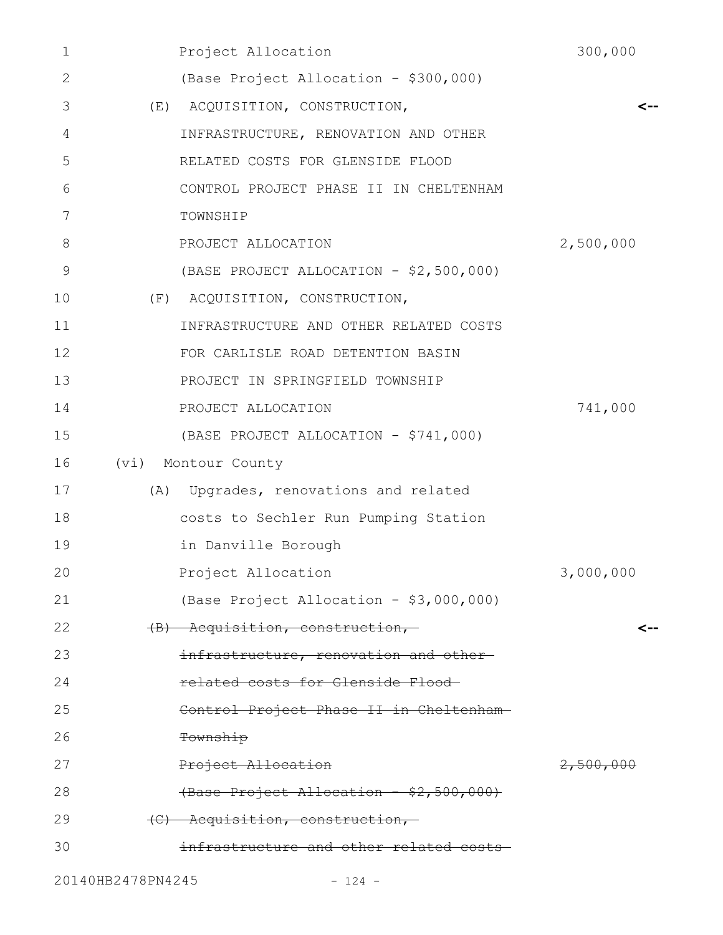| 1  | Project Allocation             |                                         | 300,000              |
|----|--------------------------------|-----------------------------------------|----------------------|
| 2  |                                | (Base Project Allocation - \$300,000)   |                      |
| 3  | (E) ACQUISITION, CONSTRUCTION, |                                         | $\leftarrow$         |
| 4  |                                | INFRASTRUCTURE, RENOVATION AND OTHER    |                      |
| 5  |                                | RELATED COSTS FOR GLENSIDE FLOOD        |                      |
| 6  |                                | CONTROL PROJECT PHASE II IN CHELTENHAM  |                      |
| 7  | TOWNSHIP                       |                                         |                      |
| 8  | PROJECT ALLOCATION             |                                         | 2,500,000            |
| 9  |                                | (BASE PROJECT ALLOCATION - \$2,500,000) |                      |
| 10 | (F) ACQUISITION, CONSTRUCTION, |                                         |                      |
| 11 |                                | INFRASTRUCTURE AND OTHER RELATED COSTS  |                      |
| 12 |                                | FOR CARLISLE ROAD DETENTION BASIN       |                      |
| 13 |                                | PROJECT IN SPRINGFIELD TOWNSHIP         |                      |
| 14 | PROJECT ALLOCATION             |                                         | 741,000              |
| 15 |                                | (BASE PROJECT ALLOCATION - \$741,000)   |                      |
| 16 | (vi) Montour County            |                                         |                      |
| 17 |                                | (A) Upgrades, renovations and related   |                      |
| 18 |                                | costs to Sechler Run Pumping Station    |                      |
| 19 | in Danville Borough            |                                         |                      |
| 20 | Project Allocation             |                                         | 3,000,000            |
| 21 |                                | (Base Project Allocation - \$3,000,000) |                      |
| 22 | (B) Acquisition, construction, |                                         | <--                  |
| 23 |                                | infrastructure, renovation and other-   |                      |
| 24 |                                | related costs for Glenside Flood-       |                      |
| 25 |                                | Control Project Phase II in Cheltenham- |                      |
| 26 | <del>Township</del>            |                                         |                      |
| 27 | Project Allocation             |                                         | <del>2,500,000</del> |
| 28 |                                | (Base Project Allocation - \$2,500,000) |                      |
| 29 | (C) Acquisition, construction, |                                         |                      |
| 30 |                                | infrastructure and other related costs- |                      |
|    |                                |                                         |                      |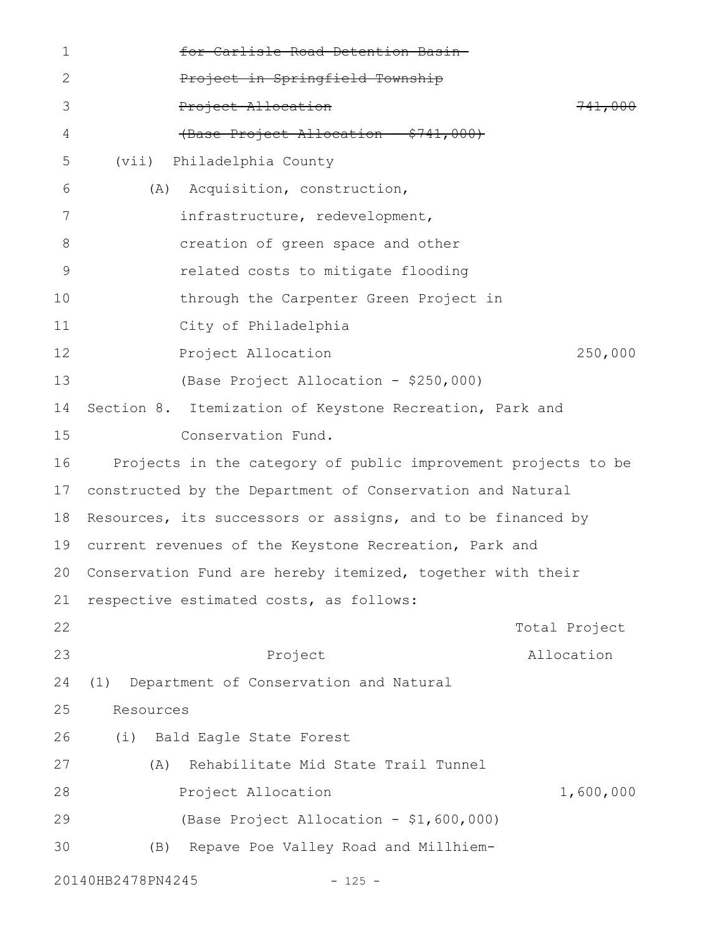| 1  | for Carlisle Road Detention Basin-                            |                    |
|----|---------------------------------------------------------------|--------------------|
| 2  | Project in Springfield Township                               |                    |
| 3  | Project Allocation                                            | <del>741,000</del> |
| 4  | (Base Project Allocation - \$741,000)                         |                    |
| 5  | Philadelphia County<br>(vii)                                  |                    |
| 6  | Acquisition, construction,<br>(A)                             |                    |
| 7  | infrastructure, redevelopment,                                |                    |
| 8  | creation of green space and other                             |                    |
| 9  | related costs to mitigate flooding                            |                    |
| 10 | through the Carpenter Green Project in                        |                    |
| 11 | City of Philadelphia                                          |                    |
| 12 | Project Allocation                                            | 250,000            |
| 13 | (Base Project Allocation - \$250,000)                         |                    |
| 14 | Section 8. Itemization of Keystone Recreation, Park and       |                    |
| 15 | Conservation Fund.                                            |                    |
| 16 | Projects in the category of public improvement projects to be |                    |
| 17 | constructed by the Department of Conservation and Natural     |                    |
| 18 | Resources, its successors or assigns, and to be financed by   |                    |
| 19 | current revenues of the Keystone Recreation, Park and         |                    |
|    | 20 Conservation Fund are hereby itemized, together with their |                    |
| 21 | respective estimated costs, as follows:                       |                    |
| 22 |                                                               | Total Project      |
| 23 | Project                                                       | Allocation         |
| 24 | Department of Conservation and Natural<br>(1)                 |                    |
| 25 | Resources                                                     |                    |
| 26 | (i) Bald Eagle State Forest                                   |                    |
| 27 | Rehabilitate Mid State Trail Tunnel<br>(A)                    |                    |
| 28 | Project Allocation                                            | 1,600,000          |
| 29 | (Base Project Allocation - \$1,600,000)                       |                    |
| 30 | (B) Repave Poe Valley Road and Millhiem-                      |                    |
|    | 20140HB2478PN4245<br>$-125 -$                                 |                    |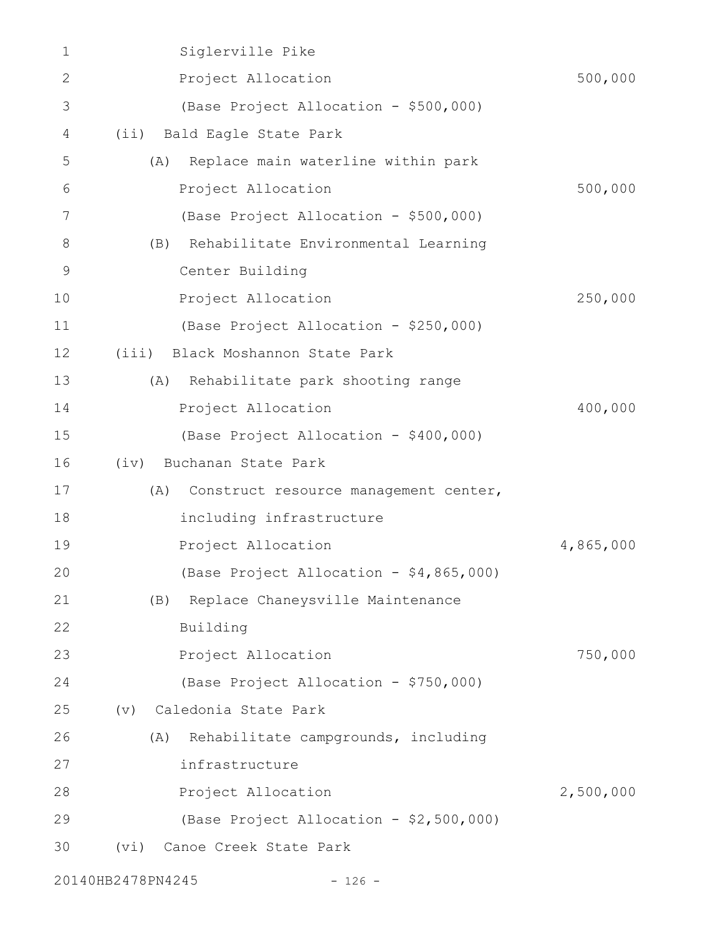| 1            | Siglerville Pike                             |           |
|--------------|----------------------------------------------|-----------|
| $\mathbf{2}$ | Project Allocation                           | 500,000   |
| 3            | (Base Project Allocation - \$500,000)        |           |
| 4            | (ii) Bald Eagle State Park                   |           |
| 5            | Replace main waterline within park<br>(A)    |           |
| 6            | Project Allocation                           | 500,000   |
| 7            | (Base Project Allocation - \$500,000)        |           |
| 8            | Rehabilitate Environmental Learning<br>(B)   |           |
| $\mathsf 9$  | Center Building                              |           |
| 10           | Project Allocation                           | 250,000   |
| 11           | (Base Project Allocation - \$250,000)        |           |
| 12           | (iii) Black Moshannon State Park             |           |
| 13           | Rehabilitate park shooting range<br>(A)      |           |
| 14           | Project Allocation                           | 400,000   |
| 15           | (Base Project Allocation - \$400,000)        |           |
| 16           | Buchanan State Park<br>(iv)                  |           |
| 17           | (A)<br>Construct resource management center, |           |
| 18           | including infrastructure                     |           |
| 19           | Project Allocation                           | 4,865,000 |
| 20           | (Base Project Allocation - \$4,865,000)      |           |
| 21           | Replace Chaneysville Maintenance<br>(B)      |           |
| 22           | Building                                     |           |
| 23           | Project Allocation                           | 750,000   |
| 24           | (Base Project Allocation - \$750,000)        |           |
| 25           | Caledonia State Park<br>$(\triangledown)$    |           |
| 26           | Rehabilitate campgrounds, including<br>(A)   |           |
| 27           | infrastructure                               |           |
| 28           | Project Allocation                           | 2,500,000 |
| 29           | (Base Project Allocation - \$2,500,000)      |           |
| 30           | Canoe Creek State Park<br>(vi)               |           |
|              | 20140HB2478PN4245<br>$-126 -$                |           |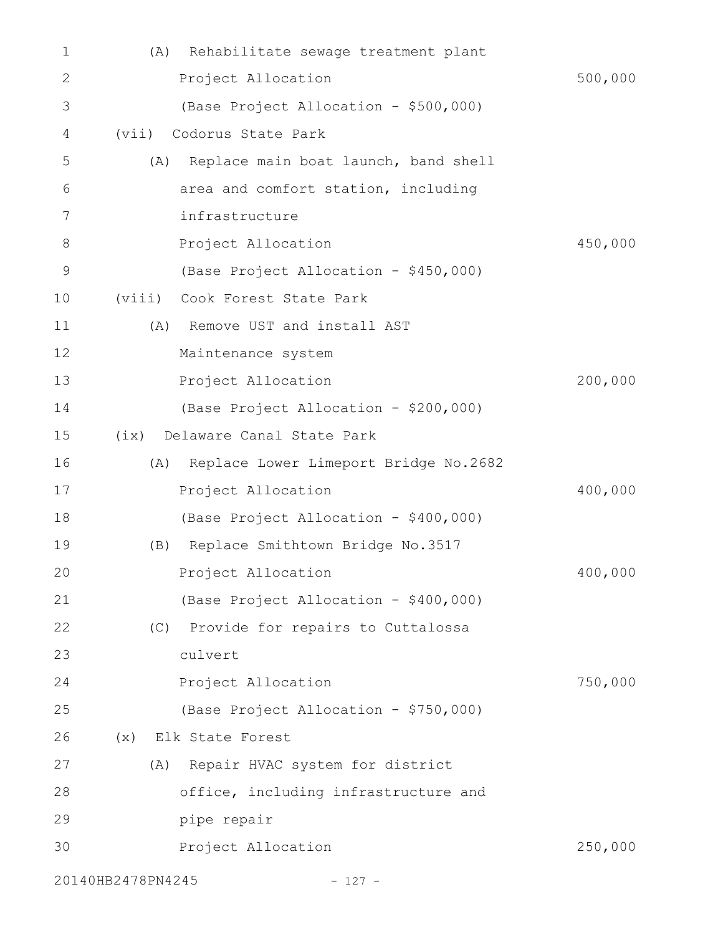| 1             | Rehabilitate sewage treatment plant<br>(A)   |         |
|---------------|----------------------------------------------|---------|
| $\mathbf{2}$  | Project Allocation                           | 500,000 |
| 3             | (Base Project Allocation - \$500,000)        |         |
| 4             | Codorus State Park<br>(vii)                  |         |
| 5             | Replace main boat launch, band shell<br>(A)  |         |
| 6             | area and comfort station, including          |         |
| 7             | infrastructure                               |         |
| 8             | Project Allocation                           | 450,000 |
| $\mathcal{G}$ | (Base Project Allocation - \$450,000)        |         |
| 10            | (viii) Cook Forest State Park                |         |
| 11            | Remove UST and install AST<br>(A)            |         |
| 12            | Maintenance system                           |         |
| 13            | Project Allocation                           | 200,000 |
| 14            | (Base Project Allocation - \$200,000)        |         |
| 15            | Delaware Canal State Park<br>(ix)            |         |
| 16            | Replace Lower Limeport Bridge No.2682<br>(A) |         |
| 17            | Project Allocation                           | 400,000 |
| 18            | (Base Project Allocation - \$400,000)        |         |
| 19            | Replace Smithtown Bridge No.3517<br>(B)      |         |
| 20            | Project Allocation                           | 400,000 |
| 21            | (Base Project Allocation - \$400,000)        |         |
| 22            | (C) Provide for repairs to Cuttalossa        |         |
| 23            | culvert                                      |         |
| 24            | Project Allocation                           | 750,000 |
| 25            | (Base Project Allocation - \$750,000)        |         |
| 26            | (x) Elk State Forest                         |         |
| 27            | (A) Repair HVAC system for district          |         |
| 28            | office, including infrastructure and         |         |
| 29            | pipe repair                                  |         |
| 30            | Project Allocation                           | 250,000 |
|               | 20140HB2478PN4245<br>$-127 -$                |         |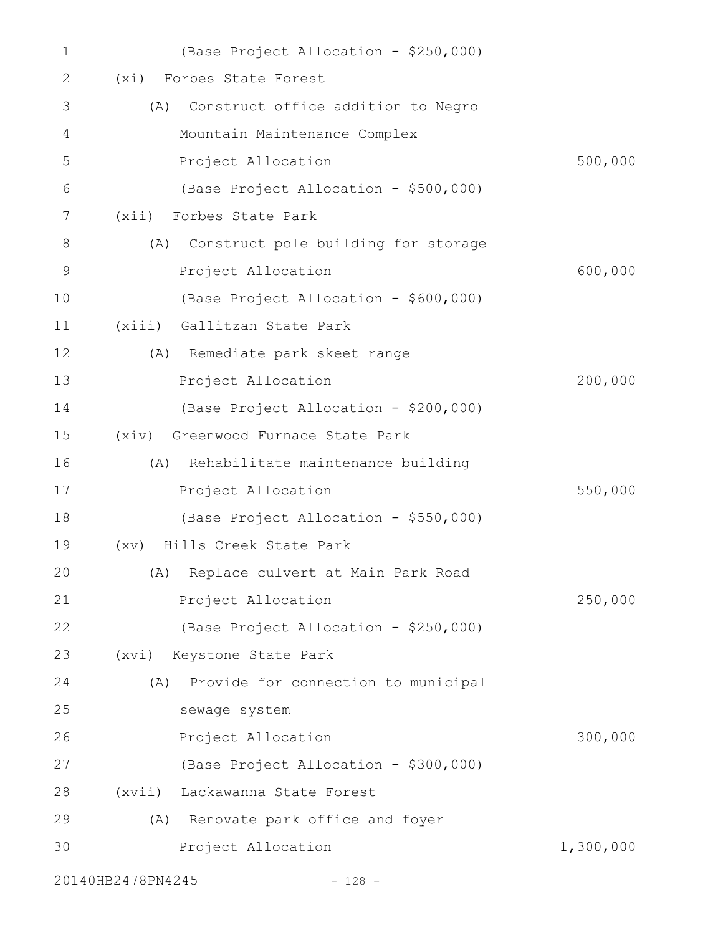| 1           | (Base Project Allocation - \$250,000)      |           |
|-------------|--------------------------------------------|-----------|
| 2           | Forbes State Forest<br>(xi)                |           |
| 3           | Construct office addition to Negro<br>(A)  |           |
| 4           | Mountain Maintenance Complex               |           |
| 5           | Project Allocation                         | 500,000   |
| 6           | (Base Project Allocation - \$500,000)      |           |
| 7           | (xii) Forbes State Park                    |           |
| 8           | Construct pole building for storage<br>(A) |           |
| $\mathsf 9$ | Project Allocation                         | 600,000   |
| 10          | (Base Project Allocation - \$600,000)      |           |
| 11          | (xiii) Gallitzan State Park                |           |
| 12          | (A) Remediate park skeet range             |           |
| 13          | Project Allocation                         | 200,000   |
| 14          | (Base Project Allocation - \$200,000)      |           |
| 15          | (xiv) Greenwood Furnace State Park         |           |
| 16          | Rehabilitate maintenance building<br>(A)   |           |
| 17          | Project Allocation                         | 550,000   |
| 18          | (Base Project Allocation - \$550,000)      |           |
| 19          | Hills Creek State Park<br>(xv)             |           |
| 20          | Replace culvert at Main Park Road<br>(A)   |           |
| 21          | Project Allocation                         | 250,000   |
| 22          | (Base Project Allocation - \$250,000)      |           |
| 23          | (xvi) Keystone State Park                  |           |
| 24          | Provide for connection to municipal<br>(A) |           |
| 25          | sewage system                              |           |
| 26          | Project Allocation                         | 300,000   |
| 27          | (Base Project Allocation - \$300,000)      |           |
| 28          | (xvii)<br>Lackawanna State Forest          |           |
| 29          | Renovate park office and foyer<br>(A)      |           |
| 30          | Project Allocation                         | 1,300,000 |
|             |                                            |           |

20140HB2478PN4245 - 128 -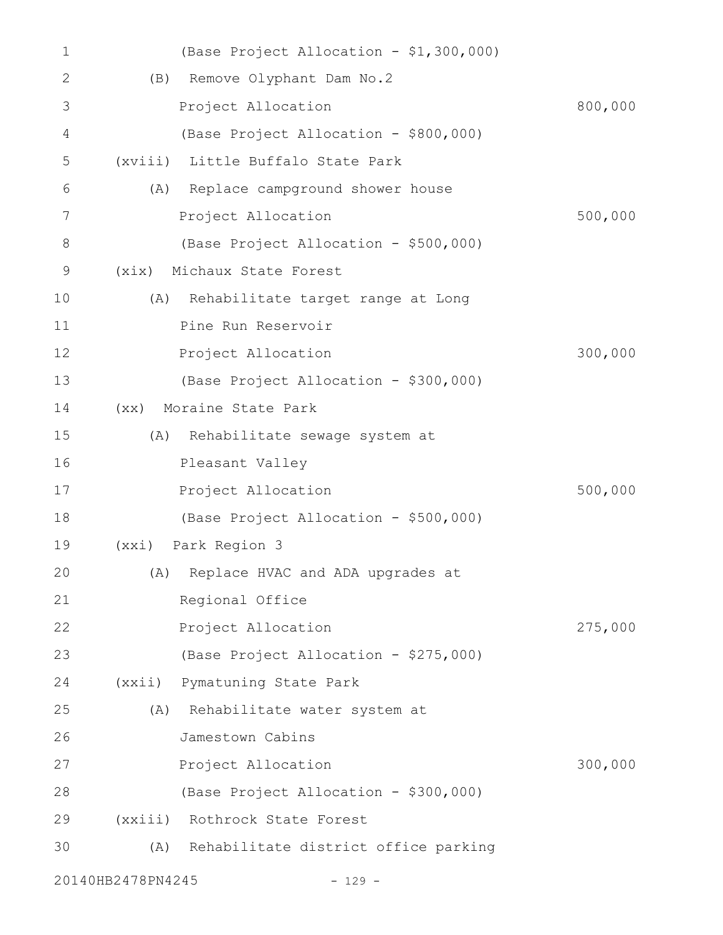| 1              | (Base Project Allocation - \$1,300,000)  |         |
|----------------|------------------------------------------|---------|
| 2              | Remove Olyphant Dam No.2<br>(B)          |         |
| 3              | Project Allocation                       | 800,000 |
| 4              | (Base Project Allocation - \$800,000)    |         |
| 5              | (xviii) Little Buffalo State Park        |         |
| 6              | (A) Replace campground shower house      |         |
| $\overline{7}$ | Project Allocation                       | 500,000 |
| 8              | (Base Project Allocation - \$500,000)    |         |
| 9              | Michaux State Forest<br>(xix)            |         |
| 10             | (A)<br>Rehabilitate target range at Long |         |
| 11             | Pine Run Reservoir                       |         |
| 12             | Project Allocation                       | 300,000 |
| 13             | (Base Project Allocation - \$300,000)    |         |
| 14             | (xx) Moraine State Park                  |         |
| 15             | Rehabilitate sewage system at<br>(A)     |         |
| 16             | Pleasant Valley                          |         |
| 17             | Project Allocation                       | 500,000 |
| 18             | (Base Project Allocation - \$500,000)    |         |
| 19             | (xxi) Park Region 3                      |         |
| 20             | Replace HVAC and ADA upgrades at<br>(A)  |         |
| 21             | Regional Office                          |         |
| 22             | Project Allocation                       | 275,000 |
| 23             | (Base Project Allocation - \$275,000)    |         |
| 24             | (xxii) Pymatuning State Park             |         |
| 25             | (A)<br>Rehabilitate water system at      |         |
| 26             | Jamestown Cabins                         |         |
| 27             | Project Allocation                       | 300,000 |
| 28             | (Base Project Allocation - \$300,000)    |         |
| 29             | (xxiii) Rothrock State Forest            |         |
| 30             | (A) Rehabilitate district office parking |         |
|                |                                          |         |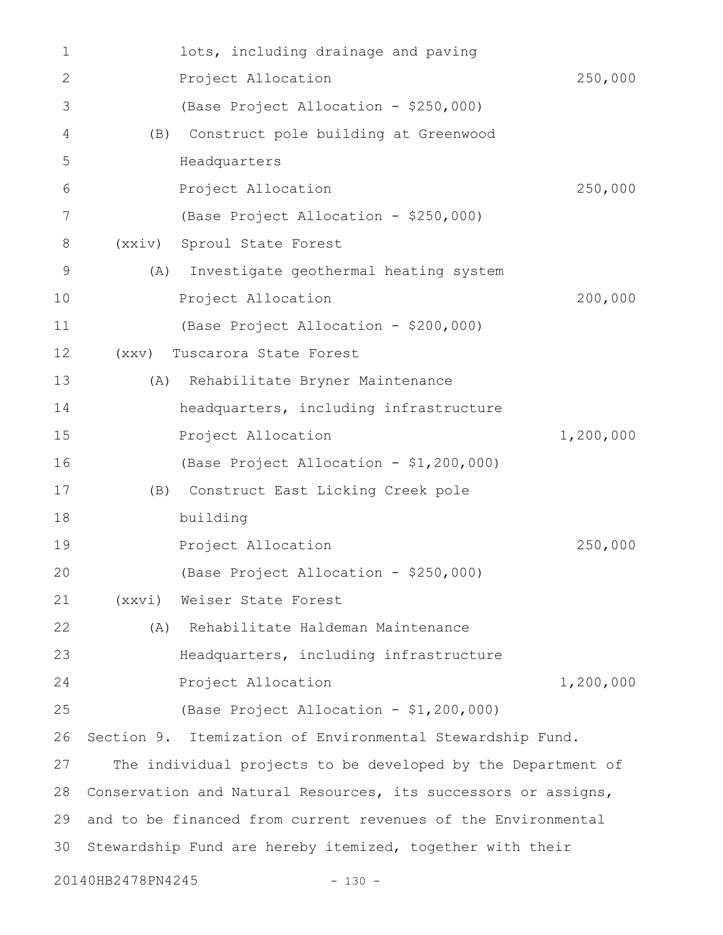| 1            |                     | lots, including drainage and paving                            |           |
|--------------|---------------------|----------------------------------------------------------------|-----------|
| $\mathbf{2}$ |                     | Project Allocation                                             | 250,000   |
| 3            |                     | (Base Project Allocation - \$250,000)                          |           |
| 4            | (B)                 | Construct pole building at Greenwood                           |           |
| 5            |                     | Headquarters                                                   |           |
| 6            |                     | Project Allocation                                             | 250,000   |
| 7            |                     | (Base Project Allocation - \$250,000)                          |           |
| 8            | $(x \times i \vee)$ | Sproul State Forest                                            |           |
| 9            | (A)                 | Investigate geothermal heating system                          |           |
| 10           |                     | Project Allocation                                             | 200,000   |
| 11           |                     | (Base Project Allocation - \$200,000)                          |           |
| 12           | (xxy)               | Tuscarora State Forest                                         |           |
| 13           | (A)                 | Rehabilitate Bryner Maintenance                                |           |
| 14           |                     | headquarters, including infrastructure                         |           |
| 15           |                     | Project Allocation                                             | 1,200,000 |
| 16           |                     | (Base Project Allocation - \$1,200,000)                        |           |
| 17           | (B)                 | Construct East Licking Creek pole                              |           |
| 18           |                     | building                                                       |           |
| 19           |                     | Project Allocation                                             | 250,000   |
| 20           |                     | (Base Project Allocation - \$250,000)                          |           |
| 21           | (xxyi)              | Weiser State Forest                                            |           |
| 22           |                     | (A) Rehabilitate Haldeman Maintenance                          |           |
| 23           |                     | Headquarters, including infrastructure                         |           |
| 24           |                     | Project Allocation                                             | 1,200,000 |
| 25           |                     | (Base Project Allocation - \$1,200,000)                        |           |
| 26           |                     | Section 9. Itemization of Environmental Stewardship Fund.      |           |
| 27           |                     | The individual projects to be developed by the Department of   |           |
| 28           |                     | Conservation and Natural Resources, its successors or assigns, |           |
| 29           |                     | and to be financed from current revenues of the Environmental  |           |
| 30           |                     | Stewardship Fund are hereby itemized, together with their      |           |
|              | 20140HB2478PN4245   | $-130 -$                                                       |           |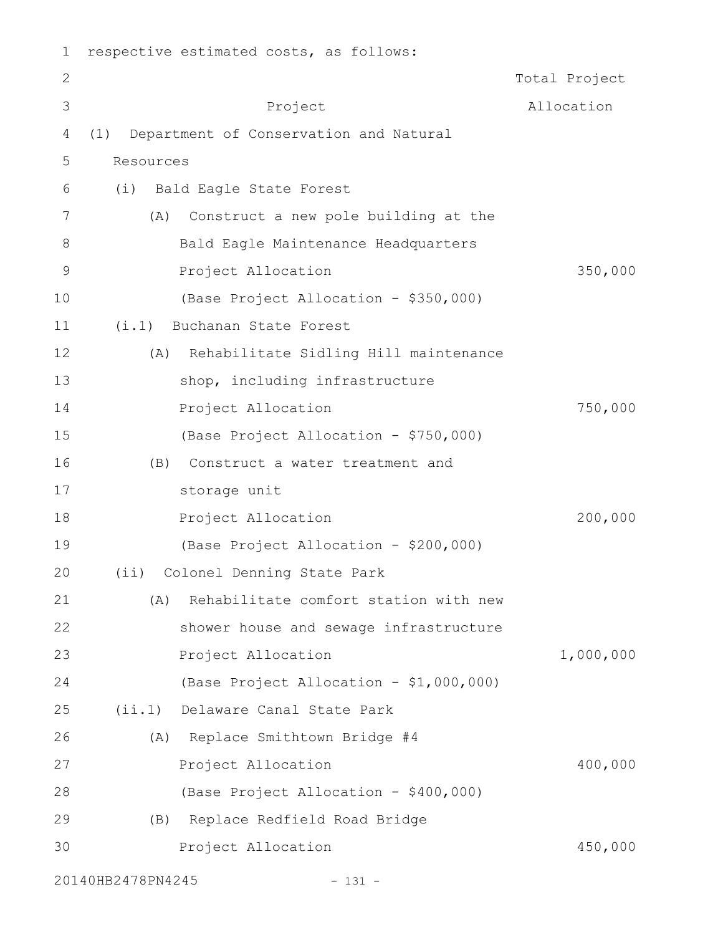| $\mathbf 1$  | respective estimated costs, as follows:       |               |
|--------------|-----------------------------------------------|---------------|
| $\mathbf{2}$ |                                               | Total Project |
| 3            | Project                                       | Allocation    |
| 4            | (1)<br>Department of Conservation and Natural |               |
| 5            | Resources                                     |               |
| 6            | (i) Bald Eagle State Forest                   |               |
| 7            | Construct a new pole building at the<br>(A)   |               |
| 8            | Bald Eagle Maintenance Headquarters           |               |
| $\mathsf 9$  | Project Allocation                            | 350,000       |
| 10           | (Base Project Allocation - \$350,000)         |               |
| 11           | (i.1) Buchanan State Forest                   |               |
| 12           | (A) Rehabilitate Sidling Hill maintenance     |               |
| 13           | shop, including infrastructure                |               |
| 14           | Project Allocation                            | 750,000       |
| 15           | (Base Project Allocation - \$750,000)         |               |
| 16           | Construct a water treatment and<br>(B)        |               |
| 17           | storage unit                                  |               |
| 18           | Project Allocation                            | 200,000       |
| 19           | (Base Project Allocation - \$200,000)         |               |
| 20           | (ii) Colonel Denning State Park               |               |
| 21           | Rehabilitate comfort station with new<br>(A)  |               |
| 22           | shower house and sewage infrastructure        |               |
| 23           | Project Allocation                            | 1,000,000     |
| 24           | (Base Project Allocation - \$1,000,000)       |               |
| 25           | (ii.1) Delaware Canal State Park              |               |
| 26           | (A) Replace Smithtown Bridge #4               |               |
| 27           | Project Allocation                            | 400,000       |
| 28           | (Base Project Allocation - \$400,000)         |               |
| 29           | Replace Redfield Road Bridge<br>(B)           |               |
| 30           | Project Allocation                            | 450,000       |
|              |                                               |               |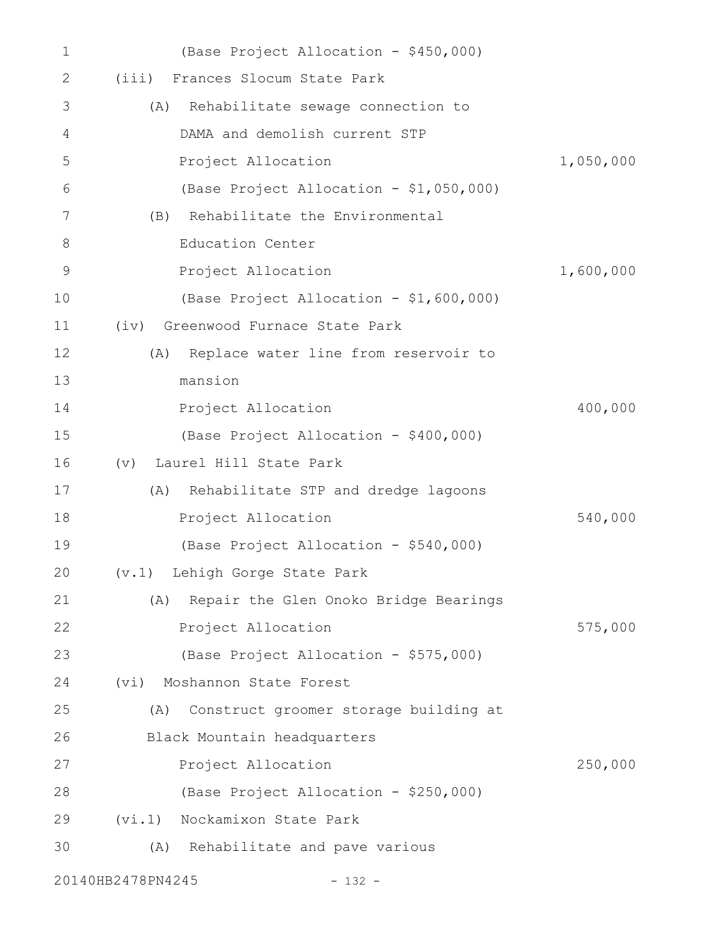| 1           | (Base Project Allocation - \$450,000)        |           |
|-------------|----------------------------------------------|-----------|
| 2           | (iii) Frances Slocum State Park              |           |
| 3           | Rehabilitate sewage connection to<br>(A)     |           |
| 4           | DAMA and demolish current STP                |           |
| 5           | Project Allocation                           | 1,050,000 |
| 6           | (Base Project Allocation - \$1,050,000)      |           |
| 7           | Rehabilitate the Environmental<br>(B)        |           |
| 8           | Education Center                             |           |
| $\mathsf 9$ | Project Allocation                           | 1,600,000 |
| 10          | (Base Project Allocation - \$1,600,000)      |           |
| 11          | (iv) Greenwood Furnace State Park            |           |
| 12          | Replace water line from reservoir to<br>(A)  |           |
| 13          | mansion                                      |           |
| 14          | Project Allocation                           | 400,000   |
| 15          | (Base Project Allocation - \$400,000)        |           |
| 16          | (v) Laurel Hill State Park                   |           |
| 17          | Rehabilitate STP and dredge lagoons<br>(A)   |           |
| 18          | Project Allocation                           | 540,000   |
| 19          | (Base Project Allocation - \$540,000)        |           |
| 20          | (v.1) Lehigh Gorge State Park                |           |
| 21          | (A) Repair the Glen Onoko Bridge Bearings    |           |
| 22          | Project Allocation                           | 575,000   |
| 23          | (Base Project Allocation - \$575,000)        |           |
| 24          | (vi) Moshannon State Forest                  |           |
| 25          | Construct groomer storage building at<br>(A) |           |
| 26          | Black Mountain headquarters                  |           |
| 27          | Project Allocation                           | 250,000   |
| 28          | (Base Project Allocation - \$250,000)        |           |
| 29          | Nockamixon State Park<br>(vi.1)              |           |
| 30          | (A) Rehabilitate and pave various            |           |
|             | 20140HB2478PN4245<br>$-132 -$                |           |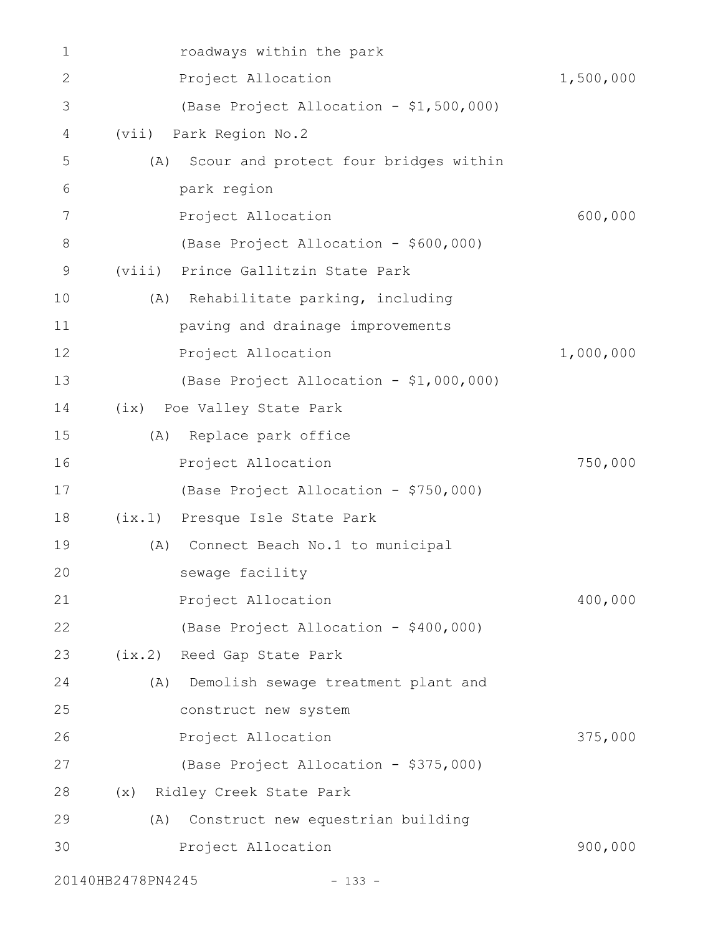| 1            |                   | roadways within the park                |           |
|--------------|-------------------|-----------------------------------------|-----------|
| $\mathbf{2}$ |                   | Project Allocation                      | 1,500,000 |
| 3            |                   | (Base Project Allocation - \$1,500,000) |           |
| 4            | (vii)             | Park Region No.2                        |           |
| 5            | (A)               | Scour and protect four bridges within   |           |
| 6            |                   | park region                             |           |
| 7            |                   | Project Allocation                      | 600,000   |
| 8            |                   | (Base Project Allocation - \$600,000)   |           |
| 9            | (viii)            | Prince Gallitzin State Park             |           |
| 10           |                   | (A) Rehabilitate parking, including     |           |
| 11           |                   | paving and drainage improvements        |           |
| 12           |                   | Project Allocation                      | 1,000,000 |
| 13           |                   | (Base Project Allocation - \$1,000,000) |           |
| 14           |                   | (ix) Poe Valley State Park              |           |
| 15           | (A)               | Replace park office                     |           |
| 16           |                   | Project Allocation                      | 750,000   |
| 17           |                   | (Base Project Allocation - \$750,000)   |           |
| 18           |                   | (ix.1) Presque Isle State Park          |           |
| 19           | (A)               | Connect Beach No.1 to municipal         |           |
| 20           |                   | sewage facility                         |           |
| 21           |                   | Project Allocation                      | 400,000   |
| 22           |                   | (Base Project Allocation - \$400,000)   |           |
| 23           |                   | (ix.2) Reed Gap State Park              |           |
| 24           | (A)               | Demolish sewage treatment plant and     |           |
| 25           |                   | construct new system                    |           |
| 26           |                   | Project Allocation                      | 375,000   |
| 27           |                   | (Base Project Allocation - \$375,000)   |           |
| 28           |                   | (x) Ridley Creek State Park             |           |
| 29           | (A)               | Construct new equestrian building       |           |
| 30           |                   | Project Allocation                      | 900,000   |
|              | 20140HB2478PN4245 | $-133 -$                                |           |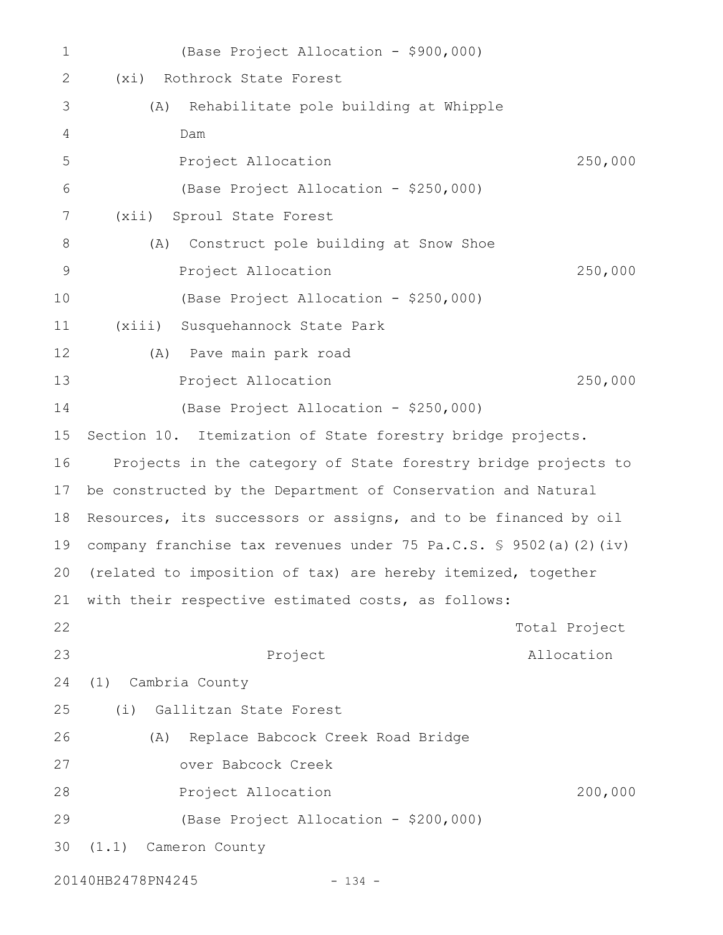| 1  | (Base Project Allocation - \$900,000)                                        |               |
|----|------------------------------------------------------------------------------|---------------|
| 2  | Rothrock State Forest<br>(xi)                                                |               |
| 3  | Rehabilitate pole building at Whipple<br>(A)                                 |               |
| 4  | Dam                                                                          |               |
| 5  | Project Allocation                                                           | 250,000       |
| 6  | (Base Project Allocation - \$250,000)                                        |               |
| 7  | (xii) Sproul State Forest                                                    |               |
| 8  | Construct pole building at Snow Shoe<br>(A)                                  |               |
| 9  | Project Allocation                                                           | 250,000       |
| 10 | (Base Project Allocation - \$250,000)                                        |               |
| 11 | (xiii) Susquehannock State Park                                              |               |
| 12 | (A) Pave main park road                                                      |               |
| 13 | Project Allocation                                                           | 250,000       |
| 14 | (Base Project Allocation - \$250,000)                                        |               |
| 15 | Section 10. Itemization of State forestry bridge projects.                   |               |
| 16 | Projects in the category of State forestry bridge projects to                |               |
| 17 | be constructed by the Department of Conservation and Natural                 |               |
| 18 | Resources, its successors or assigns, and to be financed by oil              |               |
| 19 | company franchise tax revenues under 75 Pa.C.S. $\frac{6}{5}$ 9502(a)(2)(iv) |               |
|    | 20 (related to imposition of tax) are hereby itemized, together              |               |
| 21 | with their respective estimated costs, as follows:                           |               |
| 22 |                                                                              | Total Project |
| 23 | Project                                                                      | Allocation    |
| 24 | Cambria County<br>(1)                                                        |               |
| 25 | Gallitzan State Forest<br>(i)                                                |               |
| 26 | Replace Babcock Creek Road Bridge<br>(A)                                     |               |
| 27 | over Babcock Creek                                                           |               |
| 28 | Project Allocation                                                           | 200,000       |
| 29 | (Base Project Allocation - \$200,000)                                        |               |
| 30 | (1.1) Cameron County                                                         |               |
|    | 20140HB2478PN4245<br>$-134 -$                                                |               |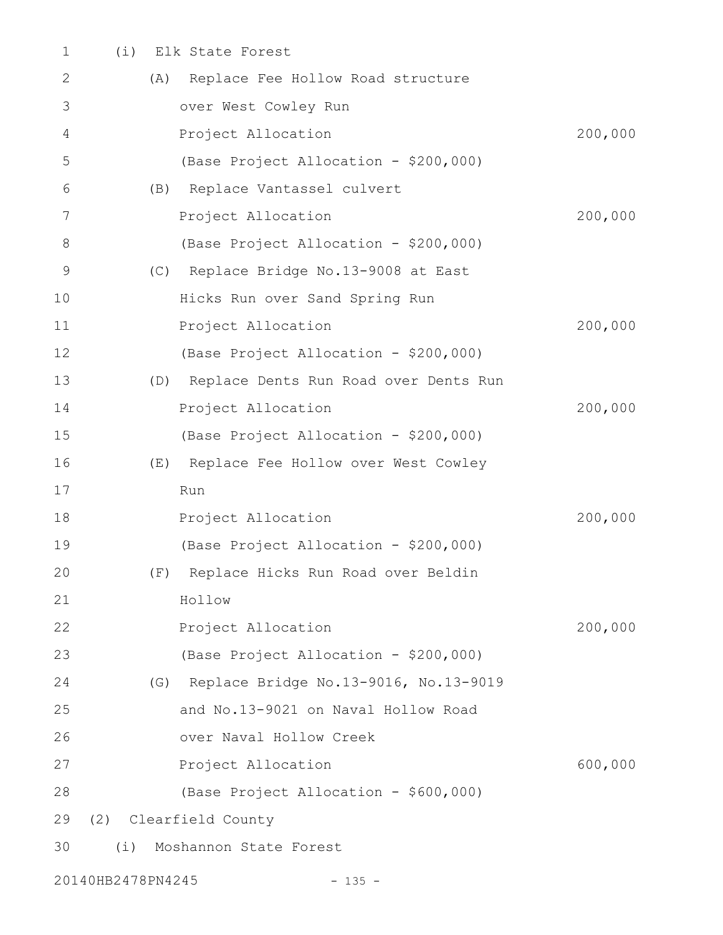| 1  | (i) | Elk State Forest                          |         |
|----|-----|-------------------------------------------|---------|
| 2  | (A) | Replace Fee Hollow Road structure         |         |
| 3  |     | over West Cowley Run                      |         |
| 4  |     | Project Allocation                        | 200,000 |
| 5  |     | (Base Project Allocation - \$200,000)     |         |
| 6  |     | Replace Vantassel culvert<br>(B)          |         |
| 7  |     | Project Allocation                        | 200,000 |
| 8  |     | (Base Project Allocation - \$200,000)     |         |
| 9  |     | (C) Replace Bridge No.13-9008 at East     |         |
| 10 |     | Hicks Run over Sand Spring Run            |         |
| 11 |     | Project Allocation                        | 200,000 |
| 12 |     | (Base Project Allocation - \$200,000)     |         |
| 13 |     | (D) Replace Dents Run Road over Dents Run |         |
| 14 |     | Project Allocation                        | 200,000 |
| 15 |     | (Base Project Allocation - \$200,000)     |         |
| 16 |     | (E) Replace Fee Hollow over West Cowley   |         |
| 17 |     | Run                                       |         |
| 18 |     | Project Allocation                        | 200,000 |
| 19 |     | (Base Project Allocation - \$200,000)     |         |
| 20 |     | (F) Replace Hicks Run Road over Beldin    |         |
| 21 |     | Hollow                                    |         |
| 22 |     | Project Allocation                        | 200,000 |
| 23 |     | (Base Project Allocation - \$200,000)     |         |
| 24 |     | (G) Replace Bridge No.13-9016, No.13-9019 |         |
| 25 |     | and No.13-9021 on Naval Hollow Road       |         |
| 26 |     | over Naval Hollow Creek                   |         |
| 27 |     | Project Allocation                        | 600,000 |
| 28 |     | (Base Project Allocation - \$600,000)     |         |
| 29 |     | (2) Clearfield County                     |         |
| 30 | (i) | Moshannon State Forest                    |         |
|    |     |                                           |         |

20140HB2478PN4245 - 135 -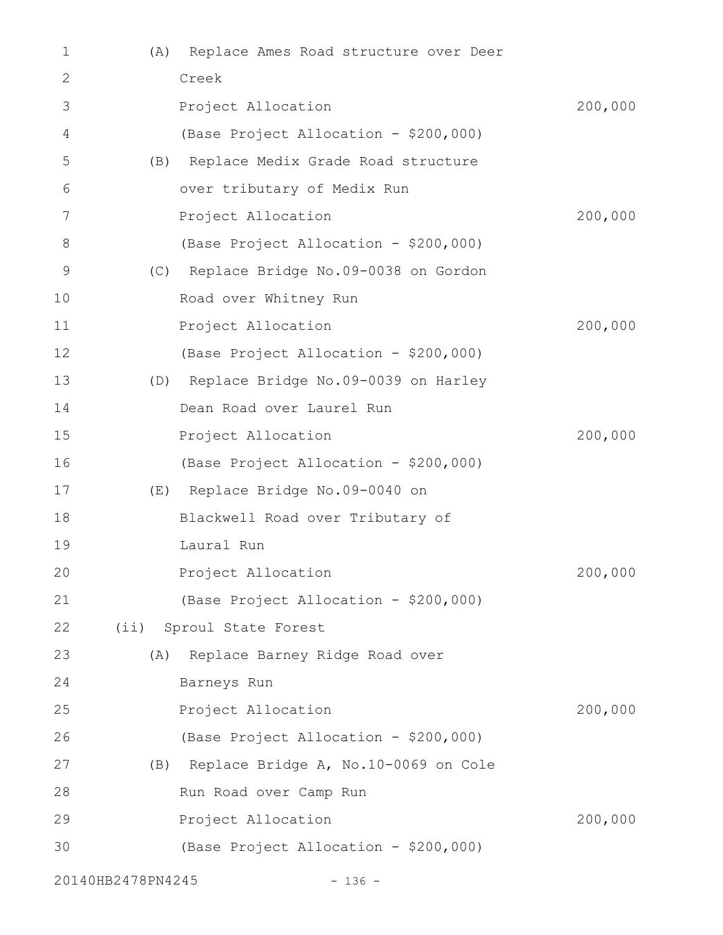| 1                 | (A) | Replace Ames Road structure over Deer      |         |
|-------------------|-----|--------------------------------------------|---------|
| 2                 |     | Creek                                      |         |
| 3                 |     | Project Allocation                         | 200,000 |
| 4                 |     | (Base Project Allocation - \$200,000)      |         |
| 5                 | (B) | Replace Medix Grade Road structure         |         |
| 6                 |     | over tributary of Medix Run                |         |
| 7                 |     | Project Allocation                         | 200,000 |
| 8                 |     | (Base Project Allocation - \$200,000)      |         |
| 9                 |     | Replace Bridge No.09-0038 on Gordon<br>(C) |         |
| 10                |     | Road over Whitney Run                      |         |
| 11                |     | Project Allocation                         | 200,000 |
| 12                |     | (Base Project Allocation - \$200,000)      |         |
| 13                |     | (D) Replace Bridge No.09-0039 on Harley    |         |
| 14                |     | Dean Road over Laurel Run                  |         |
| 15                |     | Project Allocation                         | 200,000 |
| 16                |     | (Base Project Allocation - \$200,000)      |         |
| 17                |     | (E) Replace Bridge No.09-0040 on           |         |
| 18                |     | Blackwell Road over Tributary of           |         |
| 19                |     | Laural Run                                 |         |
| 20                |     | Project Allocation                         | 200,000 |
| 21                |     | (Base Project Allocation - \$200,000)      |         |
| 22                |     | (ii) Sproul State Forest                   |         |
| 23                | (A) | Replace Barney Ridge Road over             |         |
| 24                |     | Barneys Run                                |         |
| 25                |     | Project Allocation                         | 200,000 |
| 26                |     | (Base Project Allocation - \$200,000)      |         |
| 27                |     | (B) Replace Bridge A, No.10-0069 on Cole   |         |
| 28                |     | Run Road over Camp Run                     |         |
| 29                |     | Project Allocation                         | 200,000 |
| 30                |     | (Base Project Allocation - \$200,000)      |         |
| 20140HB2478PN4245 |     | $-136 -$                                   |         |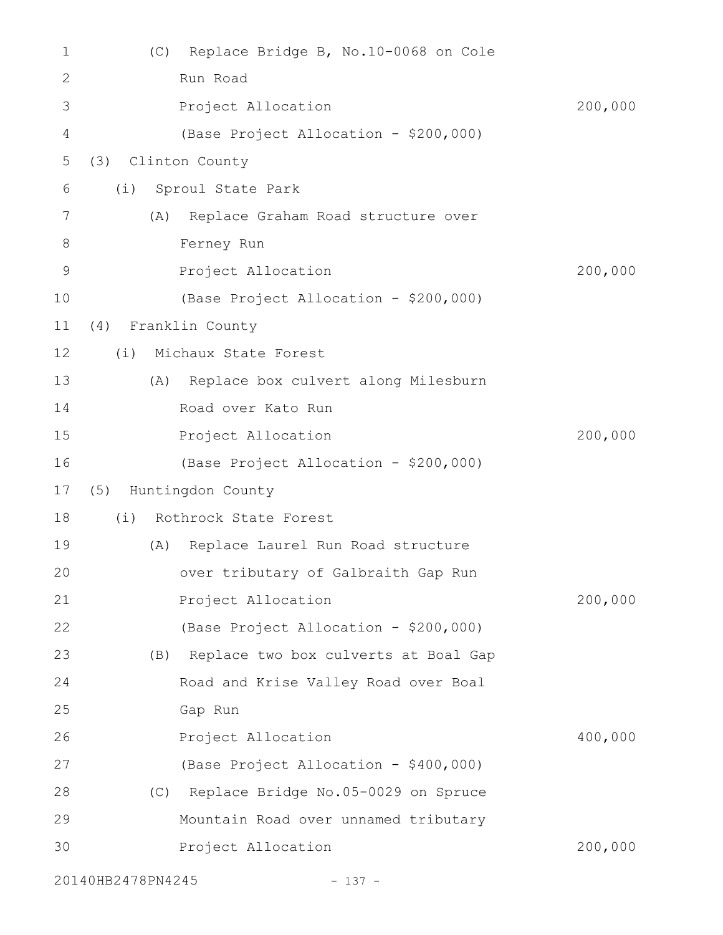| 1            |                   | (C) Replace Bridge B, No.10-0068 on Cole |         |
|--------------|-------------------|------------------------------------------|---------|
| $\mathbf{2}$ |                   | Run Road                                 |         |
| 3            |                   | Project Allocation                       | 200,000 |
| 4            |                   | (Base Project Allocation - \$200,000)    |         |
| 5            | (3)               | Clinton County                           |         |
| 6            | (i)               | Sproul State Park                        |         |
| 7            | (A)               | Replace Graham Road structure over       |         |
| 8            |                   | Ferney Run                               |         |
| 9            |                   | Project Allocation                       | 200,000 |
| 10           |                   | (Base Project Allocation - \$200,000)    |         |
| 11           | (4)               | Franklin County                          |         |
| 12           | (i)               | Michaux State Forest                     |         |
| 13           |                   | (A) Replace box culvert along Milesburn  |         |
| 14           |                   | Road over Kato Run                       |         |
| 15           |                   | Project Allocation                       | 200,000 |
| 16           |                   | (Base Project Allocation - \$200,000)    |         |
| 17           | (5)               | Huntingdon County                        |         |
| 18           | (i)               | Rothrock State Forest                    |         |
| 19           | (A)               | Replace Laurel Run Road structure        |         |
| 20           |                   | over tributary of Galbraith Gap Run      |         |
| 21           |                   | Project Allocation                       | 200,000 |
| 22           |                   | (Base Project Allocation - \$200,000)    |         |
| 23           |                   | (B) Replace two box culverts at Boal Gap |         |
| 24           |                   | Road and Krise Valley Road over Boal     |         |
| 25           |                   | Gap Run                                  |         |
| 26           |                   | Project Allocation                       | 400,000 |
| 27           |                   | (Base Project Allocation - \$400,000)    |         |
| 28           |                   | (C) Replace Bridge No.05-0029 on Spruce  |         |
| 29           |                   | Mountain Road over unnamed tributary     |         |
| 30           |                   | Project Allocation                       | 200,000 |
|              | 20140HB2478PN4245 | $-137 -$                                 |         |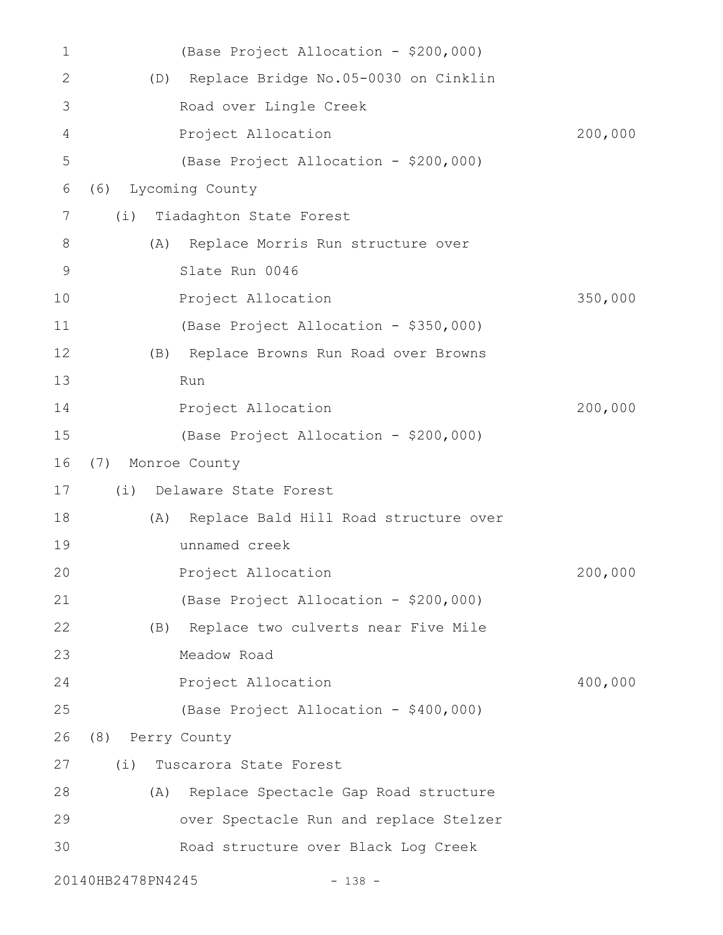| 1  |                   | (Base Project Allocation - \$200,000)    |         |
|----|-------------------|------------------------------------------|---------|
| 2  | (D)               | Replace Bridge No.05-0030 on Cinklin     |         |
| 3  |                   | Road over Lingle Creek                   |         |
| 4  |                   | Project Allocation                       | 200,000 |
| 5  |                   | (Base Project Allocation - \$200,000)    |         |
| 6  | (6)               | Lycoming County                          |         |
| 7  | (i)               | Tiadaghton State Forest                  |         |
| 8  | (A)               | Replace Morris Run structure over        |         |
| 9  |                   | Slate Run 0046                           |         |
| 10 |                   | Project Allocation                       | 350,000 |
| 11 |                   | (Base Project Allocation - \$350,000)    |         |
| 12 | (B)               | Replace Browns Run Road over Browns      |         |
| 13 |                   | Run                                      |         |
| 14 |                   | Project Allocation                       | 200,000 |
| 15 |                   | (Base Project Allocation - \$200,000)    |         |
| 16 | (7)               | Monroe County                            |         |
| 17 | (i)               | Delaware State Forest                    |         |
| 18 | (A)               | Replace Bald Hill Road structure over    |         |
| 19 |                   | unnamed creek                            |         |
| 20 |                   | Project Allocation                       | 200,000 |
| 21 |                   | (Base Project Allocation - \$200,000)    |         |
| 22 |                   | (B) Replace two culverts near Five Mile  |         |
| 23 |                   | Meadow Road                              |         |
| 24 |                   | Project Allocation                       | 400,000 |
| 25 |                   | (Base Project Allocation - \$400,000)    |         |
| 26 | (8)               | Perry County                             |         |
| 27 | (i)               | Tuscarora State Forest                   |         |
| 28 |                   | (A) Replace Spectacle Gap Road structure |         |
| 29 |                   | over Spectacle Run and replace Stelzer   |         |
| 30 |                   | Road structure over Black Log Creek      |         |
|    | 20140HB2478PN4245 | $-138 -$                                 |         |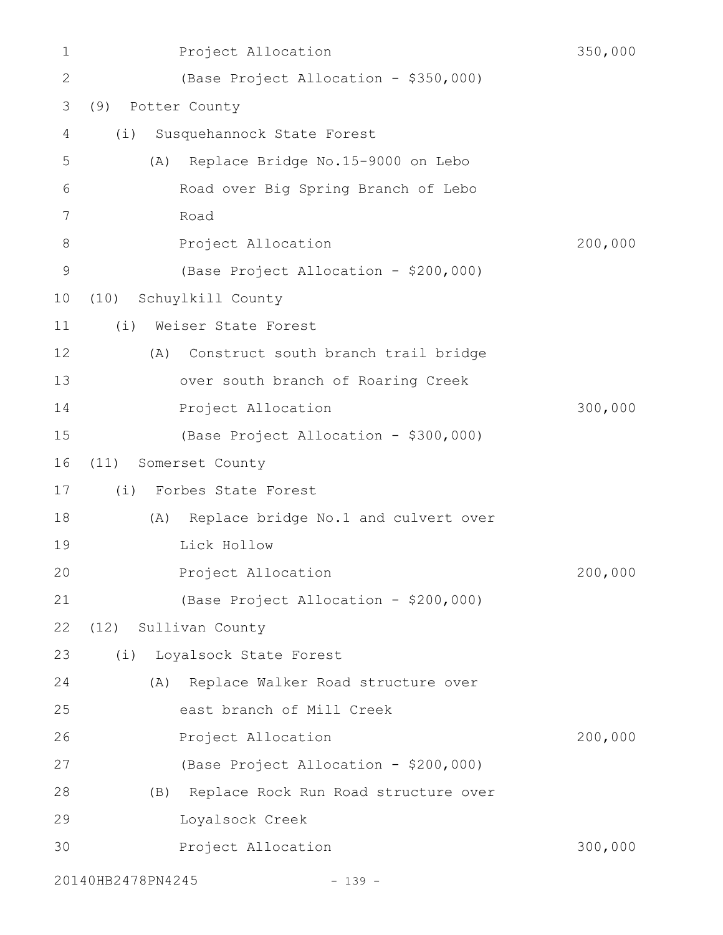| 1           | Project Allocation                          | 350,000 |
|-------------|---------------------------------------------|---------|
| 2           | (Base Project Allocation - \$350,000)       |         |
| 3           | (9)<br>Potter County                        |         |
| 4           | (i)<br>Susquehannock State Forest           |         |
| 5           | Replace Bridge No.15-9000 on Lebo<br>(A)    |         |
| 6           | Road over Big Spring Branch of Lebo         |         |
| 7           | Road                                        |         |
| 8           | Project Allocation                          | 200,000 |
| $\mathsf 9$ | (Base Project Allocation - \$200,000)       |         |
| 10          | (10)<br>Schuylkill County                   |         |
| 11          | (i)<br>Weiser State Forest                  |         |
| 12          | Construct south branch trail bridge<br>(A)  |         |
| 13          | over south branch of Roaring Creek          |         |
| 14          | Project Allocation                          | 300,000 |
| 15          | (Base Project Allocation - \$300,000)       |         |
| 16          | (11)<br>Somerset County                     |         |
| 17          | (i)<br>Forbes State Forest                  |         |
| 18          | Replace bridge No.1 and culvert over<br>(A) |         |
| 19          | Lick Hollow                                 |         |
| 20          | Project Allocation                          | 200,000 |
| 21          | (Base Project Allocation - \$200,000)       |         |
| 22          | (12) Sullivan County                        |         |
| 23          | (i)<br>Loyalsock State Forest               |         |
| 24          | Replace Walker Road structure over<br>(A)   |         |
| 25          | east branch of Mill Creek                   |         |
| 26          | Project Allocation                          | 200,000 |
| 27          | (Base Project Allocation - \$200,000)       |         |
| 28          | (B) Replace Rock Run Road structure over    |         |
| 29          | Loyalsock Creek                             |         |
| 30          | Project Allocation                          | 300,000 |
|             | 20140HB2478PN4245<br>$-139 -$               |         |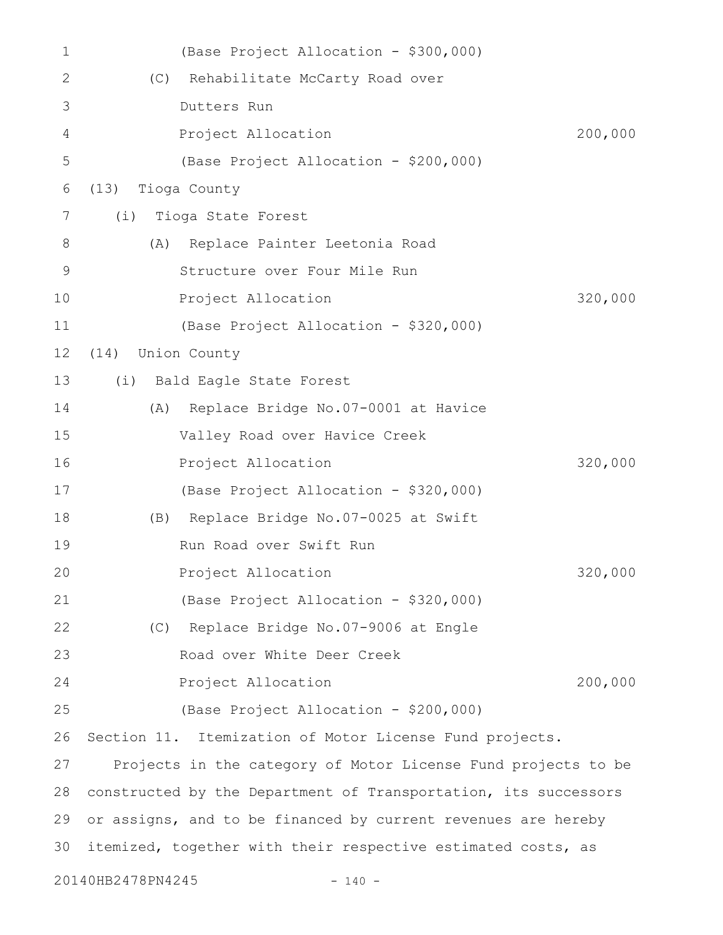| 1  |                   | (Base Project Allocation - \$300,000)                           |         |
|----|-------------------|-----------------------------------------------------------------|---------|
| 2  |                   | (C) Rehabilitate McCarty Road over                              |         |
| 3  |                   | Dutters Run                                                     |         |
| 4  |                   | Project Allocation                                              | 200,000 |
| 5  |                   | (Base Project Allocation - \$200,000)                           |         |
| 6  | (13)              | Tioga County                                                    |         |
| 7  | (i)               | Tioga State Forest                                              |         |
| 8  |                   | (A) Replace Painter Leetonia Road                               |         |
| 9  |                   | Structure over Four Mile Run                                    |         |
| 10 |                   | Project Allocation                                              | 320,000 |
| 11 |                   | (Base Project Allocation - \$320,000)                           |         |
| 12 | (14)              | Union County                                                    |         |
| 13 |                   | (i) Bald Eagle State Forest                                     |         |
| 14 |                   | (A) Replace Bridge No.07-0001 at Havice                         |         |
| 15 |                   | Valley Road over Havice Creek                                   |         |
| 16 |                   | Project Allocation                                              | 320,000 |
| 17 |                   | (Base Project Allocation - \$320,000)                           |         |
| 18 |                   | (B) Replace Bridge No.07-0025 at Swift                          |         |
| 19 |                   | Run Road over Swift Run                                         |         |
| 20 |                   | Project Allocation                                              | 320,000 |
| 21 |                   | (Base Project Allocation - \$320,000)                           |         |
| 22 |                   | (C) Replace Bridge No.07-9006 at Engle                          |         |
| 23 |                   | Road over White Deer Creek                                      |         |
| 24 |                   | Project Allocation                                              | 200,000 |
| 25 |                   | (Base Project Allocation - \$200,000)                           |         |
| 26 |                   | Section 11. Itemization of Motor License Fund projects.         |         |
| 27 |                   | Projects in the category of Motor License Fund projects to be   |         |
| 28 |                   | constructed by the Department of Transportation, its successors |         |
| 29 |                   | or assigns, and to be financed by current revenues are hereby   |         |
| 30 |                   | itemized, together with their respective estimated costs, as    |         |
|    | 20140HB2478PN4245 | $-140 -$                                                        |         |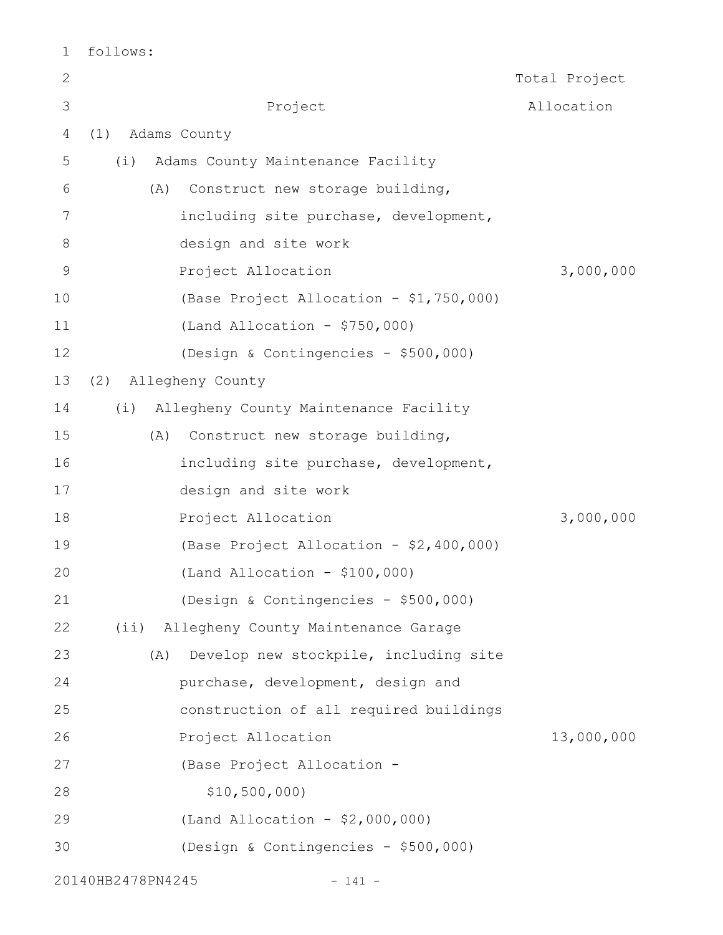| follows: |  |
|----------|--|
|          |  |

| $\mathbf{2}$ |                                              | Total Project |
|--------------|----------------------------------------------|---------------|
| 3            | Project                                      | Allocation    |
| 4            | Adams County<br>(1)                          |               |
| 5            | Adams County Maintenance Facility<br>(i)     |               |
| 6            | Construct new storage building,<br>(A)       |               |
| 7            | including site purchase, development,        |               |
| $8\,$        | design and site work                         |               |
| $\mathsf 9$  | Project Allocation                           | 3,000,000     |
| 10           | (Base Project Allocation - \$1,750,000)      |               |
| 11           | $(Land Allocation - $750,000)$               |               |
| 12           | (Design & Contingencies - \$500,000)         |               |
| 13           | Allegheny County<br>(2)                      |               |
| 14           | Allegheny County Maintenance Facility<br>(i) |               |
| 15           | Construct new storage building,<br>(A)       |               |
| 16           | including site purchase, development,        |               |
| 17           | design and site work                         |               |
| 18           | Project Allocation                           | 3,000,000     |
| 19           | (Base Project Allocation - \$2,400,000)      |               |
| 20           | $(Land Allocation - $100,000)$               |               |
| 21           | (Design & Contingencies - \$500,000)         |               |
| 22           | Allegheny County Maintenance Garage<br>(i)   |               |
| 23           | Develop new stockpile, including site<br>(A) |               |
| 24           | purchase, development, design and            |               |
| 25           | construction of all required buildings       |               |
| 26           | Project Allocation                           | 13,000,000    |
| 27           | (Base Project Allocation -                   |               |
| 28           | \$10,500,000                                 |               |
| 29           | (Land Allocation - $$2,000,000)$             |               |
| 30           | (Design & Contingencies - \$500,000)         |               |
|              | 20140HB2478PN4245<br>$-141 -$                |               |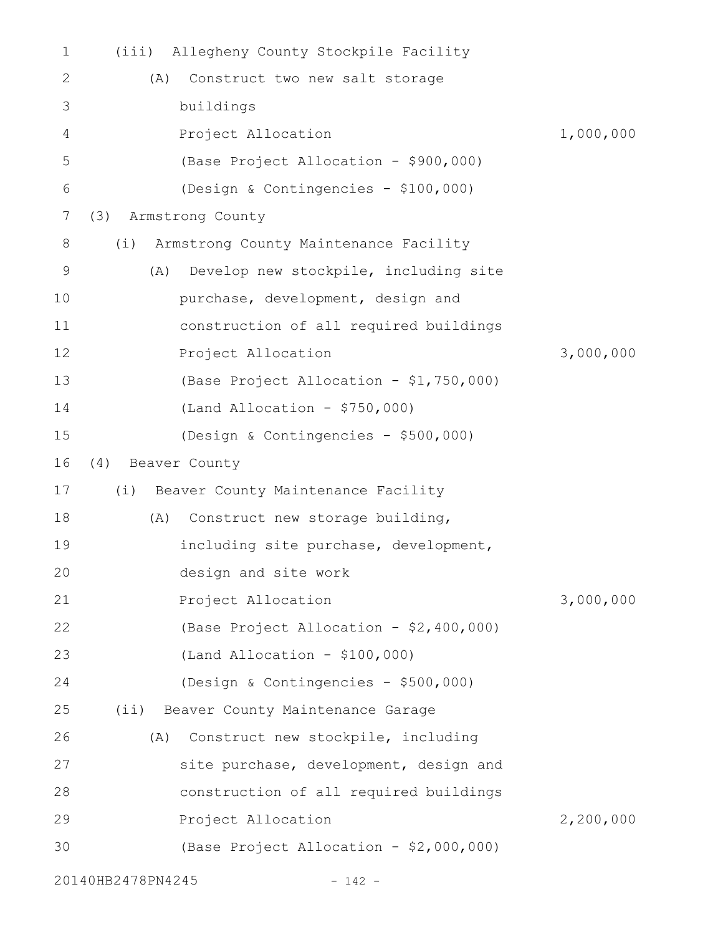| 1           | Allegheny County Stockpile Facility<br>(iii) |           |
|-------------|----------------------------------------------|-----------|
| 2           | Construct two new salt storage<br>(A)        |           |
| 3           | buildings                                    |           |
| 4           | Project Allocation                           | 1,000,000 |
| 5           | (Base Project Allocation - \$900,000)        |           |
| 6           | (Design & Contingencies - \$100,000)         |           |
| 7           | Armstrong County<br>(3)                      |           |
| 8           | Armstrong County Maintenance Facility<br>(i) |           |
| $\mathsf 9$ | Develop new stockpile, including site<br>(A) |           |
| 10          | purchase, development, design and            |           |
| 11          | construction of all required buildings       |           |
| 12          | Project Allocation                           | 3,000,000 |
| 13          | (Base Project Allocation - \$1,750,000)      |           |
| 14          | $(Land Allocation - $750,000)$               |           |
| 15          | (Design & Contingencies - \$500,000)         |           |
| 16          | (4)<br>Beaver County                         |           |
| 17          | (i) Beaver County Maintenance Facility       |           |
| 18          | (A)<br>Construct new storage building,       |           |
| 19          | including site purchase, development,        |           |
| 20          | design and site work                         |           |
| 21          | Project Allocation                           | 3,000,000 |
| 22          | (Base Project Allocation - \$2,400,000)      |           |
| 23          | $(Land Allocation - $100,000)$               |           |
| 24          | (Design & Contingencies - \$500,000)         |           |
| 25          | $(i$ i)<br>Beaver County Maintenance Garage  |           |
| 26          | Construct new stockpile, including<br>(A)    |           |
| 27          | site purchase, development, design and       |           |
| 28          | construction of all required buildings       |           |
| 29          | Project Allocation                           | 2,200,000 |
| 30          | (Base Project Allocation - \$2,000,000)      |           |
|             |                                              |           |

20140HB2478PN4245 - 142 -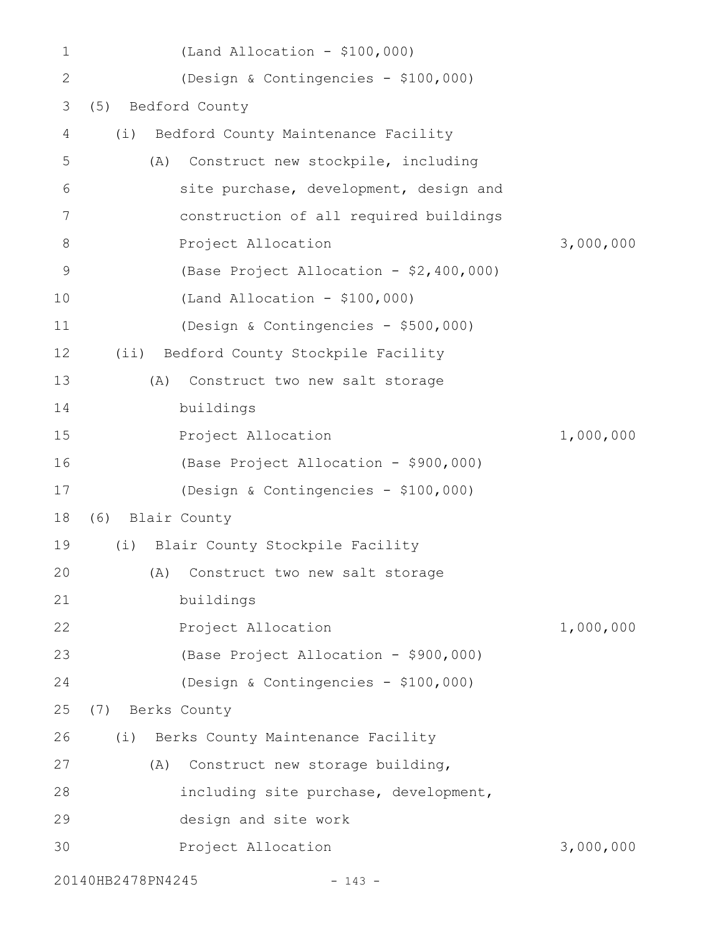| $\mathbf 1$ |                   | $(Land Allocation - $100,000)$          |           |
|-------------|-------------------|-----------------------------------------|-----------|
| 2           |                   | (Design & Contingencies - \$100,000)    |           |
| 3           | (5)               | Bedford County                          |           |
| 4           | (i)               | Bedford County Maintenance Facility     |           |
| 5           | (A)               | Construct new stockpile, including      |           |
| 6           |                   | site purchase, development, design and  |           |
| 7           |                   | construction of all required buildings  |           |
| 8           |                   | Project Allocation                      | 3,000,000 |
| 9           |                   | (Base Project Allocation - \$2,400,000) |           |
| 10          |                   | $(Land Allocation - $100,000)$          |           |
| 11          |                   | (Design & Contingencies - \$500,000)    |           |
| 12          | $(i$ i)           | Bedford County Stockpile Facility       |           |
| 13          | (A)               | Construct two new salt storage          |           |
| 14          |                   | buildings                               |           |
| 15          |                   | Project Allocation                      | 1,000,000 |
| 16          |                   | (Base Project Allocation - \$900,000)   |           |
| 17          |                   | (Design & Contingencies - \$100,000)    |           |
| 18          | (6)               | Blair County                            |           |
| 19          |                   | (i) Blair County Stockpile Facility     |           |
| 20          |                   | (A) Construct two new salt storage      |           |
| 21          |                   | buildings                               |           |
| 22          |                   | Project Allocation                      | 1,000,000 |
| 23          |                   | (Base Project Allocation - \$900,000)   |           |
| 24          |                   | (Design & Contingencies - \$100,000)    |           |
| 25          | (7)               | Berks County                            |           |
| 26          |                   | (i) Berks County Maintenance Facility   |           |
| 27          | (A)               | Construct new storage building,         |           |
| 28          |                   | including site purchase, development,   |           |
| 29          |                   | design and site work                    |           |
| 30          |                   | Project Allocation                      | 3,000,000 |
|             | 20140HB2478PN4245 | $-143 -$                                |           |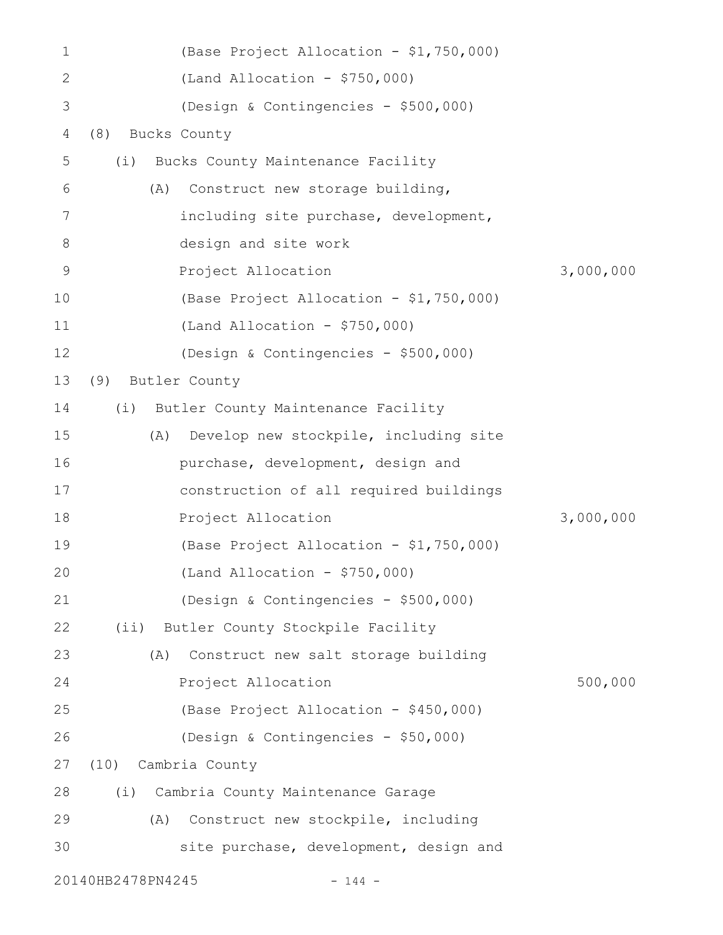| 1            |                      | (Base Project Allocation - \$1,750,000) |           |
|--------------|----------------------|-----------------------------------------|-----------|
| $\mathbf{2}$ |                      | (Land Allocation - \$750,000)           |           |
| 3            |                      | (Design & Contingencies - \$500,000)    |           |
| 4            | (8)                  | Bucks County                            |           |
| 5            | (i)                  | Bucks County Maintenance Facility       |           |
| 6            | (A)                  | Construct new storage building,         |           |
| 7            |                      | including site purchase, development,   |           |
| $8\,$        |                      | design and site work                    |           |
| 9            |                      | Project Allocation                      | 3,000,000 |
| 10           |                      | (Base Project Allocation - \$1,750,000) |           |
| 11           |                      | (Land Allocation - $$750,000$ )         |           |
| 12           |                      | (Design & Contingencies - \$500,000)    |           |
| 13           | Butler County<br>(9) |                                         |           |
| 14           | (i)                  | Butler County Maintenance Facility      |           |
| 15           | (A)                  | Develop new stockpile, including site   |           |
| 16           |                      | purchase, development, design and       |           |
| 17           |                      | construction of all required buildings  |           |
| 18           |                      | Project Allocation                      | 3,000,000 |
| 19           |                      | (Base Project Allocation - \$1,750,000) |           |
| 20           |                      | $(Land$ Allocation - \$750,000)         |           |
| 21           |                      | (Design & Contingencies - \$500,000)    |           |
| 22           |                      | (ii) Butler County Stockpile Facility   |           |
| 23           | (A)                  | Construct new salt storage building     |           |
| 24           |                      | Project Allocation                      | 500,000   |
| 25           |                      | (Base Project Allocation - \$450,000)   |           |
| 26           |                      | (Design & Contingencies - \$50,000)     |           |
| 27           | (10)                 | Cambria County                          |           |
| 28           | (i)                  | Cambria County Maintenance Garage       |           |
| 29           | (A)                  | Construct new stockpile, including      |           |
| 30           |                      | site purchase, development, design and  |           |
|              | 20140HB2478PN4245    | $-144 -$                                |           |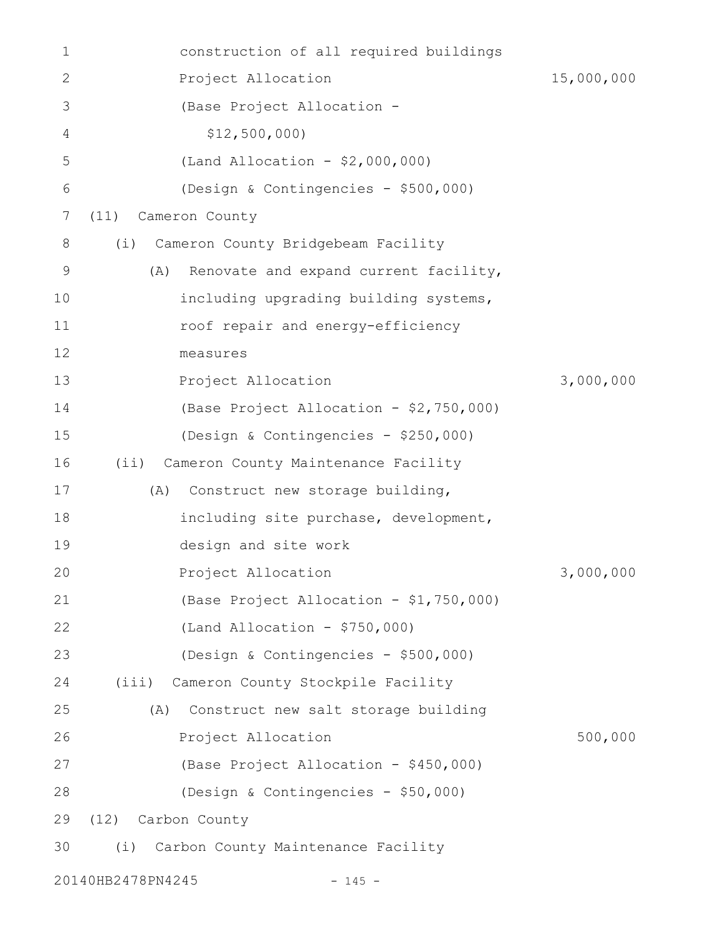| $\mathbf 1$  | construction of all required buildings       |            |
|--------------|----------------------------------------------|------------|
| $\mathbf{2}$ | Project Allocation                           | 15,000,000 |
| 3            | (Base Project Allocation -                   |            |
| 4            | \$12,500,000                                 |            |
| 5            | (Land Allocation - \$2,000,000)              |            |
| 6            | (Design & Contingencies - \$500,000)         |            |
| 7            | Cameron County<br>(11)                       |            |
| 8            | Cameron County Bridgebeam Facility<br>(i)    |            |
| $\mathsf 9$  | Renovate and expand current facility,<br>(A) |            |
| 10           | including upgrading building systems,        |            |
| 11           | roof repair and energy-efficiency            |            |
| 12           | measures                                     |            |
| 13           | Project Allocation                           | 3,000,000  |
| 14           | (Base Project Allocation - \$2,750,000)      |            |
| 15           | (Design & Contingencies - \$250,000)         |            |
| 16           | (i)<br>Cameron County Maintenance Facility   |            |
| 17           | Construct new storage building,<br>(A)       |            |
| 18           | including site purchase, development,        |            |
| 19           | design and site work                         |            |
| 20           | Project Allocation                           | 3,000,000  |
| 21           | (Base Project Allocation - \$1,750,000)      |            |
| 22           | $(Land$ Allocation - \$750,000)              |            |
| 23           | (Design & Contingencies - \$500,000)         |            |
| 24           | (iii) Cameron County Stockpile Facility      |            |
| 25           | Construct new salt storage building<br>(A)   |            |
| 26           | Project Allocation                           | 500,000    |
| 27           | (Base Project Allocation - \$450,000)        |            |
| 28           | (Design & Contingencies - \$50,000)          |            |
| 29           | Carbon County<br>(12)                        |            |
| 30           | Carbon County Maintenance Facility<br>(i)    |            |
|              | 20140HB2478PN4245<br>$-145 -$                |            |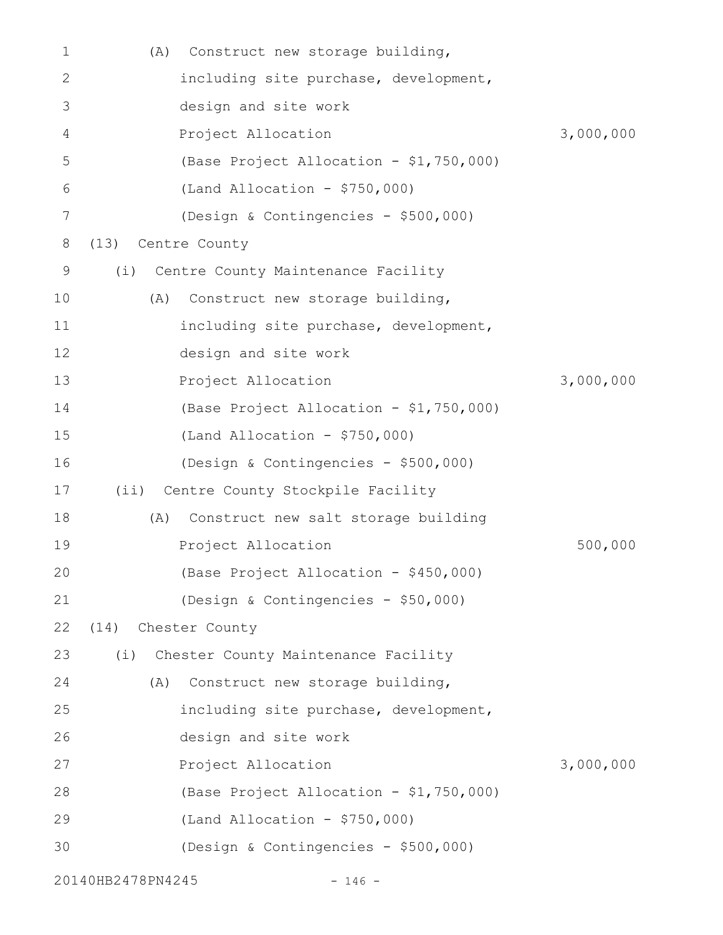| 1            | (A)                   | Construct new storage building,         |
|--------------|-----------------------|-----------------------------------------|
| $\mathbf{2}$ |                       | including site purchase, development,   |
| 3            |                       | design and site work                    |
| 4            |                       | Project Allocation<br>3,000,000         |
| 5            |                       | (Base Project Allocation - \$1,750,000) |
| 6            |                       | (Land Allocation - $$750,000$ )         |
| 7            |                       | (Design & Contingencies - \$500,000)    |
| 8            | Centre County<br>(13) |                                         |
| 9            | (i)                   | Centre County Maintenance Facility      |
| 10           | (A)                   | Construct new storage building,         |
| 11           |                       | including site purchase, development,   |
| 12           |                       | design and site work                    |
| 13           |                       | Project Allocation<br>3,000,000         |
| 14           |                       | (Base Project Allocation - \$1,750,000) |
| 15           |                       | (Land Allocation - $$750,000$ )         |
| 16           |                       | (Design & Contingencies - \$500,000)    |
| 17           | (i)                   | Centre County Stockpile Facility        |
| 18           | (A)                   | Construct new salt storage building     |
| 19           |                       | 500,000<br>Project Allocation           |
| 20           |                       | (Base Project Allocation - \$450,000)   |
| 21           |                       | (Design & Contingencies - \$50,000)     |
| 22           | (14) Chester County   |                                         |
| 23           | (i)                   | Chester County Maintenance Facility     |
| 24           | (A)                   | Construct new storage building,         |
| 25           |                       | including site purchase, development,   |
| 26           |                       | design and site work                    |
| 27           |                       | 3,000,000<br>Project Allocation         |
| 28           |                       | (Base Project Allocation - \$1,750,000) |
| 29           |                       | $(Land Allocation - $750,000)$          |
| 30           |                       | (Design & Contingencies - \$500,000)    |
|              | 20140HB2478PN4245     | $-146 -$                                |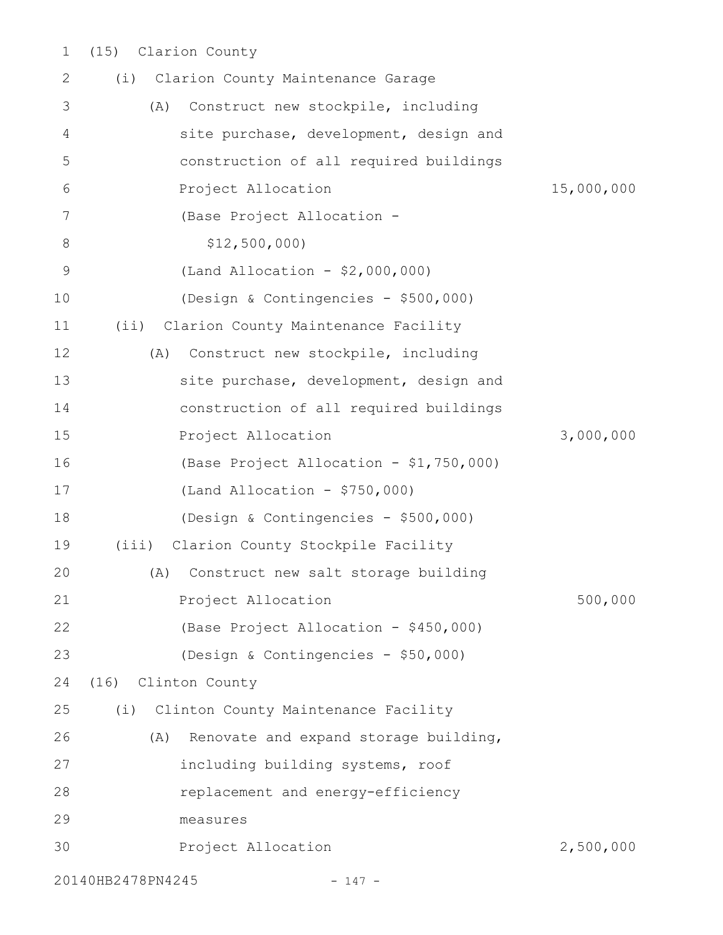| $\mathbf 1$ | (15) | Clarion County |  |
|-------------|------|----------------|--|
|-------------|------|----------------|--|

| 2  | Clarion County Maintenance Garage<br>(i)       |            |
|----|------------------------------------------------|------------|
| 3  | Construct new stockpile, including<br>(A)      |            |
| 4  | site purchase, development, design and         |            |
| 5  | construction of all required buildings         |            |
| 6  | Project Allocation                             | 15,000,000 |
| 7  | (Base Project Allocation -                     |            |
| 8  | \$12,500,000                                   |            |
| 9  | (Land Allocation - $$2,000,000)$               |            |
| 10 | (Design & Contingencies - \$500,000)           |            |
| 11 | $(i$ i)<br>Clarion County Maintenance Facility |            |
| 12 | Construct new stockpile, including<br>(A)      |            |
| 13 | site purchase, development, design and         |            |
| 14 | construction of all required buildings         |            |
| 15 | Project Allocation                             | 3,000,000  |
| 16 | (Base Project Allocation - \$1,750,000)        |            |
| 17 | $(Land Allocation - $750,000)$                 |            |
| 18 | (Design & Contingencies - \$500,000)           |            |
| 19 | Clarion County Stockpile Facility<br>(iii)     |            |
| 20 | Construct new salt storage building<br>(A)     |            |
| 21 | Project Allocation                             | 500,000    |
| 22 | (Base Project Allocation - \$450,000)          |            |
| 23 | (Design & Contingencies - \$50,000)            |            |
| 24 | Clinton County<br>(16)                         |            |
| 25 | (i) Clinton County Maintenance Facility        |            |
| 26 | Renovate and expand storage building,<br>(A)   |            |
| 27 | including building systems, roof               |            |
| 28 | replacement and energy-efficiency              |            |
| 29 | measures                                       |            |
| 30 | Project Allocation                             | 2,500,000  |
|    | 20140HB2478PN4245<br>$-147 -$                  |            |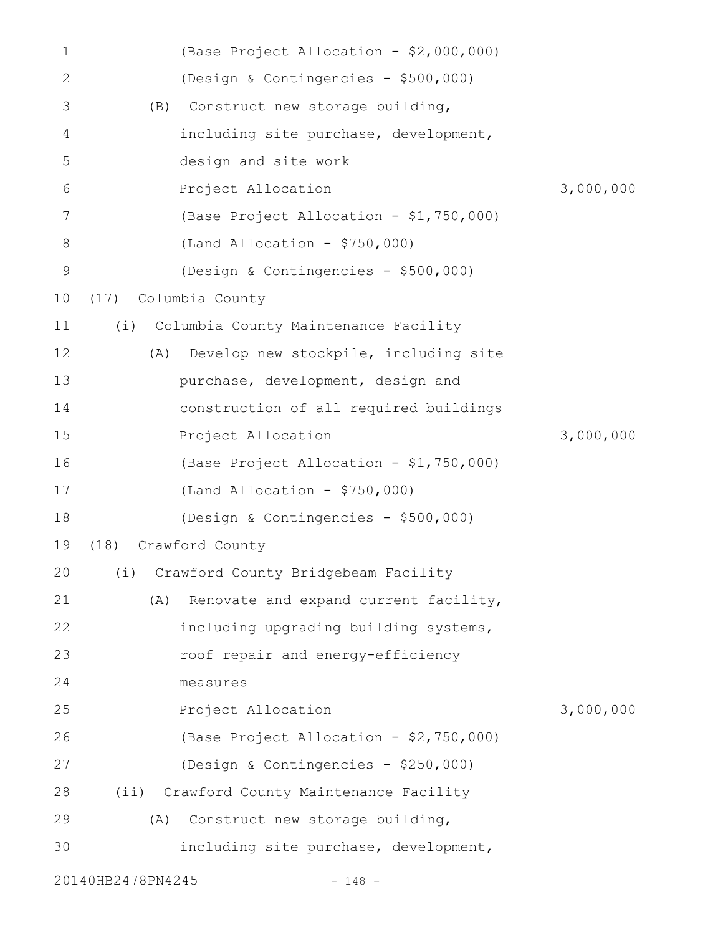| 1            |                   | (Base Project Allocation - \$2,000,000)    |           |
|--------------|-------------------|--------------------------------------------|-----------|
| $\mathbf{2}$ |                   | (Design & Contingencies - \$500,000)       |           |
| 3            | (B)               | Construct new storage building,            |           |
| 4            |                   | including site purchase, development,      |           |
| 5            |                   | design and site work                       |           |
| 6            |                   | Project Allocation                         | 3,000,000 |
| 7            |                   | (Base Project Allocation - \$1,750,000)    |           |
| 8            |                   | $(Land Allocation - $750,000)$             |           |
| $\mathsf 9$  |                   | (Design & Contingencies - \$500,000)       |           |
| 10           | (17)              | Columbia County                            |           |
| 11           |                   | (i) Columbia County Maintenance Facility   |           |
| 12           | (A)               | Develop new stockpile, including site      |           |
| 13           |                   | purchase, development, design and          |           |
| 14           |                   | construction of all required buildings     |           |
| 15           |                   | Project Allocation                         | 3,000,000 |
| 16           |                   | (Base Project Allocation - \$1,750,000)    |           |
| 17           |                   | (Land Allocation - $$750,000$ )            |           |
| 18           |                   | (Design & Contingencies - \$500,000)       |           |
| 19           |                   | (18) Crawford County                       |           |
|              |                   | 20 (i) Crawford County Bridgebeam Facility |           |
| 21           | (A)               | Renovate and expand current facility,      |           |
| 22           |                   | including upgrading building systems,      |           |
| 23           |                   | roof repair and energy-efficiency          |           |
| 24           |                   | measures                                   |           |
| 25           |                   | Project Allocation                         | 3,000,000 |
| 26           |                   | (Base Project Allocation - \$2,750,000)    |           |
| 27           |                   | (Design & Contingencies - \$250,000)       |           |
| 28           |                   | (ii) Crawford County Maintenance Facility  |           |
| 29           | (A)               | Construct new storage building,            |           |
| 30           |                   | including site purchase, development,      |           |
|              | 20140HB2478PN4245 | $-148 -$                                   |           |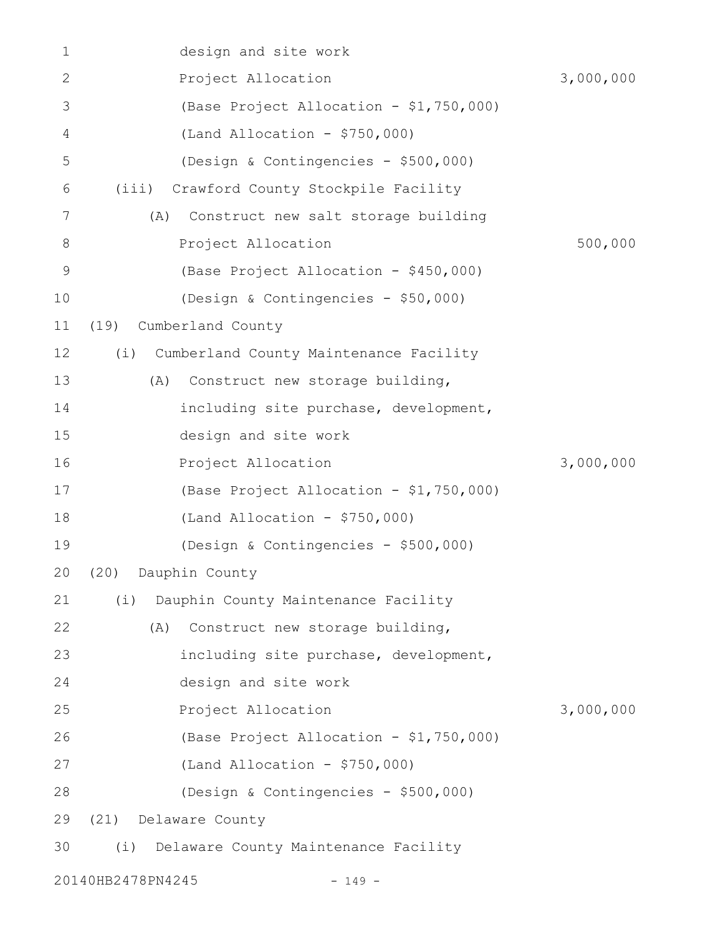| 1            | design and site work                        |           |
|--------------|---------------------------------------------|-----------|
| $\mathbf{2}$ | Project Allocation                          | 3,000,000 |
| 3            | (Base Project Allocation - \$1,750,000)     |           |
| 4            | (Land Allocation - $$750,000$ )             |           |
| 5            | (Design & Contingencies - \$500,000)        |           |
| 6            | Crawford County Stockpile Facility<br>(iii) |           |
| 7            | Construct new salt storage building<br>(A)  |           |
| 8            | Project Allocation                          | 500,000   |
| $\mathsf 9$  | (Base Project Allocation - \$450,000)       |           |
| 10           | (Design & Contingencies - \$50,000)         |           |
| 11           | Cumberland County<br>(19)                   |           |
| 12           | (i) Cumberland County Maintenance Facility  |           |
| 13           | (A)<br>Construct new storage building,      |           |
| 14           | including site purchase, development,       |           |
| 15           | design and site work                        |           |
| 16           | Project Allocation                          | 3,000,000 |
| 17           | (Base Project Allocation - \$1,750,000)     |           |
| 18           | $(Land Allocation - $750,000)$              |           |
| 19           | (Design & Contingencies - \$500,000)        |           |
|              | 20 (20) Dauphin County                      |           |
| 21           | Dauphin County Maintenance Facility<br>(i)  |           |
| 22           | Construct new storage building,<br>(A)      |           |
| 23           | including site purchase, development,       |           |
| 24           | design and site work                        |           |
| 25           | Project Allocation                          | 3,000,000 |
| 26           | (Base Project Allocation - \$1,750,000)     |           |
| 27           | (Land Allocation - $$750,000$ )             |           |
| 28           | (Design & Contingencies - \$500,000)        |           |
| 29           | (21) Delaware County                        |           |
| 30           | (i)<br>Delaware County Maintenance Facility |           |
|              | 20140HB2478PN4245<br>$-149 -$               |           |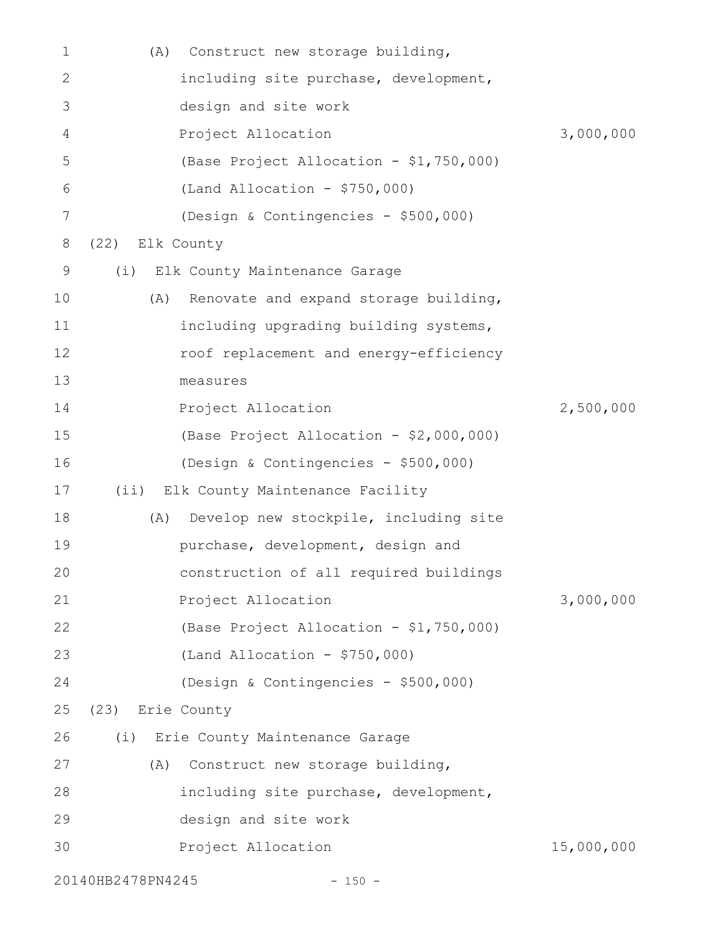| 1            | (A)               | Construct new storage building,         |            |
|--------------|-------------------|-----------------------------------------|------------|
| $\mathbf{2}$ |                   | including site purchase, development,   |            |
| 3            |                   | design and site work                    |            |
| 4            |                   | Project Allocation                      | 3,000,000  |
| 5            |                   | (Base Project Allocation - \$1,750,000) |            |
| 6            |                   | $(Land Allocation - $750,000)$          |            |
| 7            |                   | (Design & Contingencies - \$500,000)    |            |
| 8            | (22)              | Elk County                              |            |
| 9            | (i)               | Elk County Maintenance Garage           |            |
| 10           | (A)               | Renovate and expand storage building,   |            |
| 11           |                   | including upgrading building systems,   |            |
| 12           |                   | roof replacement and energy-efficiency  |            |
| 13           |                   | measures                                |            |
| 14           |                   | Project Allocation                      | 2,500,000  |
| 15           |                   | (Base Project Allocation - \$2,000,000) |            |
| 16           |                   | (Design & Contingencies - \$500,000)    |            |
| 17           | (i)               | Elk County Maintenance Facility         |            |
| 18           | (A)               | Develop new stockpile, including site   |            |
| 19           |                   | purchase, development, design and       |            |
| 20           |                   | construction of all required buildings  |            |
| 21           |                   | Project Allocation                      | 3,000,000  |
| 22           |                   | (Base Project Allocation - \$1,750,000) |            |
| 23           |                   | (Land Allocation - $$750,000$ )         |            |
| 24           |                   | (Design & Contingencies - \$500,000)    |            |
| 25           | (23) Erie County  |                                         |            |
| 26           |                   | (i) Erie County Maintenance Garage      |            |
| 27           | (A)               | Construct new storage building,         |            |
| 28           |                   | including site purchase, development,   |            |
| 29           |                   | design and site work                    |            |
| 30           |                   | Project Allocation                      | 15,000,000 |
|              | 20140HB2478PN4245 | $-150 -$                                |            |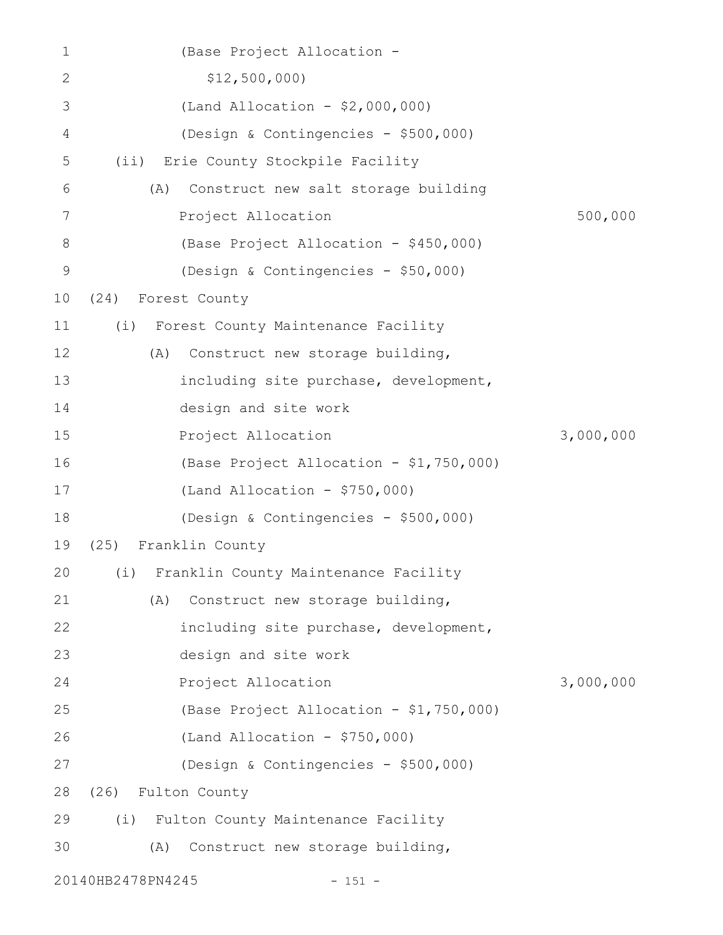| 1             |                    | (Base Project Allocation -               |           |
|---------------|--------------------|------------------------------------------|-----------|
| $\mathbf{2}$  |                    | \$12,500,000                             |           |
| 3             |                    | (Land Allocation - $$2,000,000)$         |           |
| 4             |                    | (Design & Contingencies - \$500,000)     |           |
| 5             |                    | (ii) Erie County Stockpile Facility      |           |
| 6             | (A)                | Construct new salt storage building      |           |
| 7             |                    | Project Allocation                       | 500,000   |
| 8             |                    | (Base Project Allocation - \$450,000)    |           |
| $\mathcal{G}$ |                    | (Design & Contingencies - \$50,000)      |           |
| 10            | (24)               | Forest County                            |           |
| 11            | (i)                | Forest County Maintenance Facility       |           |
| 12            | (A)                | Construct new storage building,          |           |
| 13            |                    | including site purchase, development,    |           |
| 14            |                    | design and site work                     |           |
| 15            |                    | Project Allocation                       | 3,000,000 |
| 16            |                    | (Base Project Allocation - \$1,750,000)  |           |
| 17            |                    | (Land Allocation - $$750,000$ )          |           |
| 18            |                    | (Design & Contingencies - \$500,000)     |           |
| 19            |                    | (25) Franklin County                     |           |
| 20            |                    | (i) Franklin County Maintenance Facility |           |
| 21            | (A)                | Construct new storage building,          |           |
| 22            |                    | including site purchase, development,    |           |
| 23            |                    | design and site work                     |           |
| 24            |                    | Project Allocation                       | 3,000,000 |
| 25            |                    | (Base Project Allocation - \$1,750,000)  |           |
| 26            |                    | (Land Allocation - $$750,000$ )          |           |
| 27            |                    | (Design & Contingencies - \$500,000)     |           |
| 28            | (26) Fulton County |                                          |           |
| 29            | (i)                | Fulton County Maintenance Facility       |           |
| 30            | (A)                | Construct new storage building,          |           |
|               | 20140HB2478PN4245  | $-151 -$                                 |           |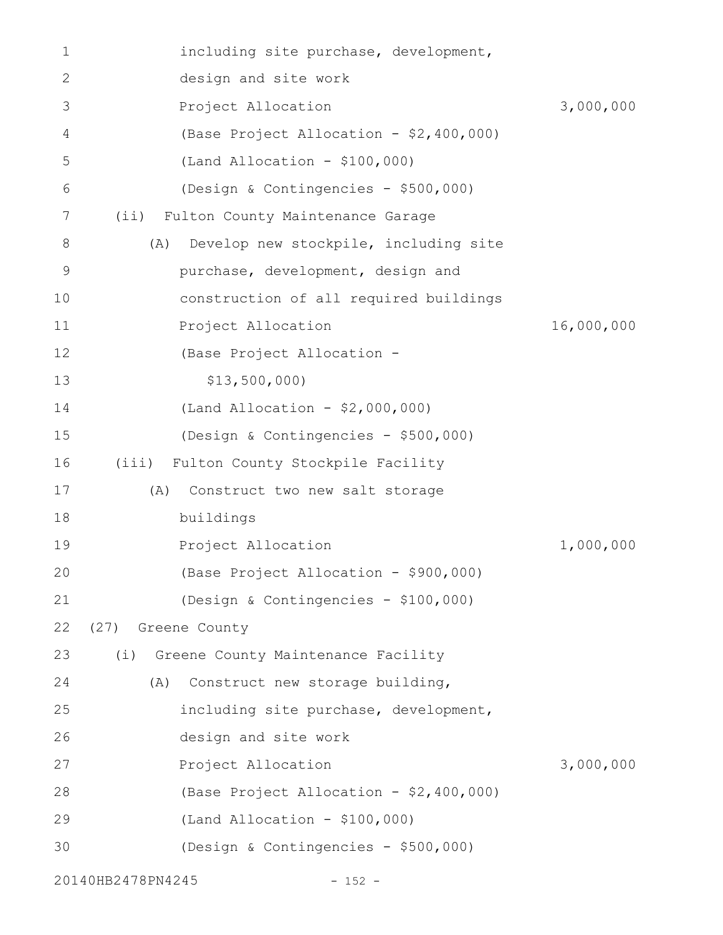| 1            | including site purchase, development,        |            |
|--------------|----------------------------------------------|------------|
| $\mathbf{2}$ | design and site work                         |            |
| 3            | Project Allocation                           | 3,000,000  |
| 4            | (Base Project Allocation - \$2,400,000)      |            |
| 5            | $(Land Allocation - $100,000)$               |            |
| 6            | (Design & Contingencies - \$500,000)         |            |
| 7            | Fulton County Maintenance Garage<br>(i)      |            |
| 8            | Develop new stockpile, including site<br>(A) |            |
| 9            | purchase, development, design and            |            |
| 10           | construction of all required buildings       |            |
| 11           | Project Allocation                           | 16,000,000 |
| 12           | (Base Project Allocation -                   |            |
| 13           | \$13,500,000                                 |            |
| 14           | (Land Allocation - \$2,000,000)              |            |
| 15           | (Design & Contingencies - \$500,000)         |            |
| 16           | Fulton County Stockpile Facility<br>(iii)    |            |
| 17           | Construct two new salt storage<br>(A)        |            |
| 18           | buildings                                    |            |
| 19           | Project Allocation                           | 1,000,000  |
| 20           | (Base Project Allocation - \$900,000)        |            |
| 21           | (Design & Contingencies - \$100,000)         |            |
| 22           | (27) Greene County                           |            |
| 23           | (i) Greene County Maintenance Facility       |            |
| 24           | Construct new storage building,<br>(A)       |            |
| 25           | including site purchase, development,        |            |
| 26           | design and site work                         |            |
| 27           | Project Allocation                           | 3,000,000  |
| 28           | (Base Project Allocation - \$2,400,000)      |            |
| 29           | $(Land Allocation - $100,000)$               |            |
| 30           | (Design & Contingencies - \$500,000)         |            |
|              | 20140HB2478PN4245<br>$-152 -$                |            |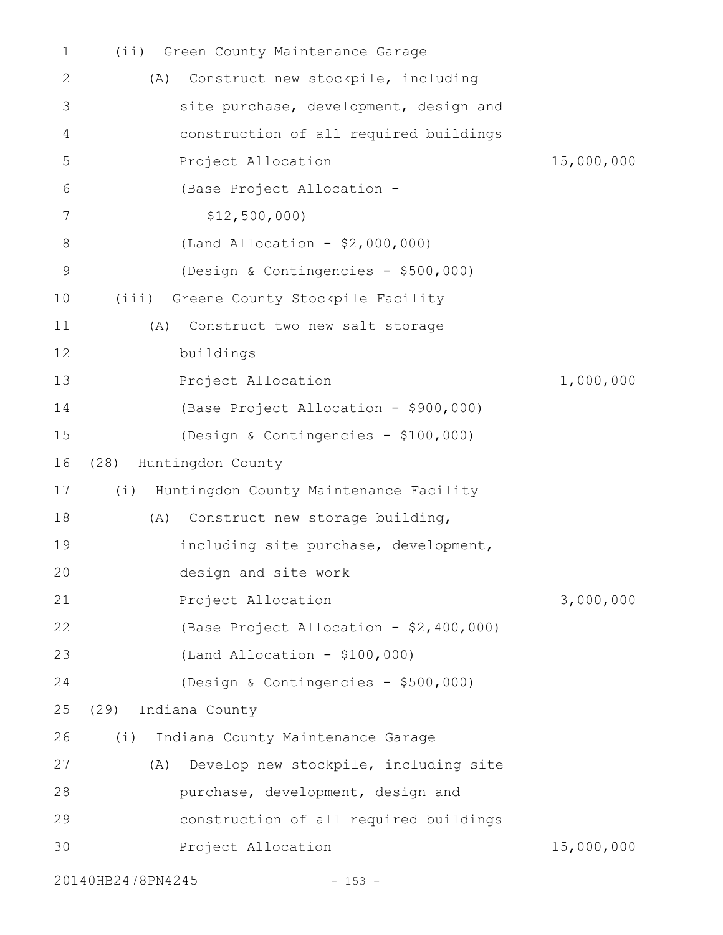| 1  | Green County Maintenance Garage<br>(i <sub>i</sub> ) |            |
|----|------------------------------------------------------|------------|
| 2  | Construct new stockpile, including<br>(A)            |            |
| 3  | site purchase, development, design and               |            |
| 4  | construction of all required buildings               |            |
| 5  | Project Allocation                                   | 15,000,000 |
| 6  | (Base Project Allocation -                           |            |
| 7  | \$12,500,000                                         |            |
| 8  | (Land Allocation - \$2,000,000)                      |            |
| 9  | (Design & Contingencies - \$500,000)                 |            |
| 10 | (iii)<br>Greene County Stockpile Facility            |            |
| 11 | Construct two new salt storage<br>(A)                |            |
| 12 | buildings                                            |            |
| 13 | Project Allocation                                   | 1,000,000  |
| 14 | (Base Project Allocation - \$900,000)                |            |
| 15 | (Design & Contingencies - \$100,000)                 |            |
| 16 | Huntingdon County<br>(28)                            |            |
| 17 | (i)<br>Huntingdon County Maintenance Facility        |            |
| 18 | Construct new storage building,<br>(A)               |            |
| 19 | including site purchase, development,                |            |
| 20 | design and site work                                 |            |
| 21 | Project Allocation                                   | 3,000,000  |
| 22 | (Base Project Allocation - \$2,400,000)              |            |
| 23 | $(Land Allocation - $100,000)$                       |            |
| 24 | (Design & Contingencies - \$500,000)                 |            |
| 25 | (29)<br>Indiana County                               |            |
| 26 | (i)<br>Indiana County Maintenance Garage             |            |
| 27 | Develop new stockpile, including site<br>(A)         |            |
| 28 | purchase, development, design and                    |            |
| 29 | construction of all required buildings               |            |
| 30 | Project Allocation                                   | 15,000,000 |
|    | 20140HB2478PN4245<br>$-153 -$                        |            |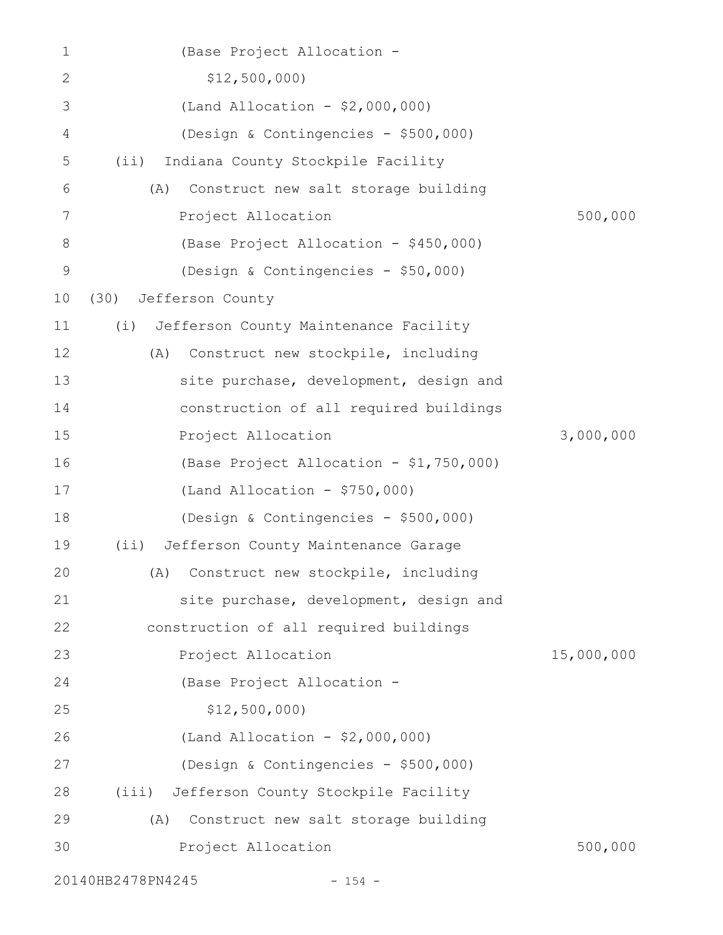| 1            | (Base Project Allocation -                   |            |
|--------------|----------------------------------------------|------------|
| $\mathbf{2}$ | \$12,500,000                                 |            |
| 3            | (Land Allocation - $$2,000,000)$             |            |
| 4            | (Design & Contingencies - \$500,000)         |            |
| 5            | Indiana County Stockpile Facility<br>(iii)   |            |
| 6            | Construct new salt storage building<br>(A)   |            |
| 7            | Project Allocation                           | 500,000    |
| 8            | (Base Project Allocation - \$450,000)        |            |
| $\mathsf 9$  | (Design & Contingencies - \$50,000)          |            |
| 10           | (30)<br>Jefferson County                     |            |
| 11           | (i)<br>Jefferson County Maintenance Facility |            |
| 12           | Construct new stockpile, including<br>(A)    |            |
| 13           | site purchase, development, design and       |            |
| 14           | construction of all required buildings       |            |
| 15           | Project Allocation                           | 3,000,000  |
| 16           | (Base Project Allocation - \$1,750,000)      |            |
| 17           | $(Land$ Allocation - \$750,000)              |            |
| 18           | (Design & Contingencies - \$500,000)         |            |
| 19           | Jefferson County Maintenance Garage<br>(i)   |            |
| 20           | (A) Construct new stockpile, including       |            |
| 21           | site purchase, development, design and       |            |
| 22           | construction of all required buildings       |            |
| 23           | Project Allocation                           | 15,000,000 |
| 24           | (Base Project Allocation -                   |            |
| 25           | \$12,500,000                                 |            |
| 26           | (Land Allocation - \$2,000,000)              |            |
| 27           | (Design & Contingencies - \$500,000)         |            |
| 28           | Jefferson County Stockpile Facility<br>(iii) |            |
| 29           | Construct new salt storage building<br>(A)   |            |
| 30           | Project Allocation                           | 500,000    |
|              |                                              |            |

20140HB2478PN4245 - 154 -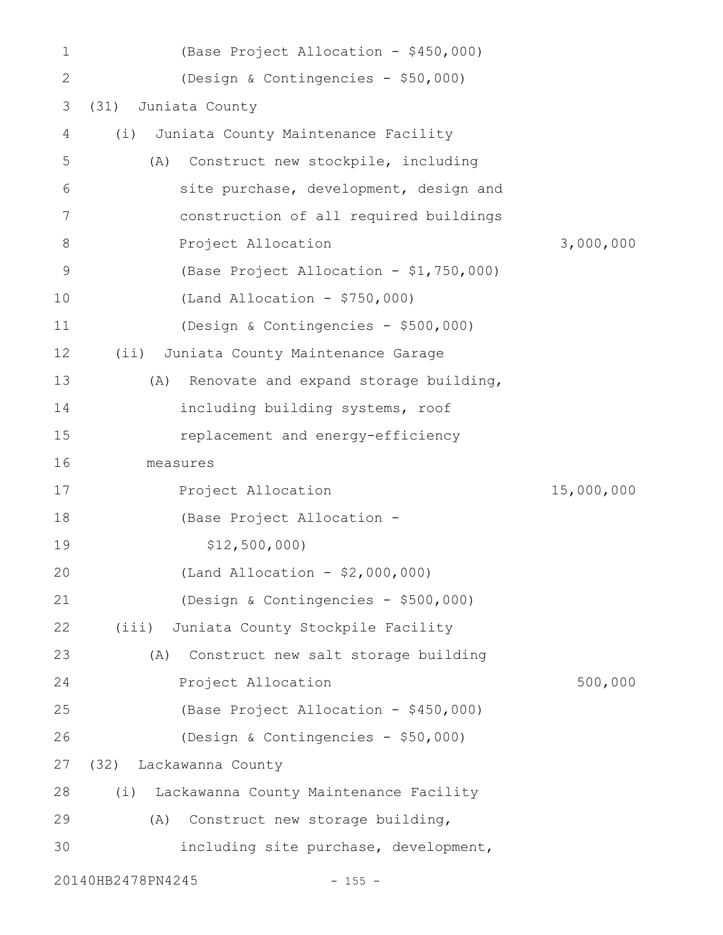| $\mathbf 1$  | (Base Project Allocation - \$450,000)        |            |
|--------------|----------------------------------------------|------------|
| $\mathbf{2}$ | (Design & Contingencies - \$50,000)          |            |
| 3            | Juniata County<br>(31)                       |            |
| 4            | Juniata County Maintenance Facility<br>(i)   |            |
| 5            | Construct new stockpile, including<br>(A)    |            |
| 6            | site purchase, development, design and       |            |
| 7            | construction of all required buildings       |            |
| 8            | Project Allocation                           | 3,000,000  |
| 9            | (Base Project Allocation - \$1,750,000)      |            |
| 10           | (Land Allocation - $$750,000$ )              |            |
| 11           | (Design & Contingencies - \$500,000)         |            |
| 12           | Juniata County Maintenance Garage<br>(i)     |            |
| 13           | Renovate and expand storage building,<br>(A) |            |
| 14           | including building systems, roof             |            |
| 15           | replacement and energy-efficiency            |            |
| 16           | measures                                     |            |
| 17           | Project Allocation                           | 15,000,000 |
| 18           | (Base Project Allocation -                   |            |
| 19           | \$12,500,000                                 |            |
| 20           | (Land Allocation - $$2,000,000)$             |            |
| 21           | (Design & Contingencies - \$500,000)         |            |
| 22           | (iii) Juniata County Stockpile Facility      |            |
| 23           | Construct new salt storage building<br>(A)   |            |
| 24           | Project Allocation                           | 500,000    |
| 25           | (Base Project Allocation - \$450,000)        |            |
| 26           | (Design & Contingencies - \$50,000)          |            |
| 27           | (32) Lackawanna County                       |            |
| 28           | (i) Lackawanna County Maintenance Facility   |            |
| 29           | Construct new storage building,<br>(A)       |            |
| 30           | including site purchase, development,        |            |
|              |                                              |            |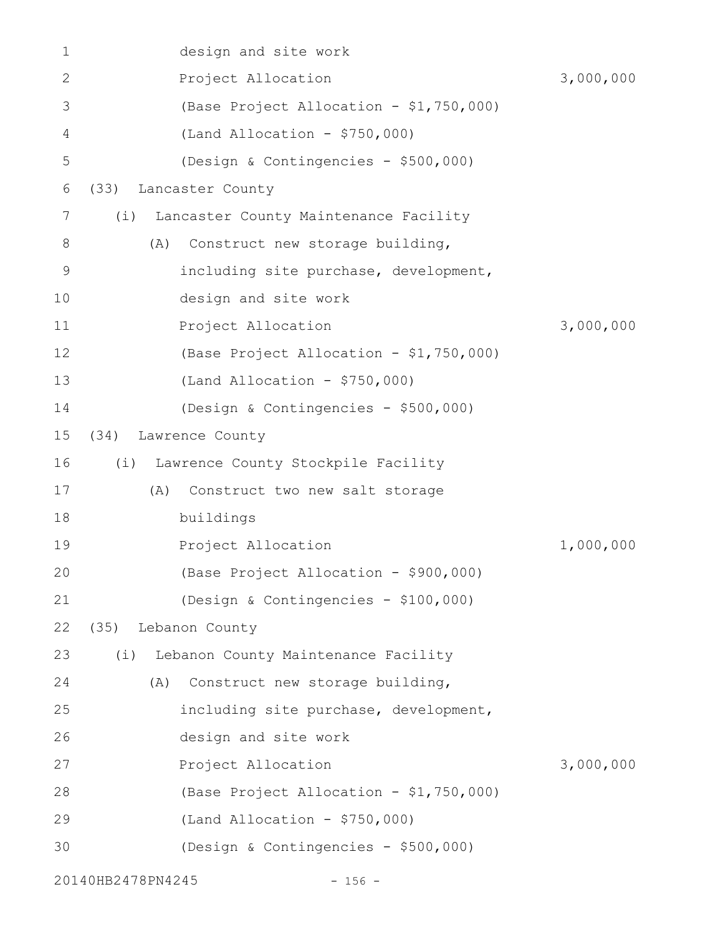| 1            | design and site work                         |           |
|--------------|----------------------------------------------|-----------|
| $\mathbf{2}$ | Project Allocation                           | 3,000,000 |
| 3            | (Base Project Allocation - \$1,750,000)      |           |
| 4            | (Land Allocation - $$750,000$ )              |           |
| 5            | (Design & Contingencies - \$500,000)         |           |
| 6            | (33)<br>Lancaster County                     |           |
| 7            | (i)<br>Lancaster County Maintenance Facility |           |
| 8            | Construct new storage building,<br>(A)       |           |
| $\mathsf 9$  | including site purchase, development,        |           |
| 10           | design and site work                         |           |
| 11           | Project Allocation                           | 3,000,000 |
| 12           | (Base Project Allocation - \$1,750,000)      |           |
| 13           | (Land Allocation - \$750,000)                |           |
| 14           | (Design & Contingencies - \$500,000)         |           |
| 15           | (34)<br>Lawrence County                      |           |
| 16           | Lawrence County Stockpile Facility<br>(i)    |           |
| 17           | Construct two new salt storage<br>(A)        |           |
| 18           | buildings                                    |           |
| 19           | Project Allocation                           | 1,000,000 |
| 20           | (Base Project Allocation - \$900,000)        |           |
| 21           | (Design & Contingencies - \$100,000)         |           |
| 22           | (35) Lebanon County                          |           |
| 23           | Lebanon County Maintenance Facility<br>(i)   |           |
| 24           | Construct new storage building,<br>(A)       |           |
| 25           | including site purchase, development,        |           |
| 26           | design and site work                         |           |
| 27           | Project Allocation                           | 3,000,000 |
| 28           | (Base Project Allocation - \$1,750,000)      |           |
| 29           | (Land Allocation - $$750,000$ )              |           |
| 30           | (Design & Contingencies - \$500,000)         |           |
|              | 20140HB2478PN4245<br>$-156 -$                |           |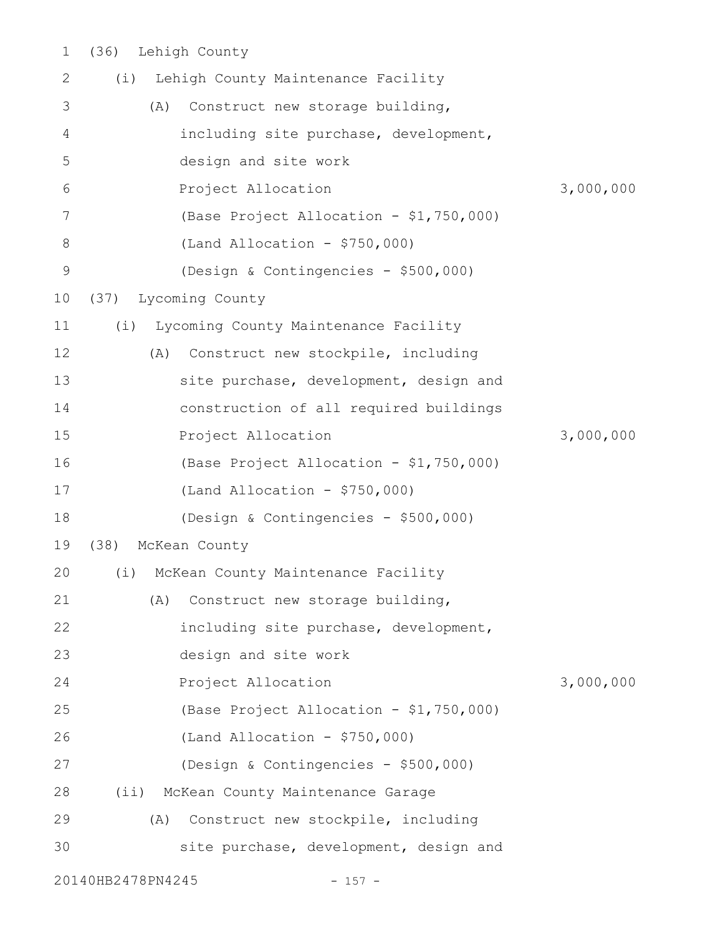| 1              | (36)              | Lehigh County                           |           |
|----------------|-------------------|-----------------------------------------|-----------|
| 2              | (i)               | Lehigh County Maintenance Facility      |           |
| 3              | (A)               | Construct new storage building,         |           |
| $\overline{4}$ |                   | including site purchase, development,   |           |
| 5              |                   | design and site work                    |           |
| 6              |                   | Project Allocation                      | 3,000,000 |
| 7              |                   | (Base Project Allocation - \$1,750,000) |           |
| $8\,$          |                   | $(Land Allocation - $750,000)$          |           |
| $\mathsf 9$    |                   | (Design & Contingencies - \$500,000)    |           |
| 10             | (37)              | Lycoming County                         |           |
| 11             | (i)               | Lycoming County Maintenance Facility    |           |
| 12             | (A)               | Construct new stockpile, including      |           |
| 13             |                   | site purchase, development, design and  |           |
| 14             |                   | construction of all required buildings  |           |
| 15             |                   | Project Allocation                      | 3,000,000 |
| 16             |                   | (Base Project Allocation - \$1,750,000) |           |
| 17             |                   | $(Land$ Allocation - \$750,000)         |           |
| 18             |                   | (Design & Contingencies - \$500,000)    |           |
| 19             | (38)              | McKean County                           |           |
| 20             | (i)               | McKean County Maintenance Facility      |           |
| 21             | (A)               | Construct new storage building,         |           |
| 22             |                   | including site purchase, development,   |           |
| 23             |                   | design and site work                    |           |
| 24             |                   | Project Allocation                      | 3,000,000 |
| 25             |                   | (Base Project Allocation - \$1,750,000) |           |
| 26             |                   | $(Land$ Allocation - \$750,000)         |           |
| 27             |                   | (Design & Contingencies - \$500,000)    |           |
| 28             | $(i$ i)           | McKean County Maintenance Garage        |           |
| 29             | (A)               | Construct new stockpile, including      |           |
| 30             |                   | site purchase, development, design and  |           |
|                | 20140HB2478PN4245 | $-157 -$                                |           |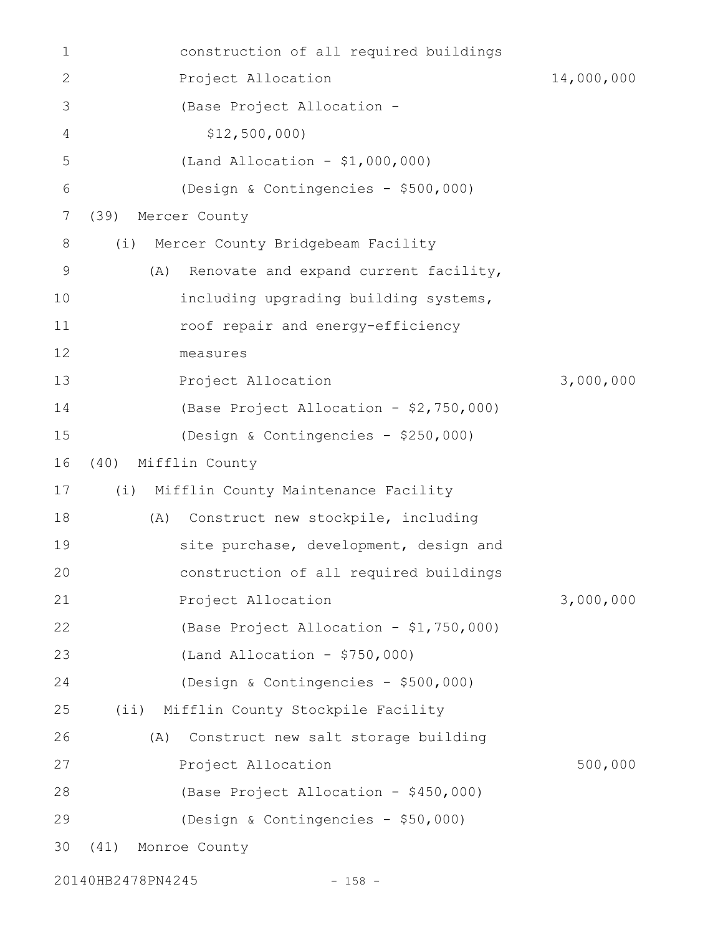| 1            | construction of all required buildings       |            |
|--------------|----------------------------------------------|------------|
| $\mathbf{2}$ | Project Allocation                           | 14,000,000 |
| 3            | (Base Project Allocation -                   |            |
| 4            | \$12,500,000                                 |            |
| 5            | (Land Allocation - \$1,000,000)              |            |
| 6            | (Design & Contingencies - \$500,000)         |            |
| 7            | (39)<br>Mercer County                        |            |
| 8            | Mercer County Bridgebeam Facility<br>(i)     |            |
| 9            | Renovate and expand current facility,<br>(A) |            |
| 10           | including upgrading building systems,        |            |
| 11           | roof repair and energy-efficiency            |            |
| 12           | measures                                     |            |
| 13           | Project Allocation                           | 3,000,000  |
| 14           | (Base Project Allocation - \$2,750,000)      |            |
| 15           | (Design & Contingencies - \$250,000)         |            |
| 16           | Mifflin County<br>(40)                       |            |
| 17           | (i)<br>Mifflin County Maintenance Facility   |            |
| 18           | Construct new stockpile, including<br>(A)    |            |
| 19           | site purchase, development, design and       |            |
| 20           | construction of all required buildings       |            |
| 21           | Project Allocation                           | 3,000,000  |
| 22           | (Base Project Allocation - \$1,750,000)      |            |
| 23           | $(Land$ Allocation - \$750,000)              |            |
| 24           | (Design & Contingencies - \$500,000)         |            |
| 25           | Mifflin County Stockpile Facility<br>$(i$ i) |            |
| 26           | Construct new salt storage building<br>(A)   |            |
| 27           | Project Allocation                           | 500,000    |
| 28           | (Base Project Allocation - \$450,000)        |            |
| 29           | (Design & Contingencies - \$50,000)          |            |
| 30           | (41)<br>Monroe County                        |            |

20140HB2478PN4245 - 158 -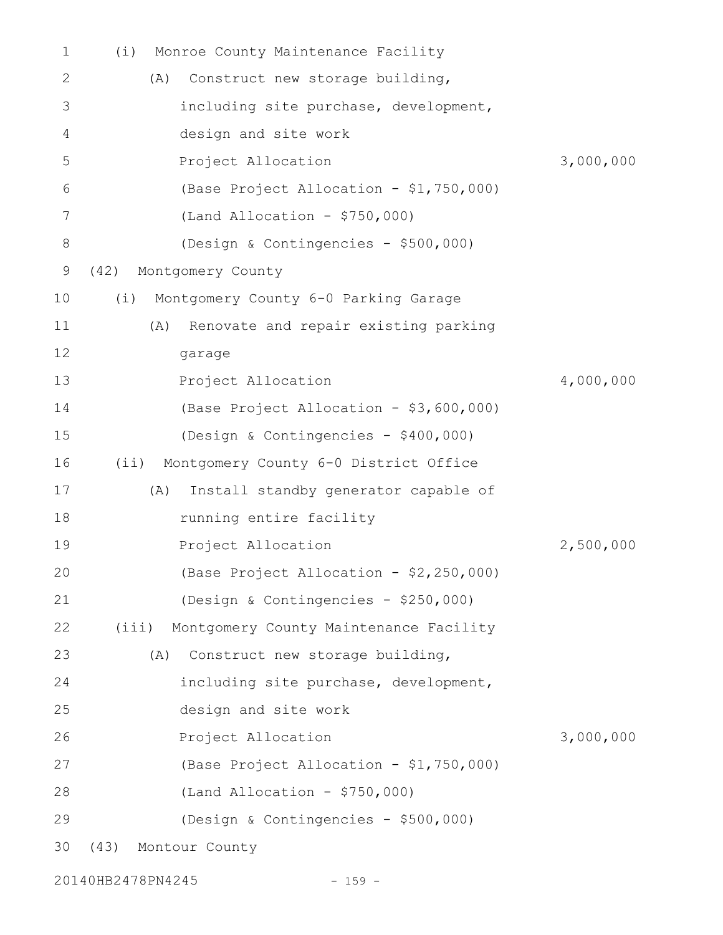| 1  | (i)     | Monroe County Maintenance Facility      |           |
|----|---------|-----------------------------------------|-----------|
| 2  | (A)     | Construct new storage building,         |           |
| 3  |         | including site purchase, development,   |           |
| 4  |         | design and site work                    |           |
| 5  |         | Project Allocation                      | 3,000,000 |
| 6  |         | (Base Project Allocation - \$1,750,000) |           |
| 7  |         | $(Land$ Allocation - \$750,000)         |           |
| 8  |         | (Design & Contingencies - \$500,000)    |           |
| 9  | (42)    | Montgomery County                       |           |
| 10 | (i)     | Montgomery County 6-0 Parking Garage    |           |
| 11 | (A)     | Renovate and repair existing parking    |           |
| 12 |         | garage                                  |           |
| 13 |         | Project Allocation                      | 4,000,000 |
| 14 |         | (Base Project Allocation - \$3,600,000) |           |
| 15 |         | (Design & Contingencies - \$400,000)    |           |
| 16 | $(i$ i) | Montgomery County 6-0 District Office   |           |
| 17 | (A)     | Install standby generator capable of    |           |
| 18 |         | running entire facility                 |           |
| 19 |         | Project Allocation                      | 2,500,000 |
| 20 |         | (Base Project Allocation - \$2,250,000) |           |
| 21 |         | (Design & Contingencies - \$250,000)    |           |
| 22 | (iii)   | Montgomery County Maintenance Facility  |           |
| 23 | (A)     | Construct new storage building,         |           |
| 24 |         | including site purchase, development,   |           |
| 25 |         | design and site work                    |           |
| 26 |         | Project Allocation                      | 3,000,000 |
| 27 |         | (Base Project Allocation - \$1,750,000) |           |
| 28 |         | $(Land Allocation - $750,000)$          |           |
| 29 |         | (Design & Contingencies - \$500,000)    |           |
| 30 | (43)    | Montour County                          |           |
|    |         |                                         |           |

20140HB2478PN4245 - 159 -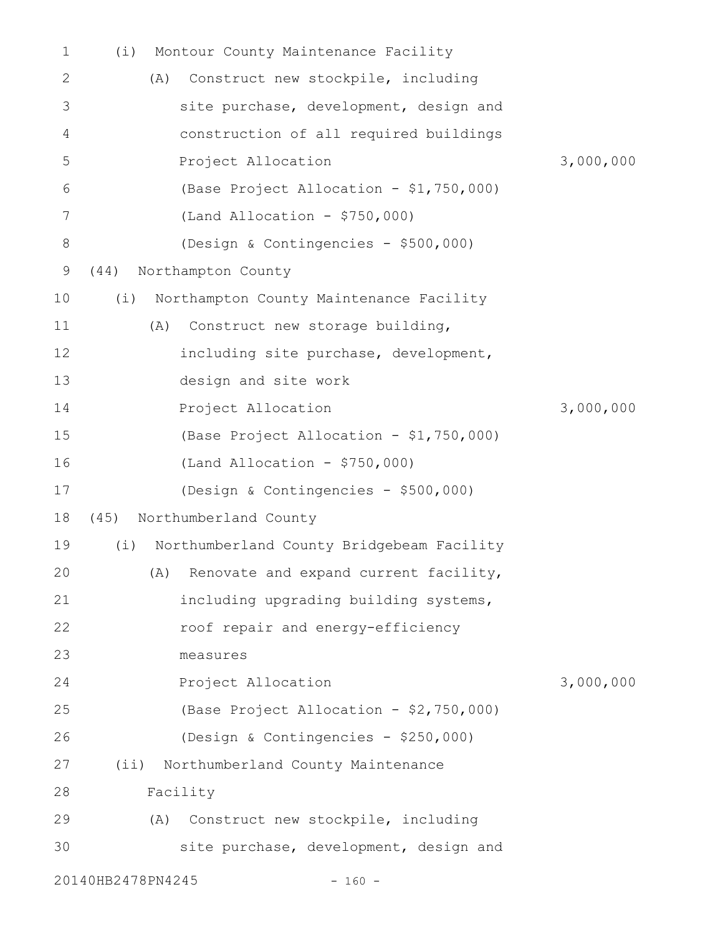| 1  | (i)               | Montour County Maintenance Facility       |           |
|----|-------------------|-------------------------------------------|-----------|
| 2  | (A)               | Construct new stockpile, including        |           |
| 3  |                   | site purchase, development, design and    |           |
| 4  |                   | construction of all required buildings    |           |
| 5  |                   | Project Allocation                        | 3,000,000 |
| 6  |                   | (Base Project Allocation - \$1,750,000)   |           |
| 7  |                   | $(Land$ Allocation - \$750,000)           |           |
| 8  |                   | (Design & Contingencies - \$500,000)      |           |
| 9  | (44)              | Northampton County                        |           |
| 10 | (i)               | Northampton County Maintenance Facility   |           |
| 11 | (A)               | Construct new storage building,           |           |
| 12 |                   | including site purchase, development,     |           |
| 13 |                   | design and site work                      |           |
| 14 |                   | Project Allocation                        | 3,000,000 |
| 15 |                   | (Base Project Allocation - \$1,750,000)   |           |
| 16 |                   | (Land Allocation - $$750,000$ )           |           |
| 17 |                   | (Design & Contingencies - \$500,000)      |           |
| 18 | (45)              | Northumberland County                     |           |
| 19 | (i)               | Northumberland County Bridgebeam Facility |           |
| 20 |                   | (A) Renovate and expand current facility, |           |
| 21 |                   | including upgrading building systems,     |           |
| 22 |                   | roof repair and energy-efficiency         |           |
| 23 |                   | measures                                  |           |
| 24 |                   | Project Allocation                        | 3,000,000 |
| 25 |                   | (Base Project Allocation - \$2,750,000)   |           |
| 26 |                   | (Design & Contingencies - \$250,000)      |           |
| 27 | $(i$ i)           | Northumberland County Maintenance         |           |
| 28 |                   | Facility                                  |           |
| 29 | (A)               | Construct new stockpile, including        |           |
| 30 |                   | site purchase, development, design and    |           |
|    | 20140HB2478PN4245 | $-160 -$                                  |           |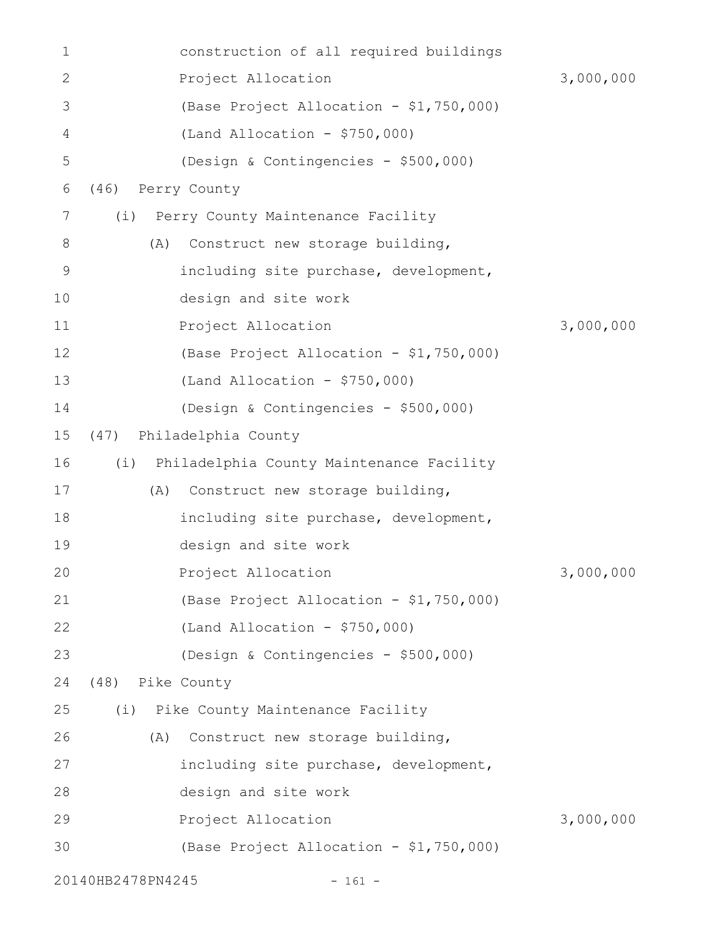| 1            |                   | construction of all required buildings   |           |
|--------------|-------------------|------------------------------------------|-----------|
| $\mathbf{2}$ |                   | Project Allocation                       | 3,000,000 |
| 3            |                   | (Base Project Allocation - \$1,750,000)  |           |
| 4            |                   | (Land Allocation - $$750,000$ )          |           |
| 5            |                   | (Design & Contingencies - \$500,000)     |           |
| 6            | (46)              | Perry County                             |           |
| 7            | (i)               | Perry County Maintenance Facility        |           |
| 8            | (A)               | Construct new storage building,          |           |
| 9            |                   | including site purchase, development,    |           |
| 10           |                   | design and site work                     |           |
| 11           |                   | Project Allocation                       | 3,000,000 |
| 12           |                   | (Base Project Allocation - \$1,750,000)  |           |
| 13           |                   | $(Land Allocation - $750,000)$           |           |
| 14           |                   | (Design & Contingencies - \$500,000)     |           |
| 15           | (47)              | Philadelphia County                      |           |
| 16           | (i)               | Philadelphia County Maintenance Facility |           |
| 17           | (A)               | Construct new storage building,          |           |
| 18           |                   | including site purchase, development,    |           |
| 19           |                   | design and site work                     |           |
| 20           |                   | Project Allocation                       | 3,000,000 |
| 21           |                   | (Base Project Allocation - \$1,750,000)  |           |
| 22           |                   | $(Land$ Allocation - \$750,000)          |           |
| 23           |                   | (Design & Contingencies - \$500,000)     |           |
| 24           | (48) Pike County  |                                          |           |
| 25           |                   | (i) Pike County Maintenance Facility     |           |
| 26           | (A)               | Construct new storage building,          |           |
| 27           |                   | including site purchase, development,    |           |
| 28           |                   | design and site work                     |           |
| 29           |                   | Project Allocation                       | 3,000,000 |
| 30           |                   | (Base Project Allocation - \$1,750,000)  |           |
|              | 20140HB2478PN4245 | $-161 -$                                 |           |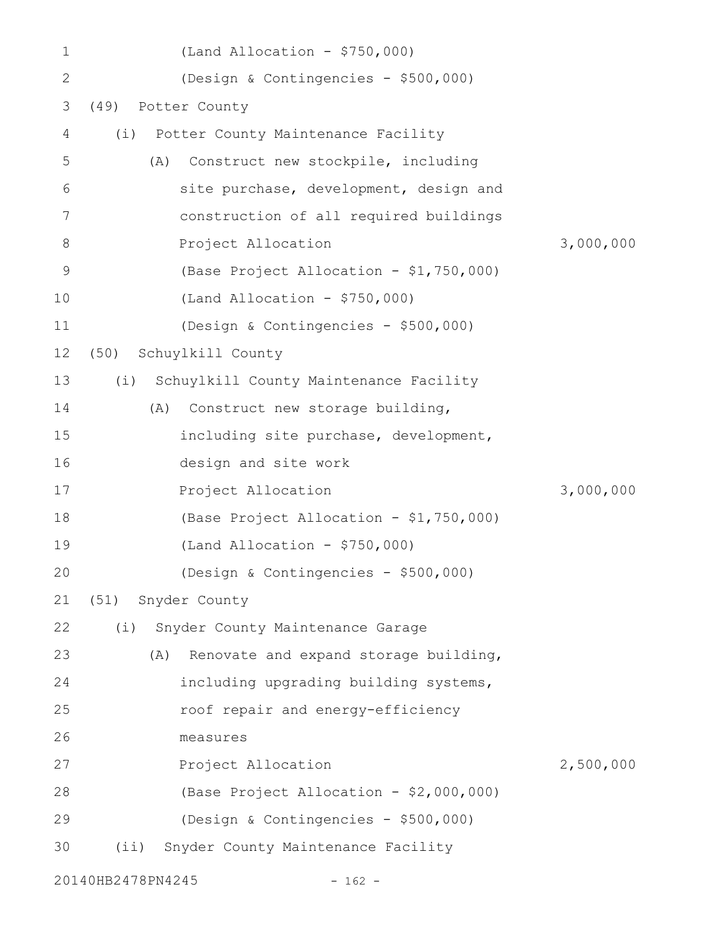| $\mathbf 1$  |                   | $(Land Allocation - $750,000)$          |           |
|--------------|-------------------|-----------------------------------------|-----------|
| $\mathbf{2}$ |                   | (Design & Contingencies - \$500,000)    |           |
| 3            | (49)              | Potter County                           |           |
| 4            | (i)               | Potter County Maintenance Facility      |           |
| 5            | (A)               | Construct new stockpile, including      |           |
| 6            |                   | site purchase, development, design and  |           |
| 7            |                   | construction of all required buildings  |           |
| $8\,$        |                   | Project Allocation                      | 3,000,000 |
| 9            |                   | (Base Project Allocation - \$1,750,000) |           |
| 10           |                   | $(Land Allocation - $750,000)$          |           |
| 11           |                   | (Design & Contingencies - \$500,000)    |           |
| 12           | (50)              | Schuylkill County                       |           |
| 13           | (i)               | Schuylkill County Maintenance Facility  |           |
| 14           | (A)               | Construct new storage building,         |           |
| 15           |                   | including site purchase, development,   |           |
| 16           |                   | design and site work                    |           |
| 17           |                   | Project Allocation                      | 3,000,000 |
| 18           |                   | (Base Project Allocation - \$1,750,000) |           |
| 19           |                   | (Land Allocation - $$750,000$ )         |           |
| 20           |                   | (Design & Contingencies - \$500,000)    |           |
| 21           |                   | (51) Snyder County                      |           |
| 22           | (i)               | Snyder County Maintenance Garage        |           |
| 23           | (A)               | Renovate and expand storage building,   |           |
| 24           |                   | including upgrading building systems,   |           |
| 25           |                   | roof repair and energy-efficiency       |           |
| 26           |                   | measures                                |           |
| 27           |                   | Project Allocation                      | 2,500,000 |
| 28           |                   | (Base Project Allocation - \$2,000,000) |           |
| 29           |                   | (Design & Contingencies - \$500,000)    |           |
| 30           | (i)               | Snyder County Maintenance Facility      |           |
|              | 20140HB2478PN4245 | $-162 -$                                |           |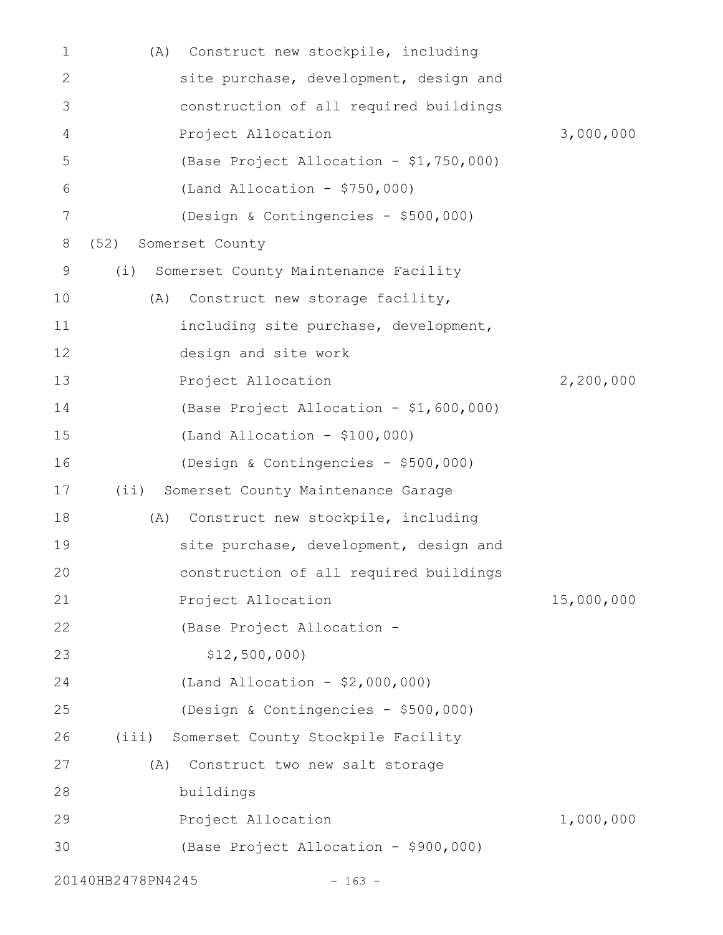| 1  | Construct new stockpile, including<br>(A)     |            |
|----|-----------------------------------------------|------------|
| 2  | site purchase, development, design and        |            |
| 3  | construction of all required buildings        |            |
| 4  | Project Allocation                            | 3,000,000  |
| 5  | (Base Project Allocation - \$1,750,000)       |            |
| 6  | $(Land$ Allocation - \$750,000)               |            |
| 7  | (Design & Contingencies - \$500,000)          |            |
| 8  | (52)<br>Somerset County                       |            |
| 9  | Somerset County Maintenance Facility<br>(i)   |            |
| 10 | Construct new storage facility,<br>(A)        |            |
| 11 | including site purchase, development,         |            |
| 12 | design and site work                          |            |
| 13 | Project Allocation                            | 2,200,000  |
| 14 | (Base Project Allocation - \$1,600,000)       |            |
| 15 | $(Land$ Allocation - \$100,000)               |            |
| 16 | (Design & Contingencies - \$500,000)          |            |
| 17 | Somerset County Maintenance Garage<br>$(i$ i) |            |
| 18 | Construct new stockpile, including<br>(A)     |            |
| 19 | site purchase, development, design and        |            |
| 20 | construction of all required buildings        |            |
| 21 | Project Allocation                            | 15,000,000 |
| 22 | (Base Project Allocation -                    |            |
| 23 | \$12,500,000                                  |            |
| 24 | (Land Allocation - $$2,000,000)$              |            |
| 25 | (Design & Contingencies - \$500,000)          |            |
| 26 | (iii) Somerset County Stockpile Facility      |            |
| 27 | Construct two new salt storage<br>(A)         |            |
| 28 | buildings                                     |            |
| 29 | Project Allocation                            | 1,000,000  |
| 30 | (Base Project Allocation - \$900,000)         |            |
|    | 20140HB2478PN4245<br>$-163 -$                 |            |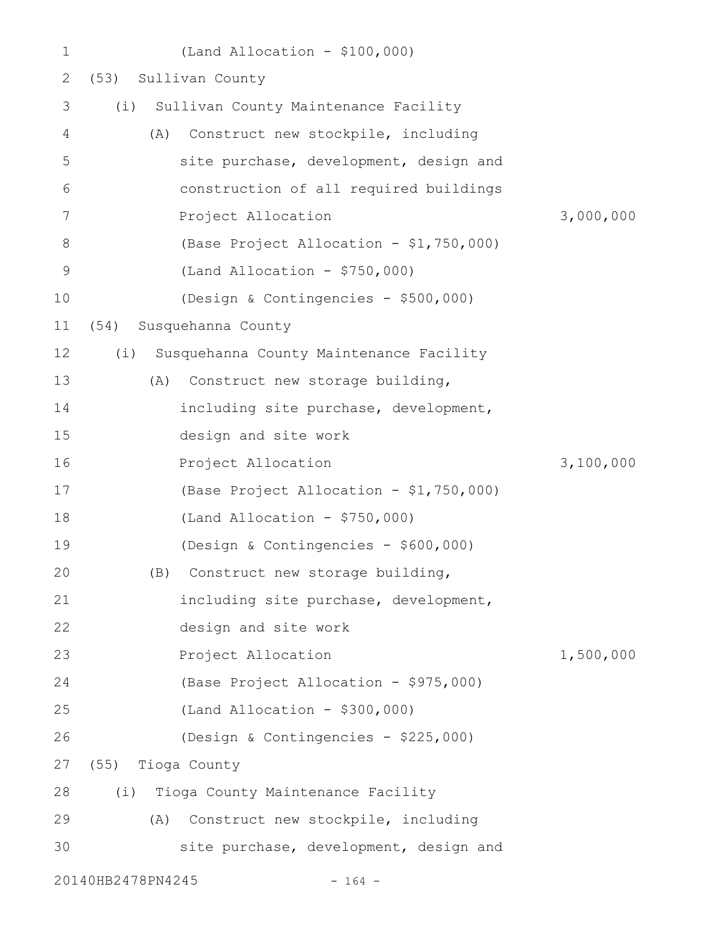| $\mathbf 1$ |                   | $(Land Allocation - $100,000)$          |           |
|-------------|-------------------|-----------------------------------------|-----------|
| 2           | (53)              | Sullivan County                         |           |
| 3           | (i)               | Sullivan County Maintenance Facility    |           |
| 4           | (A)               | Construct new stockpile, including      |           |
| 5           |                   | site purchase, development, design and  |           |
| 6           |                   | construction of all required buildings  |           |
| 7           |                   | Project Allocation                      | 3,000,000 |
| 8           |                   | (Base Project Allocation - \$1,750,000) |           |
| $\mathsf 9$ |                   | (Land Allocation - $$750,000$ )         |           |
| 10          |                   | (Design & Contingencies - \$500,000)    |           |
| 11          | (54)              | Susquehanna County                      |           |
| 12          | (i)               | Susquehanna County Maintenance Facility |           |
| 13          | (A)               | Construct new storage building,         |           |
| 14          |                   | including site purchase, development,   |           |
| 15          |                   | design and site work                    |           |
| 16          |                   | Project Allocation                      | 3,100,000 |
| 17          |                   | (Base Project Allocation - \$1,750,000) |           |
| 18          |                   | $(Land$ Allocation - \$750,000)         |           |
| 19          |                   | (Design & Contingencies - \$600,000)    |           |
| 20          | (B)               | Construct new storage building,         |           |
| 21          |                   | including site purchase, development,   |           |
| 22          |                   | design and site work                    |           |
| 23          |                   | Project Allocation                      | 1,500,000 |
| 24          |                   | (Base Project Allocation - \$975,000)   |           |
| 25          |                   | $(Land Allocation - $300,000)$          |           |
| 26          |                   | (Design & Contingencies - \$225,000)    |           |
| 27          | (55) Tioga County |                                         |           |
| 28          | (i)               | Tioga County Maintenance Facility       |           |
| 29          | (A)               | Construct new stockpile, including      |           |
| 30          |                   | site purchase, development, design and  |           |
|             | 20140HB2478PN4245 | $-164 -$                                |           |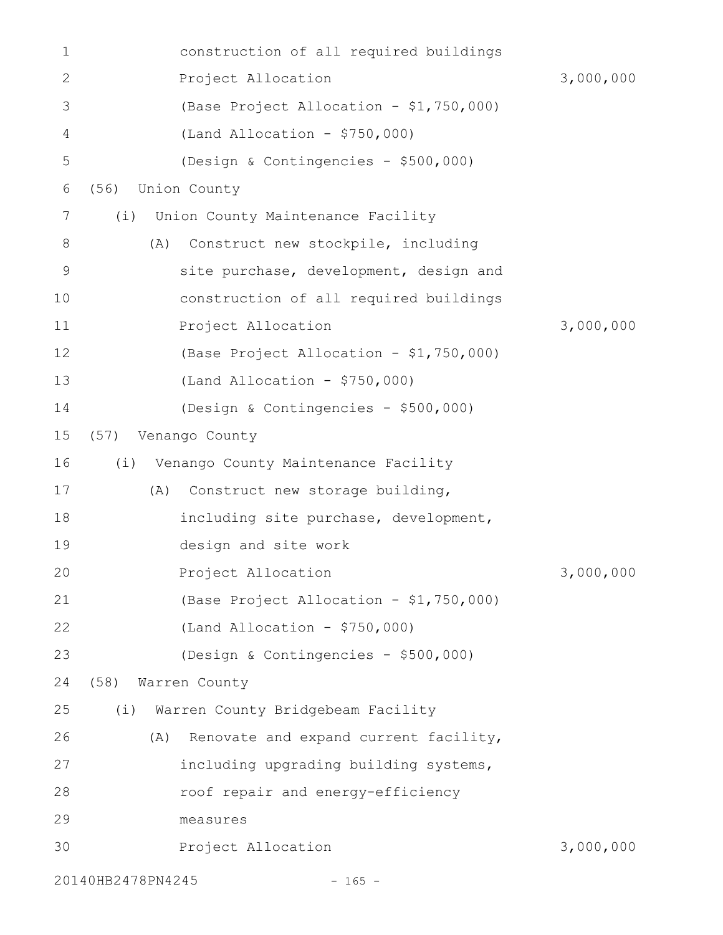| $\mathbf 1$  |                   | construction of all required buildings  |           |
|--------------|-------------------|-----------------------------------------|-----------|
| $\mathbf{2}$ |                   | Project Allocation                      | 3,000,000 |
| 3            |                   | (Base Project Allocation - \$1,750,000) |           |
| 4            |                   | $(Land Allocation - $750,000)$          |           |
| 5            |                   | (Design & Contingencies - \$500,000)    |           |
| 6            | (56)              | Union County                            |           |
| 7            | (i)               | Union County Maintenance Facility       |           |
| 8            | (A)               | Construct new stockpile, including      |           |
| $\mathsf 9$  |                   | site purchase, development, design and  |           |
| 10           |                   | construction of all required buildings  |           |
| 11           |                   | Project Allocation                      | 3,000,000 |
| 12           |                   | (Base Project Allocation - \$1,750,000) |           |
| 13           |                   | (Land Allocation - $$750,000$ )         |           |
| 14           |                   | (Design & Contingencies - \$500,000)    |           |
| 15           | (57)              | Venango County                          |           |
| 16           | (i)               | Venango County Maintenance Facility     |           |
| 17           | (A)               | Construct new storage building,         |           |
| 18           |                   | including site purchase, development,   |           |
| 19           |                   | design and site work                    |           |
| 20           |                   | Project Allocation                      | 3,000,000 |
| 21           |                   | (Base Project Allocation - \$1,750,000) |           |
| 22           |                   | $(Land Allocation - $750,000)$          |           |
| 23           |                   | (Design & Contingencies - \$500,000)    |           |
| 24           | (58)              | Warren County                           |           |
| 25           | (i)               | Warren County Bridgebeam Facility       |           |
| 26           | (A)               | Renovate and expand current facility,   |           |
| 27           |                   | including upgrading building systems,   |           |
| 28           |                   | roof repair and energy-efficiency       |           |
| 29           |                   | measures                                |           |
| 30           |                   | Project Allocation                      | 3,000,000 |
|              | 20140HB2478PN4245 | $-165 -$                                |           |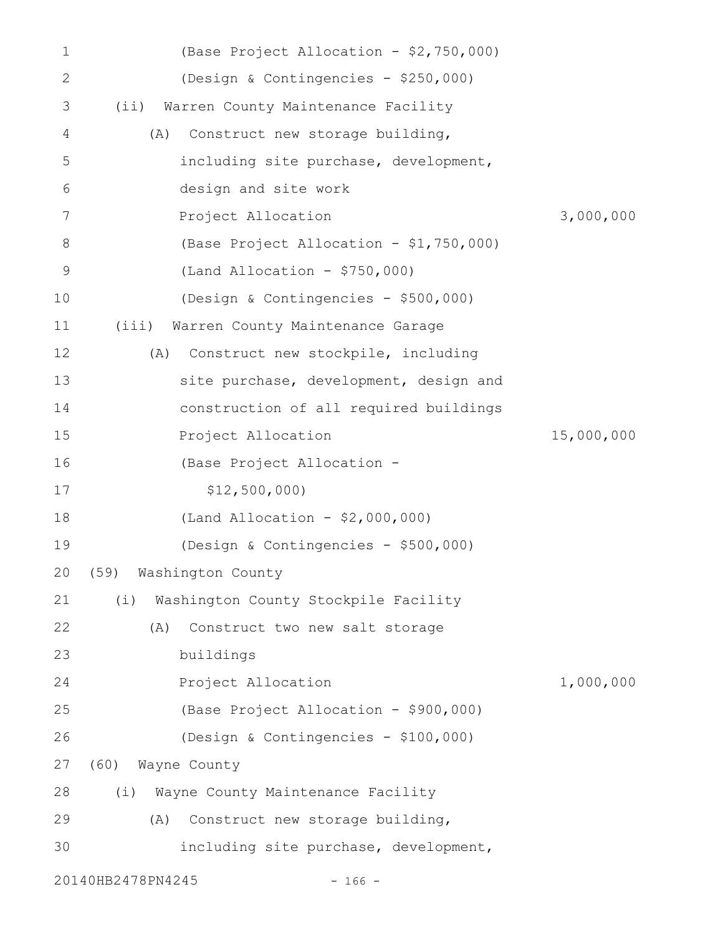| 1  | (Base Project Allocation - \$2,750,000)     |            |
|----|---------------------------------------------|------------|
| 2  | (Design & Contingencies - \$250,000)        |            |
| 3  | Warren County Maintenance Facility<br>(i)   |            |
| 4  | Construct new storage building,<br>(A)      |            |
| 5  | including site purchase, development,       |            |
| 6  | design and site work                        |            |
| 7  | Project Allocation                          | 3,000,000  |
| 8  | (Base Project Allocation - \$1,750,000)     |            |
| 9  | $(Land Allocation - $750,000)$              |            |
| 10 | (Design & Contingencies - \$500,000)        |            |
| 11 | (iii)<br>Warren County Maintenance Garage   |            |
| 12 | Construct new stockpile, including<br>(A)   |            |
| 13 | site purchase, development, design and      |            |
| 14 | construction of all required buildings      |            |
| 15 | Project Allocation                          | 15,000,000 |
| 16 | (Base Project Allocation -                  |            |
| 17 | \$12,500,000                                |            |
| 18 | (Land Allocation - $$2,000,000)$            |            |
| 19 | (Design & Contingencies - \$500,000)        |            |
| 20 | (59) Washington County                      |            |
| 21 | Washington County Stockpile Facility<br>(i) |            |
| 22 | (A)<br>Construct two new salt storage       |            |
| 23 | buildings                                   |            |
| 24 | Project Allocation                          | 1,000,000  |
| 25 | (Base Project Allocation - \$900,000)       |            |
| 26 | (Design & Contingencies - \$100,000)        |            |
| 27 | Wayne County<br>(60)                        |            |
| 28 | (i) Wayne County Maintenance Facility       |            |
| 29 | Construct new storage building,<br>(A)      |            |
| 30 | including site purchase, development,       |            |
|    | 20140HB2478PN4245<br>$-166 -$               |            |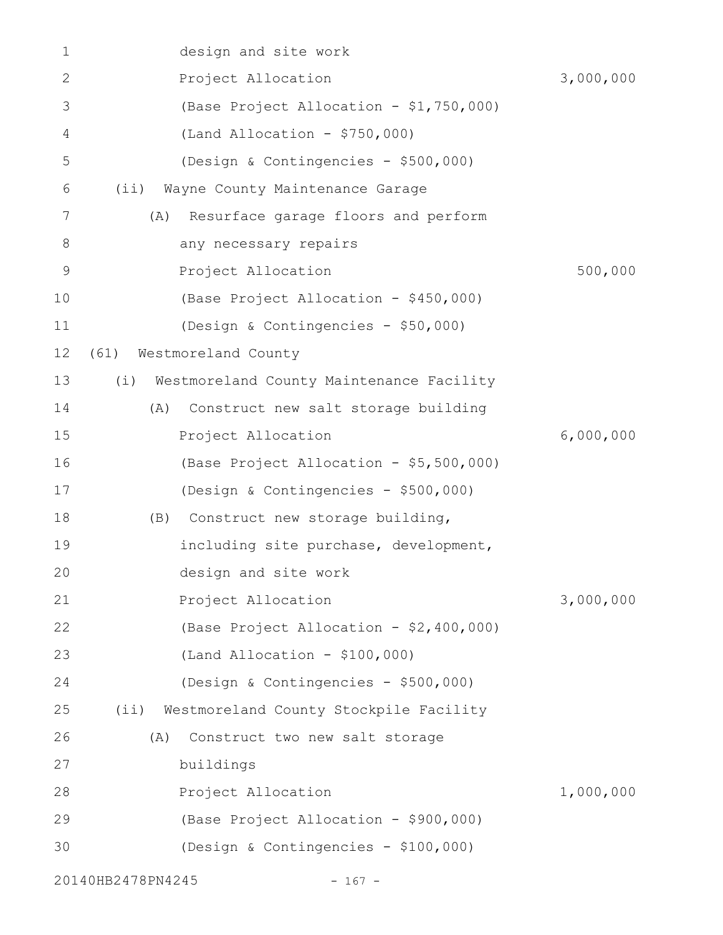| 1            | design and site work                            |           |
|--------------|-------------------------------------------------|-----------|
| $\mathbf{2}$ | Project Allocation                              | 3,000,000 |
| 3            | (Base Project Allocation - \$1,750,000)         |           |
| 4            | (Land Allocation - $$750,000$ )                 |           |
| 5            | (Design & Contingencies - \$500,000)            |           |
| 6            | Wayne County Maintenance Garage<br>(i)          |           |
| 7            | Resurface garage floors and perform<br>(A)      |           |
| 8            | any necessary repairs                           |           |
| $\mathsf 9$  | Project Allocation                              | 500,000   |
| 10           | (Base Project Allocation - \$450,000)           |           |
| 11           | (Design & Contingencies - \$50,000)             |           |
| 12           | Westmoreland County<br>(61)                     |           |
| 13           | Westmoreland County Maintenance Facility<br>(i) |           |
| 14           | Construct new salt storage building<br>(A)      |           |
| 15           | Project Allocation                              | 6,000,000 |
| 16           | (Base Project Allocation - \$5,500,000)         |           |
| 17           | (Design & Contingencies - \$500,000)            |           |
| 18           | Construct new storage building,<br>(B)          |           |
| 19           | including site purchase, development,           |           |
| 20           | design and site work                            |           |
| 21           | Project Allocation                              | 3,000,000 |
| 22           | (Base Project Allocation - \$2,400,000)         |           |
| 23           | $(Land Allocation - $100,000)$                  |           |
| 24           | (Design & Contingencies - \$500,000)            |           |
| 25           | (ii) Westmoreland County Stockpile Facility     |           |
| 26           | Construct two new salt storage<br>(A)           |           |
| 27           | buildings                                       |           |
| 28           | Project Allocation                              | 1,000,000 |
| 29           | (Base Project Allocation - \$900,000)           |           |
| 30           | (Design & Contingencies - \$100,000)            |           |
|              | 20140HB2478PN4245<br>$-167 -$                   |           |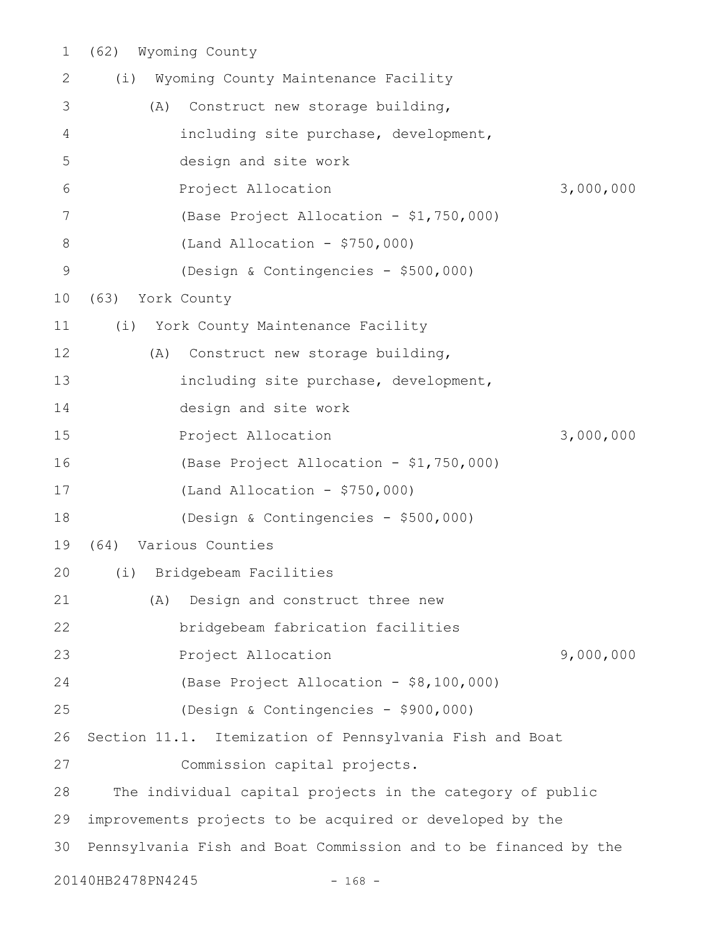| $\mathbf 1$     |                                            | (62) Wyoming County |                                                                 |           |  |  |
|-----------------|--------------------------------------------|---------------------|-----------------------------------------------------------------|-----------|--|--|
| 2               | Wyoming County Maintenance Facility<br>(i) |                     |                                                                 |           |  |  |
| 3               |                                            | (A)                 | Construct new storage building,                                 |           |  |  |
| 4               |                                            |                     | including site purchase, development,                           |           |  |  |
| 5               |                                            |                     | design and site work                                            |           |  |  |
| 6               |                                            |                     | Project Allocation                                              | 3,000,000 |  |  |
| $7\phantom{.0}$ |                                            |                     | (Base Project Allocation - \$1,750,000)                         |           |  |  |
| 8               |                                            |                     | $(Land$ Allocation - \$750,000)                                 |           |  |  |
| $\mathcal{G}$   |                                            |                     | (Design & Contingencies - \$500,000)                            |           |  |  |
| 10              |                                            |                     | (63) York County                                                |           |  |  |
| 11              | (i)                                        |                     | York County Maintenance Facility                                |           |  |  |
| 12              |                                            | (A)                 | Construct new storage building,                                 |           |  |  |
| 13              |                                            |                     | including site purchase, development,                           |           |  |  |
| 14              |                                            |                     | design and site work                                            |           |  |  |
| 15              |                                            |                     | Project Allocation                                              | 3,000,000 |  |  |
| 16              |                                            |                     | (Base Project Allocation - \$1,750,000)                         |           |  |  |
| 17              |                                            |                     | $(Land$ Allocation - \$750,000)                                 |           |  |  |
| 18              |                                            |                     | (Design & Contingencies - \$500,000)                            |           |  |  |
| 19              | (64)                                       |                     | Various Counties                                                |           |  |  |
| 20              |                                            |                     | (i) Bridgebeam Facilities                                       |           |  |  |
| 21              |                                            | (A)                 | Design and construct three new                                  |           |  |  |
| 22              |                                            |                     | bridgebeam fabrication facilities                               |           |  |  |
| 23              |                                            |                     | Project Allocation                                              | 9,000,000 |  |  |
| 24              |                                            |                     | (Base Project Allocation - \$8,100,000)                         |           |  |  |
| 25              |                                            |                     | (Design & Contingencies - \$900,000)                            |           |  |  |
| 26              |                                            |                     | Section 11.1. Itemization of Pennsylvania Fish and Boat         |           |  |  |
| 27              |                                            |                     | Commission capital projects.                                    |           |  |  |
| 28              |                                            |                     | The individual capital projects in the category of public       |           |  |  |
| 29              |                                            |                     | improvements projects to be acquired or developed by the        |           |  |  |
| 30              |                                            |                     | Pennsylvania Fish and Boat Commission and to be financed by the |           |  |  |
|                 | 20140HB2478PN4245                          |                     | $-168 -$                                                        |           |  |  |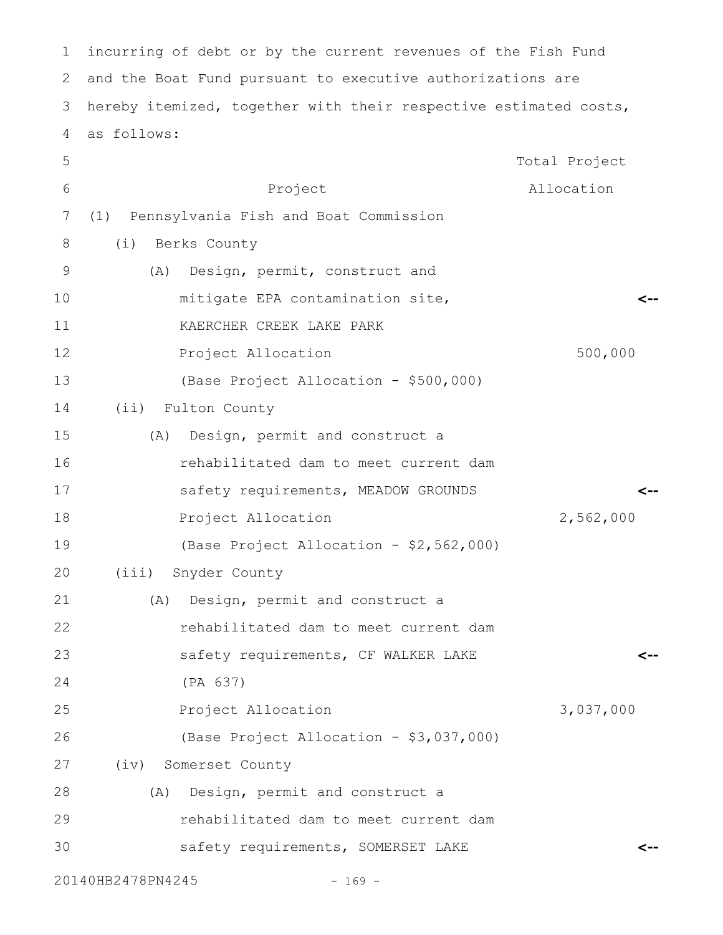incurring of debt or by the current revenues of the Fish Fund 2 and the Boat Fund pursuant to executive authorizations are hereby itemized, together with their respective estimated costs, as follows: Project Total Project Allocation (1) Pennsylvania Fish and Boat Commission (i) Berks County (A) Design, permit, construct and mitigate EPA contamination site, KAERCHER CREEK LAKE PARK Project Allocation 500,000 (Base Project Allocation - \$500,000) (ii) Fulton County (A) Design, permit and construct a rehabilitated dam to meet current dam safety requirements, MEADOW GROUNDS Project Allocation 2,562,000 (Base Project Allocation - \$2,562,000) (iii) Snyder County (A) Design, permit and construct a rehabilitated dam to meet current dam safety requirements, CF WALKER LAKE (PA 637) Project Allocation 3,037,000 (Base Project Allocation - \$3,037,000) (iv) Somerset County (A) Design, permit and construct a rehabilitated dam to meet current dam safety requirements, SOMERSET LAKE **<-- <-- <-- <--** 1 3 4 5 6 7 8 9 10 11 12 13 14 15 16 17 18 19 20 21 22 23 24 25 26 27 28 29 30

20140HB2478PN4245 - 169 -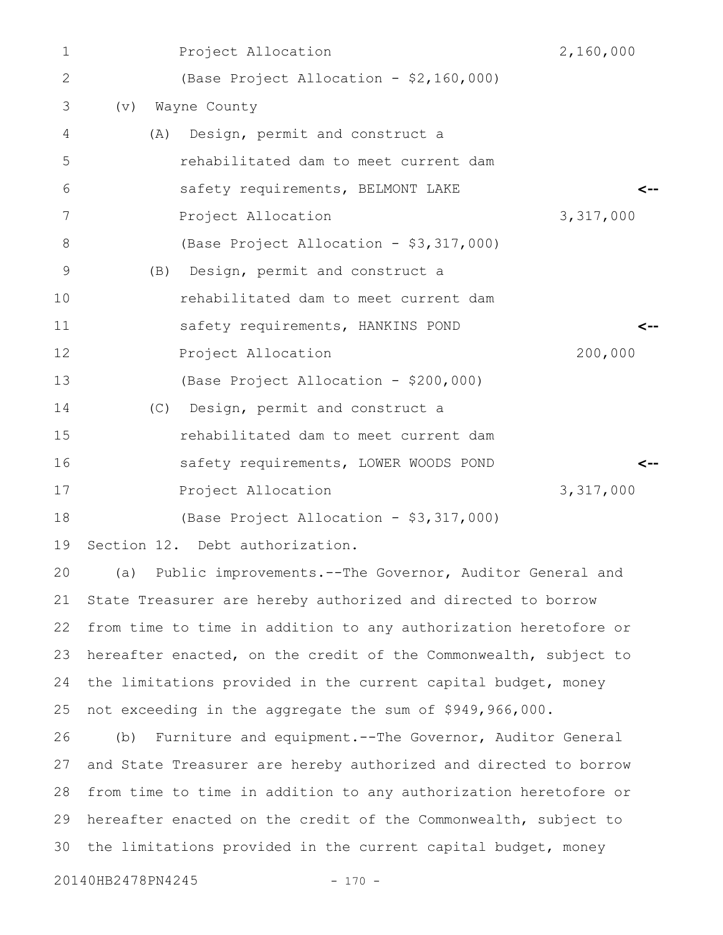| $\mathbf 1$ |                                                                  | Project Allocation                                               | 2,160,000 |  |  |
|-------------|------------------------------------------------------------------|------------------------------------------------------------------|-----------|--|--|
| 2           |                                                                  | (Base Project Allocation - \$2,160,000)                          |           |  |  |
| 3           | (v)                                                              | Wayne County                                                     |           |  |  |
| 4           | (A)                                                              | Design, permit and construct a                                   |           |  |  |
| 5           |                                                                  | rehabilitated dam to meet current dam                            |           |  |  |
| 6           |                                                                  | safety requirements, BELMONT LAKE                                | <--       |  |  |
| 7           |                                                                  | Project Allocation                                               | 3,317,000 |  |  |
| 8           |                                                                  | (Base Project Allocation - \$3,317,000)                          |           |  |  |
| $\mathsf 9$ | (B)                                                              | Design, permit and construct a                                   |           |  |  |
| 10          |                                                                  | rehabilitated dam to meet current dam                            |           |  |  |
| 11          |                                                                  | safety requirements, HANKINS POND                                |           |  |  |
| 12          |                                                                  | Project Allocation                                               | 200,000   |  |  |
| 13          |                                                                  | (Base Project Allocation - \$200,000)                            |           |  |  |
| 14          | (C)                                                              | Design, permit and construct a                                   |           |  |  |
| 15          |                                                                  | rehabilitated dam to meet current dam                            |           |  |  |
| 16          |                                                                  | safety requirements, LOWER WOODS POND                            | <--       |  |  |
| 17          |                                                                  | Project Allocation                                               | 3,317,000 |  |  |
| 18          |                                                                  | (Base Project Allocation - \$3,317,000)                          |           |  |  |
| 19          |                                                                  | Section 12. Debt authorization.                                  |           |  |  |
| 20          | (a)                                                              | Public improvements.--The Governor, Auditor General and          |           |  |  |
| 21          |                                                                  | State Treasurer are hereby authorized and directed to borrow     |           |  |  |
| 22          |                                                                  | from time to time in addition to any authorization heretofore or |           |  |  |
| 23          |                                                                  | hereafter enacted, on the credit of the Commonwealth, subject to |           |  |  |
| 24          | the limitations provided in the current capital budget, money    |                                                                  |           |  |  |
| 25          |                                                                  | not exceeding in the aggregate the sum of \$949,966,000.         |           |  |  |
| 26          | (b)                                                              | Furniture and equipment. -- The Governor, Auditor General        |           |  |  |
| 27          |                                                                  | and State Treasurer are hereby authorized and directed to borrow |           |  |  |
| 28          | from time to time in addition to any authorization heretofore or |                                                                  |           |  |  |
| 29          | hereafter enacted on the credit of the Commonwealth, subject to  |                                                                  |           |  |  |
| 30          |                                                                  | the limitations provided in the current capital budget, money    |           |  |  |
|             |                                                                  |                                                                  |           |  |  |

20140HB2478PN4245 - 170 -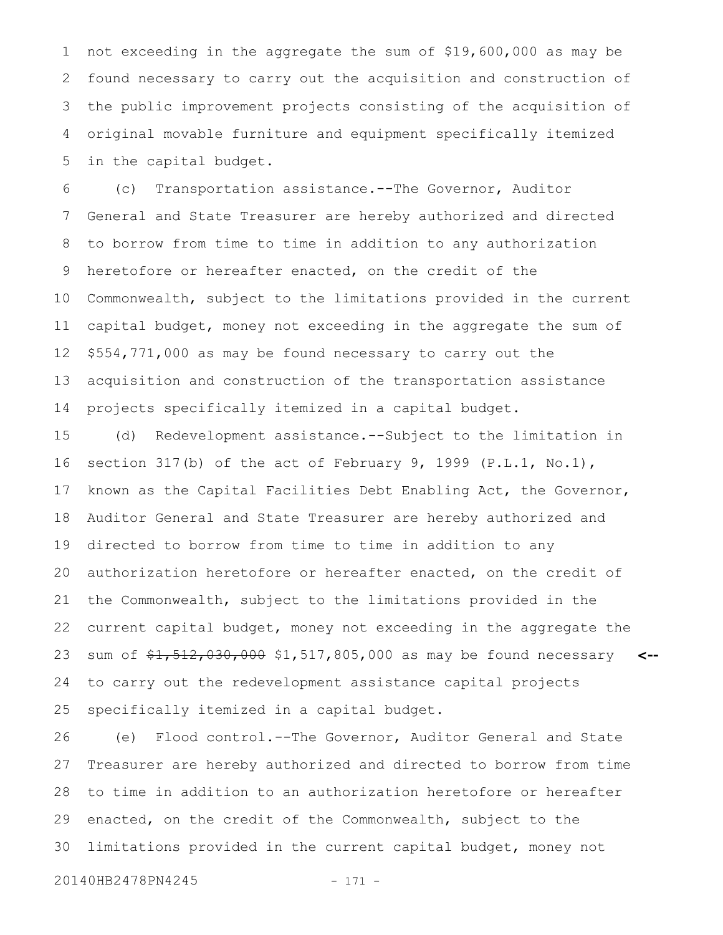not exceeding in the aggregate the sum of \$19,600,000 as may be found necessary to carry out the acquisition and construction of the public improvement projects consisting of the acquisition of original movable furniture and equipment specifically itemized in the capital budget. 1 2 3 4 5

(c) Transportation assistance.--The Governor, Auditor General and State Treasurer are hereby authorized and directed to borrow from time to time in addition to any authorization heretofore or hereafter enacted, on the credit of the Commonwealth, subject to the limitations provided in the current capital budget, money not exceeding in the aggregate the sum of \$554,771,000 as may be found necessary to carry out the acquisition and construction of the transportation assistance projects specifically itemized in a capital budget. 6 7 8 9 10 11 12 13 14

(d) Redevelopment assistance.--Subject to the limitation in section 317(b) of the act of February 9, 1999 (P.L.1, No.1), known as the Capital Facilities Debt Enabling Act, the Governor, Auditor General and State Treasurer are hereby authorized and directed to borrow from time to time in addition to any authorization heretofore or hereafter enacted, on the credit of the Commonwealth, subject to the limitations provided in the current capital budget, money not exceeding in the aggregate the sum of \$1,512,030,000 \$1,517,805,000 as may be found necessary **<-** to carry out the redevelopment assistance capital projects specifically itemized in a capital budget. 15 16 17 18 19 20 21 22 23 24 25

(e) Flood control.--The Governor, Auditor General and State Treasurer are hereby authorized and directed to borrow from time to time in addition to an authorization heretofore or hereafter enacted, on the credit of the Commonwealth, subject to the limitations provided in the current capital budget, money not 26 27 28 29 30

20140HB2478PN4245 - 171 -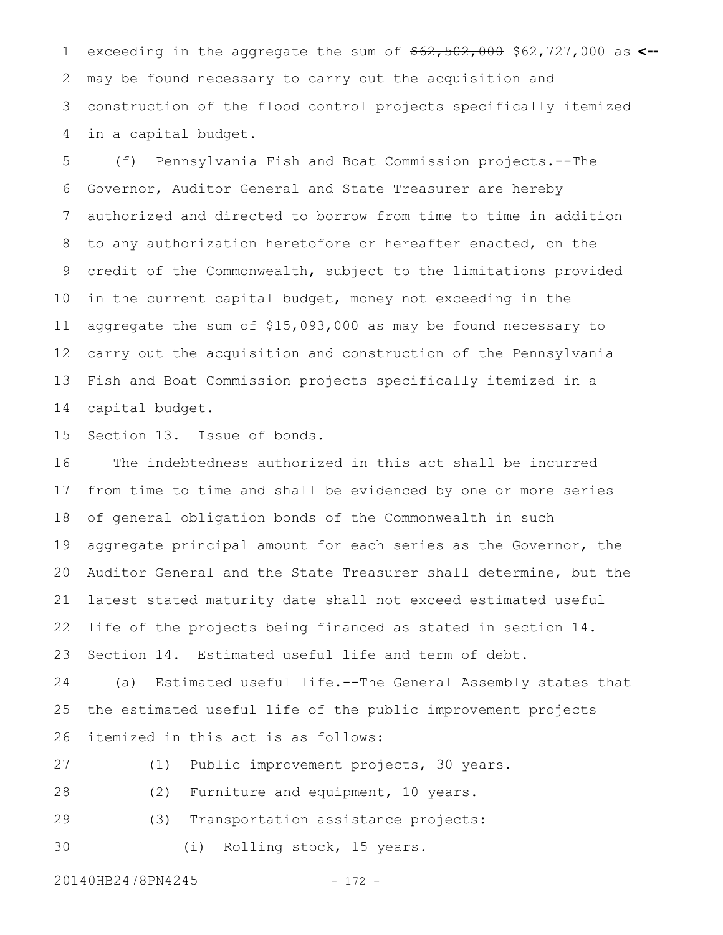exceeding in the aggregate the sum of \$62,502,000 \$62,727,000 as 1 **<-** may be found necessary to carry out the acquisition and construction of the flood control projects specifically itemized in a capital budget. 2 3 4

(f) Pennsylvania Fish and Boat Commission projects.--The Governor, Auditor General and State Treasurer are hereby authorized and directed to borrow from time to time in addition to any authorization heretofore or hereafter enacted, on the credit of the Commonwealth, subject to the limitations provided in the current capital budget, money not exceeding in the aggregate the sum of \$15,093,000 as may be found necessary to carry out the acquisition and construction of the Pennsylvania Fish and Boat Commission projects specifically itemized in a capital budget. 5 6 7 8 9 10 11 12 13 14

Section 13. Issue of bonds. 15

The indebtedness authorized in this act shall be incurred from time to time and shall be evidenced by one or more series of general obligation bonds of the Commonwealth in such aggregate principal amount for each series as the Governor, the Auditor General and the State Treasurer shall determine, but the latest stated maturity date shall not exceed estimated useful life of the projects being financed as stated in section 14. Section 14. Estimated useful life and term of debt. 16 17 18 19 20 21 22 23

(a) Estimated useful life.--The General Assembly states that the estimated useful life of the public improvement projects itemized in this act is as follows: 24 25 26

27

(1) Public improvement projects, 30 years.

(2) Furniture and equipment, 10 years. 28

(3) Transportation assistance projects: 29

(i) Rolling stock, 15 years. 30

20140HB2478PN4245 - 172 -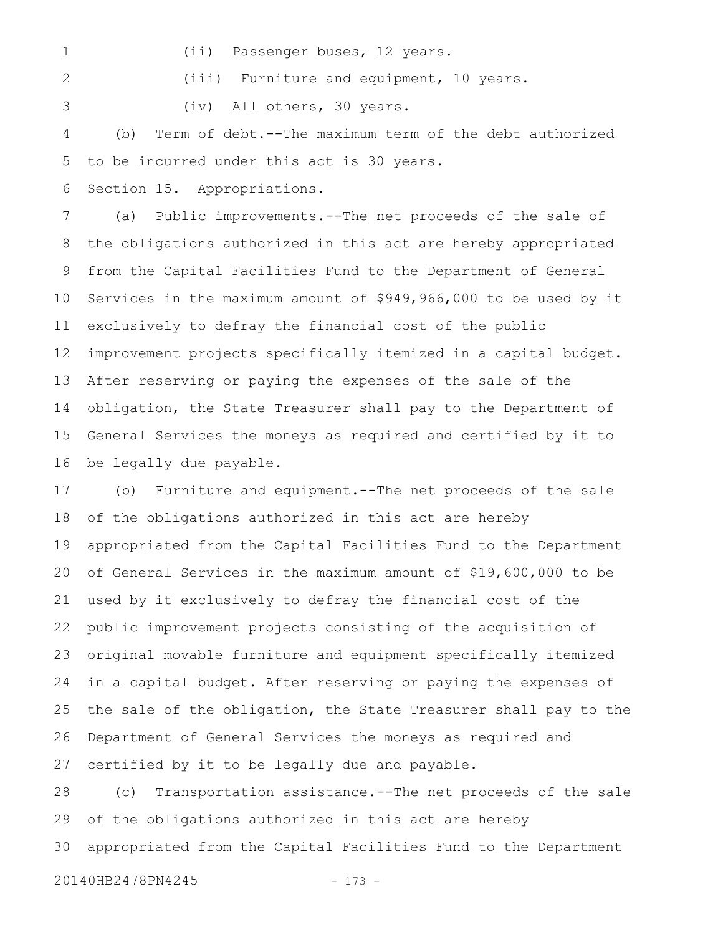1

(ii) Passenger buses, 12 years.

2

3

(iii) Furniture and equipment, 10 years.

(iv) All others, 30 years.

(b) Term of debt.--The maximum term of the debt authorized to be incurred under this act is 30 years. 4 5

Section 15. Appropriations. 6

(a) Public improvements.--The net proceeds of the sale of the obligations authorized in this act are hereby appropriated from the Capital Facilities Fund to the Department of General Services in the maximum amount of \$949,966,000 to be used by it exclusively to defray the financial cost of the public improvement projects specifically itemized in a capital budget. After reserving or paying the expenses of the sale of the obligation, the State Treasurer shall pay to the Department of General Services the moneys as required and certified by it to be legally due payable. 7 8 9 10 11 12 13 14 15 16

(b) Furniture and equipment.--The net proceeds of the sale of the obligations authorized in this act are hereby appropriated from the Capital Facilities Fund to the Department of General Services in the maximum amount of \$19,600,000 to be used by it exclusively to defray the financial cost of the public improvement projects consisting of the acquisition of original movable furniture and equipment specifically itemized in a capital budget. After reserving or paying the expenses of the sale of the obligation, the State Treasurer shall pay to the Department of General Services the moneys as required and certified by it to be legally due and payable. 17 18 19 20 21 22 23 24 25 26 27

(c) Transportation assistance.--The net proceeds of the sale of the obligations authorized in this act are hereby appropriated from the Capital Facilities Fund to the Department 28 29 30

20140HB2478PN4245 - 173 -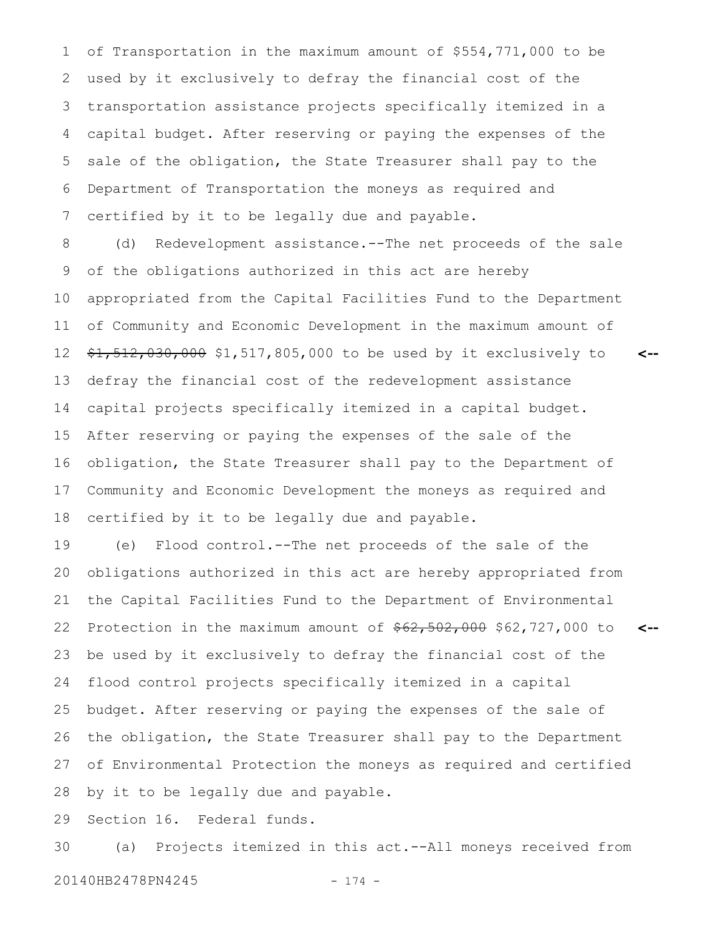of Transportation in the maximum amount of \$554,771,000 to be used by it exclusively to defray the financial cost of the transportation assistance projects specifically itemized in a capital budget. After reserving or paying the expenses of the sale of the obligation, the State Treasurer shall pay to the Department of Transportation the moneys as required and certified by it to be legally due and payable. 1 2 3 4 5 6 7

(d) Redevelopment assistance.--The net proceeds of the sale of the obligations authorized in this act are hereby appropriated from the Capital Facilities Fund to the Department of Community and Economic Development in the maximum amount of \$1,512,030,000 \$1,517,805,000 to be used by it exclusively to defray the financial cost of the redevelopment assistance capital projects specifically itemized in a capital budget. After reserving or paying the expenses of the sale of the obligation, the State Treasurer shall pay to the Department of Community and Economic Development the moneys as required and certified by it to be legally due and payable. **<--** 8 9 10 11 12 13 14 15 16 17 18

(e) Flood control.--The net proceeds of the sale of the obligations authorized in this act are hereby appropriated from the Capital Facilities Fund to the Department of Environmental Protection in the maximum amount of  $$62,502,000$  \$62,727,000 to be used by it exclusively to defray the financial cost of the flood control projects specifically itemized in a capital budget. After reserving or paying the expenses of the sale of the obligation, the State Treasurer shall pay to the Department of Environmental Protection the moneys as required and certified by it to be legally due and payable. **<--** 19 20 21 22 23 24 25 26 27 28

Section 16. Federal funds. 29

(a) Projects itemized in this act.--All moneys received from 20140HB2478PN4245 - 174 -30